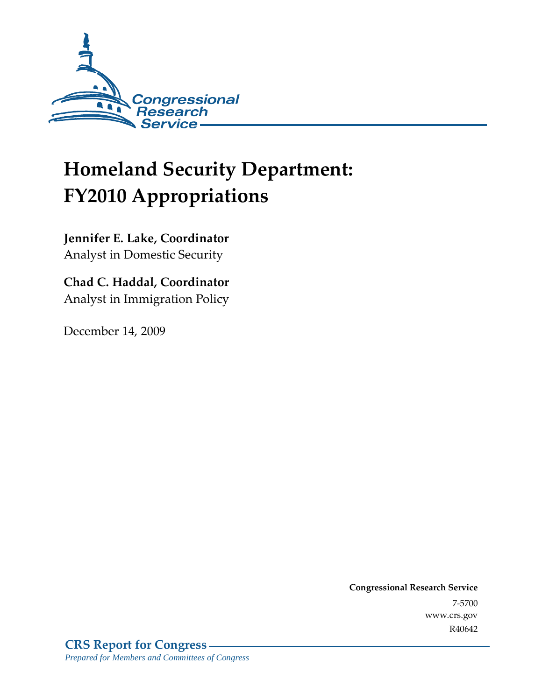

# **Homeland Security Department: FY2010 Appropriations**

**Jennifer E. Lake, Coordinator**  Analyst in Domestic Security

**Chad C. Haddal, Coordinator**  Analyst in Immigration Policy

December 14, 2009

**Congressional Research Service** 7-5700 www.crs.gov R40642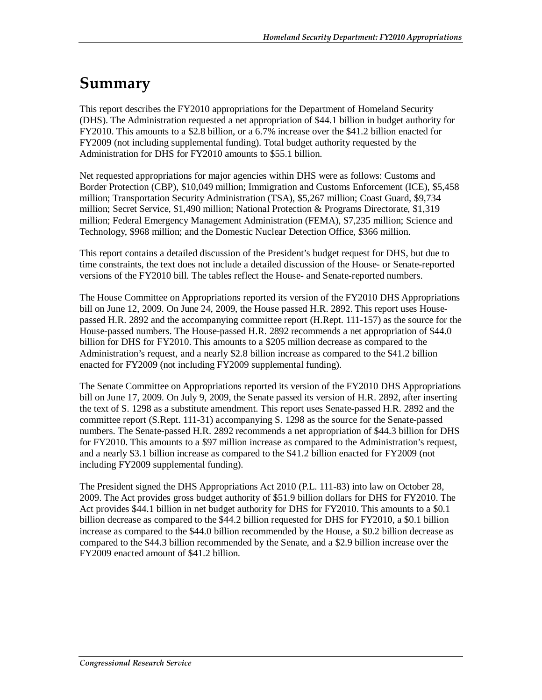## **Summary**

This report describes the FY2010 appropriations for the Department of Homeland Security (DHS). The Administration requested a net appropriation of \$44.1 billion in budget authority for FY2010. This amounts to a \$2.8 billion, or a 6.7% increase over the \$41.2 billion enacted for FY2009 (not including supplemental funding). Total budget authority requested by the Administration for DHS for FY2010 amounts to \$55.1 billion.

Net requested appropriations for major agencies within DHS were as follows: Customs and Border Protection (CBP), \$10,049 million; Immigration and Customs Enforcement (ICE), \$5,458 million; Transportation Security Administration (TSA), \$5,267 million; Coast Guard, \$9,734 million; Secret Service, \$1,490 million; National Protection & Programs Directorate, \$1,319 million; Federal Emergency Management Administration (FEMA), \$7,235 million; Science and Technology, \$968 million; and the Domestic Nuclear Detection Office, \$366 million.

This report contains a detailed discussion of the President's budget request for DHS, but due to time constraints, the text does not include a detailed discussion of the House- or Senate-reported versions of the FY2010 bill. The tables reflect the House- and Senate-reported numbers.

The House Committee on Appropriations reported its version of the FY2010 DHS Appropriations bill on June 12, 2009. On June 24, 2009, the House passed H.R. 2892. This report uses Housepassed H.R. 2892 and the accompanying committee report (H.Rept. 111-157) as the source for the House-passed numbers. The House-passed H.R. 2892 recommends a net appropriation of \$44.0 billion for DHS for FY2010. This amounts to a \$205 million decrease as compared to the Administration's request, and a nearly \$2.8 billion increase as compared to the \$41.2 billion enacted for FY2009 (not including FY2009 supplemental funding).

The Senate Committee on Appropriations reported its version of the FY2010 DHS Appropriations bill on June 17, 2009. On July 9, 2009, the Senate passed its version of H.R. 2892, after inserting the text of S. 1298 as a substitute amendment. This report uses Senate-passed H.R. 2892 and the committee report (S.Rept. 111-31) accompanying S. 1298 as the source for the Senate-passed numbers. The Senate-passed H.R. 2892 recommends a net appropriation of \$44.3 billion for DHS for FY2010. This amounts to a \$97 million increase as compared to the Administration's request, and a nearly \$3.1 billion increase as compared to the \$41.2 billion enacted for FY2009 (not including FY2009 supplemental funding).

The President signed the DHS Appropriations Act 2010 (P.L. 111-83) into law on October 28, 2009. The Act provides gross budget authority of \$51.9 billion dollars for DHS for FY2010. The Act provides \$44.1 billion in net budget authority for DHS for FY2010. This amounts to a \$0.1 billion decrease as compared to the \$44.2 billion requested for DHS for FY2010, a \$0.1 billion increase as compared to the \$44.0 billion recommended by the House, a \$0.2 billion decrease as compared to the \$44.3 billion recommended by the Senate, and a \$2.9 billion increase over the FY2009 enacted amount of \$41.2 billion.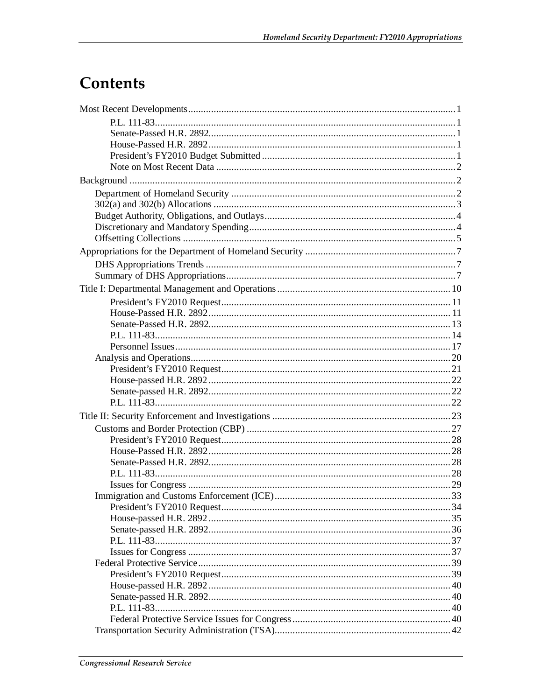## Contents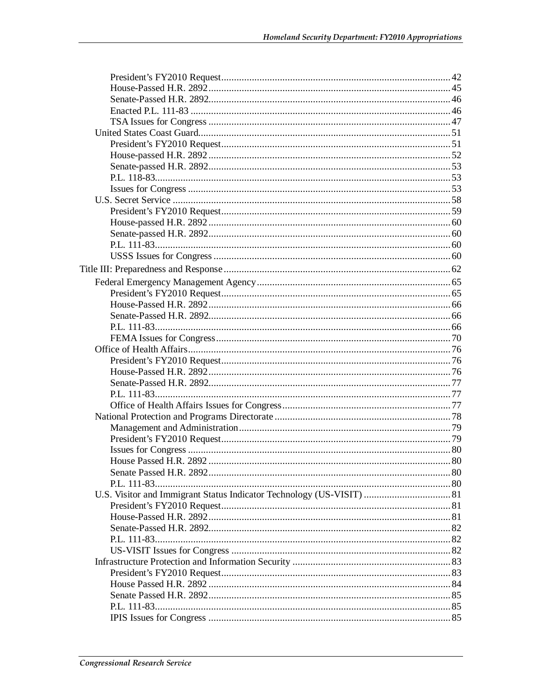| P.L. 111-83 |  |
|-------------|--|
|             |  |
|             |  |
|             |  |
|             |  |
|             |  |
|             |  |
|             |  |
|             |  |
|             |  |
|             |  |
|             |  |
|             |  |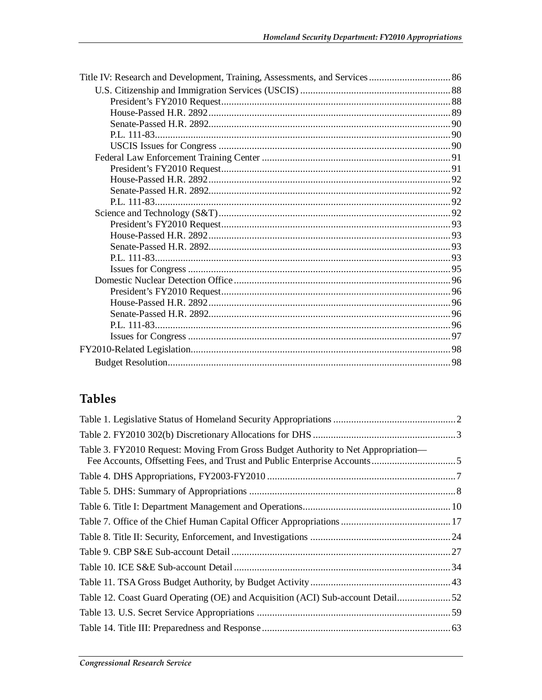## **Tables**

| Table 3. FY2010 Request: Moving From Gross Budget Authority to Net Appropriation— |  |
|-----------------------------------------------------------------------------------|--|
|                                                                                   |  |
|                                                                                   |  |
|                                                                                   |  |
|                                                                                   |  |
|                                                                                   |  |
|                                                                                   |  |
|                                                                                   |  |
|                                                                                   |  |
|                                                                                   |  |
|                                                                                   |  |
|                                                                                   |  |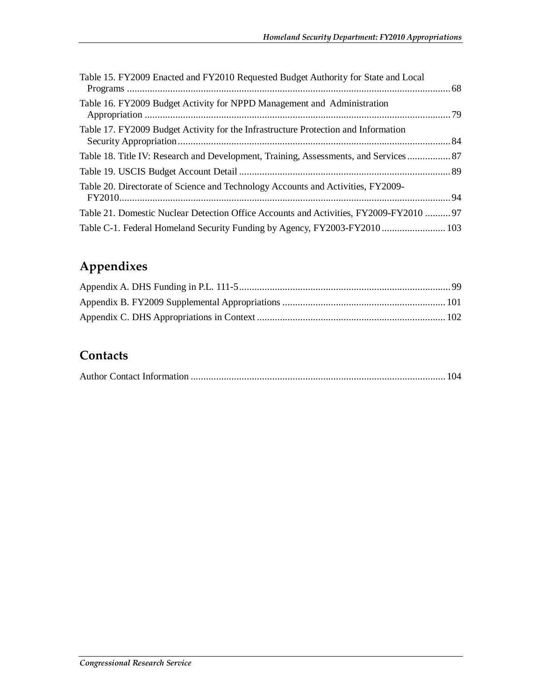| Table 15. FY2009 Enacted and FY2010 Requested Budget Authority for State and Local     |  |
|----------------------------------------------------------------------------------------|--|
| Table 16. FY2009 Budget Activity for NPPD Management and Administration                |  |
| Table 17. FY2009 Budget Activity for the Infrastructure Protection and Information     |  |
| Table 18. Title IV: Research and Development, Training, Assessments, and Services 87   |  |
|                                                                                        |  |
| Table 20. Directorate of Science and Technology Accounts and Activities, FY2009-       |  |
| Table 21. Domestic Nuclear Detection Office Accounts and Activities, FY2009-FY2010  97 |  |
| Table C-1. Federal Homeland Security Funding by Agency, FY2003-FY2010  103             |  |

## **Appendixes**

### **Contacts**

|--|--|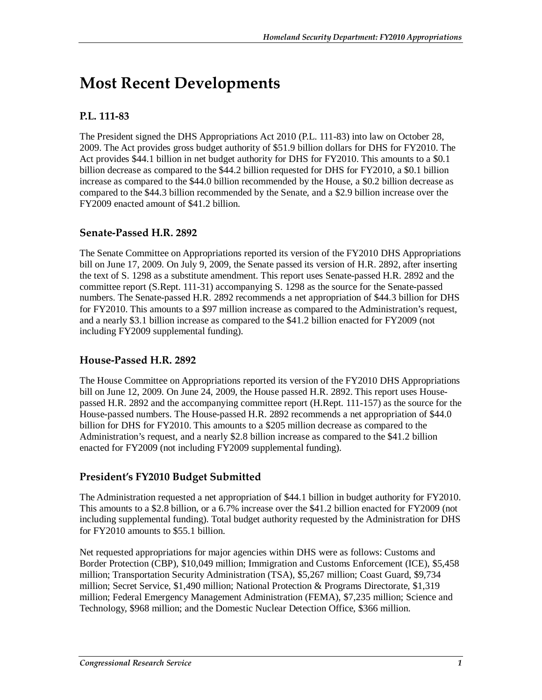## **Most Recent Developments**

#### **P.L. 111-83**

The President signed the DHS Appropriations Act 2010 (P.L. 111-83) into law on October 28, 2009. The Act provides gross budget authority of \$51.9 billion dollars for DHS for FY2010. The Act provides \$44.1 billion in net budget authority for DHS for FY2010. This amounts to a \$0.1 billion decrease as compared to the \$44.2 billion requested for DHS for FY2010, a \$0.1 billion increase as compared to the \$44.0 billion recommended by the House, a \$0.2 billion decrease as compared to the \$44.3 billion recommended by the Senate, and a \$2.9 billion increase over the FY2009 enacted amount of \$41.2 billion.

#### **Senate-Passed H.R. 2892**

The Senate Committee on Appropriations reported its version of the FY2010 DHS Appropriations bill on June 17, 2009. On July 9, 2009, the Senate passed its version of H.R. 2892, after inserting the text of S. 1298 as a substitute amendment. This report uses Senate-passed H.R. 2892 and the committee report (S.Rept. 111-31) accompanying S. 1298 as the source for the Senate-passed numbers. The Senate-passed H.R. 2892 recommends a net appropriation of \$44.3 billion for DHS for FY2010. This amounts to a \$97 million increase as compared to the Administration's request, and a nearly \$3.1 billion increase as compared to the \$41.2 billion enacted for FY2009 (not including FY2009 supplemental funding).

#### **House-Passed H.R. 2892**

The House Committee on Appropriations reported its version of the FY2010 DHS Appropriations bill on June 12, 2009. On June 24, 2009, the House passed H.R. 2892. This report uses Housepassed H.R. 2892 and the accompanying committee report (H.Rept. 111-157) as the source for the House-passed numbers. The House-passed H.R. 2892 recommends a net appropriation of \$44.0 billion for DHS for FY2010. This amounts to a \$205 million decrease as compared to the Administration's request, and a nearly \$2.8 billion increase as compared to the \$41.2 billion enacted for FY2009 (not including FY2009 supplemental funding).

#### **President's FY2010 Budget Submitted**

The Administration requested a net appropriation of \$44.1 billion in budget authority for FY2010. This amounts to a \$2.8 billion, or a 6.7% increase over the \$41.2 billion enacted for FY2009 (not including supplemental funding). Total budget authority requested by the Administration for DHS for FY2010 amounts to \$55.1 billion.

Net requested appropriations for major agencies within DHS were as follows: Customs and Border Protection (CBP), \$10,049 million; Immigration and Customs Enforcement (ICE), \$5,458 million; Transportation Security Administration (TSA), \$5,267 million; Coast Guard, \$9,734 million; Secret Service, \$1,490 million; National Protection & Programs Directorate, \$1,319 million; Federal Emergency Management Administration (FEMA), \$7,235 million; Science and Technology, \$968 million; and the Domestic Nuclear Detection Office, \$366 million.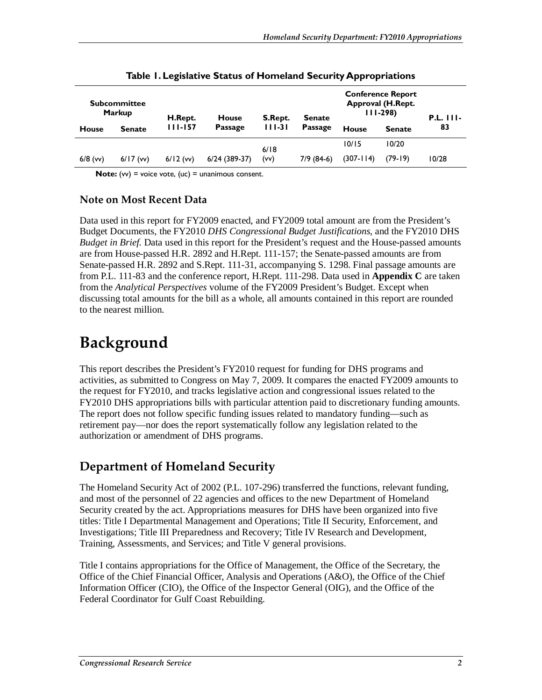|              | <b>Subcommittee</b><br><b>Markup</b> | H.Rept.    | <b>House</b>    | S.Rept.  | <b>Senate</b>  | <b>Conference Report</b><br>Approval (H.Rept.<br>$111-298$ |               | $P.L.$ $111-$ |
|--------------|--------------------------------------|------------|-----------------|----------|----------------|------------------------------------------------------------|---------------|---------------|
| <b>House</b> | <b>Senate</b>                        | 111-157    | <b>Passage</b>  | $111-31$ | <b>Passage</b> | <b>House</b>                                               | <b>Senate</b> | 83            |
|              |                                      |            |                 | 6/18     |                | 10/15                                                      | 10/20         |               |
| $6/8$ (vv)   | $6/17$ (w)                           | $6/12$ (w) | $6/24$ (389-37) | (vv)     | $7/9(84-6)$    | $(307 - 114)$                                              | (79-19)       | 10/28         |

**Table 1. Legislative Status of Homeland Security Appropriations** 

**Note:** (vv) = voice vote, (uc) = unanimous consent.

#### **Note on Most Recent Data**

Data used in this report for FY2009 enacted, and FY2009 total amount are from the President's Budget Documents, the FY2010 *DHS Congressional Budget Justifications*, and the FY2010 DHS *Budget in Brief.* Data used in this report for the President's request and the House-passed amounts are from House-passed H.R. 2892 and H.Rept. 111-157; the Senate-passed amounts are from Senate-passed H.R. 2892 and S.Rept. 111-31, accompanying S. 1298. Final passage amounts are from P.L. 111-83 and the conference report, H.Rept. 111-298. Data used in **Appendix C** are taken from the *Analytical Perspectives* volume of the FY2009 President's Budget. Except when discussing total amounts for the bill as a whole, all amounts contained in this report are rounded to the nearest million.

## **Background**

This report describes the President's FY2010 request for funding for DHS programs and activities, as submitted to Congress on May 7, 2009. It compares the enacted FY2009 amounts to the request for FY2010, and tracks legislative action and congressional issues related to the FY2010 DHS appropriations bills with particular attention paid to discretionary funding amounts. The report does not follow specific funding issues related to mandatory funding—such as retirement pay—nor does the report systematically follow any legislation related to the authorization or amendment of DHS programs.

## **Department of Homeland Security**

The Homeland Security Act of 2002 (P.L. 107-296) transferred the functions, relevant funding, and most of the personnel of 22 agencies and offices to the new Department of Homeland Security created by the act. Appropriations measures for DHS have been organized into five titles: Title I Departmental Management and Operations; Title II Security, Enforcement, and Investigations; Title III Preparedness and Recovery; Title IV Research and Development, Training, Assessments, and Services; and Title V general provisions.

Title I contains appropriations for the Office of Management, the Office of the Secretary, the Office of the Chief Financial Officer, Analysis and Operations (A&O), the Office of the Chief Information Officer (CIO), the Office of the Inspector General (OIG), and the Office of the Federal Coordinator for Gulf Coast Rebuilding.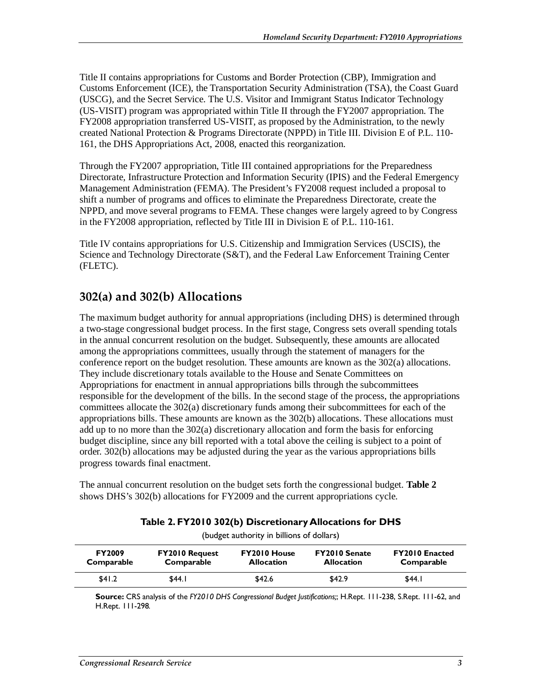Title II contains appropriations for Customs and Border Protection (CBP), Immigration and Customs Enforcement (ICE), the Transportation Security Administration (TSA), the Coast Guard (USCG), and the Secret Service. The U.S. Visitor and Immigrant Status Indicator Technology (US-VISIT) program was appropriated within Title II through the FY2007 appropriation. The FY2008 appropriation transferred US-VISIT, as proposed by the Administration, to the newly created National Protection & Programs Directorate (NPPD) in Title III. Division E of P.L. 110- 161, the DHS Appropriations Act, 2008, enacted this reorganization.

Through the FY2007 appropriation, Title III contained appropriations for the Preparedness Directorate, Infrastructure Protection and Information Security (IPIS) and the Federal Emergency Management Administration (FEMA). The President's FY2008 request included a proposal to shift a number of programs and offices to eliminate the Preparedness Directorate, create the NPPD, and move several programs to FEMA. These changes were largely agreed to by Congress in the FY2008 appropriation, reflected by Title III in Division E of P.L. 110-161.

Title IV contains appropriations for U.S. Citizenship and Immigration Services (USCIS), the Science and Technology Directorate (S&T), and the Federal Law Enforcement Training Center (FLETC).

### **302(a) and 302(b) Allocations**

The maximum budget authority for annual appropriations (including DHS) is determined through a two-stage congressional budget process. In the first stage, Congress sets overall spending totals in the annual concurrent resolution on the budget. Subsequently, these amounts are allocated among the appropriations committees, usually through the statement of managers for the conference report on the budget resolution. These amounts are known as the 302(a) allocations. They include discretionary totals available to the House and Senate Committees on Appropriations for enactment in annual appropriations bills through the subcommittees responsible for the development of the bills. In the second stage of the process, the appropriations committees allocate the 302(a) discretionary funds among their subcommittees for each of the appropriations bills. These amounts are known as the 302(b) allocations. These allocations must add up to no more than the 302(a) discretionary allocation and form the basis for enforcing budget discipline, since any bill reported with a total above the ceiling is subject to a point of order. 302(b) allocations may be adjusted during the year as the various appropriations bills progress towards final enactment.

The annual concurrent resolution on the budget sets forth the congressional budget. **Table 2** shows DHS's 302(b) allocations for FY2009 and the current appropriations cycle.

| (budget authority in billions of dollars) |                                     |                                   |                                           |                                     |  |
|-------------------------------------------|-------------------------------------|-----------------------------------|-------------------------------------------|-------------------------------------|--|
| <b>FY2009</b><br>Comparable               | <b>FY2010 Request</b><br>Comparable | FY2010 House<br><b>Allocation</b> | <b>FY2010 Senate</b><br><b>Allocation</b> | <b>FY2010 Enacted</b><br>Comparable |  |
| \$41.2                                    | \$44.1                              | \$42.6                            | \$42.9                                    | \$44.I                              |  |

**Table 2. FY2010 302(b) Discretionary Allocations for DHS** 

**Source:** CRS analysis of the *FY2010 DHS Congressional Budget Justifications;*; H.Rept. 111-238, S.Rept. 111-62, and H.Rept. 111-298*.*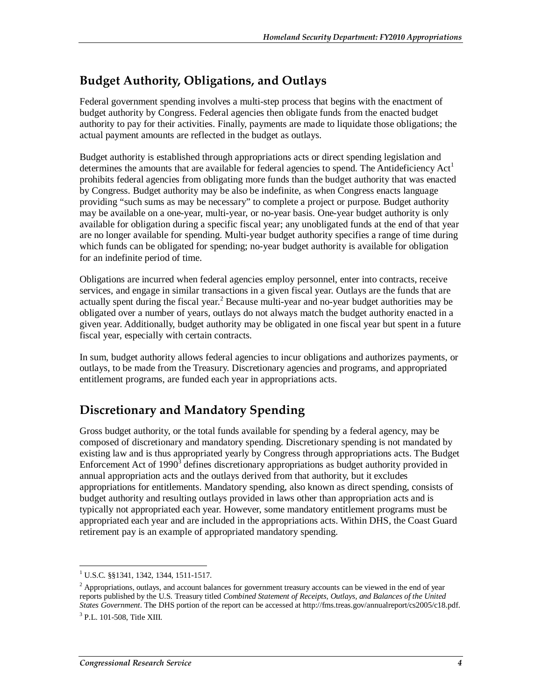### **Budget Authority, Obligations, and Outlays**

Federal government spending involves a multi-step process that begins with the enactment of budget authority by Congress. Federal agencies then obligate funds from the enacted budget authority to pay for their activities. Finally, payments are made to liquidate those obligations; the actual payment amounts are reflected in the budget as outlays.

Budget authority is established through appropriations acts or direct spending legislation and determines the amounts that are available for federal agencies to spend. The Antideficiency  $Act<sup>1</sup>$ prohibits federal agencies from obligating more funds than the budget authority that was enacted by Congress. Budget authority may be also be indefinite, as when Congress enacts language providing "such sums as may be necessary" to complete a project or purpose. Budget authority may be available on a one-year, multi-year, or no-year basis. One-year budget authority is only available for obligation during a specific fiscal year; any unobligated funds at the end of that year are no longer available for spending. Multi-year budget authority specifies a range of time during which funds can be obligated for spending; no-year budget authority is available for obligation for an indefinite period of time.

Obligations are incurred when federal agencies employ personnel, enter into contracts, receive services, and engage in similar transactions in a given fiscal year. Outlays are the funds that are actually spent during the fiscal year.<sup>2</sup> Because multi-year and no-year budget authorities may be obligated over a number of years, outlays do not always match the budget authority enacted in a given year. Additionally, budget authority may be obligated in one fiscal year but spent in a future fiscal year, especially with certain contracts.

In sum, budget authority allows federal agencies to incur obligations and authorizes payments, or outlays, to be made from the Treasury. Discretionary agencies and programs, and appropriated entitlement programs, are funded each year in appropriations acts.

## **Discretionary and Mandatory Spending**

Gross budget authority, or the total funds available for spending by a federal agency, may be composed of discretionary and mandatory spending. Discretionary spending is not mandated by existing law and is thus appropriated yearly by Congress through appropriations acts. The Budget Enforcement Act of  $1990<sup>3</sup>$  defines discretionary appropriations as budget authority provided in annual appropriation acts and the outlays derived from that authority, but it excludes appropriations for entitlements. Mandatory spending, also known as direct spending, consists of budget authority and resulting outlays provided in laws other than appropriation acts and is typically not appropriated each year. However, some mandatory entitlement programs must be appropriated each year and are included in the appropriations acts. Within DHS, the Coast Guard retirement pay is an example of appropriated mandatory spending.

 1 U.S.C. §§1341, 1342, 1344, 1511-1517.

 $2$  Appropriations, outlays, and account balances for government treasury accounts can be viewed in the end of year reports published by the U.S. Treasury titled *Combined Statement of Receipts, Outlays, and Balances of the United States Government*. The DHS portion of the report can be accessed at http://fms.treas.gov/annualreport/cs2005/c18.pdf. <sup>3</sup> P.L. 101-508, Title XIII.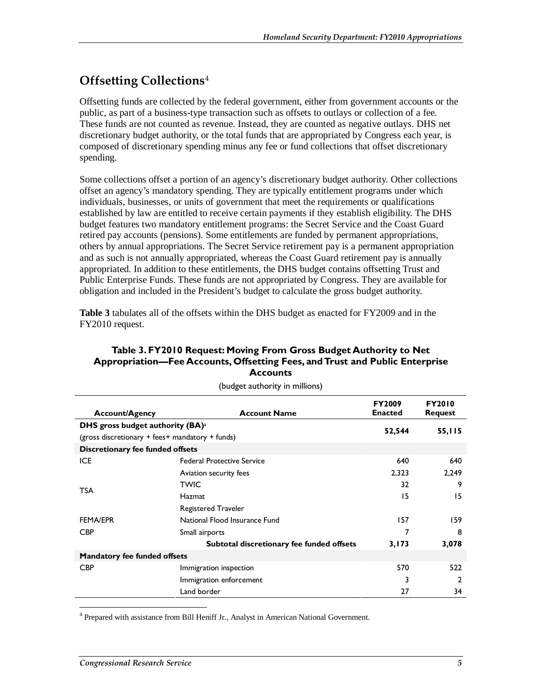## **Offsetting Collections**<sup>4</sup>

Offsetting funds are collected by the federal government, either from government accounts or the public, as part of a business-type transaction such as offsets to outlays or collection of a fee. These funds are not counted as revenue. Instead, they are counted as negative outlays. DHS net discretionary budget authority, or the total funds that are appropriated by Congress each year, is composed of discretionary spending minus any fee or fund collections that offset discretionary spending.

Some collections offset a portion of an agency's discretionary budget authority. Other collections offset an agency's mandatory spending. They are typically entitlement programs under which individuals, businesses, or units of government that meet the requirements or qualifications established by law are entitled to receive certain payments if they establish eligibility. The DHS budget features two mandatory entitlement programs: the Secret Service and the Coast Guard retired pay accounts (pensions). Some entitlements are funded by permanent appropriations, others by annual appropriations. The Secret Service retirement pay is a permanent appropriation and as such is not annually appropriated, whereas the Coast Guard retirement pay is annually appropriated. In addition to these entitlements, the DHS budget contains offsetting Trust and Public Enterprise Funds. These funds are not appropriated by Congress. They are available for obligation and included in the President's budget to calculate the gross budget authority.

**Table 3** tabulates all of the offsets within the DHS budget as enacted for FY2009 and in the FY2010 request.

#### **Table 3. FY2010 Request: Moving From Gross Budget Authority to Net Appropriation—Fee Accounts, Offsetting Fees, and Trust and Public Enterprise Accounts**

| <b>Account/Agency</b>                                  | <b>Account Name</b>                       | <b>FY2009</b><br><b>Enacted</b> | <b>FY2010</b><br><b>Request</b> |
|--------------------------------------------------------|-------------------------------------------|---------------------------------|---------------------------------|
| DHS gross budget authority $(BA)^a$                    |                                           | 52,544                          |                                 |
| (gross discretionary $+$ fees $+$ mandatory $+$ funds) |                                           |                                 | 55,115                          |
| Discretionary fee funded offsets                       |                                           |                                 |                                 |
| <b>ICE</b>                                             | <b>Federal Protective Service</b>         | 640                             | 640                             |
|                                                        | Aviation security fees                    | 2,323                           | 2,249                           |
|                                                        | <b>TWIC</b>                               | 32                              | 9                               |
| <b>TSA</b>                                             | Hazmat                                    | 15                              | 15                              |
|                                                        | <b>Registered Traveler</b>                |                                 |                                 |
| <b>FEMA/EPR</b>                                        | National Flood Insurance Fund             | 157                             | 159                             |
| <b>CBP</b>                                             | Small airports                            | 7                               | 8                               |
|                                                        | Subtotal discretionary fee funded offsets | 3,173                           | 3,078                           |
| <b>Mandatory fee funded offsets</b>                    |                                           |                                 |                                 |
| <b>CBP</b>                                             | Immigration inspection                    | 570                             | 522                             |
|                                                        | Immigration enforcement                   | 3                               | 2                               |
|                                                        | Land border                               | 27                              | 34                              |

(budget authority in millions)

-<sup>4</sup> Prepared with assistance from Bill Heniff Jr., Analyst in American National Government.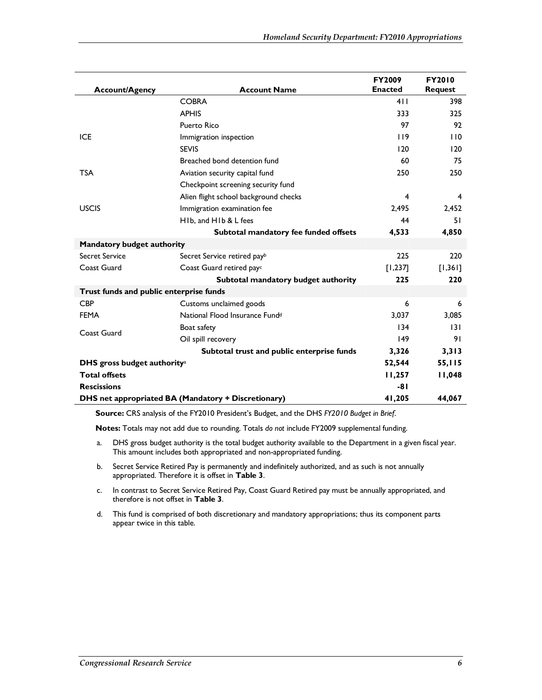| <b>Account/Agency</b>                   | <b>Account Name</b>                                 | <b>FY2009</b><br><b>Enacted</b> | <b>FY2010</b><br><b>Request</b> |
|-----------------------------------------|-----------------------------------------------------|---------------------------------|---------------------------------|
|                                         | <b>COBRA</b>                                        | 411                             | 398                             |
|                                         | <b>APHIS</b>                                        | 333                             | 325                             |
|                                         | Puerto Rico                                         | 97                              | 92                              |
| <b>ICE</b>                              | Immigration inspection                              | 119                             | 110                             |
|                                         | <b>SEVIS</b>                                        | 120                             | 120                             |
|                                         | Breached bond detention fund                        | 60                              | 75                              |
| <b>TSA</b>                              | Aviation security capital fund                      | 250                             | 250                             |
|                                         | Checkpoint screening security fund                  |                                 |                                 |
|                                         | Alien flight school background checks               | 4                               | 4                               |
| <b>USCIS</b>                            | Immigration examination fee                         | 2.495                           | 2.452                           |
|                                         | H <sub>Ib.</sub> and H <sub>Ib</sub> & L fees       | 44                              | 51                              |
|                                         | Subtotal mandatory fee funded offsets               | 4,533                           | 4,850                           |
| <b>Mandatory budget authority</b>       |                                                     |                                 |                                 |
| Secret Service                          | Secret Service retired payb                         | 225                             | 220                             |
| Coast Guard                             | Coast Guard retired payc                            | $[1,237]$                       | $[1,361]$                       |
|                                         | Subtotal mandatory budget authority                 | 225                             | 220                             |
| Trust funds and public enterprise funds |                                                     |                                 |                                 |
| <b>CBP</b>                              | Customs unclaimed goods                             | 6                               | 6                               |
| <b>FEMA</b>                             | National Flood Insurance Fund <sup>d</sup>          | 3,037                           | 3,085                           |
| Coast Guard                             | Boat safety                                         | 134                             | 131                             |
|                                         | Oil spill recovery                                  | 149                             | 91                              |
|                                         | Subtotal trust and public enterprise funds          | 3,326                           | 3,313                           |
| DHS gross budget authority <sup>a</sup> |                                                     | 52,544                          | 55,115                          |
| <b>Total offsets</b>                    |                                                     | 11,257                          | 11,048                          |
| <b>Rescissions</b>                      |                                                     | $-81$                           |                                 |
|                                         | DHS net appropriated BA (Mandatory + Discretionary) | 41,205                          | 44,067                          |

**Source:** CRS analysis of the FY2010 President's Budget, and the DHS *FY2010 Budget in Brief*.

**Notes:** Totals may not add due to rounding. Totals *do not* include FY2009 supplemental funding.

- a. DHS gross budget authority is the total budget authority available to the Department in a given fiscal year. This amount includes both appropriated and non-appropriated funding.
- b. Secret Service Retired Pay is permanently and indefinitely authorized, and as such is not annually appropriated. Therefore it is offset in **Table 3**.
- c. In contrast to Secret Service Retired Pay, Coast Guard Retired pay must be annually appropriated, and therefore is not offset in **Table 3**.
- d. This fund is comprised of both discretionary and mandatory appropriations; thus its component parts appear twice in this table.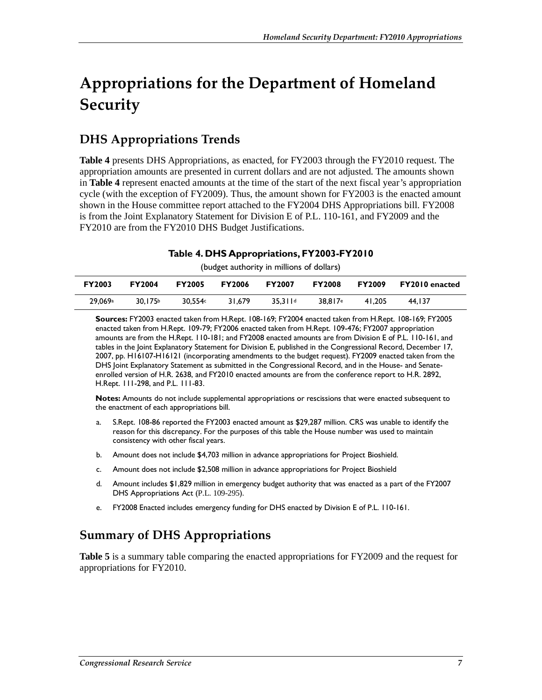## **Appropriations for the Department of Homeland Security**

### **DHS Appropriations Trends**

**Table 4** presents DHS Appropriations, as enacted, for FY2003 through the FY2010 request. The appropriation amounts are presented in current dollars and are not adjusted. The amounts shown in **Table 4** represent enacted amounts at the time of the start of the next fiscal year's appropriation cycle (with the exception of FY2009). Thus, the amount shown for FY2003 is the enacted amount shown in the House committee report attached to the FY2004 DHS Appropriations bill. FY2008 is from the Joint Explanatory Statement for Division E of P.L. 110-161, and FY2009 and the FY2010 are from the FY2010 DHS Budget Justifications.

#### **Table 4. DHS Appropriations, FY2003-FY2010**

(budget authority in millions of dollars)

| <b>FY2003</b> | <b>FY2004</b> | <b>FY2005</b> | <b>FY2006</b> | <b>FY2007</b> | <b>FY2008</b>       | <b>FY2009</b> | <b>FY2010</b> enacted |
|---------------|---------------|---------------|---------------|---------------|---------------------|---------------|-----------------------|
| 29.069a       | 30.175b       | 30.554c       | 31.679        | 35.311d       | 38.817 <sup>e</sup> | 41.205        | 44.137                |

**Sources:** FY2003 enacted taken from H.Rept. 108-169; FY2004 enacted taken from H.Rept. 108-169; FY2005 enacted taken from H.Rept. 109-79; FY2006 enacted taken from H.Rept. 109-476; FY2007 appropriation amounts are from the H.Rept. 110-181; and FY2008 enacted amounts are from Division E of P.L. 110-161, and tables in the Joint Explanatory Statement for Division E, published in the Congressional Record, December 17, 2007, pp. H16107-H16121 (incorporating amendments to the budget request). FY2009 enacted taken from the DHS Joint Explanatory Statement as submitted in the Congressional Record, and in the House- and Senateenrolled version of H.R. 2638, and FY2010 enacted amounts are from the conference report to H.R. 2892, H.Rept. 111-298, and P.L. 111-83.

**Notes:** Amounts do not include supplemental appropriations or rescissions that were enacted subsequent to the enactment of each appropriations bill.

- a. S.Rept. 108-86 reported the FY2003 enacted amount as \$29,287 million. CRS was unable to identify the reason for this discrepancy. For the purposes of this table the House number was used to maintain consistency with other fiscal years.
- b. Amount does not include \$4,703 million in advance appropriations for Project Bioshield.
- c. Amount does not include \$2,508 million in advance appropriations for Project Bioshield
- d. Amount includes \$1,829 million in emergency budget authority that was enacted as a part of the FY2007 DHS Appropriations Act (P.L. 109-295).
- e. FY2008 Enacted includes emergency funding for DHS enacted by Division E of P.L. 110-161.

### **Summary of DHS Appropriations**

**Table 5** is a summary table comparing the enacted appropriations for FY2009 and the request for appropriations for FY2010.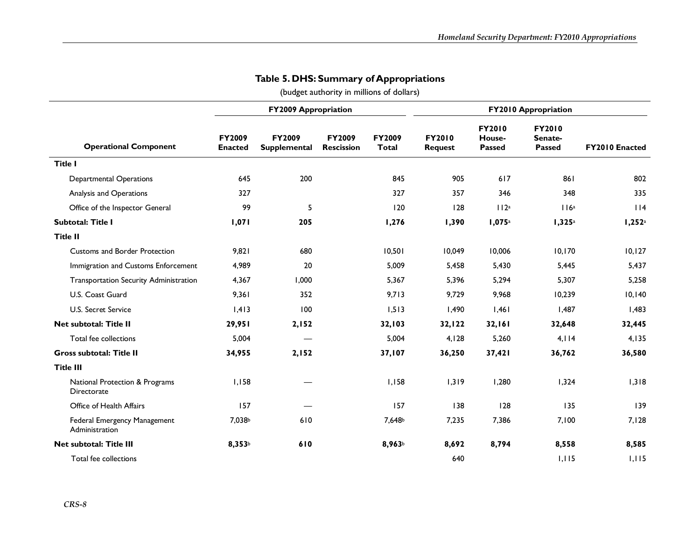|                                                |                                 | <b>FY2009 Appropriation</b>          |                             |                        |                                 |                                          |                                           |                       |
|------------------------------------------------|---------------------------------|--------------------------------------|-----------------------------|------------------------|---------------------------------|------------------------------------------|-------------------------------------------|-----------------------|
| <b>Operational Component</b>                   | <b>FY2009</b><br><b>Enacted</b> | <b>FY2009</b><br><b>Supplemental</b> | FY2009<br><b>Rescission</b> | FY2009<br><b>Total</b> | <b>FY2010</b><br><b>Request</b> | <b>FY2010</b><br>House-<br><b>Passed</b> | <b>FY2010</b><br>Senate-<br><b>Passed</b> | <b>FY2010 Enacted</b> |
| <b>Title I</b>                                 |                                 |                                      |                             |                        |                                 |                                          |                                           |                       |
| <b>Departmental Operations</b>                 | 645                             | 200                                  |                             | 845                    | 905                             | 617                                      | 861                                       | 802                   |
| Analysis and Operations                        | 327                             |                                      |                             | 327                    | 357                             | 346                                      | 348                                       | 335                   |
| Office of the Inspector General                | 99                              | 5                                    |                             | 120                    | 128                             | 112a                                     | 116a                                      | 114                   |
| Subtotal: Title I                              | 1,071                           | 205                                  |                             | 1,276                  | 1,390                           | 1,075a                                   | 1,325 <sup>a</sup>                        | I,252 <sup>a</sup>    |
| <b>Title II</b>                                |                                 |                                      |                             |                        |                                 |                                          |                                           |                       |
| <b>Customs and Border Protection</b>           | 9,821                           | 680                                  |                             | 10,501                 | 10,049                          | 10,006                                   | 10, 170                                   | 10, 127               |
| Immigration and Customs Enforcement            | 4,989                           | 20                                   |                             | 5,009                  | 5,458                           | 5,430                                    | 5,445                                     | 5,437                 |
| Transportation Security Administration         | 4,367                           | 1,000                                |                             | 5,367                  | 5,396                           | 5,294                                    | 5,307                                     | 5,258                 |
| U.S. Coast Guard                               | 9,361                           | 352                                  |                             | 9,713                  | 9,729                           | 9,968                                    | 10,239                                    | 10,140                |
| U.S. Secret Service                            | 1,413                           | 100                                  |                             | 1,513                  | 1,490                           | 1,461                                    | 1,487                                     | 1,483                 |
| Net subtotal: Title II                         | 29,951                          | 2,152                                |                             | 32,103                 | 32,122                          | 32,161                                   | 32,648                                    | 32,445                |
| Total fee collections                          | 5,004                           |                                      |                             | 5,004                  | 4,128                           | 5,260                                    | 4,114                                     | 4,135                 |
| <b>Gross subtotal: Title II</b>                | 34,955                          | 2,152                                |                             | 37,107                 | 36,250                          | 37,421                                   | 36,762                                    | 36,580                |
| <b>Title III</b>                               |                                 |                                      |                             |                        |                                 |                                          |                                           |                       |
| National Protection & Programs<br>Directorate  | 1,158                           |                                      |                             | I, I58                 | 1,319                           | 1,280                                    | 1,324                                     | 1,318                 |
| Office of Health Affairs                       | 157                             |                                      |                             | 157                    | 138                             | 128                                      | 135                                       | 139                   |
| Federal Emergency Management<br>Administration | 7,038b                          | 610                                  |                             | 7,648b                 | 7,235                           | 7,386                                    | 7,100                                     | 7,128                 |
| Net subtotal: Title III                        | 8,353b                          | 610                                  |                             | 8,963b                 | 8,692                           | 8,794                                    | 8,558                                     | 8,585                 |
| Total fee collections                          |                                 |                                      |                             |                        | 640                             |                                          | 1,115                                     | 1,115                 |

#### **Table 5. DHS: Summary of Appropriations**

(budget authority in millions of dollars)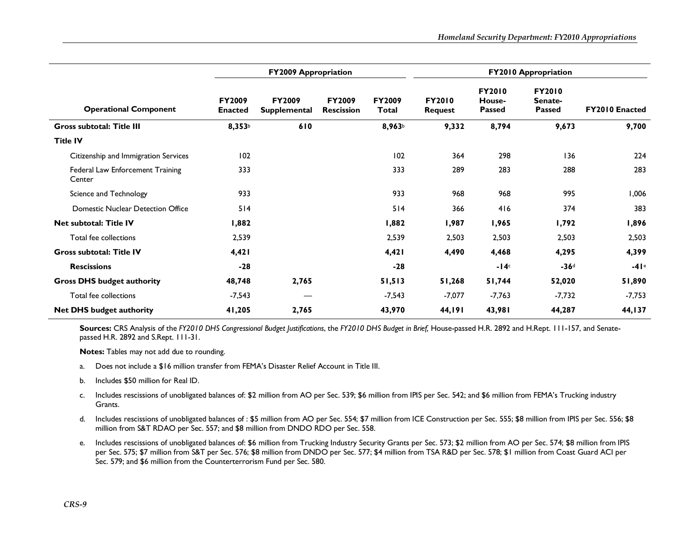|                                            |                                 | <b>FY2009 Appropriation</b>          |                                    |                        |                                 |                                   |                                           |                       |
|--------------------------------------------|---------------------------------|--------------------------------------|------------------------------------|------------------------|---------------------------------|-----------------------------------|-------------------------------------------|-----------------------|
| <b>Operational Component</b>               | <b>FY2009</b><br><b>Enacted</b> | <b>FY2009</b><br><b>Supplemental</b> | <b>FY2009</b><br><b>Rescission</b> | <b>FY2009</b><br>Total | <b>FY2010</b><br><b>Request</b> | <b>FY2010</b><br>House-<br>Passed | <b>FY2010</b><br>Senate-<br><b>Passed</b> | <b>FY2010 Enacted</b> |
| <b>Gross subtotal: Title III</b>           | 8,353 <sup>b</sup>              | 610                                  |                                    | 8,963 <sup>b</sup>     | 9,332                           | 8,794                             | 9,673                                     | 9,700                 |
| <b>Title IV</b>                            |                                 |                                      |                                    |                        |                                 |                                   |                                           |                       |
| Citizenship and Immigration Services       | 102                             |                                      |                                    | 102                    | 364                             | 298                               | 136                                       | 224                   |
| Federal Law Enforcement Training<br>Center | 333                             |                                      |                                    | 333                    | 289                             | 283                               | 288                                       | 283                   |
| Science and Technology                     | 933                             |                                      |                                    | 933                    | 968                             | 968                               | 995                                       | 006.1                 |
| <b>Domestic Nuclear Detection Office</b>   | 514                             |                                      |                                    | 514                    | 366                             | 416                               | 374                                       | 383                   |
| <b>Net subtotal: Title IV</b>              | 1,882                           |                                      |                                    | 1,882                  | 1,987                           | 1,965                             | 1,792                                     | 1,896                 |
| Total fee collections                      | 2,539                           |                                      |                                    | 2,539                  | 2,503                           | 2,503                             | 2,503                                     | 2,503                 |
| <b>Gross subtotal: Title IV</b>            | 4,421                           |                                      |                                    | 4,421                  | 4,490                           | 4,468                             | 4,295                                     | 4,399                 |
| <b>Rescissions</b>                         | $-28$                           |                                      |                                    | $-28$                  |                                 | $-14c$                            | $-36d$                                    | $-41e$                |
| <b>Gross DHS budget authority</b>          | 48,748                          | 2,765                                |                                    | 51,513                 | 51,268                          | 51,744                            | 52,020                                    | 51,890                |
| Total fee collections                      | $-7,543$                        | __                                   |                                    | $-7,543$               | $-7,077$                        | $-7,763$                          | $-7,732$                                  | -7,753                |
| <b>Net DHS budget authority</b>            | 41,205                          | 2,765                                |                                    | 43,970                 | 44,191                          | 43,981                            | 44,287                                    | 44, I 37              |

**Sources:** CRS Analysis of the *FY2010 DHS Congressional Budget Justifications*, the *FY2010 DHS Budget in Brief,* House-passed H.R. 2892 and H.Rept. 111-157, and Senatepassed H.R. 2892 and S.Rept. 111-31.

**Notes:** Tables may not add due to rounding.

- a.Does not include a \$16 million transfer from FEMA's Disaster Relief Account in Title III.
- b.Includes \$50 million for Real ID.
- c. Includes rescissions of unobligated balances of: \$2 million from AO per Sec. 539; \$6 million from IPIS per Sec. 542; and \$6 million from FEMA's Trucking industry Grants.
- d. Includes rescissions of unobligated balances of : \$5 million from AO per Sec. 554; \$7 million from ICE Construction per Sec. 555; \$8 million from IPIS per Sec. 556; \$8 million from S&T RDAO per Sec. 557; and \$8 million from DNDO RDO per Sec. 558.
- e. Includes rescissions of unobligated balances of: \$6 million from Trucking Industry Security Grants per Sec. 573; \$2 million from AO per Sec. 574; \$8 million from IPIS per Sec. 575; \$7 million from S&T per Sec. 576; \$8 million from DNDO per Sec. 577; \$4 million from TSA R&D per Sec. 578; \$1 million from Coast Guard ACI per Sec. 579; and \$6 million from the Counterterrorism Fund per Sec. 580.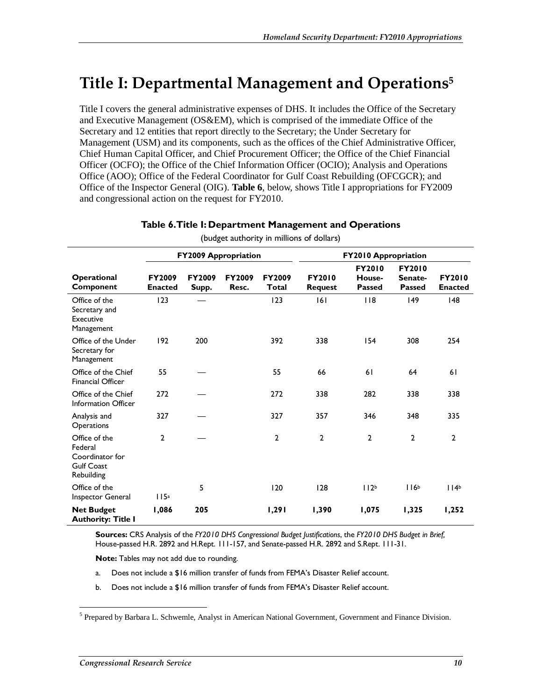## **Title I: Departmental Management and Operations5**

Title I covers the general administrative expenses of DHS. It includes the Office of the Secretary and Executive Management (OS&EM), which is comprised of the immediate Office of the Secretary and 12 entities that report directly to the Secretary; the Under Secretary for Management (USM) and its components, such as the offices of the Chief Administrative Officer, Chief Human Capital Officer, and Chief Procurement Officer; the Office of the Chief Financial Officer (OCFO); the Office of the Chief Information Officer (OCIO); Analysis and Operations Office (AOO); Office of the Federal Coordinator for Gulf Coast Rebuilding (OFCGCR); and Office of the Inspector General (OIG). **Table 6**, below, shows Title I appropriations for FY2009 and congressional action on the request for FY2010.

|                                                                                |                                 | <b>FY2009 Appropriation</b> |                        |                        | FY2010 Appropriation            |                                          |                                           |                                 |  |  |
|--------------------------------------------------------------------------------|---------------------------------|-----------------------------|------------------------|------------------------|---------------------------------|------------------------------------------|-------------------------------------------|---------------------------------|--|--|
| Operational<br>Component                                                       | <b>FY2009</b><br><b>Enacted</b> | <b>FY2009</b><br>Supp.      | <b>FY2009</b><br>Resc. | <b>FY2009</b><br>Total | <b>FY2010</b><br><b>Request</b> | <b>FY2010</b><br>House-<br><b>Passed</b> | <b>FY2010</b><br>Senate-<br><b>Passed</b> | <b>FY2010</b><br><b>Enacted</b> |  |  |
| Office of the<br>Secretary and<br><b>Executive</b><br>Management               | 123                             |                             |                        | 123                    | 6                               | 118                                      | $ 49\rangle$                              | 48                              |  |  |
| Office of the Under<br>Secretary for<br>Management                             | 192                             | 200                         |                        | 392                    | 338                             | 154                                      | 308                                       | 254                             |  |  |
| Office of the Chief<br><b>Financial Officer</b>                                | 55                              |                             |                        | 55                     | 66                              | 61                                       | 64                                        | 61                              |  |  |
| Office of the Chief<br><b>Information Officer</b>                              | 272                             |                             |                        | 272                    | 338                             | 282                                      | 338                                       | 338                             |  |  |
| Analysis and<br>Operations                                                     | 327                             |                             |                        | 327                    | 357                             | 346                                      | 348                                       | 335                             |  |  |
| Office of the<br>Federal<br>Coordinator for<br><b>Gulf Coast</b><br>Rebuilding | $\overline{2}$                  |                             |                        | $\overline{2}$         | $\overline{2}$                  | $\mathbf{2}$                             | $\overline{2}$                            | $\overline{2}$                  |  |  |
| Office of the<br>Inspector General                                             | 115a                            | 5                           |                        | 120                    | 128                             | 112 <sup>b</sup>                         | 116 <sup>b</sup>                          | 114 <sup>b</sup>                |  |  |
| <b>Net Budget</b><br><b>Authority: Title I</b>                                 | 1,086                           | 205                         |                        | 1,291                  | 1,390                           | 1,075                                    | 1,325                                     | 1,252                           |  |  |

#### **Table 6. Title I: Department Management and Operations**

(budget authority in millions of dollars)

**Sources:** CRS Analysis of the *FY2010 DHS Congressional Budget Justifications*, the *FY2010 DHS Budget in Brief,* House-passed H.R. 2892 and H.Rept. 111-157, and Senate-passed H.R. 2892 and S.Rept. 111-31.

**Note:** Tables may not add due to rounding.

- a. Does not include a \$16 million transfer of funds from FEMA's Disaster Relief account.
- b. Does not include a \$16 million transfer of funds from FEMA's Disaster Relief account.

<sup>-&</sup>lt;br><sup>5</sup> Prepared by Barbara L. Schwemle, Analyst in American National Government, Government and Finance Division.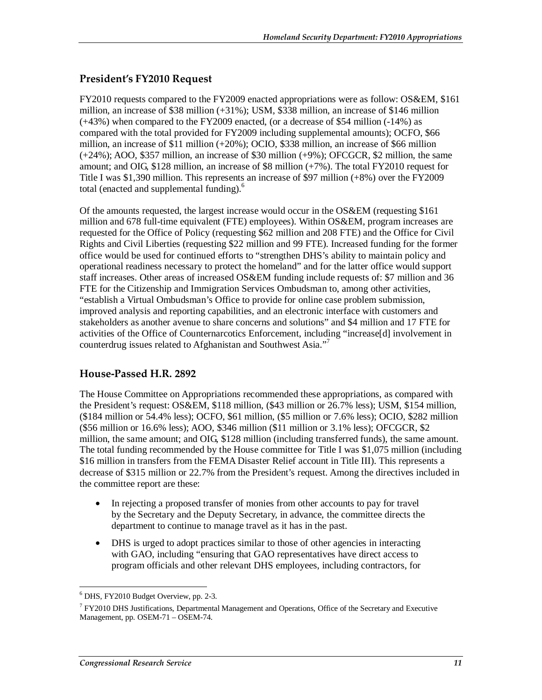#### **President's FY2010 Request**

FY2010 requests compared to the FY2009 enacted appropriations were as follow: OS&EM, \$161 million, an increase of \$38 million (+31%); USM, \$338 million, an increase of \$146 million (+43%) when compared to the FY2009 enacted, (or a decrease of \$54 million (-14%) as compared with the total provided for FY2009 including supplemental amounts); OCFO, \$66 million, an increase of \$11 million (+20%); OCIO, \$338 million, an increase of \$66 million (+24%); AOO, \$357 million, an increase of \$30 million (+9%); OFCGCR, \$2 million, the same amount; and OIG, \$128 million, an increase of \$8 million (+7%). The total FY2010 request for Title I was \$1,390 million. This represents an increase of \$97 million (+8%) over the FY2009 total (enacted and supplemental funding). $<sup>6</sup>$ </sup>

Of the amounts requested, the largest increase would occur in the OS&EM (requesting \$161 million and 678 full-time equivalent (FTE) employees). Within OS&EM, program increases are requested for the Office of Policy (requesting \$62 million and 208 FTE) and the Office for Civil Rights and Civil Liberties (requesting \$22 million and 99 FTE). Increased funding for the former office would be used for continued efforts to "strengthen DHS's ability to maintain policy and operational readiness necessary to protect the homeland" and for the latter office would support staff increases. Other areas of increased OS&EM funding include requests of: \$7 million and 36 FTE for the Citizenship and Immigration Services Ombudsman to, among other activities, "establish a Virtual Ombudsman's Office to provide for online case problem submission, improved analysis and reporting capabilities, and an electronic interface with customers and stakeholders as another avenue to share concerns and solutions" and \$4 million and 17 FTE for activities of the Office of Counternarcotics Enforcement, including "increase[d] involvement in counterdrug issues related to Afghanistan and Southwest Asia."<sup>7</sup>

#### **House-Passed H.R. 2892**

The House Committee on Appropriations recommended these appropriations, as compared with the President's request: OS&EM, \$118 million, (\$43 million or 26.7% less); USM, \$154 million, (\$184 million or 54.4% less); OCFO, \$61 million, (\$5 million or 7.6% less); OCIO, \$282 million (\$56 million or 16.6% less); AOO, \$346 million (\$11 million or 3.1% less); OFCGCR, \$2 million, the same amount; and OIG, \$128 million (including transferred funds), the same amount. The total funding recommended by the House committee for Title I was \$1,075 million (including \$16 million in transfers from the FEMA Disaster Relief account in Title III). This represents a decrease of \$315 million or 22.7% from the President's request. Among the directives included in the committee report are these:

- In rejecting a proposed transfer of monies from other accounts to pay for travel by the Secretary and the Deputy Secretary, in advance, the committee directs the department to continue to manage travel as it has in the past.
- DHS is urged to adopt practices similar to those of other agencies in interacting with GAO, including "ensuring that GAO representatives have direct access to program officials and other relevant DHS employees, including contractors, for

 6 DHS, FY2010 Budget Overview, pp. 2-3.

<sup>&</sup>lt;sup>7</sup> FY2010 DHS Justifications, Departmental Management and Operations, Office of the Secretary and Executive Management, pp. OSEM-71 – OSEM-74.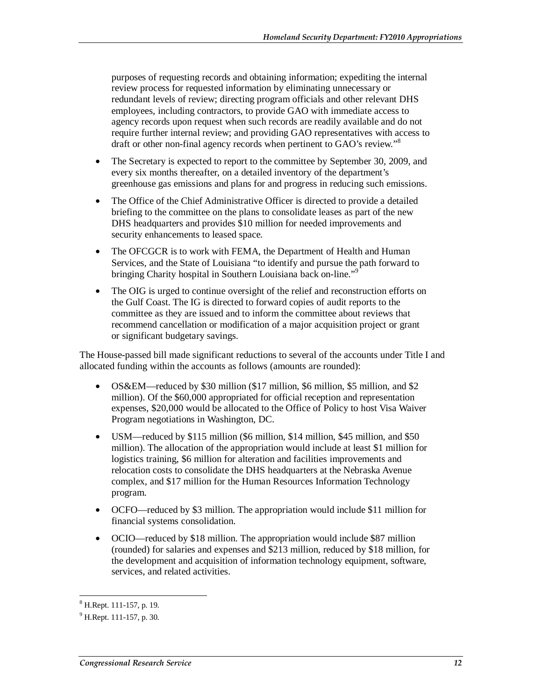purposes of requesting records and obtaining information; expediting the internal review process for requested information by eliminating unnecessary or redundant levels of review; directing program officials and other relevant DHS employees, including contractors, to provide GAO with immediate access to agency records upon request when such records are readily available and do not require further internal review; and providing GAO representatives with access to draft or other non-final agency records when pertinent to GAO's review."<sup>8</sup>

- The Secretary is expected to report to the committee by September 30, 2009, and every six months thereafter, on a detailed inventory of the department's greenhouse gas emissions and plans for and progress in reducing such emissions.
- The Office of the Chief Administrative Officer is directed to provide a detailed briefing to the committee on the plans to consolidate leases as part of the new DHS headquarters and provides \$10 million for needed improvements and security enhancements to leased space.
- The OFCGCR is to work with FEMA, the Department of Health and Human Services, and the State of Louisiana "to identify and pursue the path forward to bringing Charity hospital in Southern Louisiana back on-line."<sup>9</sup>
- The OIG is urged to continue oversight of the relief and reconstruction efforts on the Gulf Coast. The IG is directed to forward copies of audit reports to the committee as they are issued and to inform the committee about reviews that recommend cancellation or modification of a major acquisition project or grant or significant budgetary savings.

The House-passed bill made significant reductions to several of the accounts under Title I and allocated funding within the accounts as follows (amounts are rounded):

- OS&EM—reduced by \$30 million (\$17 million, \$6 million, \$5 million, and \$2 million). Of the \$60,000 appropriated for official reception and representation expenses, \$20,000 would be allocated to the Office of Policy to host Visa Waiver Program negotiations in Washington, DC.
- USM—reduced by \$115 million (\$6 million, \$14 million, \$45 million, and \$50 million). The allocation of the appropriation would include at least \$1 million for logistics training, \$6 million for alteration and facilities improvements and relocation costs to consolidate the DHS headquarters at the Nebraska Avenue complex, and \$17 million for the Human Resources Information Technology program.
- OCFO—reduced by \$3 million. The appropriation would include \$11 million for financial systems consolidation.
- OCIO—reduced by \$18 million. The appropriation would include \$87 million (rounded) for salaries and expenses and \$213 million, reduced by \$18 million, for the development and acquisition of information technology equipment, software, services, and related activities.

 $\overline{a}$ 8 H.Rept. 111-157, p. 19.

<sup>&</sup>lt;sup>9</sup> H.Rept. 111-157, p. 30.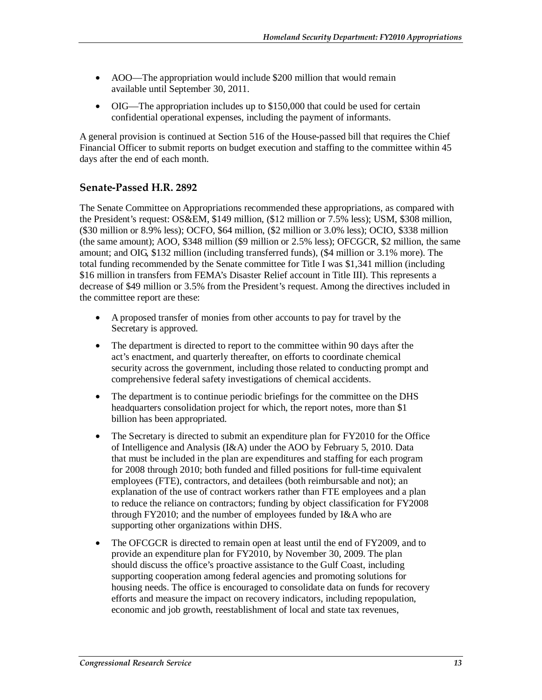- AOO—The appropriation would include \$200 million that would remain available until September 30, 2011.
- OIG—The appropriation includes up to \$150,000 that could be used for certain confidential operational expenses, including the payment of informants.

A general provision is continued at Section 516 of the House-passed bill that requires the Chief Financial Officer to submit reports on budget execution and staffing to the committee within 45 days after the end of each month.

#### **Senate-Passed H.R. 2892**

The Senate Committee on Appropriations recommended these appropriations, as compared with the President's request: OS&EM, \$149 million, (\$12 million or 7.5% less); USM, \$308 million, (\$30 million or 8.9% less); OCFO, \$64 million, (\$2 million or 3.0% less); OCIO, \$338 million (the same amount); AOO, \$348 million (\$9 million or 2.5% less); OFCGCR, \$2 million, the same amount; and OIG, \$132 million (including transferred funds), (\$4 million or 3.1% more). The total funding recommended by the Senate committee for Title I was \$1,341 million (including \$16 million in transfers from FEMA's Disaster Relief account in Title III). This represents a decrease of \$49 million or 3.5% from the President's request. Among the directives included in the committee report are these:

- A proposed transfer of monies from other accounts to pay for travel by the Secretary is approved.
- The department is directed to report to the committee within 90 days after the act's enactment, and quarterly thereafter, on efforts to coordinate chemical security across the government, including those related to conducting prompt and comprehensive federal safety investigations of chemical accidents.
- The department is to continue periodic briefings for the committee on the DHS headquarters consolidation project for which, the report notes, more than \$1 billion has been appropriated.
- The Secretary is directed to submit an expenditure plan for FY2010 for the Office of Intelligence and Analysis (I&A) under the AOO by February 5, 2010. Data that must be included in the plan are expenditures and staffing for each program for 2008 through 2010; both funded and filled positions for full-time equivalent employees (FTE), contractors, and detailees (both reimbursable and not); an explanation of the use of contract workers rather than FTE employees and a plan to reduce the reliance on contractors; funding by object classification for FY2008 through FY2010; and the number of employees funded by I&A who are supporting other organizations within DHS.
- The OFCGCR is directed to remain open at least until the end of FY2009, and to provide an expenditure plan for FY2010, by November 30, 2009. The plan should discuss the office's proactive assistance to the Gulf Coast, including supporting cooperation among federal agencies and promoting solutions for housing needs. The office is encouraged to consolidate data on funds for recovery efforts and measure the impact on recovery indicators, including repopulation, economic and job growth, reestablishment of local and state tax revenues,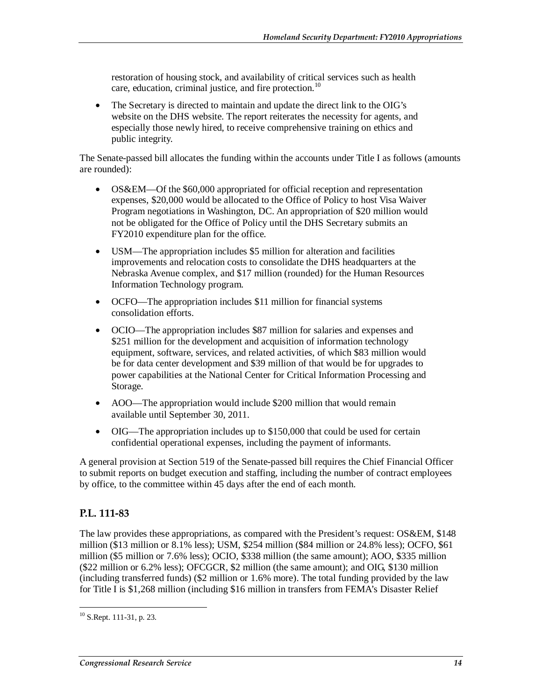restoration of housing stock, and availability of critical services such as health care, education, criminal justice, and fire protection.<sup>10</sup>

• The Secretary is directed to maintain and update the direct link to the OIG's website on the DHS website. The report reiterates the necessity for agents, and especially those newly hired, to receive comprehensive training on ethics and public integrity.

The Senate-passed bill allocates the funding within the accounts under Title I as follows (amounts are rounded):

- OS&EM—Of the \$60,000 appropriated for official reception and representation expenses, \$20,000 would be allocated to the Office of Policy to host Visa Waiver Program negotiations in Washington, DC. An appropriation of \$20 million would not be obligated for the Office of Policy until the DHS Secretary submits an FY2010 expenditure plan for the office.
- USM—The appropriation includes \$5 million for alteration and facilities improvements and relocation costs to consolidate the DHS headquarters at the Nebraska Avenue complex, and \$17 million (rounded) for the Human Resources Information Technology program.
- OCFO—The appropriation includes \$11 million for financial systems consolidation efforts.
- OCIO—The appropriation includes \$87 million for salaries and expenses and \$251 million for the development and acquisition of information technology equipment, software, services, and related activities, of which \$83 million would be for data center development and \$39 million of that would be for upgrades to power capabilities at the National Center for Critical Information Processing and Storage.
- AOO—The appropriation would include \$200 million that would remain available until September 30, 2011.
- OIG—The appropriation includes up to \$150,000 that could be used for certain confidential operational expenses, including the payment of informants.

A general provision at Section 519 of the Senate-passed bill requires the Chief Financial Officer to submit reports on budget execution and staffing, including the number of contract employees by office, to the committee within 45 days after the end of each month.

#### **P.L. 111-83**

The law provides these appropriations, as compared with the President's request: OS&EM, \$148 million (\$13 million or 8.1% less); USM, \$254 million (\$84 million or 24.8% less); OCFO, \$61 million (\$5 million or 7.6% less); OCIO, \$338 million (the same amount); AOO, \$335 million (\$22 million or 6.2% less); OFCGCR, \$2 million (the same amount); and OIG, \$130 million (including transferred funds) (\$2 million or 1.6% more). The total funding provided by the law for Title I is \$1,268 million (including \$16 million in transfers from FEMA's Disaster Relief

<sup>-</sup> $10$  S.Rept. 111-31, p. 23.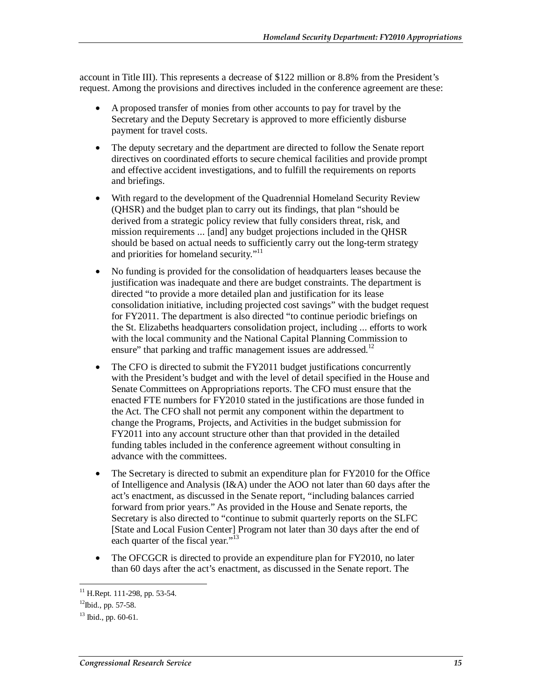account in Title III). This represents a decrease of \$122 million or 8.8% from the President's request. Among the provisions and directives included in the conference agreement are these:

- A proposed transfer of monies from other accounts to pay for travel by the Secretary and the Deputy Secretary is approved to more efficiently disburse payment for travel costs.
- The deputy secretary and the department are directed to follow the Senate report directives on coordinated efforts to secure chemical facilities and provide prompt and effective accident investigations, and to fulfill the requirements on reports and briefings.
- With regard to the development of the Quadrennial Homeland Security Review (QHSR) and the budget plan to carry out its findings, that plan "should be derived from a strategic policy review that fully considers threat, risk, and mission requirements ... [and] any budget projections included in the QHSR should be based on actual needs to sufficiently carry out the long-term strategy and priorities for homeland security."<sup>11</sup>
- No funding is provided for the consolidation of headquarters leases because the justification was inadequate and there are budget constraints. The department is directed "to provide a more detailed plan and justification for its lease consolidation initiative, including projected cost savings" with the budget request for FY2011. The department is also directed "to continue periodic briefings on the St. Elizabeths headquarters consolidation project, including ... efforts to work with the local community and the National Capital Planning Commission to ensure" that parking and traffic management issues are addressed.<sup>12</sup>
- The CFO is directed to submit the FY2011 budget justifications concurrently with the President's budget and with the level of detail specified in the House and Senate Committees on Appropriations reports. The CFO must ensure that the enacted FTE numbers for FY2010 stated in the justifications are those funded in the Act. The CFO shall not permit any component within the department to change the Programs, Projects, and Activities in the budget submission for FY2011 into any account structure other than that provided in the detailed funding tables included in the conference agreement without consulting in advance with the committees.
- The Secretary is directed to submit an expenditure plan for FY2010 for the Office of Intelligence and Analysis (I&A) under the AOO not later than 60 days after the act's enactment, as discussed in the Senate report, "including balances carried forward from prior years." As provided in the House and Senate reports, the Secretary is also directed to "continue to submit quarterly reports on the SLFC [State and Local Fusion Center] Program not later than 30 days after the end of each quarter of the fiscal year."<sup>13</sup>
- The OFCGCR is directed to provide an expenditure plan for FY2010, no later than 60 days after the act's enactment, as discussed in the Senate report. The

<sup>-</sup> $11$  H.Rept. 111-298, pp. 53-54.

 $12$ Ibid., pp. 57-58.

 $13$  Ibid., pp. 60-61.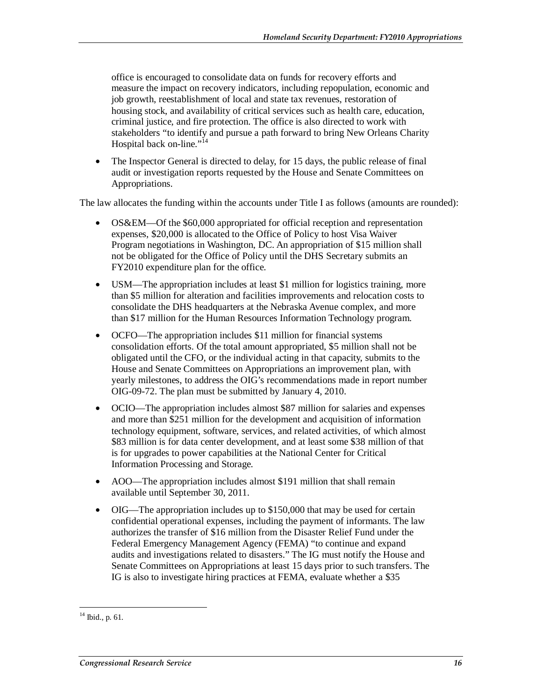office is encouraged to consolidate data on funds for recovery efforts and measure the impact on recovery indicators, including repopulation, economic and job growth, reestablishment of local and state tax revenues, restoration of housing stock, and availability of critical services such as health care, education, criminal justice, and fire protection. The office is also directed to work with stakeholders "to identify and pursue a path forward to bring New Orleans Charity Hospital back on-line."<sup>14</sup>

• The Inspector General is directed to delay, for 15 days, the public release of final audit or investigation reports requested by the House and Senate Committees on Appropriations.

The law allocates the funding within the accounts under Title I as follows (amounts are rounded):

- OS&EM—Of the \$60,000 appropriated for official reception and representation expenses, \$20,000 is allocated to the Office of Policy to host Visa Waiver Program negotiations in Washington, DC. An appropriation of \$15 million shall not be obligated for the Office of Policy until the DHS Secretary submits an FY2010 expenditure plan for the office.
- USM—The appropriation includes at least \$1 million for logistics training, more than \$5 million for alteration and facilities improvements and relocation costs to consolidate the DHS headquarters at the Nebraska Avenue complex, and more than \$17 million for the Human Resources Information Technology program.
- OCFO—The appropriation includes \$11 million for financial systems consolidation efforts. Of the total amount appropriated, \$5 million shall not be obligated until the CFO, or the individual acting in that capacity, submits to the House and Senate Committees on Appropriations an improvement plan, with yearly milestones, to address the OIG's recommendations made in report number OIG-09-72. The plan must be submitted by January 4, 2010.
- OCIO—The appropriation includes almost \$87 million for salaries and expenses and more than \$251 million for the development and acquisition of information technology equipment, software, services, and related activities, of which almost \$83 million is for data center development, and at least some \$38 million of that is for upgrades to power capabilities at the National Center for Critical Information Processing and Storage.
- AOO—The appropriation includes almost \$191 million that shall remain available until September 30, 2011.
- OIG—The appropriation includes up to \$150,000 that may be used for certain confidential operational expenses, including the payment of informants. The law authorizes the transfer of \$16 million from the Disaster Relief Fund under the Federal Emergency Management Agency (FEMA) "to continue and expand audits and investigations related to disasters." The IG must notify the House and Senate Committees on Appropriations at least 15 days prior to such transfers. The IG is also to investigate hiring practices at FEMA, evaluate whether a \$35

<sup>-</sup> $14$  Ibid., p. 61.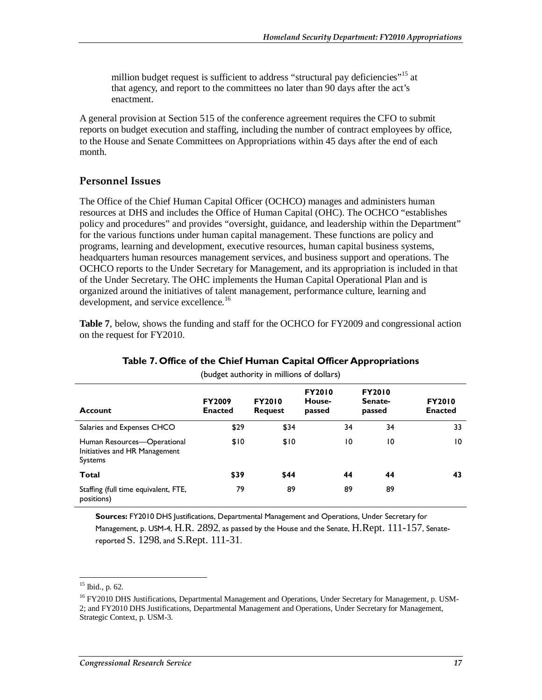million budget request is sufficient to address "structural pay deficiencies"<sup>15</sup> at that agency, and report to the committees no later than 90 days after the act's enactment.

A general provision at Section 515 of the conference agreement requires the CFO to submit reports on budget execution and staffing, including the number of contract employees by office, to the House and Senate Committees on Appropriations within 45 days after the end of each month.

#### **Personnel Issues**

The Office of the Chief Human Capital Officer (OCHCO) manages and administers human resources at DHS and includes the Office of Human Capital (OHC). The OCHCO "establishes policy and procedures" and provides "oversight, guidance, and leadership within the Department" for the various functions under human capital management. These functions are policy and programs, learning and development, executive resources, human capital business systems, headquarters human resources management services, and business support and operations. The OCHCO reports to the Under Secretary for Management, and its appropriation is included in that of the Under Secretary. The OHC implements the Human Capital Operational Plan and is organized around the initiatives of talent management, performance culture, learning and development, and service excellence.<sup>16</sup>

**Table 7**, below, shows the funding and staff for the OCHCO for FY2009 and congressional action on the request for FY2010.

| (budget authority in millions of dollars)                                      |                                 |                                 |                                   |    |                                    |                                 |  |  |
|--------------------------------------------------------------------------------|---------------------------------|---------------------------------|-----------------------------------|----|------------------------------------|---------------------------------|--|--|
| <b>Account</b>                                                                 | <b>FY2009</b><br><b>Enacted</b> | <b>FY2010</b><br><b>Request</b> | <b>FY2010</b><br>House-<br>passed |    | <b>FY2010</b><br>Senate-<br>passed | <b>FY2010</b><br><b>Enacted</b> |  |  |
| Salaries and Expenses CHCO                                                     | \$29                            | \$34                            |                                   | 34 | 34                                 | 33                              |  |  |
| Human Resources—Operational<br>Initiatives and HR Management<br><b>Systems</b> | \$10                            | \$10                            |                                   | 10 | 10                                 | 10                              |  |  |
| Total                                                                          | \$39                            | \$44                            |                                   | 44 | 44                                 | 43                              |  |  |
| Staffing (full time equivalent, FTE,<br>positions)                             | 79                              | 89                              |                                   | 89 | 89                                 |                                 |  |  |

#### **Table 7. Office of the Chief Human Capital Officer Appropriations**

**Sources:** FY2010 DHS Justifications, Departmental Management and Operations, Under Secretary for Management, p. USM-4, H.R. 2892, as passed by the House and the Senate, H.Rept. 111-157, Senatereported S. 1298, and S.Rept. 111-31.

-

 $15$  Ibid., p. 62.

<sup>&</sup>lt;sup>16</sup> FY2010 DHS Justifications, Departmental Management and Operations, Under Secretary for Management, p. USM-2; and FY2010 DHS Justifications, Departmental Management and Operations, Under Secretary for Management, Strategic Context, p. USM-3.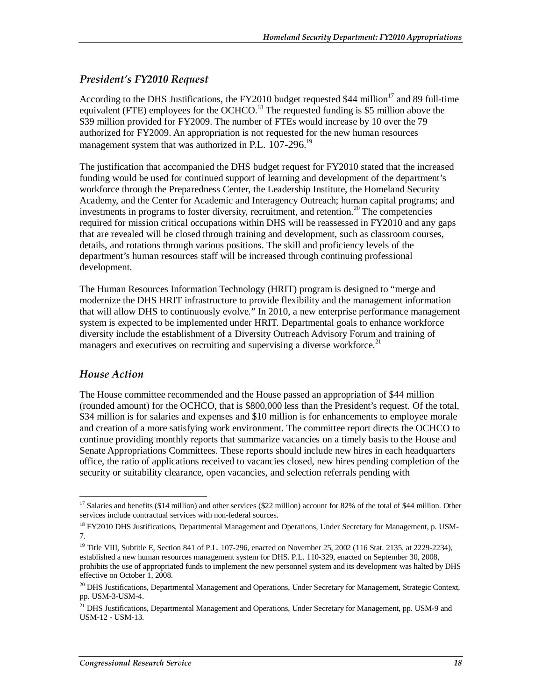#### *President's FY2010 Request*

According to the DHS Justifications, the FY2010 budget requested \$44 million<sup>17</sup> and 89 full-time equivalent (FTE) employees for the OCHCO.<sup>18</sup> The requested funding is \$5 million above the \$39 million provided for FY2009. The number of FTEs would increase by 10 over the 79 authorized for FY2009. An appropriation is not requested for the new human resources management system that was authorized in P.L. 107-296.<sup>19</sup>

The justification that accompanied the DHS budget request for FY2010 stated that the increased funding would be used for continued support of learning and development of the department's workforce through the Preparedness Center, the Leadership Institute, the Homeland Security Academy, and the Center for Academic and Interagency Outreach; human capital programs; and investments in programs to foster diversity, recruitment, and retention.<sup>20</sup> The competencies required for mission critical occupations within DHS will be reassessed in FY2010 and any gaps that are revealed will be closed through training and development, such as classroom courses, details, and rotations through various positions. The skill and proficiency levels of the department's human resources staff will be increased through continuing professional development.

The Human Resources Information Technology (HRIT) program is designed to "merge and modernize the DHS HRIT infrastructure to provide flexibility and the management information that will allow DHS to continuously evolve." In 2010, a new enterprise performance management system is expected to be implemented under HRIT. Departmental goals to enhance workforce diversity include the establishment of a Diversity Outreach Advisory Forum and training of managers and executives on recruiting and supervising a diverse workforce.<sup>21</sup>

#### *House Action*

The House committee recommended and the House passed an appropriation of \$44 million (rounded amount) for the OCHCO, that is \$800,000 less than the President's request. Of the total, \$34 million is for salaries and expenses and \$10 million is for enhancements to employee morale and creation of a more satisfying work environment. The committee report directs the OCHCO to continue providing monthly reports that summarize vacancies on a timely basis to the House and Senate Appropriations Committees. These reports should include new hires in each headquarters office, the ratio of applications received to vacancies closed, new hires pending completion of the security or suitability clearance, open vacancies, and selection referrals pending with

<sup>&</sup>lt;u>.</u> <sup>17</sup> Salaries and benefits (\$14 million) and other services (\$22 million) account for 82% of the total of \$44 million. Other services include contractual services with non-federal sources.

<sup>&</sup>lt;sup>18</sup> FY2010 DHS Justifications, Departmental Management and Operations, Under Secretary for Management, p. USM-7.

<sup>&</sup>lt;sup>19</sup> Title VIII, Subtitle E, Section 841 of P.L. 107-296, enacted on November 25, 2002 (116 Stat. 2135, at 2229-2234), established a new human resources management system for DHS. P.L. 110-329, enacted on September 30, 2008, prohibits the use of appropriated funds to implement the new personnel system and its development was halted by DHS effective on October 1, 2008.

<sup>&</sup>lt;sup>20</sup> DHS Justifications, Departmental Management and Operations, Under Secretary for Management, Strategic Context, pp. USM-3-USM-4.

<sup>&</sup>lt;sup>21</sup> DHS Justifications, Departmental Management and Operations, Under Secretary for Management, pp. USM-9 and USM-12 - USM-13.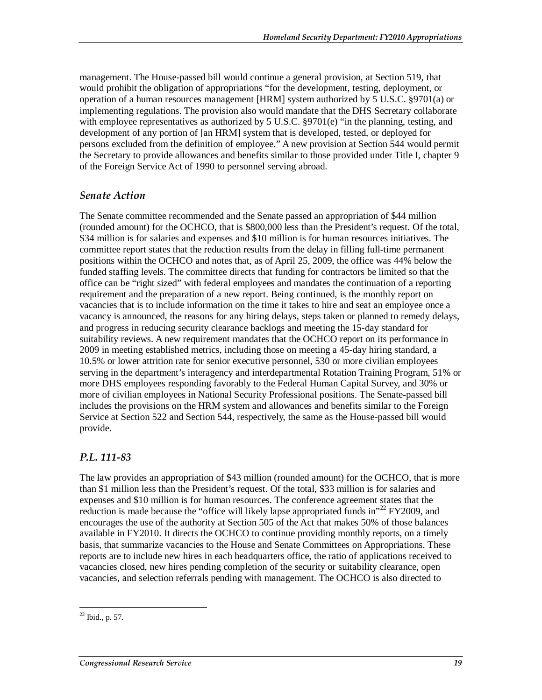management. The House-passed bill would continue a general provision, at Section 519, that would prohibit the obligation of appropriations "for the development, testing, deployment, or operation of a human resources management [HRM] system authorized by 5 U.S.C. §9701(a) or implementing regulations. The provision also would mandate that the DHS Secretary collaborate with employee representatives as authorized by 5 U.S.C. §9701(e) "in the planning, testing, and development of any portion of [an HRM] system that is developed, tested, or deployed for persons excluded from the definition of employee." A new provision at Section 544 would permit the Secretary to provide allowances and benefits similar to those provided under Title I, chapter 9 of the Foreign Service Act of 1990 to personnel serving abroad.

#### *Senate Action*

The Senate committee recommended and the Senate passed an appropriation of \$44 million (rounded amount) for the OCHCO, that is \$800,000 less than the President's request. Of the total, \$34 million is for salaries and expenses and \$10 million is for human resources initiatives. The committee report states that the reduction results from the delay in filling full-time permanent positions within the OCHCO and notes that, as of April 25, 2009, the office was 44% below the funded staffing levels. The committee directs that funding for contractors be limited so that the office can be "right sized" with federal employees and mandates the continuation of a reporting requirement and the preparation of a new report. Being continued, is the monthly report on vacancies that is to include information on the time it takes to hire and seat an employee once a vacancy is announced, the reasons for any hiring delays, steps taken or planned to remedy delays, and progress in reducing security clearance backlogs and meeting the 15-day standard for suitability reviews. A new requirement mandates that the OCHCO report on its performance in 2009 in meeting established metrics, including those on meeting a 45-day hiring standard, a 10.5% or lower attrition rate for senior executive personnel, 530 or more civilian employees serving in the department's interagency and interdepartmental Rotation Training Program, 51% or more DHS employees responding favorably to the Federal Human Capital Survey, and 30% or more of civilian employees in National Security Professional positions. The Senate-passed bill includes the provisions on the HRM system and allowances and benefits similar to the Foreign Service at Section 522 and Section 544, respectively, the same as the House-passed bill would provide.

#### *P.L. 111-83*

The law provides an appropriation of \$43 million (rounded amount) for the OCHCO, that is more than \$1 million less than the President's request. Of the total, \$33 million is for salaries and expenses and \$10 million is for human resources. The conference agreement states that the reduction is made because the "office will likely lapse appropriated funds in"<sup>22</sup> FY2009, and encourages the use of the authority at Section 505 of the Act that makes 50% of those balances available in FY2010. It directs the OCHCO to continue providing monthly reports, on a timely basis, that summarize vacancies to the House and Senate Committees on Appropriations. These reports are to include new hires in each headquarters office, the ratio of applications received to vacancies closed, new hires pending completion of the security or suitability clearance, open vacancies, and selection referrals pending with management. The OCHCO is also directed to

<sup>-</sup> $22$  Ibid., p. 57.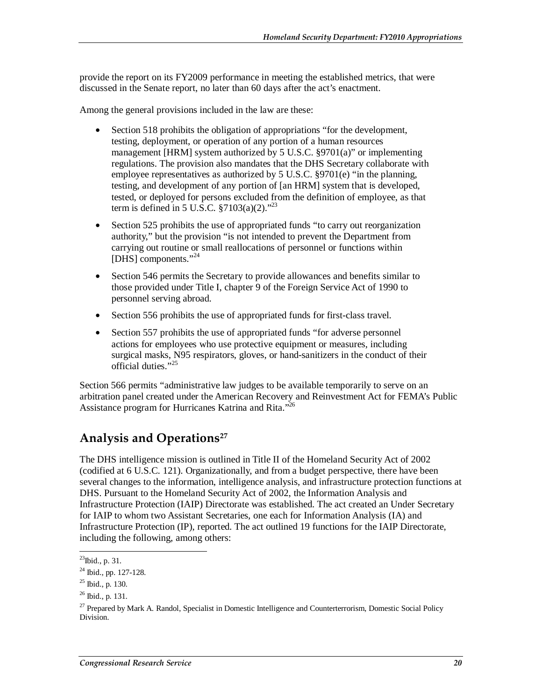provide the report on its FY2009 performance in meeting the established metrics, that were discussed in the Senate report, no later than 60 days after the act's enactment.

Among the general provisions included in the law are these:

- Section 518 prohibits the obligation of appropriations "for the development, testing, deployment, or operation of any portion of a human resources management [HRM] system authorized by 5 U.S.C. §9701(a)" or implementing regulations. The provision also mandates that the DHS Secretary collaborate with employee representatives as authorized by 5 U.S.C. §9701(e) "in the planning, testing, and development of any portion of [an HRM] system that is developed, tested, or deployed for persons excluded from the definition of employee, as that term is defined in 5 U.S.C.  $\S7103(a)(2)$ ."<sup>23</sup>
- Section 525 prohibits the use of appropriated funds "to carry out reorganization" authority," but the provision "is not intended to prevent the Department from carrying out routine or small reallocations of personnel or functions within [DHS] components."<sup>24</sup>
- Section 546 permits the Secretary to provide allowances and benefits similar to those provided under Title I, chapter 9 of the Foreign Service Act of 1990 to personnel serving abroad.
- Section 556 prohibits the use of appropriated funds for first-class travel.
- Section 557 prohibits the use of appropriated funds "for adverse personnel" actions for employees who use protective equipment or measures, including surgical masks, N95 respirators, gloves, or hand-sanitizers in the conduct of their official duties."<sup>25</sup>

Section 566 permits "administrative law judges to be available temporarily to serve on an arbitration panel created under the American Recovery and Reinvestment Act for FEMA's Public Assistance program for Hurricanes Katrina and Rita."26

## **Analysis and Operations27**

The DHS intelligence mission is outlined in Title II of the Homeland Security Act of 2002 (codified at 6 U.S.C. 121). Organizationally, and from a budget perspective, there have been several changes to the information, intelligence analysis, and infrastructure protection functions at DHS. Pursuant to the Homeland Security Act of 2002, the Information Analysis and Infrastructure Protection (IAIP) Directorate was established. The act created an Under Secretary for IAIP to whom two Assistant Secretaries, one each for Information Analysis (IA) and Infrastructure Protection (IP), reported. The act outlined 19 functions for the IAIP Directorate, including the following, among others:

<sup>-</sup> $^{23}$ Ibid., p. 31.

<sup>24</sup> Ibid., pp. 127-128.

 $^{25}$  Ibid., p. 130.

 $^{26}$  Ibid., p. 131.

<sup>&</sup>lt;sup>27</sup> Prepared by Mark A. Randol, Specialist in Domestic Intelligence and Counterterrorism, Domestic Social Policy Division.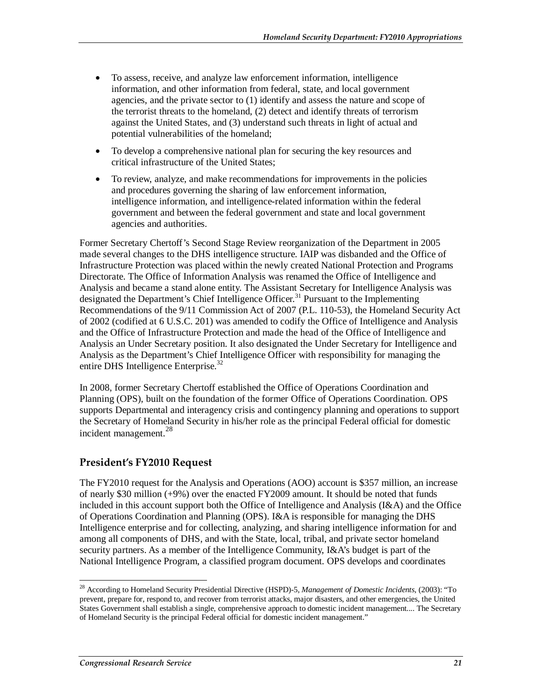- To assess, receive, and analyze law enforcement information, intelligence information, and other information from federal, state, and local government agencies, and the private sector to (1) identify and assess the nature and scope of the terrorist threats to the homeland, (2) detect and identify threats of terrorism against the United States, and (3) understand such threats in light of actual and potential vulnerabilities of the homeland;
- To develop a comprehensive national plan for securing the key resources and critical infrastructure of the United States;
- To review, analyze, and make recommendations for improvements in the policies and procedures governing the sharing of law enforcement information, intelligence information, and intelligence-related information within the federal government and between the federal government and state and local government agencies and authorities.

Former Secretary Chertoff's Second Stage Review reorganization of the Department in 2005 made several changes to the DHS intelligence structure. IAIP was disbanded and the Office of Infrastructure Protection was placed within the newly created National Protection and Programs Directorate. The Office of Information Analysis was renamed the Office of Intelligence and Analysis and became a stand alone entity. The Assistant Secretary for Intelligence Analysis was designated the Department's Chief Intelligence Officer.<sup>31</sup> Pursuant to the Implementing Recommendations of the 9/11 Commission Act of 2007 (P.L. 110-53), the Homeland Security Act of 2002 (codified at 6 U.S.C. 201) was amended to codify the Office of Intelligence and Analysis and the Office of Infrastructure Protection and made the head of the Office of Intelligence and Analysis an Under Secretary position. It also designated the Under Secretary for Intelligence and Analysis as the Department's Chief Intelligence Officer with responsibility for managing the entire DHS Intelligence Enterprise.<sup>32</sup>

In 2008, former Secretary Chertoff established the Office of Operations Coordination and Planning (OPS), built on the foundation of the former Office of Operations Coordination. OPS supports Departmental and interagency crisis and contingency planning and operations to support the Secretary of Homeland Security in his/her role as the principal Federal official for domestic incident management.<sup>28</sup>

#### **President's FY2010 Request**

The FY2010 request for the Analysis and Operations (AOO) account is \$357 million, an increase of nearly \$30 million (+9%) over the enacted FY2009 amount. It should be noted that funds included in this account support both the Office of Intelligence and Analysis (I&A) and the Office of Operations Coordination and Planning (OPS). I&A is responsible for managing the DHS Intelligence enterprise and for collecting, analyzing, and sharing intelligence information for and among all components of DHS, and with the State, local, tribal, and private sector homeland security partners. As a member of the Intelligence Community, I&A's budget is part of the National Intelligence Program, a classified program document. OPS develops and coordinates

<sup>-</sup>28 According to Homeland Security Presidential Directive (HSPD)-5, *Management of Domestic Incidents*, (2003): "To prevent, prepare for, respond to, and recover from terrorist attacks, major disasters, and other emergencies, the United States Government shall establish a single, comprehensive approach to domestic incident management.... The Secretary of Homeland Security is the principal Federal official for domestic incident management."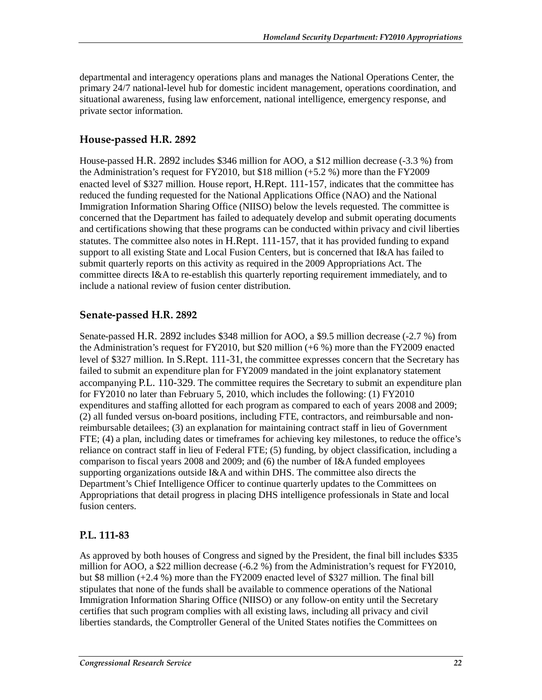departmental and interagency operations plans and manages the National Operations Center, the primary 24/7 national-level hub for domestic incident management, operations coordination, and situational awareness, fusing law enforcement, national intelligence, emergency response, and private sector information.

#### **House-passed H.R. 2892**

House-passed H.R. 2892 includes \$346 million for AOO, a \$12 million decrease (-3.3 %) from the Administration's request for FY2010, but \$18 million (+5.2 %) more than the FY2009 enacted level of \$327 million. House report, H.Rept. 111-157, indicates that the committee has reduced the funding requested for the National Applications Office (NAO) and the National Immigration Information Sharing Office (NIISO) below the levels requested. The committee is concerned that the Department has failed to adequately develop and submit operating documents and certifications showing that these programs can be conducted within privacy and civil liberties statutes. The committee also notes in H.Rept. 111-157, that it has provided funding to expand support to all existing State and Local Fusion Centers, but is concerned that I&A has failed to submit quarterly reports on this activity as required in the 2009 Appropriations Act. The committee directs I&A to re-establish this quarterly reporting requirement immediately, and to include a national review of fusion center distribution.

#### **Senate-passed H.R. 2892**

Senate-passed H.R. 2892 includes \$348 million for AOO, a \$9.5 million decrease (-2.7 %) from the Administration's request for FY2010, but \$20 million (+6 %) more than the FY2009 enacted level of \$327 million. In S.Rept. 111-31, the committee expresses concern that the Secretary has failed to submit an expenditure plan for FY2009 mandated in the joint explanatory statement accompanying P.L. 110-329. The committee requires the Secretary to submit an expenditure plan for FY2010 no later than February 5, 2010, which includes the following: (1) FY2010 expenditures and staffing allotted for each program as compared to each of years 2008 and 2009; (2) all funded versus on-board positions, including FTE, contractors, and reimbursable and nonreimbursable detailees; (3) an explanation for maintaining contract staff in lieu of Government FTE; (4) a plan, including dates or timeframes for achieving key milestones, to reduce the office's reliance on contract staff in lieu of Federal FTE; (5) funding, by object classification, including a comparison to fiscal years 2008 and 2009; and (6) the number of I&A funded employees supporting organizations outside I&A and within DHS. The committee also directs the Department's Chief Intelligence Officer to continue quarterly updates to the Committees on Appropriations that detail progress in placing DHS intelligence professionals in State and local fusion centers.

#### **P.L. 111-83**

As approved by both houses of Congress and signed by the President, the final bill includes \$335 million for AOO, a \$22 million decrease (-6.2 %) from the Administration's request for FY2010, but \$8 million (+2.4 %) more than the FY2009 enacted level of \$327 million. The final bill stipulates that none of the funds shall be available to commence operations of the National Immigration Information Sharing Office (NIISO) or any follow-on entity until the Secretary certifies that such program complies with all existing laws, including all privacy and civil liberties standards, the Comptroller General of the United States notifies the Committees on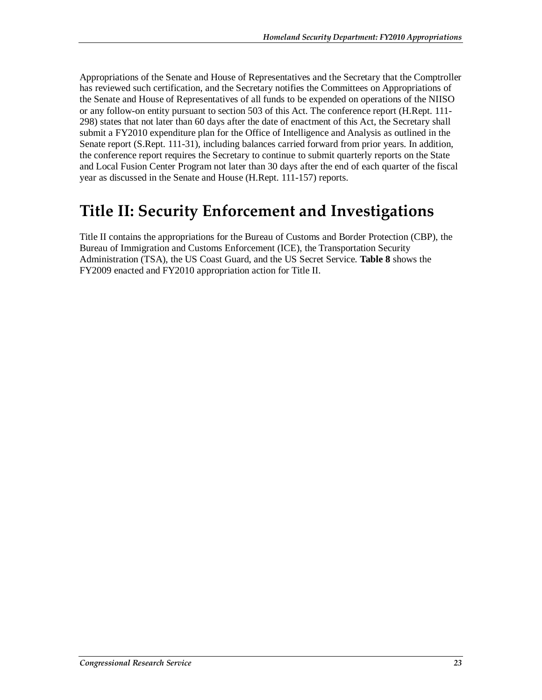Appropriations of the Senate and House of Representatives and the Secretary that the Comptroller has reviewed such certification, and the Secretary notifies the Committees on Appropriations of the Senate and House of Representatives of all funds to be expended on operations of the NIISO or any follow-on entity pursuant to section 503 of this Act. The conference report (H.Rept. 111- 298) states that not later than 60 days after the date of enactment of this Act, the Secretary shall submit a FY2010 expenditure plan for the Office of Intelligence and Analysis as outlined in the Senate report (S.Rept. 111-31), including balances carried forward from prior years. In addition, the conference report requires the Secretary to continue to submit quarterly reports on the State and Local Fusion Center Program not later than 30 days after the end of each quarter of the fiscal year as discussed in the Senate and House (H.Rept. 111-157) reports.

## **Title II: Security Enforcement and Investigations**

Title II contains the appropriations for the Bureau of Customs and Border Protection (CBP), the Bureau of Immigration and Customs Enforcement (ICE), the Transportation Security Administration (TSA), the US Coast Guard, and the US Secret Service. **Table 8** shows the FY2009 enacted and FY2010 appropriation action for Title II.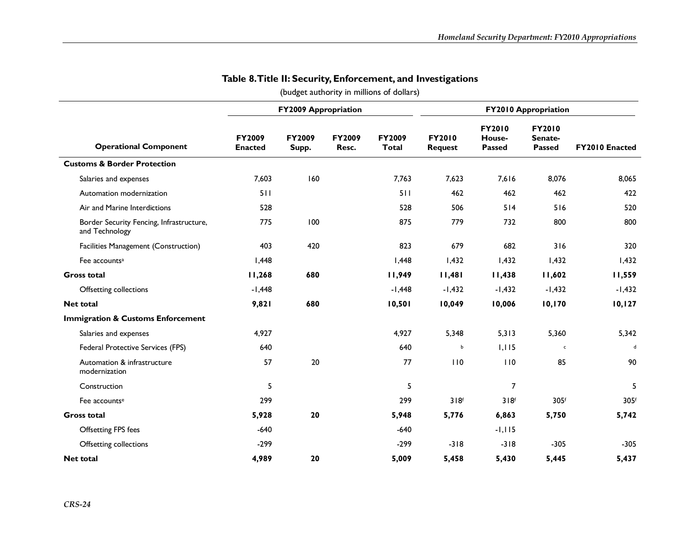|                                                            |                                 | <b>FY2009 Appropriation</b> |                 |                               |                                 | <b>FY2010 Appropriation</b>       |                                    |                |
|------------------------------------------------------------|---------------------------------|-----------------------------|-----------------|-------------------------------|---------------------------------|-----------------------------------|------------------------------------|----------------|
| <b>Operational Component</b>                               | <b>FY2009</b><br><b>Enacted</b> | <b>FY2009</b><br>Supp.      | FY2009<br>Resc. | <b>FY2009</b><br><b>Total</b> | <b>FY2010</b><br><b>Request</b> | FY2010<br>House-<br><b>Passed</b> | <b>FY2010</b><br>Senate-<br>Passed | FY2010 Enacted |
| <b>Customs &amp; Border Protection</b>                     |                                 |                             |                 |                               |                                 |                                   |                                    |                |
| Salaries and expenses                                      | 7,603                           | 160                         |                 | 7,763                         | 7,623                           | 7,616                             | 8,076                              | 8,065          |
| Automation modernization                                   | 511                             |                             |                 | 511                           | 462                             | 462                               | 462                                | 422            |
| Air and Marine Interdictions                               | 528                             |                             |                 | 528                           | 506                             | 514                               | 516                                | 520            |
| Border Security Fencing, Infrastructure,<br>and Technology | 775                             | 100                         |                 | 875                           | 779                             | 732                               | 800                                | 800            |
| Facilities Management (Construction)                       | 403                             | 420                         |                 | 823                           | 679                             | 682                               | 316                                | 320            |
| Fee accounts <sup>a</sup>                                  | I,448                           |                             |                 | 1,448                         | 1,432                           | 1,432                             | 1,432                              | 1,432          |
| <b>Gross total</b>                                         | 11,268                          | 680                         |                 | 11,949                        | 11,481                          | 11,438                            | 11,602                             | 11,559         |
| Offsetting collections                                     | $-1,448$                        |                             |                 | $-1,448$                      | $-1,432$                        | $-1,432$                          | $-1,432$                           | $-1,432$       |
| <b>Net total</b>                                           | 9,821                           | 680                         |                 | 10,501                        | 10,049                          | 10,006                            | 10,170                             | 10, 127        |
| <b>Immigration &amp; Customs Enforcement</b>               |                                 |                             |                 |                               |                                 |                                   |                                    |                |
| Salaries and expenses                                      | 4,927                           |                             |                 | 4,927                         | 5,348                           | 5,313                             | 5,360                              | 5,342          |
| Federal Protective Services (FPS)                          | 640                             |                             |                 | 640                           | b                               | 1,115                             | $\mathsf{c}$                       | $\mathbf d$    |
| Automation & infrastructure<br>modernization               | 57                              | 20                          |                 | 77                            | 110                             | 110                               | 85                                 | 90             |
| Construction                                               | 5                               |                             |                 | 5                             |                                 | $\overline{7}$                    |                                    | 5              |
| Fee accounts <sup>e</sup>                                  | 299                             |                             |                 | 299                           | 318f                            | 318 <sup>f</sup>                  | 305f                               | 305f           |
| <b>Gross total</b>                                         | 5,928                           | 20                          |                 | 5,948                         | 5,776                           | 6,863                             | 5,750                              | 5,742          |
| <b>Offsetting FPS fees</b>                                 | $-640$                          |                             |                 | $-640$                        |                                 | $-1, 115$                         |                                    |                |
| Offsetting collections                                     | $-299$                          |                             |                 | $-299$                        | $-318$                          | $-318$                            | $-305$                             | $-305$         |
| <b>Net total</b>                                           | 4,989                           | 20                          |                 | 5,009                         | 5,458                           | 5,430                             | 5,445                              | 5,437          |

#### **Table 8. Title II: Security, Enforcement, and Investigations**

(budget authority in millions of dollars)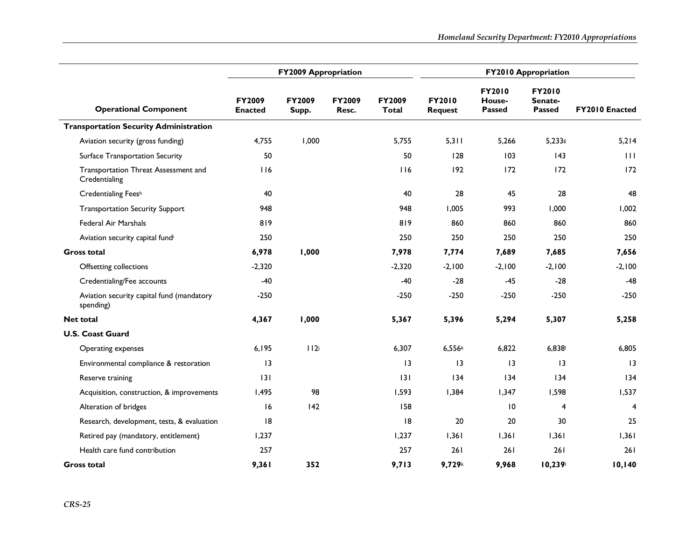|                                                        |                                 | <b>FY2009 Appropriation</b> |                 |                        | <b>FY2010 Appropriation</b> |                                          |                                    |                 |
|--------------------------------------------------------|---------------------------------|-----------------------------|-----------------|------------------------|-----------------------------|------------------------------------------|------------------------------------|-----------------|
| <b>Operational Component</b>                           | <b>FY2009</b><br><b>Enacted</b> | <b>FY2009</b><br>Supp.      | FY2009<br>Resc. | FY2009<br><b>Total</b> | FY2010<br><b>Request</b>    | <b>FY2010</b><br>House-<br><b>Passed</b> | FY2010<br>Senate-<br><b>Passed</b> | FY2010 Enacted  |
| <b>Transportation Security Administration</b>          |                                 |                             |                 |                        |                             |                                          |                                    |                 |
| Aviation security (gross funding)                      | 4,755                           | 1,000                       |                 | 5,755                  | 5,311                       | 5,266                                    | $5,233$ g                          | 5,214           |
| Surface Transportation Security                        | 50                              |                             |                 | 50                     | 128                         | 103                                      | 143                                | 111             |
| Transportation Threat Assessment and<br>Credentialing  | 116                             |                             |                 | 116                    | 192                         | 172                                      | 172                                | 172             |
| Credentialing Feesh                                    | 40                              |                             |                 | 40                     | 28                          | 45                                       | 28                                 | 48              |
| <b>Transportation Security Support</b>                 | 948                             |                             |                 | 948                    | 1.005                       | 993                                      | 1,000                              | 1,002           |
| <b>Federal Air Marshals</b>                            | 819                             |                             |                 | 819                    | 860                         | 860                                      | 860                                | 860             |
| Aviation security capital fundi                        | 250                             |                             |                 | 250                    | 250                         | 250                                      | 250                                | 250             |
| <b>Gross total</b>                                     | 6,978                           | 1,000                       |                 | 7,978                  | 7,774                       | 7,689                                    | 7,685                              | 7,656           |
| Offsetting collections                                 | $-2,320$                        |                             |                 | $-2,320$               | $-2,100$                    | $-2,100$                                 | $-2.100$                           | $-2,100$        |
| Credentialing/Fee accounts                             | $-40$                           |                             |                 | -40                    | $-28$                       | $-45$                                    | $-28$                              | $-48$           |
| Aviation security capital fund (mandatory<br>spending) | $-250$                          |                             |                 | $-250$                 | $-250$                      | $-250$                                   | $-250$                             | $-250$          |
| <b>Net total</b>                                       | 4,367                           | 1,000                       |                 | 5,367                  | 5,396                       | 5,294                                    | 5,307                              | 5,258           |
| <b>U.S. Coast Guard</b>                                |                                 |                             |                 |                        |                             |                                          |                                    |                 |
| Operating expenses                                     | 6,195                           | 112i                        |                 | 6,307                  | 6,556k                      | 6,822                                    | 6,838                              | 6,805           |
| Environmental compliance & restoration                 | 3                               |                             |                 | 13                     | 13                          | 13                                       | 13                                 | $\overline{13}$ |
| Reserve training                                       | 131                             |                             |                 | 131                    | 134                         | 134                                      | 134                                | 134             |
| Acquisition, construction, & improvements              | 1,495                           | 98                          |                 | 1,593                  | 1,384                       | 1,347                                    | 1,598                              | 1,537           |
| Alteration of bridges                                  | 16                              | 142                         |                 | 158                    |                             | $\overline{10}$                          | 4                                  | 4               |
| Research, development, tests, & evaluation             | 8                               |                             |                 | 8                      | 20                          | 20                                       | 30                                 | 25              |
| Retired pay (mandatory, entitlement)                   | 1,237                           |                             |                 | 1,237                  | 1,361                       | 1,361                                    | 1,361                              | 1,361           |
| Health care fund contribution                          | 257                             |                             |                 | 257                    | 261                         | 261                                      | 261                                | 261             |
| <b>Gross total</b>                                     | 9,361                           | 352                         |                 | 9,713                  | 9,729k                      | 9.968                                    | 10,239                             | 10,140          |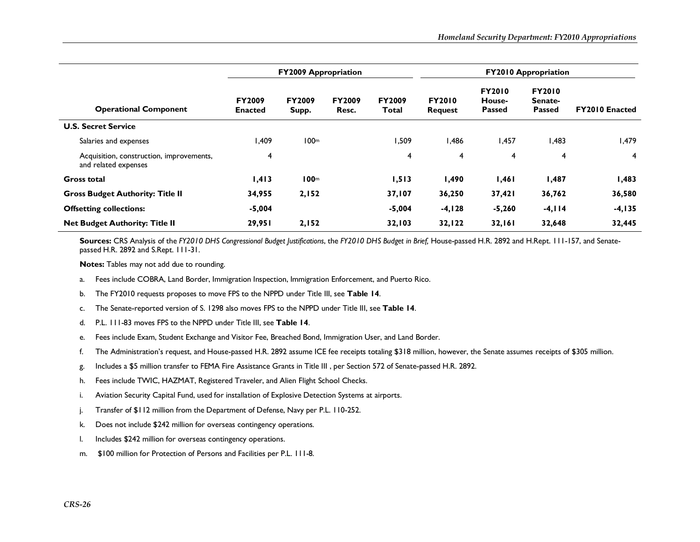|                                                                  |                                 | <b>FY2009 Appropriation</b> |                        |                        | <b>FY2010 Appropriation</b>     |                                          |                                           |                       |
|------------------------------------------------------------------|---------------------------------|-----------------------------|------------------------|------------------------|---------------------------------|------------------------------------------|-------------------------------------------|-----------------------|
| <b>Operational Component</b>                                     | <b>FY2009</b><br><b>Enacted</b> | <b>FY2009</b><br>Supp.      | <b>FY2009</b><br>Resc. | <b>FY2009</b><br>Total | <b>FY2010</b><br><b>Request</b> | <b>FY2010</b><br>House-<br><b>Passed</b> | <b>FY2010</b><br>Senate-<br><b>Passed</b> | <b>FY2010 Enacted</b> |
| <b>U.S. Secret Service</b>                                       |                                 |                             |                        |                        |                                 |                                          |                                           |                       |
| Salaries and expenses                                            | 409, ا                          | 100 <sup>m</sup>            |                        | 509. ا                 | 486, ا                          | 457, ا                                   | I.483                                     | 479. ا                |
| Acquisition, construction, improvements,<br>and related expenses | 4                               |                             |                        | 4                      | 4                               | 4                                        | 4                                         | 4                     |
| Gross total                                                      | 1,413                           | 100 <sub>m</sub>            |                        | 1,513                  | 1,490                           | 1,461                                    | 1,487                                     | 1,483                 |
| <b>Gross Budget Authority: Title II</b>                          | 34,955                          | 2,152                       |                        | 37,107                 | 36,250                          | 37,421                                   | 36,762                                    | 36,580                |
| <b>Offsetting collections:</b>                                   | $-5,004$                        |                             |                        | $-5,004$               | $-4, 128$                       | $-5,260$                                 | $-4, 114$                                 | $-4, 135$             |
| <b>Net Budget Authority: Title II</b>                            | 29,951                          | 2,152                       |                        | 32,103                 | 32,122                          | 32,161                                   | 32,648                                    | 32,445                |

**Sources:** CRS Analysis of the *FY2010 DHS Congressional Budget Justifications*, the *FY2010 DHS Budget in Brief,* House-passed H.R. 2892 and H.Rept. 111-157, and Senatepassed H.R. 2892 and S.Rept. 111-31.

**Notes:** Tables may not add due to rounding.

- a.Fees include COBRA, Land Border, Immigration Inspection, Immigration Enforcement, and Puerto Rico.
- b.The FY2010 requests proposes to move FPS to the NPPD under Title III, see **Table 14**.
- c.The Senate-reported version of S. 1298 also moves FPS to the NPPD under Title III, see **Table 14**.
- d.P.L. 111-83 moves FPS to the NPPD under Title III, see **Table 14**.
- e.Fees include Exam, Student Exchange and Visitor Fee, Breached Bond, Immigration User, and Land Border.
- f.The Administration's request, and House-passed H.R. 2892 assume ICE fee receipts totaling \$318 million, however, the Senate assumes receipts of \$305 million.
- g. Includes a \$5 million transfer to FEMA Fire Assistance Grants in Title III , per Section 572 of Senate-passed H.R. 2892.
- h.Fees include TWIC, HAZMAT, Registered Traveler, and Alien Flight School Checks.
- i.Aviation Security Capital Fund, used for installation of Explosive Detection Systems at airports.
- j. Transfer of \$112 million from the Department of Defense, Navy per P.L. 110-252.
- k.Does not include \$242 million for overseas contingency operations.
- l.Includes \$242 million for overseas contingency operations.
- m. \$100 million for Protection of Persons and Facilities per P.L. 111-8.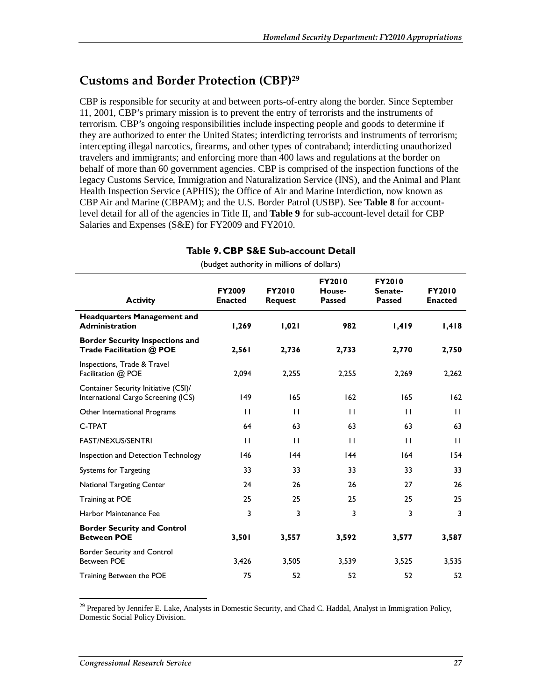### **Customs and Border Protection (CBP)29**

CBP is responsible for security at and between ports-of-entry along the border. Since September 11, 2001, CBP's primary mission is to prevent the entry of terrorists and the instruments of terrorism. CBP's ongoing responsibilities include inspecting people and goods to determine if they are authorized to enter the United States; interdicting terrorists and instruments of terrorism; intercepting illegal narcotics, firearms, and other types of contraband; interdicting unauthorized travelers and immigrants; and enforcing more than 400 laws and regulations at the border on behalf of more than 60 government agencies. CBP is comprised of the inspection functions of the legacy Customs Service, Immigration and Naturalization Service (INS), and the Animal and Plant Health Inspection Service (APHIS); the Office of Air and Marine Interdiction, now known as CBP Air and Marine (CBPAM); and the U.S. Border Patrol (USBP). See **Table 8** for accountlevel detail for all of the agencies in Title II, and **Table 9** for sub-account-level detail for CBP Salaries and Expenses (S&E) for FY2009 and FY2010.

#### **Table 9. CBP S&E Sub-account Detail**  (budget authority in millions of dollars)

| <b>Activity</b>                                                             | <b>FY2009</b><br><b>Enacted</b> | <b>FY2010</b><br><b>Request</b> | <b>FY2010</b><br>House-<br><b>Passed</b> | <b>FY2010</b><br>Senate-<br><b>Passed</b> | <b>FY2010</b><br><b>Enacted</b> |
|-----------------------------------------------------------------------------|---------------------------------|---------------------------------|------------------------------------------|-------------------------------------------|---------------------------------|
| <b>Headquarters Management and</b><br><b>Administration</b>                 | 1,269                           | 1,021                           | 982                                      | 1,419                                     | 1,418                           |
| <b>Border Security Inspections and</b><br>Trade Facilitation @ POE          | 2,561                           | 2,736                           | 2,733                                    | 2,770                                     | 2,750                           |
| Inspections, Trade & Travel<br>Facilitation @ POE                           | 2,094                           | 2,255                           | 2,255                                    | 2,269                                     | 2,262                           |
| Container Security Initiative (CSI)/<br>International Cargo Screening (ICS) | 149                             | 165                             | 162                                      | 165                                       | 162                             |
| Other International Programs                                                | П                               | $\mathbf{H}$                    | $\mathbf{1}$                             | $\perp$                                   | $\mathbf{H}$                    |
| C-TPAT                                                                      | 64                              | 63                              | 63                                       | 63                                        | 63                              |
| <b>FAST/NEXUS/SENTRI</b>                                                    | П                               | $\mathbf{H}$                    | $\mathbf{H}$                             | $\mathbf{H}$                              | $\mathbf{H}$                    |
| Inspection and Detection Technology                                         | 146                             | 44                              | 44                                       | 164                                       | 154                             |
| <b>Systems for Targeting</b>                                                | 33                              | 33                              | 33                                       | 33                                        | 33                              |
| <b>National Targeting Center</b>                                            | 24                              | 26                              | 26                                       | 27                                        | 26                              |
| Training at POE                                                             | 25                              | 25                              | 25                                       | 25                                        | 25                              |
| Harbor Maintenance Fee                                                      | 3                               | 3                               | 3                                        | 3                                         | 3                               |
| <b>Border Security and Control</b><br><b>Between POE</b>                    | 3,501                           | 3,557                           | 3,592                                    | 3,577                                     | 3,587                           |
| Border Security and Control<br><b>Between POE</b>                           | 3,426                           | 3,505                           | 3,539                                    | 3,525                                     | 3,535                           |
| Training Between the POE                                                    | 75                              | 52                              | 52                                       | 52                                        | 52                              |

 $29$  Prepared by Jennifer E. Lake, Analysts in Domestic Security, and Chad C. Haddal, Analyst in Immigration Policy, Domestic Social Policy Division.

-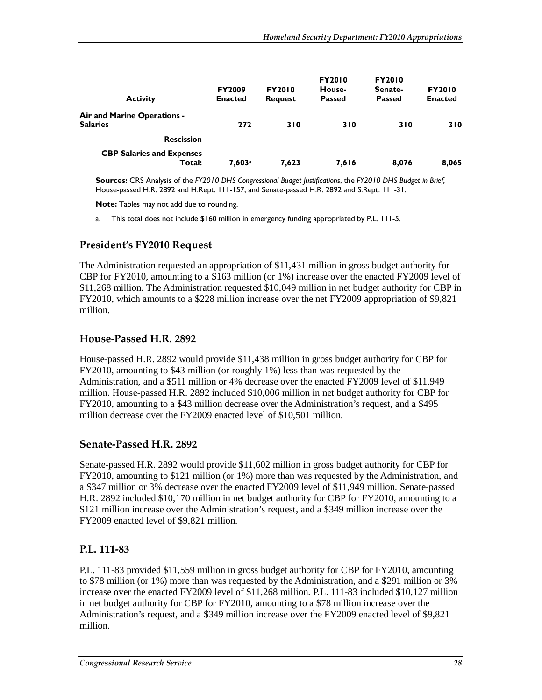| <b>Activity</b>                            | <b>FY2009</b><br><b>Enacted</b> | <b>FY2010</b><br><b>Request</b> | <b>FY2010</b><br>House-<br><b>Passed</b> | <b>FY2010</b><br>Senate-<br><b>Passed</b> | <b>FY2010</b><br><b>Enacted</b> |
|--------------------------------------------|---------------------------------|---------------------------------|------------------------------------------|-------------------------------------------|---------------------------------|
| Air and Marine Operations -                |                                 |                                 |                                          |                                           |                                 |
| <b>Salaries</b>                            | 272                             | 310                             | 310                                      | 310                                       | 310                             |
| <b>Rescission</b>                          |                                 |                                 |                                          |                                           |                                 |
| <b>CBP Salaries and Expenses</b><br>Total: | $7,603$ <sup>a</sup>            | 7,623                           | 7,616                                    | 8,076                                     | 8,065                           |

**Sources:** CRS Analysis of the *FY2010 DHS Congressional Budget Justifications*, the *FY2010 DHS Budget in Brief,* House-passed H.R. 2892 and H.Rept. 111-157, and Senate-passed H.R. 2892 and S.Rept. 111-31.

**Note:** Tables may not add due to rounding.

a. This total does not include \$160 million in emergency funding appropriated by P.L. 111-5.

#### **President's FY2010 Request**

The Administration requested an appropriation of \$11,431 million in gross budget authority for CBP for FY2010, amounting to a \$163 million (or 1%) increase over the enacted FY2009 level of \$11,268 million. The Administration requested \$10,049 million in net budget authority for CBP in FY2010, which amounts to a \$228 million increase over the net FY2009 appropriation of \$9,821 million.

#### **House-Passed H.R. 2892**

House-passed H.R. 2892 would provide \$11,438 million in gross budget authority for CBP for FY2010, amounting to \$43 million (or roughly 1%) less than was requested by the Administration, and a \$511 million or 4% decrease over the enacted FY2009 level of \$11,949 million. House-passed H.R. 2892 included \$10,006 million in net budget authority for CBP for FY2010, amounting to a \$43 million decrease over the Administration's request, and a \$495 million decrease over the FY2009 enacted level of \$10,501 million.

#### **Senate-Passed H.R. 2892**

Senate-passed H.R. 2892 would provide \$11,602 million in gross budget authority for CBP for FY2010, amounting to \$121 million (or 1%) more than was requested by the Administration, and a \$347 million or 3% decrease over the enacted FY2009 level of \$11,949 million. Senate-passed H.R. 2892 included \$10,170 million in net budget authority for CBP for FY2010, amounting to a \$121 million increase over the Administration's request, and a \$349 million increase over the FY2009 enacted level of \$9,821 million.

#### **P.L. 111-83**

P.L. 111-83 provided \$11,559 million in gross budget authority for CBP for FY2010, amounting to \$78 million (or 1%) more than was requested by the Administration, and a \$291 million or 3% increase over the enacted FY2009 level of \$11,268 million. P.L. 111-83 included \$10,127 million in net budget authority for CBP for FY2010, amounting to a \$78 million increase over the Administration's request, and a \$349 million increase over the FY2009 enacted level of \$9,821 million.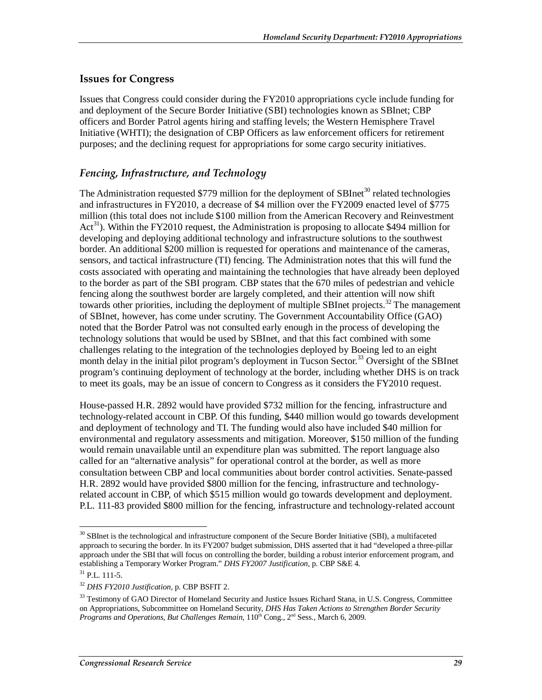#### **Issues for Congress**

Issues that Congress could consider during the FY2010 appropriations cycle include funding for and deployment of the Secure Border Initiative (SBI) technologies known as SBInet; CBP officers and Border Patrol agents hiring and staffing levels; the Western Hemisphere Travel Initiative (WHTI); the designation of CBP Officers as law enforcement officers for retirement purposes; and the declining request for appropriations for some cargo security initiatives.

#### *Fencing, Infrastructure, and Technology*

The Administration requested \$779 million for the deployment of SBInet<sup>30</sup> related technologies and infrastructures in FY2010, a decrease of \$4 million over the FY2009 enacted level of \$775 million (this total does not include \$100 million from the American Recovery and Reinvestment  $Act<sup>31</sup>$ ). Within the FY2010 request, the Administration is proposing to allocate \$494 million for developing and deploying additional technology and infrastructure solutions to the southwest border. An additional \$200 million is requested for operations and maintenance of the cameras, sensors, and tactical infrastructure (TI) fencing. The Administration notes that this will fund the costs associated with operating and maintaining the technologies that have already been deployed to the border as part of the SBI program. CBP states that the 670 miles of pedestrian and vehicle fencing along the southwest border are largely completed, and their attention will now shift towards other priorities, including the deployment of multiple SBInet projects.<sup>32</sup> The management of SBInet, however, has come under scrutiny. The Government Accountability Office (GAO) noted that the Border Patrol was not consulted early enough in the process of developing the technology solutions that would be used by SBInet, and that this fact combined with some challenges relating to the integration of the technologies deployed by Boeing led to an eight month delay in the initial pilot program's deployment in Tucson Sector.<sup>33</sup> Oversight of the SBInet program's continuing deployment of technology at the border, including whether DHS is on track to meet its goals, may be an issue of concern to Congress as it considers the FY2010 request.

House-passed H.R. 2892 would have provided \$732 million for the fencing, infrastructure and technology-related account in CBP. Of this funding, \$440 million would go towards development and deployment of technology and TI. The funding would also have included \$40 million for environmental and regulatory assessments and mitigation. Moreover, \$150 million of the funding would remain unavailable until an expenditure plan was submitted. The report language also called for an "alternative analysis" for operational control at the border, as well as more consultation between CBP and local communities about border control activities. Senate-passed H.R. 2892 would have provided \$800 million for the fencing, infrastructure and technologyrelated account in CBP, of which \$515 million would go towards development and deployment. P.L. 111-83 provided \$800 million for the fencing, infrastructure and technology-related account

-

<sup>&</sup>lt;sup>30</sup> SBInet is the technological and infrastructure component of the Secure Border Initiative (SBI), a multifaceted approach to securing the border. In its FY2007 budget submission, DHS asserted that it had "developed a three-pillar approach under the SBI that will focus on controlling the border, building a robust interior enforcement program, and establishing a Temporary Worker Program." *DHS FY2007 Justification*, p. CBP S&E 4.<sup>31</sup> P.L. 111-5.

<sup>32</sup> *DHS FY2010 Justification,* p. CBP BSFIT 2.

<sup>&</sup>lt;sup>33</sup> Testimony of GAO Director of Homeland Security and Justice Issues Richard Stana, in U.S. Congress, Committee on Appropriations, Subcommittee on Homeland Security, *DHS Has Taken Actions to Strengthen Border Security Programs and Operations, But Challenges Remain, 110<sup>th</sup> Cong., 2<sup>nd</sup> Sess., March 6, 2009.*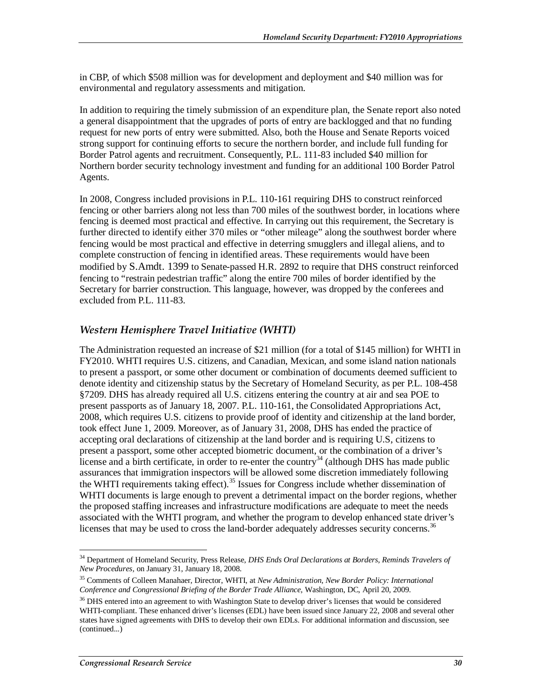in CBP, of which \$508 million was for development and deployment and \$40 million was for environmental and regulatory assessments and mitigation.

In addition to requiring the timely submission of an expenditure plan, the Senate report also noted a general disappointment that the upgrades of ports of entry are backlogged and that no funding request for new ports of entry were submitted. Also, both the House and Senate Reports voiced strong support for continuing efforts to secure the northern border, and include full funding for Border Patrol agents and recruitment. Consequently, P.L. 111-83 included \$40 million for Northern border security technology investment and funding for an additional 100 Border Patrol Agents.

In 2008, Congress included provisions in P.L. 110-161 requiring DHS to construct reinforced fencing or other barriers along not less than 700 miles of the southwest border, in locations where fencing is deemed most practical and effective. In carrying out this requirement, the Secretary is further directed to identify either 370 miles or "other mileage" along the southwest border where fencing would be most practical and effective in deterring smugglers and illegal aliens, and to complete construction of fencing in identified areas. These requirements would have been modified by S.Amdt. 1399 to Senate-passed H.R. 2892 to require that DHS construct reinforced fencing to "restrain pedestrian traffic" along the entire 700 miles of border identified by the Secretary for barrier construction. This language, however, was dropped by the conferees and excluded from P.L. 111-83.

#### *Western Hemisphere Travel Initiative (WHTI)*

The Administration requested an increase of \$21 million (for a total of \$145 million) for WHTI in FY2010. WHTI requires U.S. citizens, and Canadian, Mexican, and some island nation nationals to present a passport, or some other document or combination of documents deemed sufficient to denote identity and citizenship status by the Secretary of Homeland Security, as per P.L. 108-458 §7209. DHS has already required all U.S. citizens entering the country at air and sea POE to present passports as of January 18, 2007. P.L. 110-161, the Consolidated Appropriations Act, 2008, which requires U.S. citizens to provide proof of identity and citizenship at the land border, took effect June 1, 2009. Moreover, as of January 31, 2008, DHS has ended the practice of accepting oral declarations of citizenship at the land border and is requiring U.S, citizens to present a passport, some other accepted biometric document, or the combination of a driver's license and a birth certificate, in order to re-enter the country<sup>34</sup> (although DHS has made public assurances that immigration inspectors will be allowed some discretion immediately following the WHTI requirements taking effect).<sup>35</sup> Issues for Congress include whether dissemination of WHTI documents is large enough to prevent a detrimental impact on the border regions, whether the proposed staffing increases and infrastructure modifications are adequate to meet the needs associated with the WHTI program, and whether the program to develop enhanced state driver's licenses that may be used to cross the land-border adequately addresses security concerns.<sup>36</sup>

<u>.</u>

<sup>34</sup> Department of Homeland Security, Press Release, *DHS Ends Oral Declarations at Borders, Reminds Travelers of New Procedures,* on January 31, January 18, 2008.

<sup>35</sup> Comments of Colleen Manahaer, Director, WHTI, at *New Administration, New Border Policy: International Conference and Congressional Briefing of the Border Trade Alliance*, Washington, DC, April 20, 2009.

<sup>&</sup>lt;sup>36</sup> DHS entered into an agreement to with Washington State to develop driver's licenses that would be considered WHTI-compliant. These enhanced driver's licenses (EDL) have been issued since January 22, 2008 and several other states have signed agreements with DHS to develop their own EDLs. For additional information and discussion, see (continued...)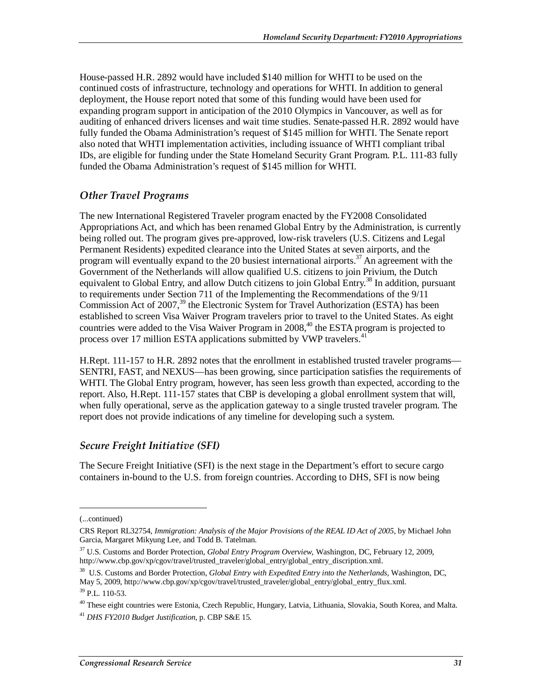House-passed H.R. 2892 would have included \$140 million for WHTI to be used on the continued costs of infrastructure, technology and operations for WHTI. In addition to general deployment, the House report noted that some of this funding would have been used for expanding program support in anticipation of the 2010 Olympics in Vancouver, as well as for auditing of enhanced drivers licenses and wait time studies. Senate-passed H.R. 2892 would have fully funded the Obama Administration's request of \$145 million for WHTI. The Senate report also noted that WHTI implementation activities, including issuance of WHTI compliant tribal IDs, are eligible for funding under the State Homeland Security Grant Program. P.L. 111-83 fully funded the Obama Administration's request of \$145 million for WHTI.

# *Other Travel Programs*

The new International Registered Traveler program enacted by the FY2008 Consolidated Appropriations Act, and which has been renamed Global Entry by the Administration, is currently being rolled out. The program gives pre-approved, low-risk travelers (U.S. Citizens and Legal Permanent Residents) expedited clearance into the United States at seven airports, and the program will eventually expand to the 20 busiest international airports.<sup>37</sup> An agreement with the Government of the Netherlands will allow qualified U.S. citizens to join Privium, the Dutch equivalent to Global Entry, and allow Dutch citizens to join Global Entry.<sup>38</sup> In addition, pursuant to requirements under Section 711 of the Implementing the Recommendations of the 9/11 Commission Act of 2007,  $39$  the Electronic System for Travel Authorization (ESTA) has been established to screen Visa Waiver Program travelers prior to travel to the United States. As eight countries were added to the Visa Waiver Program in  $2008<sup>40</sup>$ , the ESTA program is projected to process over 17 million ESTA applications submitted by VWP travelers.<sup>41</sup>

H.Rept. 111-157 to H.R. 2892 notes that the enrollment in established trusted traveler programs— SENTRI, FAST, and NEXUS—has been growing, since participation satisfies the requirements of WHTI. The Global Entry program, however, has seen less growth than expected, according to the report. Also, H.Rept. 111-157 states that CBP is developing a global enrollment system that will, when fully operational, serve as the application gateway to a single trusted traveler program. The report does not provide indications of any timeline for developing such a system.

# *Secure Freight Initiative (SFI)*

The Secure Freight Initiative (SFI) is the next stage in the Department's effort to secure cargo containers in-bound to the U.S. from foreign countries. According to DHS, SFI is now being

1

<sup>(...</sup>continued)

CRS Report RL32754, *Immigration: Analysis of the Major Provisions of the REAL ID Act of 2005*, by Michael John Garcia, Margaret Mikyung Lee, and Todd B. Tatelman.

<sup>37</sup> U.S. Customs and Border Protection, *Global Entry Program Overview*, Washington, DC, February 12, 2009, http://www.cbp.gov/xp/cgov/travel/trusted\_traveler/global\_entry/global\_entry\_discription.xml.

<sup>38</sup> U.S. Customs and Border Protection, *Global Entry with Expedited Entry into the Netherlands*, Washington, DC, May 5, 2009, http://www.cbp.gov/xp/cgov/travel/trusted\_traveler/global\_entry/global\_entry\_flux.xml.

<sup>39</sup> P.L. 110-53.

<sup>&</sup>lt;sup>40</sup> These eight countries were Estonia, Czech Republic, Hungary, Latvia, Lithuania, Slovakia, South Korea, and Malta. <sup>41</sup> *DHS FY2010 Budget Justification*, p. CBP S&E 15.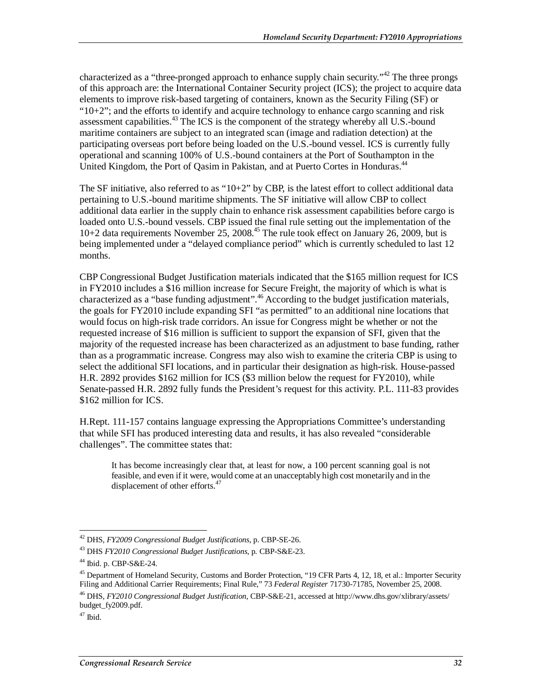characterized as a "three-pronged approach to enhance supply chain security."<sup>42</sup> The three prongs of this approach are: the International Container Security project (ICS); the project to acquire data elements to improve risk-based targeting of containers, known as the Security Filing (SF) or " $10+2$ "; and the efforts to identify and acquire technology to enhance cargo scanning and risk assessment capabilities.<sup>43</sup> The ICS is the component of the strategy whereby all U.S.-bound maritime containers are subject to an integrated scan (image and radiation detection) at the participating overseas port before being loaded on the U.S.-bound vessel. ICS is currently fully operational and scanning 100% of U.S.-bound containers at the Port of Southampton in the United Kingdom, the Port of Oasim in Pakistan, and at Puerto Cortes in Honduras.<sup>44</sup>

The SF initiative, also referred to as " $10+2$ " by CBP, is the latest effort to collect additional data pertaining to U.S.-bound maritime shipments. The SF initiative will allow CBP to collect additional data earlier in the supply chain to enhance risk assessment capabilities before cargo is loaded onto U.S.-bound vessels. CBP issued the final rule setting out the implementation of the  $10+2$  data requirements November 25, 2008.<sup>45</sup> The rule took effect on January 26, 2009, but is being implemented under a "delayed compliance period" which is currently scheduled to last 12 months.

CBP Congressional Budget Justification materials indicated that the \$165 million request for ICS in FY2010 includes a \$16 million increase for Secure Freight, the majority of which is what is characterized as a "base funding adjustment".<sup>46</sup> According to the budget justification materials, the goals for FY2010 include expanding SFI "as permitted" to an additional nine locations that would focus on high-risk trade corridors. An issue for Congress might be whether or not the requested increase of \$16 million is sufficient to support the expansion of SFI, given that the majority of the requested increase has been characterized as an adjustment to base funding, rather than as a programmatic increase. Congress may also wish to examine the criteria CBP is using to select the additional SFI locations, and in particular their designation as high-risk. House-passed H.R. 2892 provides \$162 million for ICS (\$3 million below the request for FY2010), while Senate-passed H.R. 2892 fully funds the President's request for this activity. P.L. 111-83 provides \$162 million for ICS.

H.Rept. 111-157 contains language expressing the Appropriations Committee's understanding that while SFI has produced interesting data and results, it has also revealed "considerable challenges". The committee states that:

It has become increasingly clear that, at least for now, a 100 percent scanning goal is not feasible, and even if it were, would come at an unacceptably high cost monetarily and in the displacement of other efforts.<sup>47</sup>

<sup>-</sup>42 DHS, *FY2009 Congressional Budget Justifications*, p. CBP-SE-26.

<sup>43</sup> DHS *FY2010 Congressional Budget Justifications*, p. CBP-S&E-23.

<sup>44</sup> Ibid. p. CBP-S&E-24.

<sup>&</sup>lt;sup>45</sup> Department of Homeland Security, Customs and Border Protection, "19 CFR Parts 4, 12, 18, et al.: Importer Security Filing and Additional Carrier Requirements; Final Rule," 73 *Federal Register* 71730-71785, November 25, 2008.

<sup>46</sup> DHS, *FY2010 Congressional Budget Justification,* CBP-S&E-21, accessed at http://www.dhs.gov/xlibrary/assets/ budget\_fy2009.pdf.

 $47$  Ibid.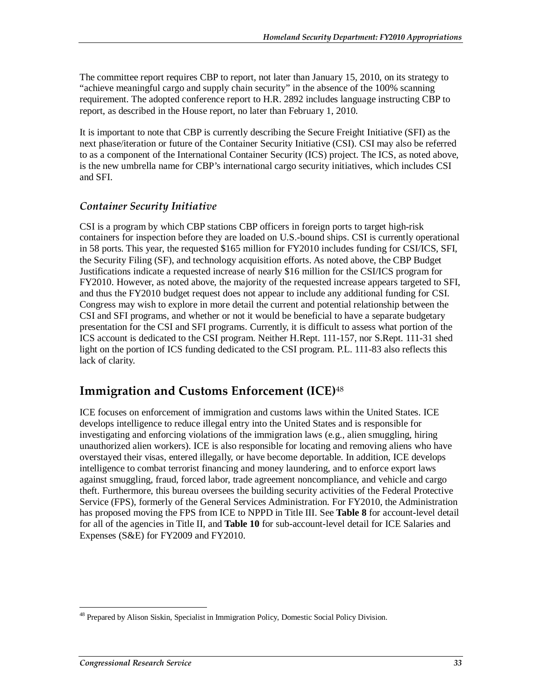The committee report requires CBP to report, not later than January 15, 2010, on its strategy to "achieve meaningful cargo and supply chain security" in the absence of the 100% scanning requirement. The adopted conference report to H.R. 2892 includes language instructing CBP to report, as described in the House report, no later than February 1, 2010.

It is important to note that CBP is currently describing the Secure Freight Initiative (SFI) as the next phase/iteration or future of the Container Security Initiative (CSI). CSI may also be referred to as a component of the International Container Security (ICS) project. The ICS, as noted above, is the new umbrella name for CBP's international cargo security initiatives, which includes CSI and SFI.

# *Container Security Initiative*

CSI is a program by which CBP stations CBP officers in foreign ports to target high-risk containers for inspection before they are loaded on U.S.-bound ships. CSI is currently operational in 58 ports. This year, the requested \$165 million for FY2010 includes funding for CSI/ICS, SFI, the Security Filing (SF), and technology acquisition efforts. As noted above, the CBP Budget Justifications indicate a requested increase of nearly \$16 million for the CSI/ICS program for FY2010. However, as noted above, the majority of the requested increase appears targeted to SFI, and thus the FY2010 budget request does not appear to include any additional funding for CSI. Congress may wish to explore in more detail the current and potential relationship between the CSI and SFI programs, and whether or not it would be beneficial to have a separate budgetary presentation for the CSI and SFI programs. Currently, it is difficult to assess what portion of the ICS account is dedicated to the CSI program. Neither H.Rept. 111-157, nor S.Rept. 111-31 shed light on the portion of ICS funding dedicated to the CSI program. P.L. 111-83 also reflects this lack of clarity.

# **Immigration and Customs Enforcement (ICE)**<sup>48</sup>

ICE focuses on enforcement of immigration and customs laws within the United States. ICE develops intelligence to reduce illegal entry into the United States and is responsible for investigating and enforcing violations of the immigration laws (e.g., alien smuggling, hiring unauthorized alien workers). ICE is also responsible for locating and removing aliens who have overstayed their visas, entered illegally, or have become deportable. In addition, ICE develops intelligence to combat terrorist financing and money laundering, and to enforce export laws against smuggling, fraud, forced labor, trade agreement noncompliance, and vehicle and cargo theft. Furthermore, this bureau oversees the building security activities of the Federal Protective Service (FPS), formerly of the General Services Administration. For FY2010, the Administration has proposed moving the FPS from ICE to NPPD in Title III. See **Table 8** for account-level detail for all of the agencies in Title II, and **Table 10** for sub-account-level detail for ICE Salaries and Expenses (S&E) for FY2009 and FY2010.

<sup>-</sup><sup>48</sup> Prepared by Alison Siskin, Specialist in Immigration Policy, Domestic Social Policy Division.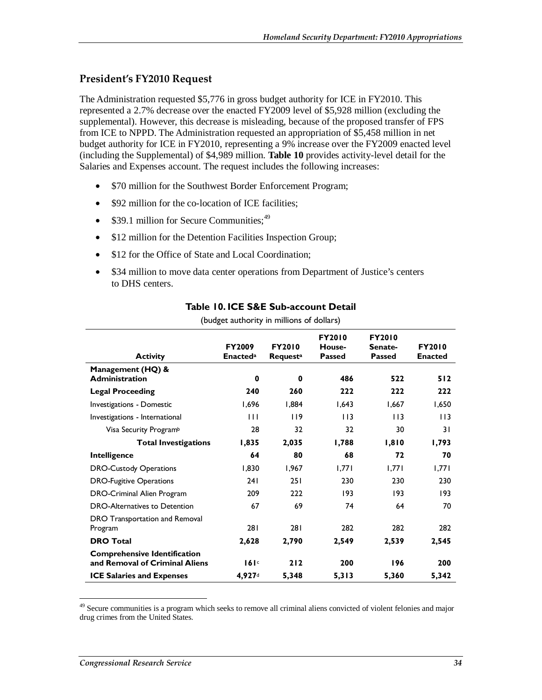# **President's FY2010 Request**

The Administration requested \$5,776 in gross budget authority for ICE in FY2010. This represented a 2.7% decrease over the enacted FY2009 level of \$5,928 million (excluding the supplemental). However, this decrease is misleading, because of the proposed transfer of FPS from ICE to NPPD. The Administration requested an appropriation of \$5,458 million in net budget authority for ICE in FY2010, representing a 9% increase over the FY2009 enacted level (including the Supplemental) of \$4,989 million. **Table 10** provides activity-level detail for the Salaries and Expenses account. The request includes the following increases:

- \$70 million for the Southwest Border Enforcement Program;
- \$92 million for the co-location of ICE facilities;
- $$39.1$  million for Secure Communities;<sup>49</sup>
- \$12 million for the Detention Facilities Inspection Group;
- \$12 for the Office of State and Local Coordination;
- \$34 million to move data center operations from Department of Justice's centers to DHS centers.

| <b>Activity</b>                                                       | <b>FY2009</b><br><b>Enacted</b> <sup>a</sup> | <b>FY2010</b><br><b>Requesta</b> | <b>FY2010</b><br>House-<br><b>Passed</b> | <b>FY2010</b><br>Senate-<br><b>Passed</b> | <b>FY2010</b><br><b>Enacted</b> |
|-----------------------------------------------------------------------|----------------------------------------------|----------------------------------|------------------------------------------|-------------------------------------------|---------------------------------|
| Management (HQ) &<br><b>Administration</b>                            | $\bf{0}$                                     | 0                                | 486                                      | 522                                       | 512                             |
| <b>Legal Proceeding</b>                                               | 240                                          | 260                              | 222                                      | 222                                       | 222                             |
| <b>Investigations - Domestic</b>                                      | 1,696                                        | 1,884                            | 1,643                                    | 1,667                                     | 1,650                           |
| Investigations - International                                        | $\mathbf{H}$                                 | 119                              | 113                                      | 113                                       | 113                             |
| Visa Security Program <sup>b</sup>                                    | 28                                           | 32                               | 32                                       | 30                                        | 31                              |
| <b>Total Investigations</b>                                           | 1,835                                        | 2,035                            | 1,788                                    | 1,810                                     | 1,793                           |
| Intelligence                                                          | 64                                           | 80                               | 68                                       | 72                                        | 70                              |
| <b>DRO-Custody Operations</b>                                         | 1,830                                        | 1,967                            | 1,771                                    | 1,771                                     | 1,771                           |
| <b>DRO-Fugitive Operations</b>                                        | 241                                          | 251                              | 230                                      | 230                                       | 230                             |
| DRO-Criminal Alien Program                                            | 209                                          | 222                              | 193                                      | 193                                       | 193                             |
| <b>DRO-Alternatives to Detention</b>                                  | 67                                           | 69                               | 74                                       | 64                                        | 70                              |
| DRO Transportation and Removal<br>Program                             | 281                                          | 281                              | 282                                      | 282                                       | 282                             |
| <b>DRO Total</b>                                                      | 2,628                                        | 2,790                            | 2,549                                    | 2,539                                     | 2,545                           |
| <b>Comprehensive Identification</b><br>and Removal of Criminal Aliens | 161c                                         | 212                              | 200                                      | 196                                       | 200                             |
| <b>ICE Salaries and Expenses</b>                                      | 4,927                                        | 5,348                            | 5,313                                    | 5,360                                     | 5,342                           |

### **Table 10. ICE S&E Sub-account Detail**

(budget authority in millions of dollars)

 $49$  Secure communities is a program which seeks to remove all criminal aliens convicted of violent felonies and major drug crimes from the United States.

-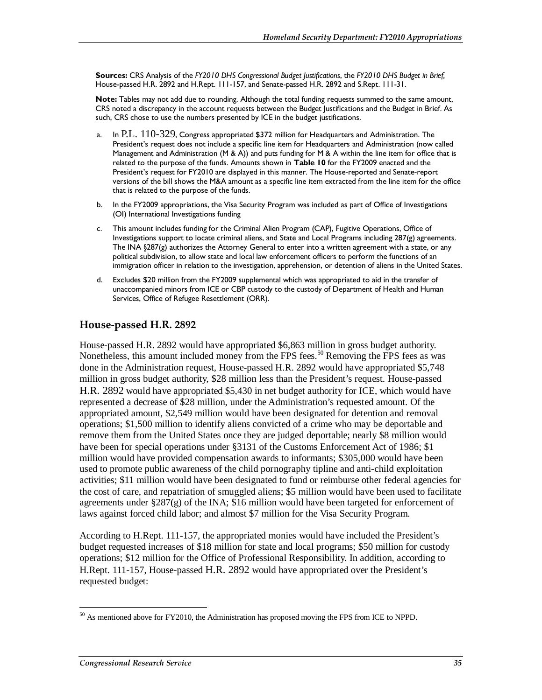**Sources:** CRS Analysis of the *FY2010 DHS Congressional Budget Justifications*, the *FY2010 DHS Budget in Brief,* House-passed H.R. 2892 and H.Rept. 111-157, and Senate-passed H.R. 2892 and S.Rept. 111-31.

**Note:** Tables may not add due to rounding. Although the total funding requests summed to the same amount, CRS noted a discrepancy in the account requests between the Budget Justifications and the Budget in Brief. As such, CRS chose to use the numbers presented by ICE in the budget justifications.

- a. In P.L. 110-329, Congress appropriated \$372 million for Headquarters and Administration. The President's request does not include a specific line item for Headquarters and Administration (now called Management and Administration (M & A)) and puts funding for M & A within the line item for office that is related to the purpose of the funds. Amounts shown in **Table 10** for the FY2009 enacted and the President's request for FY2010 are displayed in this manner. The House-reported and Senate-report versions of the bill shows the M&A amount as a specific line item extracted from the line item for the office that is related to the purpose of the funds.
- b. In the FY2009 appropriations, the Visa Security Program was included as part of Office of Investigations (OI) International Investigations funding
- c. This amount includes funding for the Criminal Alien Program (CAP), Fugitive Operations, Office of Investigations support to locate criminal aliens, and State and Local Programs including  $287(g)$  agreements. The INA §287(g) authorizes the Attorney General to enter into a written agreement with a state, or any political subdivision, to allow state and local law enforcement officers to perform the functions of an immigration officer in relation to the investigation, apprehension, or detention of aliens in the United States.
- d. Excludes \$20 million from the FY2009 supplemental which was appropriated to aid in the transfer of unaccompanied minors from ICE or CBP custody to the custody of Department of Health and Human Services, Office of Refugee Resettlement (ORR).

#### **House-passed H.R. 2892**

House-passed H.R. 2892 would have appropriated \$6,863 million in gross budget authority. Nonetheless, this amount included money from the FPS fees.<sup>50</sup> Removing the FPS fees as was done in the Administration request, House-passed H.R. 2892 would have appropriated \$5,748 million in gross budget authority, \$28 million less than the President's request. House-passed H.R. 2892 would have appropriated \$5,430 in net budget authority for ICE, which would have represented a decrease of \$28 million, under the Administration's requested amount. Of the appropriated amount, \$2,549 million would have been designated for detention and removal operations; \$1,500 million to identify aliens convicted of a crime who may be deportable and remove them from the United States once they are judged deportable; nearly \$8 million would have been for special operations under §3131 of the Customs Enforcement Act of 1986; \$1 million would have provided compensation awards to informants; \$305,000 would have been used to promote public awareness of the child pornography tipline and anti-child exploitation activities; \$11 million would have been designated to fund or reimburse other federal agencies for the cost of care, and repatriation of smuggled aliens; \$5 million would have been used to facilitate agreements under  $\S 287(g)$  of the INA; \$16 million would have been targeted for enforcement of laws against forced child labor; and almost \$7 million for the Visa Security Program.

According to H.Rept. 111-157, the appropriated monies would have included the President's budget requested increases of \$18 million for state and local programs; \$50 million for custody operations; \$12 million for the Office of Professional Responsibility. In addition, according to H.Rept. 111-157, House-passed H.R. 2892 would have appropriated over the President's requested budget:

<sup>-</sup> $50$  As mentioned above for FY2010, the Administration has proposed moving the FPS from ICE to NPPD.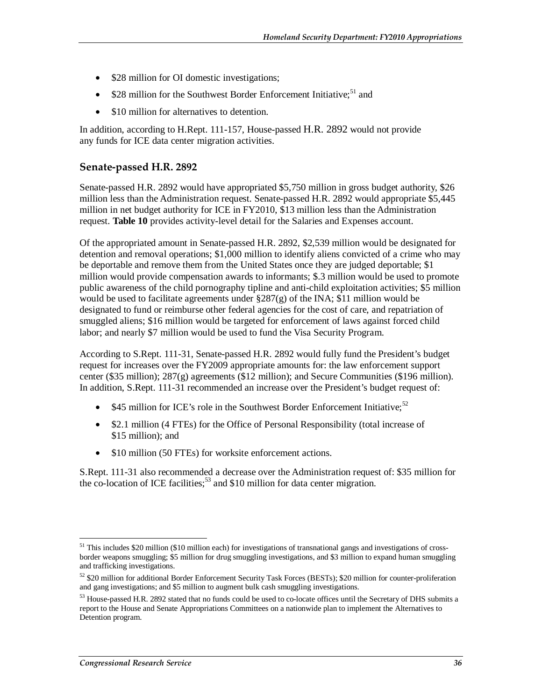- \$28 million for OI domestic investigations;
- \$28 million for the Southwest Border Enforcement Initiative;<sup>51</sup> and
- \$10 million for alternatives to detention.

In addition, according to H.Rept. 111-157, House-passed H.R. 2892 would not provide any funds for ICE data center migration activities.

#### **Senate-passed H.R. 2892**

Senate-passed H.R. 2892 would have appropriated \$5,750 million in gross budget authority, \$26 million less than the Administration request. Senate-passed H.R. 2892 would appropriate \$5,445 million in net budget authority for ICE in FY2010, \$13 million less than the Administration request. **Table 10** provides activity-level detail for the Salaries and Expenses account.

Of the appropriated amount in Senate-passed H.R. 2892, \$2,539 million would be designated for detention and removal operations; \$1,000 million to identify aliens convicted of a crime who may be deportable and remove them from the United States once they are judged deportable; \$1 million would provide compensation awards to informants; \$.3 million would be used to promote public awareness of the child pornography tipline and anti-child exploitation activities; \$5 million would be used to facilitate agreements under  $\S 287(g)$  of the INA; \$11 million would be designated to fund or reimburse other federal agencies for the cost of care, and repatriation of smuggled aliens; \$16 million would be targeted for enforcement of laws against forced child labor; and nearly \$7 million would be used to fund the Visa Security Program.

According to S.Rept. 111-31, Senate-passed H.R. 2892 would fully fund the President's budget request for increases over the FY2009 appropriate amounts for: the law enforcement support center (\$35 million); 287(g) agreements (\$12 million); and Secure Communities (\$196 million). In addition, S.Rept. 111-31 recommended an increase over the President's budget request of:

- \$45 million for ICE's role in the Southwest Border Enforcement Initiative;<sup>52</sup>
- \$2.1 million (4 FTEs) for the Office of Personal Responsibility (total increase of \$15 million); and
- \$10 million (50 FTEs) for worksite enforcement actions.

S.Rept. 111-31 also recommended a decrease over the Administration request of: \$35 million for the co-location of ICE facilities:  $53$  and \$10 million for data center migration.

<sup>&</sup>lt;u>.</u> <sup>51</sup> This includes \$20 million (\$10 million each) for investigations of transnational gangs and investigations of crossborder weapons smuggling; \$5 million for drug smuggling investigations, and \$3 million to expand human smuggling and trafficking investigations.

 $52$  \$20 million for additional Border Enforcement Security Task Forces (BESTs); \$20 million for counter-proliferation and gang investigations; and \$5 million to augment bulk cash smuggling investigations.

<sup>&</sup>lt;sup>53</sup> House-passed H.R. 2892 stated that no funds could be used to co-locate offices until the Secretary of DHS submits a report to the House and Senate Appropriations Committees on a nationwide plan to implement the Alternatives to Detention program.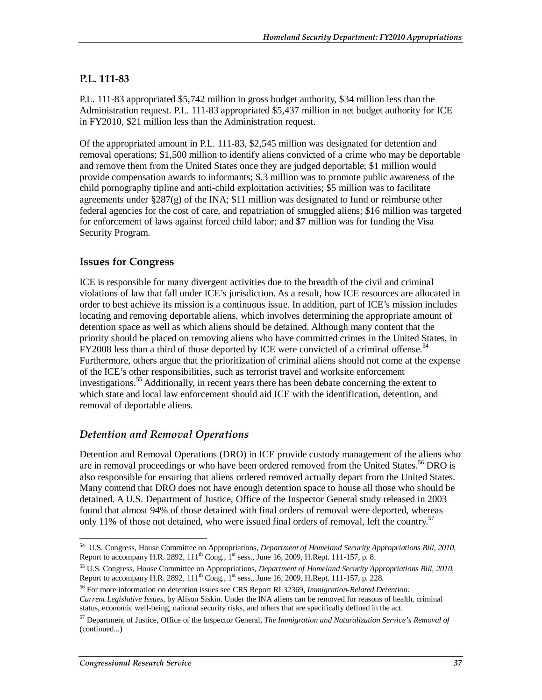# **P.L. 111-83**

P.L. 111-83 appropriated \$5,742 million in gross budget authority, \$34 million less than the Administration request. P.L. 111-83 appropriated \$5,437 million in net budget authority for ICE in FY2010, \$21 million less than the Administration request.

Of the appropriated amount in P.L. 111-83, \$2,545 million was designated for detention and removal operations; \$1,500 million to identify aliens convicted of a crime who may be deportable and remove them from the United States once they are judged deportable; \$1 million would provide compensation awards to informants; \$.3 million was to promote public awareness of the child pornography tipline and anti-child exploitation activities; \$5 million was to facilitate agreements under  $\S 287(g)$  of the INA; \$11 million was designated to fund or reimburse other federal agencies for the cost of care, and repatriation of smuggled aliens; \$16 million was targeted for enforcement of laws against forced child labor; and \$7 million was for funding the Visa Security Program.

# **Issues for Congress**

ICE is responsible for many divergent activities due to the breadth of the civil and criminal violations of law that fall under ICE's jurisdiction. As a result, how ICE resources are allocated in order to best achieve its mission is a continuous issue. In addition, part of ICE's mission includes locating and removing deportable aliens, which involves determining the appropriate amount of detention space as well as which aliens should be detained. Although many content that the priority should be placed on removing aliens who have committed crimes in the United States, in FY2008 less than a third of those deported by ICE were convicted of a criminal offense.<sup>54</sup> Furthermore, others argue that the prioritization of criminal aliens should not come at the expense of the ICE's other responsibilities, such as terrorist travel and worksite enforcement investigations.<sup>55</sup> Additionally, in recent years there has been debate concerning the extent to which state and local law enforcement should aid ICE with the identification, detention, and removal of deportable aliens.

# *Detention and Removal Operations*

Detention and Removal Operations (DRO) in ICE provide custody management of the aliens who are in removal proceedings or who have been ordered removed from the United States.<sup>56</sup> DRO is also responsible for ensuring that aliens ordered removed actually depart from the United States. Many contend that DRO does not have enough detention space to house all those who should be detained. A U.S. Department of Justice, Office of the Inspector General study released in 2003 found that almost 94% of those detained with final orders of removal were deported, whereas only 11% of those not detained, who were issued final orders of removal, left the country.<sup>57</sup>

<sup>&</sup>lt;u>.</u> 54 U.S. Congress, House Committee on Appropriations, *Department of Homeland Security Appropriations Bill, 2010*, Report to accompany H.R. 2892,  $111^{th}$  Cong.,  $1^{st}$  sess., June 16, 2009, H.Rept. 111-157, p. 8.

<sup>55</sup> U.S. Congress, House Committee on Appropriations, *Department of Homeland Security Appropriations Bill, 2010*, Report to accompany H.R. 2892,  $111^{th}$  Cong.,  $1^{st}$  sess., June 16, 2009, H.Rept. 111-157, p. 228.

<sup>56</sup> For more information on detention issues see CRS Report RL32369, *Immigration-Related Detention: Current Legislative Issues*, by Alison Siskin. Under the INA aliens can be removed for reasons of health, criminal status, economic well-being, national security risks, and others that are specifically defined in the act.

<sup>57</sup> Department of Justice, Office of the Inspector General, *The Immigration and Naturalization Service's Removal of*  (continued...)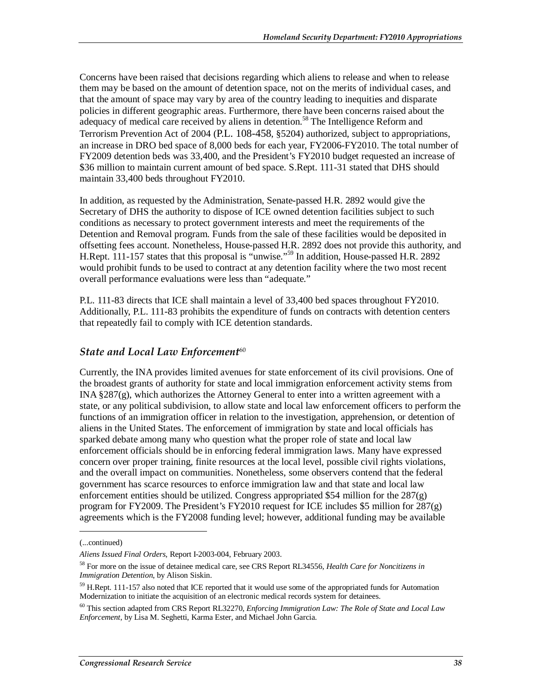Concerns have been raised that decisions regarding which aliens to release and when to release them may be based on the amount of detention space, not on the merits of individual cases, and that the amount of space may vary by area of the country leading to inequities and disparate policies in different geographic areas. Furthermore, there have been concerns raised about the adequacy of medical care received by aliens in detention.<sup>58</sup> The Intelligence Reform and Terrorism Prevention Act of 2004 (P.L. 108-458, §5204) authorized, subject to appropriations, an increase in DRO bed space of 8,000 beds for each year, FY2006-FY2010. The total number of FY2009 detention beds was 33,400, and the President's FY2010 budget requested an increase of \$36 million to maintain current amount of bed space. S.Rept. 111-31 stated that DHS should maintain 33,400 beds throughout FY2010.

In addition, as requested by the Administration, Senate-passed H.R. 2892 would give the Secretary of DHS the authority to dispose of ICE owned detention facilities subject to such conditions as necessary to protect government interests and meet the requirements of the Detention and Removal program. Funds from the sale of these facilities would be deposited in offsetting fees account. Nonetheless, House-passed H.R. 2892 does not provide this authority, and H.Rept. 111-157 states that this proposal is "unwise."59 In addition, House-passed H.R. 2892 would prohibit funds to be used to contract at any detention facility where the two most recent overall performance evaluations were less than "adequate."

P.L. 111-83 directs that ICE shall maintain a level of 33,400 bed spaces throughout FY2010. Additionally, P.L. 111-83 prohibits the expenditure of funds on contracts with detention centers that repeatedly fail to comply with ICE detention standards.

# **State and Local Law Enforcement<sup>60</sup>**

Currently, the INA provides limited avenues for state enforcement of its civil provisions. One of the broadest grants of authority for state and local immigration enforcement activity stems from INA §287(g), which authorizes the Attorney General to enter into a written agreement with a state, or any political subdivision, to allow state and local law enforcement officers to perform the functions of an immigration officer in relation to the investigation, apprehension, or detention of aliens in the United States. The enforcement of immigration by state and local officials has sparked debate among many who question what the proper role of state and local law enforcement officials should be in enforcing federal immigration laws. Many have expressed concern over proper training, finite resources at the local level, possible civil rights violations, and the overall impact on communities. Nonetheless, some observers contend that the federal government has scarce resources to enforce immigration law and that state and local law enforcement entities should be utilized. Congress appropriated \$54 million for the 287(g) program for FY2009. The President's FY2010 request for ICE includes \$5 million for 287(g) agreements which is the FY2008 funding level; however, additional funding may be available

1

<sup>(...</sup>continued)

*Aliens Issued Final Orders*, Report I-2003-004, February 2003.

<sup>58</sup> For more on the issue of detainee medical care, see CRS Report RL34556, *Health Care for Noncitizens in Immigration Detention*, by Alison Siskin.

<sup>&</sup>lt;sup>59</sup> H.Rept. 111-157 also noted that ICE reported that it would use some of the appropriated funds for Automation Modernization to initiate the acquisition of an electronic medical records system for detainees.

<sup>60</sup> This section adapted from CRS Report RL32270, *Enforcing Immigration Law: The Role of State and Local Law Enforcement*, by Lisa M. Seghetti, Karma Ester, and Michael John Garcia.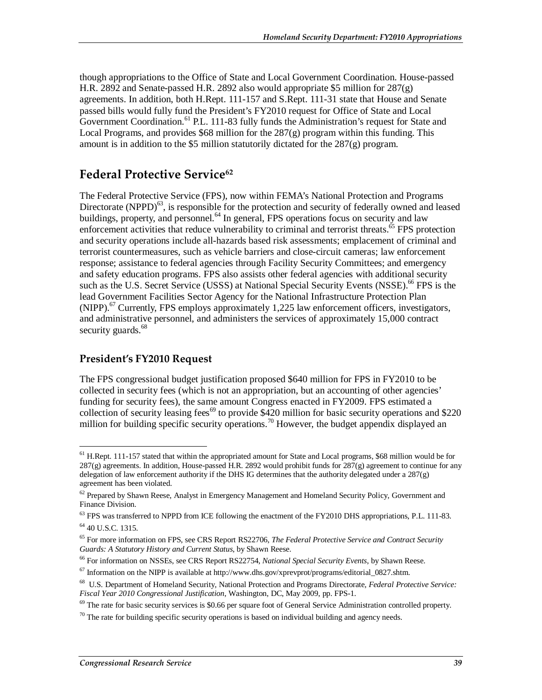though appropriations to the Office of State and Local Government Coordination. House-passed H.R. 2892 and Senate-passed H.R. 2892 also would appropriate \$5 million for 287(g) agreements. In addition, both H.Rept. 111-157 and S.Rept. 111-31 state that House and Senate passed bills would fully fund the President's FY2010 request for Office of State and Local Government Coordination.<sup>61</sup> P.L. 111-83 fully funds the Administration's request for State and Local Programs, and provides  $$68$  million for the  $287(g)$  program within this funding. This amount is in addition to the \$5 million statutorily dictated for the  $287(g)$  program.

# **Federal Protective Service**<sup>62</sup>

The Federal Protective Service (FPS), now within FEMA's National Protection and Programs Directorate (NPPD) $^{63}$ , is responsible for the protection and security of federally owned and leased buildings, property, and personnel. $^{64}$  In general, FPS operations focus on security and law enforcement activities that reduce vulnerability to criminal and terrorist threats.<sup>65</sup> FPS protection and security operations include all-hazards based risk assessments; emplacement of criminal and terrorist countermeasures, such as vehicle barriers and close-circuit cameras; law enforcement response; assistance to federal agencies through Facility Security Committees; and emergency and safety education programs. FPS also assists other federal agencies with additional security such as the U.S. Secret Service (USSS) at National Special Security Events (NSSE).<sup>66</sup> FPS is the lead Government Facilities Sector Agency for the National Infrastructure Protection Plan  $(NIPP)$ .<sup>67</sup> Currently, FPS employs approximately 1,225 law enforcement officers, investigators, and administrative personnel, and administers the services of approximately 15,000 contract security guards.<sup>68</sup>

# **President's FY2010 Request**

The FPS congressional budget justification proposed \$640 million for FPS in FY2010 to be collected in security fees (which is not an appropriation, but an accounting of other agencies' funding for security fees), the same amount Congress enacted in FY2009. FPS estimated a collection of security leasing fees<sup>69</sup> to provide \$420 million for basic security operations and \$220 million for building specific security operations.<sup>70</sup> However, the budget appendix displayed an

<sup>-</sup> $<sup>61</sup>$  H.Rept. 111-157 stated that within the appropriated amount for State and Local programs, \$68 million would be for</sup>  $287(g)$  agreements. In addition, House-passed H.R. 2892 would prohibit funds for  $287(g)$  agreement to continue for any delegation of law enforcement authority if the DHS IG determines that the authority delegated under a 287(g) agreement has been violated.

 $62$  Prepared by Shawn Reese, Analyst in Emergency Management and Homeland Security Policy, Government and Finance Division.

<sup>&</sup>lt;sup>63</sup> FPS was transferred to NPPD from ICE following the enactment of the FY2010 DHS appropriations, P.L. 111-83.

 $64$  40 U.S.C. 1315.

<sup>&</sup>lt;sup>65</sup> For more information on FPS, see CRS Report RS22706, *The Federal Protective Service and Contract Security Guards: A Statutory History and Current Status, by Shawn Reese.* 

<sup>&</sup>lt;sup>66</sup> For information on NSSEs, see CRS Report RS22754, *National Special Security Events*, by Shawn Reese.

 $67$  Information on the NIPP is available at http://www.dhs.gov/xprevprot/programs/editorial\_0827.shtm.

<sup>68</sup> U.S. Department of Homeland Security, National Protection and Programs Directorate, *Federal Protective Service:* 

<sup>&</sup>lt;sup>69</sup> The rate for basic security services is \$0.66 per square foot of General Service Administration controlled property.

 $70$  The rate for building specific security operations is based on individual building and agency needs.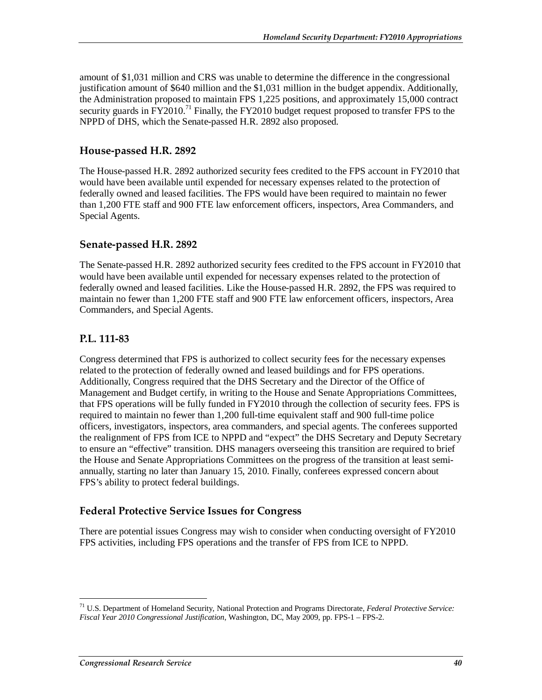amount of \$1,031 million and CRS was unable to determine the difference in the congressional justification amount of \$640 million and the \$1,031 million in the budget appendix. Additionally, the Administration proposed to maintain FPS 1,225 positions, and approximately 15,000 contract security guards in  $FY2010<sup>71</sup>$  Finally, the FY2010 budget request proposed to transfer FPS to the NPPD of DHS, which the Senate-passed H.R. 2892 also proposed.

# **House-passed H.R. 2892**

The House-passed H.R. 2892 authorized security fees credited to the FPS account in FY2010 that would have been available until expended for necessary expenses related to the protection of federally owned and leased facilities. The FPS would have been required to maintain no fewer than 1,200 FTE staff and 900 FTE law enforcement officers, inspectors, Area Commanders, and Special Agents.

# **Senate-passed H.R. 2892**

The Senate-passed H.R. 2892 authorized security fees credited to the FPS account in FY2010 that would have been available until expended for necessary expenses related to the protection of federally owned and leased facilities. Like the House-passed H.R. 2892, the FPS was required to maintain no fewer than 1,200 FTE staff and 900 FTE law enforcement officers, inspectors, Area Commanders, and Special Agents.

# **P.L. 111-83**

Congress determined that FPS is authorized to collect security fees for the necessary expenses related to the protection of federally owned and leased buildings and for FPS operations. Additionally, Congress required that the DHS Secretary and the Director of the Office of Management and Budget certify, in writing to the House and Senate Appropriations Committees, that FPS operations will be fully funded in FY2010 through the collection of security fees. FPS is required to maintain no fewer than 1,200 full-time equivalent staff and 900 full-time police officers, investigators, inspectors, area commanders, and special agents. The conferees supported the realignment of FPS from ICE to NPPD and "expect" the DHS Secretary and Deputy Secretary to ensure an "effective" transition. DHS managers overseeing this transition are required to brief the House and Senate Appropriations Committees on the progress of the transition at least semiannually, starting no later than January 15, 2010. Finally, conferees expressed concern about FPS's ability to protect federal buildings.

# **Federal Protective Service Issues for Congress**

There are potential issues Congress may wish to consider when conducting oversight of FY2010 FPS activities, including FPS operations and the transfer of FPS from ICE to NPPD.

-

<sup>71</sup> U.S. Department of Homeland Security, National Protection and Programs Directorate, *Federal Protective Service: Fiscal Year 2010 Congressional Justification*, Washington, DC, May 2009, pp. FPS-1 – FPS-2.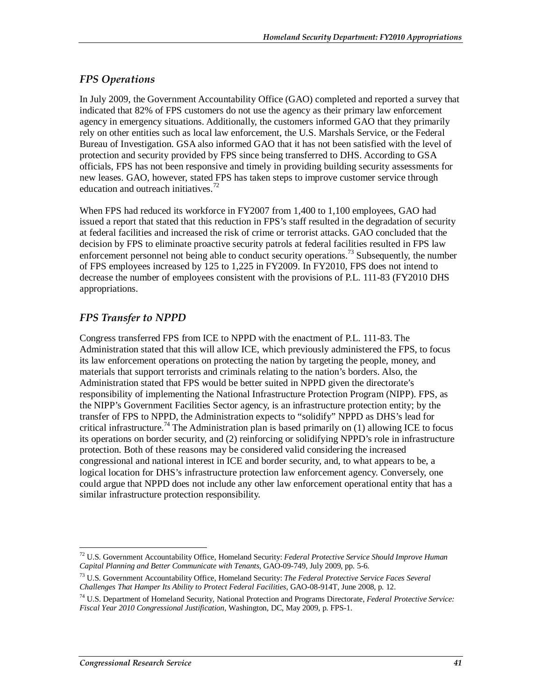# *FPS Operations*

In July 2009, the Government Accountability Office (GAO) completed and reported a survey that indicated that 82% of FPS customers do not use the agency as their primary law enforcement agency in emergency situations. Additionally, the customers informed GAO that they primarily rely on other entities such as local law enforcement, the U.S. Marshals Service, or the Federal Bureau of Investigation. GSA also informed GAO that it has not been satisfied with the level of protection and security provided by FPS since being transferred to DHS. According to GSA officials, FPS has not been responsive and timely in providing building security assessments for new leases. GAO, however, stated FPS has taken steps to improve customer service through education and outreach initiatives.<sup>72</sup>

When FPS had reduced its workforce in FY2007 from 1,400 to 1,100 employees, GAO had issued a report that stated that this reduction in FPS's staff resulted in the degradation of security at federal facilities and increased the risk of crime or terrorist attacks. GAO concluded that the decision by FPS to eliminate proactive security patrols at federal facilities resulted in FPS law enforcement personnel not being able to conduct security operations.<sup>73</sup> Subsequently, the number of FPS employees increased by 125 to 1,225 in FY2009. In FY2010, FPS does not intend to decrease the number of employees consistent with the provisions of P.L. 111-83 (FY2010 DHS appropriations.

# *FPS Transfer to NPPD*

Congress transferred FPS from ICE to NPPD with the enactment of P.L. 111-83. The Administration stated that this will allow ICE, which previously administered the FPS, to focus its law enforcement operations on protecting the nation by targeting the people, money, and materials that support terrorists and criminals relating to the nation's borders. Also, the Administration stated that FPS would be better suited in NPPD given the directorate's responsibility of implementing the National Infrastructure Protection Program (NIPP). FPS, as the NIPP's Government Facilities Sector agency, is an infrastructure protection entity; by the transfer of FPS to NPPD, the Administration expects to "solidify" NPPD as DHS's lead for critical infrastructure.<sup>74</sup> The Administration plan is based primarily on  $(1)$  allowing ICE to focus its operations on border security, and (2) reinforcing or solidifying NPPD's role in infrastructure protection. Both of these reasons may be considered valid considering the increased congressional and national interest in ICE and border security, and, to what appears to be, a logical location for DHS's infrastructure protection law enforcement agency. Conversely, one could argue that NPPD does not include any other law enforcement operational entity that has a similar infrastructure protection responsibility.

<sup>-</sup>72 U.S. Government Accountability Office, Homeland Security: *Federal Protective Service Should Improve Human Capital Planning and Better Communicate with Tenants*, GAO-09-749, July 2009, pp. 5-6.

<sup>73</sup> U.S. Government Accountability Office, Homeland Security: *The Federal Protective Service Faces Several Challenges That Hamper Its Ability to Protect Federal Facilities*, GAO-08-914T, June 2008, p. 12.

<sup>74</sup> U.S. Department of Homeland Security, National Protection and Programs Directorate, *Federal Protective Service: Fiscal Year 2010 Congressional Justification*, Washington, DC, May 2009, p. FPS-1.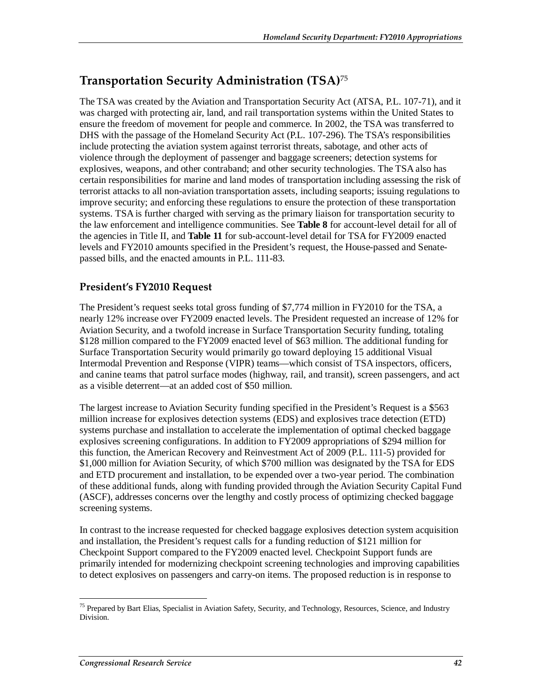# **Transportation Security Administration (TSA)**<sup>75</sup>

The TSA was created by the Aviation and Transportation Security Act (ATSA, P.L. 107-71), and it was charged with protecting air, land, and rail transportation systems within the United States to ensure the freedom of movement for people and commerce. In 2002, the TSA was transferred to DHS with the passage of the Homeland Security Act (P.L. 107-296). The TSA's responsibilities include protecting the aviation system against terrorist threats, sabotage, and other acts of violence through the deployment of passenger and baggage screeners; detection systems for explosives, weapons, and other contraband; and other security technologies. The TSA also has certain responsibilities for marine and land modes of transportation including assessing the risk of terrorist attacks to all non-aviation transportation assets, including seaports; issuing regulations to improve security; and enforcing these regulations to ensure the protection of these transportation systems. TSA is further charged with serving as the primary liaison for transportation security to the law enforcement and intelligence communities. See **Table 8** for account-level detail for all of the agencies in Title II, and **Table 11** for sub-account-level detail for TSA for FY2009 enacted levels and FY2010 amounts specified in the President's request, the House-passed and Senatepassed bills, and the enacted amounts in P.L. 111-83.

# **President's FY2010 Request**

The President's request seeks total gross funding of \$7,774 million in FY2010 for the TSA, a nearly 12% increase over FY2009 enacted levels. The President requested an increase of 12% for Aviation Security, and a twofold increase in Surface Transportation Security funding, totaling \$128 million compared to the FY2009 enacted level of \$63 million. The additional funding for Surface Transportation Security would primarily go toward deploying 15 additional Visual Intermodal Prevention and Response (VIPR) teams—which consist of TSA inspectors, officers, and canine teams that patrol surface modes (highway, rail, and transit), screen passengers, and act as a visible deterrent—at an added cost of \$50 million.

The largest increase to Aviation Security funding specified in the President's Request is a \$563 million increase for explosives detection systems (EDS) and explosives trace detection (ETD) systems purchase and installation to accelerate the implementation of optimal checked baggage explosives screening configurations. In addition to FY2009 appropriations of \$294 million for this function, the American Recovery and Reinvestment Act of 2009 (P.L. 111-5) provided for \$1,000 million for Aviation Security, of which \$700 million was designated by the TSA for EDS and ETD procurement and installation, to be expended over a two-year period. The combination of these additional funds, along with funding provided through the Aviation Security Capital Fund (ASCF), addresses concerns over the lengthy and costly process of optimizing checked baggage screening systems.

In contrast to the increase requested for checked baggage explosives detection system acquisition and installation, the President's request calls for a funding reduction of \$121 million for Checkpoint Support compared to the FY2009 enacted level. Checkpoint Support funds are primarily intended for modernizing checkpoint screening technologies and improving capabilities to detect explosives on passengers and carry-on items. The proposed reduction is in response to

-

<sup>&</sup>lt;sup>75</sup> Prepared by Bart Elias, Specialist in Aviation Safety, Security, and Technology, Resources, Science, and Industry Division.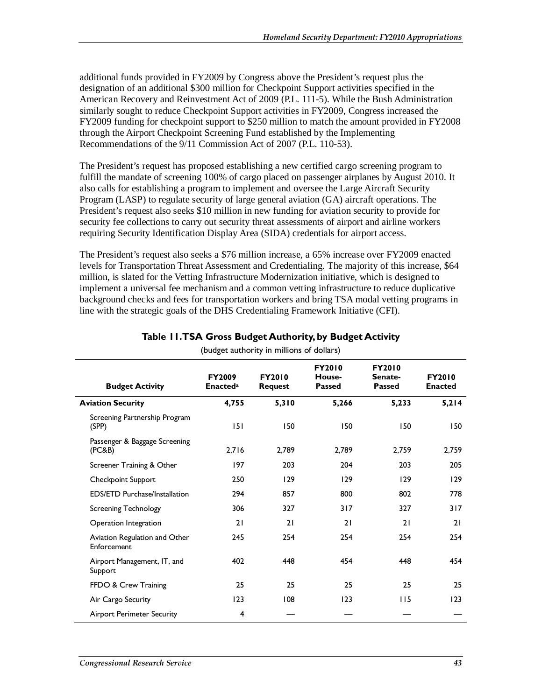additional funds provided in FY2009 by Congress above the President's request plus the designation of an additional \$300 million for Checkpoint Support activities specified in the American Recovery and Reinvestment Act of 2009 (P.L. 111-5). While the Bush Administration similarly sought to reduce Checkpoint Support activities in FY2009, Congress increased the FY2009 funding for checkpoint support to \$250 million to match the amount provided in FY2008 through the Airport Checkpoint Screening Fund established by the Implementing Recommendations of the 9/11 Commission Act of 2007 (P.L. 110-53).

The President's request has proposed establishing a new certified cargo screening program to fulfill the mandate of screening 100% of cargo placed on passenger airplanes by August 2010. It also calls for establishing a program to implement and oversee the Large Aircraft Security Program (LASP) to regulate security of large general aviation (GA) aircraft operations. The President's request also seeks \$10 million in new funding for aviation security to provide for security fee collections to carry out security threat assessments of airport and airline workers requiring Security Identification Display Area (SIDA) credentials for airport access.

The President's request also seeks a \$76 million increase, a 65% increase over FY2009 enacted levels for Transportation Threat Assessment and Credentialing. The majority of this increase, \$64 million, is slated for the Vetting Infrastructure Modernization initiative, which is designed to implement a universal fee mechanism and a common vetting infrastructure to reduce duplicative background checks and fees for transportation workers and bring TSA modal vetting programs in line with the strategic goals of the DHS Credentialing Framework Initiative (CFI).

| <b>Budget Activity</b>                       | <b>FY2009</b><br><b>Enacteda</b> | <b>FY2010</b><br><b>Request</b> | <b>FY2010</b><br>House-<br><b>Passed</b> | <b>FY2010</b><br>Senate-<br><b>Passed</b> | <b>FY2010</b><br><b>Enacted</b> |
|----------------------------------------------|----------------------------------|---------------------------------|------------------------------------------|-------------------------------------------|---------------------------------|
| <b>Aviation Security</b>                     | 4,755                            | 5,310                           | 5,266                                    | 5,233                                     | 5,214                           |
| Screening Partnership Program<br>(SPP)       | 151                              | 150                             | 150                                      | 150                                       | 150                             |
| Passenger & Baggage Screening<br>(PC&B)      | 2,716                            | 2,789                           | 2,789                                    | 2,759                                     | 2,759                           |
| Screener Training & Other                    | 197                              | 203                             | 204                                      | 203                                       | 205                             |
| Checkpoint Support                           | 250                              | 129                             | 129                                      | 129                                       | 129                             |
| <b>EDS/ETD Purchase/Installation</b>         | 294                              | 857                             | 800                                      | 802                                       | 778                             |
| <b>Screening Technology</b>                  | 306                              | 327                             | 317                                      | 327                                       | 317                             |
| Operation Integration                        | 21                               | 21                              | 21                                       | 21                                        | 21                              |
| Aviation Regulation and Other<br>Enforcement | 245                              | 254                             | 254                                      | 254                                       | 254                             |
| Airport Management, IT, and<br>Support       | 402                              | 448                             | 454                                      | 448                                       | 454                             |
| FFDO & Crew Training                         | 25                               | 25                              | 25                                       | 25                                        | 25                              |
| Air Cargo Security                           | 123                              | 108                             | 123                                      | 115                                       | 123                             |
| <b>Airport Perimeter Security</b>            | 4                                |                                 |                                          |                                           |                                 |

# **Table 11. TSA Gross Budget Authority, by Budget Activity**

(budget authority in millions of dollars)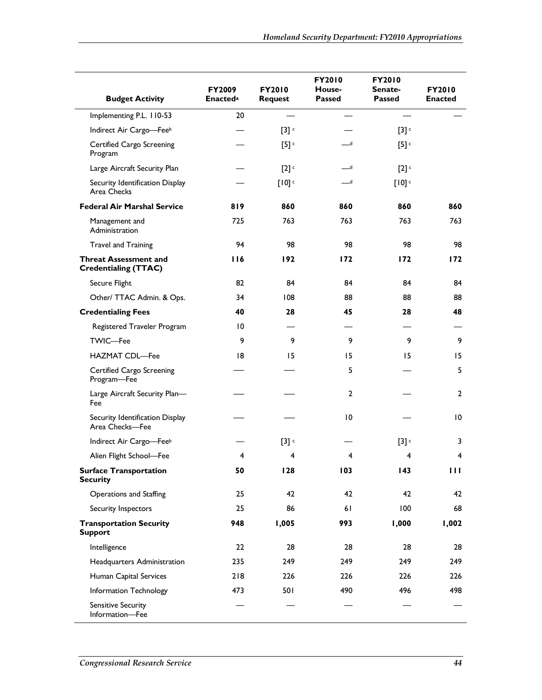|                                                             | <b>FY2009</b>   | <b>FY2010</b>                   | <b>FY2010</b><br>House-    | <b>FY2010</b><br>Senate- | <b>FY2010</b>  |
|-------------------------------------------------------------|-----------------|---------------------------------|----------------------------|--------------------------|----------------|
| <b>Budget Activity</b>                                      | <b>Enacteda</b> | <b>Passed</b><br><b>Request</b> |                            | <b>Passed</b>            | <b>Enacted</b> |
| Implementing P.L. 110-53                                    | 20              |                                 |                            |                          |                |
| Indirect Air Cargo-Feeb                                     |                 | [3]                             |                            | [3]                      |                |
| Certified Cargo Screening<br>Program                        |                 | [5]                             | _d                         | [5]                      |                |
| Large Aircraft Security Plan                                |                 | [2]                             | $-d$                       | [2]                      |                |
| Security Identification Display<br>Area Checks              |                 | [10]                            | $\overline{\phantom{a}}$ d | [10]                     |                |
| <b>Federal Air Marshal Service</b>                          | 819             | 860                             | 860                        | 860                      | 860            |
| Management and<br>Administration                            | 725             | 763                             | 763                        | 763                      | 763            |
| <b>Travel and Training</b>                                  | 94              | 98                              | 98                         | 98                       | 98             |
| <b>Threat Assessment and</b><br><b>Credentialing (TTAC)</b> | 116             | 192                             | 172                        | 172                      | 172            |
| Secure Flight                                               | 82              | 84                              | 84                         | 84                       | 84             |
| Other/ TTAC Admin. & Ops.                                   | 34              | 108                             | 88                         | 88                       | 88             |
| <b>Credentialing Fees</b>                                   | 40              | 28                              | 45                         | 28                       | 48             |
| Registered Traveler Program                                 | 10              |                                 |                            |                          |                |
| <b>TWIC-Fee</b>                                             | 9               | 9                               | 9                          | 9                        | 9              |
| <b>HAZMAT CDL-Fee</b>                                       | 18              | 15                              | 15                         | 15                       | 15             |
| Certified Cargo Screening<br>Program-Fee                    |                 |                                 | 5                          |                          | 5              |
| Large Aircraft Security Plan-<br>Fee                        |                 |                                 | $\overline{2}$             |                          | $\mathbf{2}$   |
| Security Identification Display<br>Area Checks-Fee          |                 |                                 | $\overline{0}$             |                          | 10             |
| Indirect Air Cargo-Feeb                                     |                 | [3]                             |                            | [3]                      | 3              |
| Alien Flight School-Fee                                     | 4               | $\overline{4}$                  | 4                          | 4                        | 4              |
| <b>Surface Transportation</b><br><b>Security</b>            | 50              | 128                             | 103                        | 143                      | Ш              |
| Operations and Staffing                                     | 25              | 42                              | 42                         | 42                       | 42             |
| Security Inspectors                                         | 25              | 86                              | 61                         | 100                      | 68             |
| <b>Transportation Security</b><br><b>Support</b>            | 948             | 1,005                           | 993                        | 1,000                    | 1,002          |
| Intelligence                                                | 22              | 28                              | 28                         | 28                       | 28             |
| Headquarters Administration                                 | 235             | 249                             | 249                        | 249                      | 249            |
| Human Capital Services                                      | 218             | 226                             | 226                        | 226                      | 226            |
| Information Technology                                      | 473             | 501                             | 490                        | 496                      | 498            |
| <b>Sensitive Security</b><br>Information-Fee                |                 |                                 |                            |                          |                |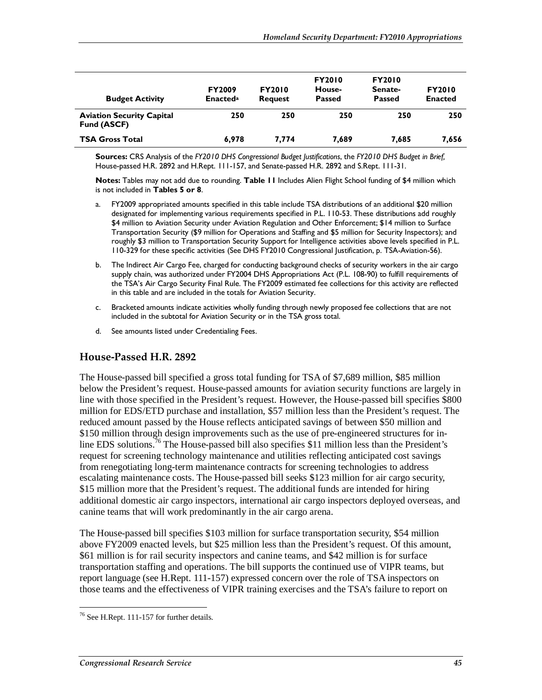| <b>Budget Activity</b>                          | <b>FY2009</b><br><b>Enacted</b> <sup>a</sup> | <b>FY2010</b><br><b>Request</b> | <b>FY2010</b><br>House-<br><b>Passed</b> | <b>FY2010</b><br>Senate-<br><b>Passed</b> | <b>FY2010</b><br><b>Enacted</b> |
|-------------------------------------------------|----------------------------------------------|---------------------------------|------------------------------------------|-------------------------------------------|---------------------------------|
| <b>Aviation Security Capital</b><br>Fund (ASCF) | 250                                          | 250                             | 250                                      | 250                                       | 250                             |
| <b>TSA Gross Total</b>                          | 6.978                                        | 7.774                           | 7,689                                    | 7.685                                     | 7.656                           |

**Sources:** CRS Analysis of the *FY2010 DHS Congressional Budget Justifications*, the *FY2010 DHS Budget in Brief,* House-passed H.R. 2892 and H.Rept. 111-157, and Senate-passed H.R. 2892 and S.Rept. 111-31.

**Notes:** Tables may not add due to rounding. **Table 11** Includes Alien Flight School funding of \$4 million which is not included in **Tables 5 or 8**.

- a. FY2009 appropriated amounts specified in this table include TSA distributions of an additional \$20 million designated for implementing various requirements specified in P.L. 110-53. These distributions add roughly \$4 million to Aviation Security under Aviation Regulation and Other Enforcement; \$14 million to Surface Transportation Security (\$9 million for Operations and Staffing and \$5 million for Security Inspectors); and roughly \$3 million to Transportation Security Support for Intelligence activities above levels specified in P.L. 110-329 for these specific activities (See DHS FY2010 Congressional Justification, p. TSA-Aviation-56).
- b. The Indirect Air Cargo Fee, charged for conducting background checks of security workers in the air cargo supply chain, was authorized under FY2004 DHS Appropriations Act (P.L. 108-90) to fulfill requirements of the TSA's Air Cargo Security Final Rule. The FY2009 estimated fee collections for this activity are reflected in this table and are included in the totals for Aviation Security.
- c. Bracketed amounts indicate activities wholly funding through newly proposed fee collections that are not included in the subtotal for Aviation Security or in the TSA gross total.
- d. See amounts listed under Credentialing Fees.

#### **House-Passed H.R. 2892**

The House-passed bill specified a gross total funding for TSA of \$7,689 million, \$85 million below the President's request. House-passed amounts for aviation security functions are largely in line with those specified in the President's request. However, the House-passed bill specifies \$800 million for EDS/ETD purchase and installation, \$57 million less than the President's request. The reduced amount passed by the House reflects anticipated savings of between \$50 million and \$150 million through design improvements such as the use of pre-engineered structures for inline EDS solutions.<sup>76</sup> The House-passed bill also specifies \$11 million less than the President's request for screening technology maintenance and utilities reflecting anticipated cost savings from renegotiating long-term maintenance contracts for screening technologies to address escalating maintenance costs. The House-passed bill seeks \$123 million for air cargo security, \$15 million more that the President's request. The additional funds are intended for hiring additional domestic air cargo inspectors, international air cargo inspectors deployed overseas, and canine teams that will work predominantly in the air cargo arena.

The House-passed bill specifies \$103 million for surface transportation security, \$54 million above FY2009 enacted levels, but \$25 million less than the President's request. Of this amount, \$61 million is for rail security inspectors and canine teams, and \$42 million is for surface transportation staffing and operations. The bill supports the continued use of VIPR teams, but report language (see H.Rept. 111-157) expressed concern over the role of TSA inspectors on those teams and the effectiveness of VIPR training exercises and the TSA's failure to report on

-

<sup>&</sup>lt;sup>76</sup> See H.Rept. 111-157 for further details.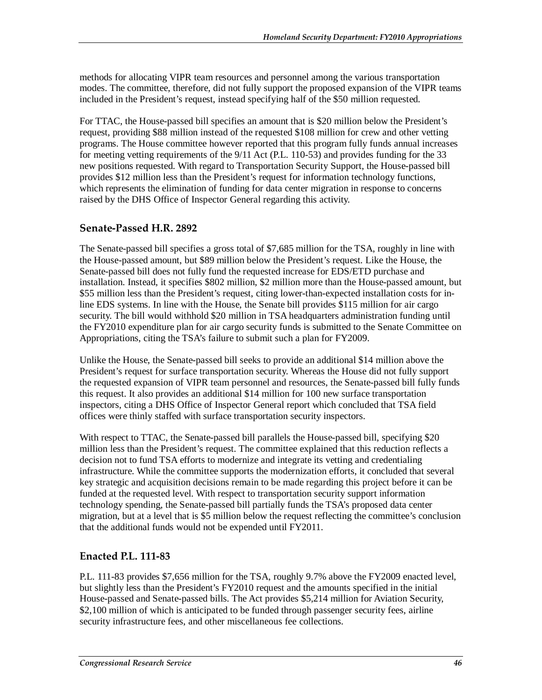methods for allocating VIPR team resources and personnel among the various transportation modes. The committee, therefore, did not fully support the proposed expansion of the VIPR teams included in the President's request, instead specifying half of the \$50 million requested.

For TTAC, the House-passed bill specifies an amount that is \$20 million below the President's request, providing \$88 million instead of the requested \$108 million for crew and other vetting programs. The House committee however reported that this program fully funds annual increases for meeting vetting requirements of the 9/11 Act (P.L. 110-53) and provides funding for the 33 new positions requested. With regard to Transportation Security Support, the House-passed bill provides \$12 million less than the President's request for information technology functions, which represents the elimination of funding for data center migration in response to concerns raised by the DHS Office of Inspector General regarding this activity.

# **Senate-Passed H.R. 2892**

The Senate-passed bill specifies a gross total of \$7,685 million for the TSA, roughly in line with the House-passed amount, but \$89 million below the President's request. Like the House, the Senate-passed bill does not fully fund the requested increase for EDS/ETD purchase and installation. Instead, it specifies \$802 million, \$2 million more than the House-passed amount, but \$55 million less than the President's request, citing lower-than-expected installation costs for inline EDS systems. In line with the House, the Senate bill provides \$115 million for air cargo security. The bill would withhold \$20 million in TSA headquarters administration funding until the FY2010 expenditure plan for air cargo security funds is submitted to the Senate Committee on Appropriations, citing the TSA's failure to submit such a plan for FY2009.

Unlike the House, the Senate-passed bill seeks to provide an additional \$14 million above the President's request for surface transportation security. Whereas the House did not fully support the requested expansion of VIPR team personnel and resources, the Senate-passed bill fully funds this request. It also provides an additional \$14 million for 100 new surface transportation inspectors, citing a DHS Office of Inspector General report which concluded that TSA field offices were thinly staffed with surface transportation security inspectors.

With respect to TTAC, the Senate-passed bill parallels the House-passed bill, specifying \$20 million less than the President's request. The committee explained that this reduction reflects a decision not to fund TSA efforts to modernize and integrate its vetting and credentialing infrastructure. While the committee supports the modernization efforts, it concluded that several key strategic and acquisition decisions remain to be made regarding this project before it can be funded at the requested level. With respect to transportation security support information technology spending, the Senate-passed bill partially funds the TSA's proposed data center migration, but at a level that is \$5 million below the request reflecting the committee's conclusion that the additional funds would not be expended until FY2011.

# **Enacted P.L. 111-83**

P.L. 111-83 provides \$7,656 million for the TSA, roughly 9.7% above the FY2009 enacted level, but slightly less than the President's FY2010 request and the amounts specified in the initial House-passed and Senate-passed bills. The Act provides \$5,214 million for Aviation Security, \$2,100 million of which is anticipated to be funded through passenger security fees, airline security infrastructure fees, and other miscellaneous fee collections.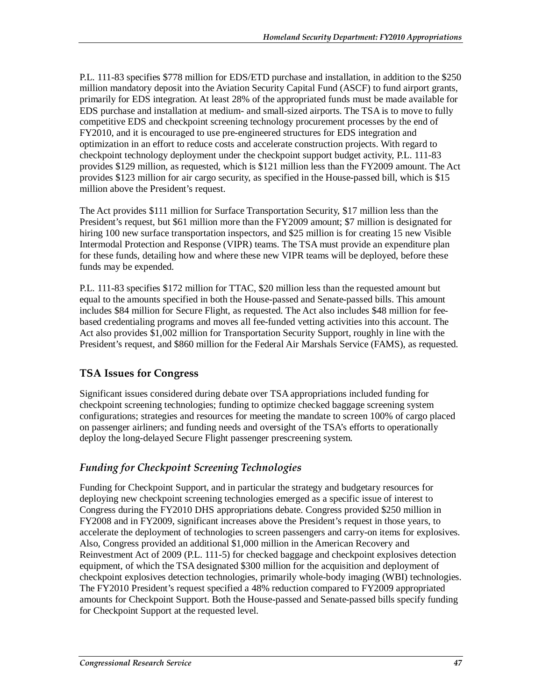P.L. 111-83 specifies \$778 million for EDS/ETD purchase and installation, in addition to the \$250 million mandatory deposit into the Aviation Security Capital Fund (ASCF) to fund airport grants, primarily for EDS integration. At least 28% of the appropriated funds must be made available for EDS purchase and installation at medium- and small-sized airports. The TSA is to move to fully competitive EDS and checkpoint screening technology procurement processes by the end of FY2010, and it is encouraged to use pre-engineered structures for EDS integration and optimization in an effort to reduce costs and accelerate construction projects. With regard to checkpoint technology deployment under the checkpoint support budget activity, P.L. 111-83 provides \$129 million, as requested, which is \$121 million less than the FY2009 amount. The Act provides \$123 million for air cargo security, as specified in the House-passed bill, which is \$15 million above the President's request.

The Act provides \$111 million for Surface Transportation Security, \$17 million less than the President's request, but \$61 million more than the FY2009 amount; \$7 million is designated for hiring 100 new surface transportation inspectors, and \$25 million is for creating 15 new Visible Intermodal Protection and Response (VIPR) teams. The TSA must provide an expenditure plan for these funds, detailing how and where these new VIPR teams will be deployed, before these funds may be expended.

P.L. 111-83 specifies \$172 million for TTAC, \$20 million less than the requested amount but equal to the amounts specified in both the House-passed and Senate-passed bills. This amount includes \$84 million for Secure Flight, as requested. The Act also includes \$48 million for feebased credentialing programs and moves all fee-funded vetting activities into this account. The Act also provides \$1,002 million for Transportation Security Support, roughly in line with the President's request, and \$860 million for the Federal Air Marshals Service (FAMS), as requested.

# **TSA Issues for Congress**

Significant issues considered during debate over TSA appropriations included funding for checkpoint screening technologies; funding to optimize checked baggage screening system configurations; strategies and resources for meeting the mandate to screen 100% of cargo placed on passenger airliners; and funding needs and oversight of the TSA's efforts to operationally deploy the long-delayed Secure Flight passenger prescreening system.

# *Funding for Checkpoint Screening Technologies*

Funding for Checkpoint Support, and in particular the strategy and budgetary resources for deploying new checkpoint screening technologies emerged as a specific issue of interest to Congress during the FY2010 DHS appropriations debate. Congress provided \$250 million in FY2008 and in FY2009, significant increases above the President's request in those years, to accelerate the deployment of technologies to screen passengers and carry-on items for explosives. Also, Congress provided an additional \$1,000 million in the American Recovery and Reinvestment Act of 2009 (P.L. 111-5) for checked baggage and checkpoint explosives detection equipment, of which the TSA designated \$300 million for the acquisition and deployment of checkpoint explosives detection technologies, primarily whole-body imaging (WBI) technologies. The FY2010 President's request specified a 48% reduction compared to FY2009 appropriated amounts for Checkpoint Support. Both the House-passed and Senate-passed bills specify funding for Checkpoint Support at the requested level.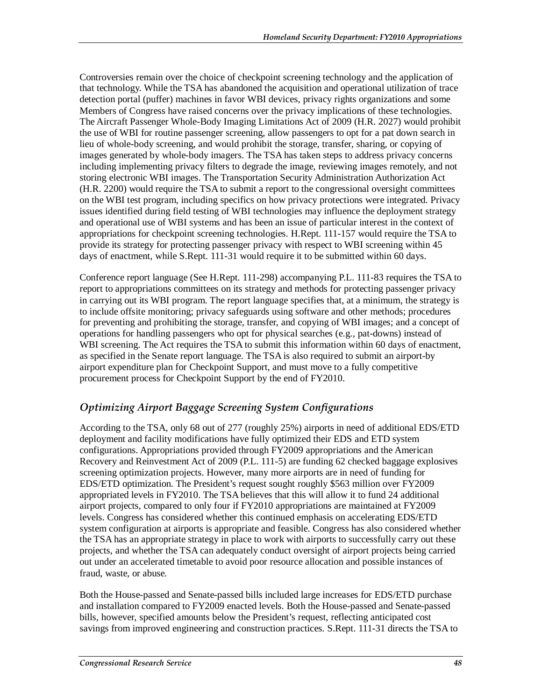Controversies remain over the choice of checkpoint screening technology and the application of that technology. While the TSA has abandoned the acquisition and operational utilization of trace detection portal (puffer) machines in favor WBI devices, privacy rights organizations and some Members of Congress have raised concerns over the privacy implications of these technologies. The Aircraft Passenger Whole-Body Imaging Limitations Act of 2009 (H.R. 2027) would prohibit the use of WBI for routine passenger screening, allow passengers to opt for a pat down search in lieu of whole-body screening, and would prohibit the storage, transfer, sharing, or copying of images generated by whole-body imagers. The TSA has taken steps to address privacy concerns including implementing privacy filters to degrade the image, reviewing images remotely, and not storing electronic WBI images. The Transportation Security Administration Authorization Act (H.R. 2200) would require the TSA to submit a report to the congressional oversight committees on the WBI test program, including specifics on how privacy protections were integrated. Privacy issues identified during field testing of WBI technologies may influence the deployment strategy and operational use of WBI systems and has been an issue of particular interest in the context of appropriations for checkpoint screening technologies. H.Rept. 111-157 would require the TSA to provide its strategy for protecting passenger privacy with respect to WBI screening within 45 days of enactment, while S.Rept. 111-31 would require it to be submitted within 60 days.

Conference report language (See H.Rept. 111-298) accompanying P.L. 111-83 requires the TSA to report to appropriations committees on its strategy and methods for protecting passenger privacy in carrying out its WBI program. The report language specifies that, at a minimum, the strategy is to include offsite monitoring; privacy safeguards using software and other methods; procedures for preventing and prohibiting the storage, transfer, and copying of WBI images; and a concept of operations for handling passengers who opt for physical searches (e.g., pat-downs) instead of WBI screening. The Act requires the TSA to submit this information within 60 days of enactment, as specified in the Senate report language. The TSA is also required to submit an airport-by airport expenditure plan for Checkpoint Support, and must move to a fully competitive procurement process for Checkpoint Support by the end of FY2010.

# *Optimizing Airport Baggage Screening System Configurations*

According to the TSA, only 68 out of 277 (roughly 25%) airports in need of additional EDS/ETD deployment and facility modifications have fully optimized their EDS and ETD system configurations. Appropriations provided through FY2009 appropriations and the American Recovery and Reinvestment Act of 2009 (P.L. 111-5) are funding 62 checked baggage explosives screening optimization projects. However, many more airports are in need of funding for EDS/ETD optimization. The President's request sought roughly \$563 million over FY2009 appropriated levels in FY2010. The TSA believes that this will allow it to fund 24 additional airport projects, compared to only four if FY2010 appropriations are maintained at FY2009 levels. Congress has considered whether this continued emphasis on accelerating EDS/ETD system configuration at airports is appropriate and feasible. Congress has also considered whether the TSA has an appropriate strategy in place to work with airports to successfully carry out these projects, and whether the TSA can adequately conduct oversight of airport projects being carried out under an accelerated timetable to avoid poor resource allocation and possible instances of fraud, waste, or abuse.

Both the House-passed and Senate-passed bills included large increases for EDS/ETD purchase and installation compared to FY2009 enacted levels. Both the House-passed and Senate-passed bills, however, specified amounts below the President's request, reflecting anticipated cost savings from improved engineering and construction practices. S.Rept. 111-31 directs the TSA to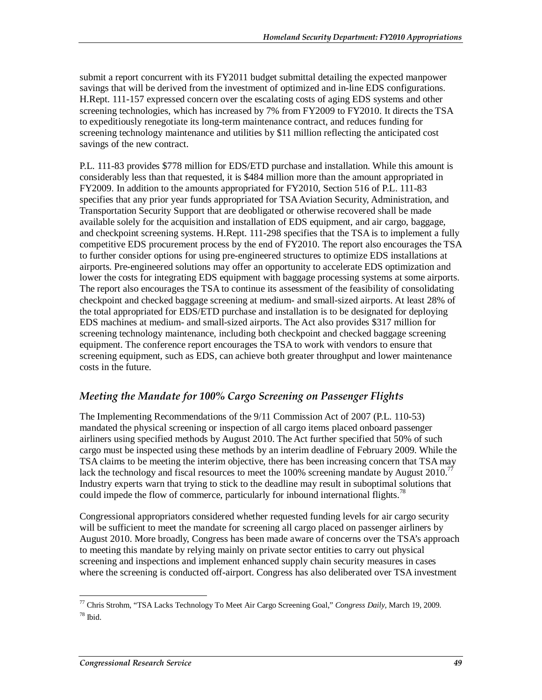submit a report concurrent with its FY2011 budget submittal detailing the expected manpower savings that will be derived from the investment of optimized and in-line EDS configurations. H.Rept. 111-157 expressed concern over the escalating costs of aging EDS systems and other screening technologies, which has increased by 7% from FY2009 to FY2010. It directs the TSA to expeditiously renegotiate its long-term maintenance contract, and reduces funding for screening technology maintenance and utilities by \$11 million reflecting the anticipated cost savings of the new contract.

P.L. 111-83 provides \$778 million for EDS/ETD purchase and installation. While this amount is considerably less than that requested, it is \$484 million more than the amount appropriated in FY2009. In addition to the amounts appropriated for FY2010, Section 516 of P.L. 111-83 specifies that any prior year funds appropriated for TSA Aviation Security, Administration, and Transportation Security Support that are deobligated or otherwise recovered shall be made available solely for the acquisition and installation of EDS equipment, and air cargo, baggage, and checkpoint screening systems. H.Rept. 111-298 specifies that the TSA is to implement a fully competitive EDS procurement process by the end of FY2010. The report also encourages the TSA to further consider options for using pre-engineered structures to optimize EDS installations at airports. Pre-engineered solutions may offer an opportunity to accelerate EDS optimization and lower the costs for integrating EDS equipment with baggage processing systems at some airports. The report also encourages the TSA to continue its assessment of the feasibility of consolidating checkpoint and checked baggage screening at medium- and small-sized airports. At least 28% of the total appropriated for EDS/ETD purchase and installation is to be designated for deploying EDS machines at medium- and small-sized airports. The Act also provides \$317 million for screening technology maintenance, including both checkpoint and checked baggage screening equipment. The conference report encourages the TSA to work with vendors to ensure that screening equipment, such as EDS, can achieve both greater throughput and lower maintenance costs in the future.

# *Meeting the Mandate for 100% Cargo Screening on Passenger Flights*

The Implementing Recommendations of the 9/11 Commission Act of 2007 (P.L. 110-53) mandated the physical screening or inspection of all cargo items placed onboard passenger airliners using specified methods by August 2010. The Act further specified that 50% of such cargo must be inspected using these methods by an interim deadline of February 2009. While the TSA claims to be meeting the interim objective, there has been increasing concern that TSA may lack the technology and fiscal resources to meet the 100% screening mandate by August 2010.<sup>77</sup> Industry experts warn that trying to stick to the deadline may result in suboptimal solutions that could impede the flow of commerce, particularly for inbound international flights.<sup>78</sup>

Congressional appropriators considered whether requested funding levels for air cargo security will be sufficient to meet the mandate for screening all cargo placed on passenger airliners by August 2010. More broadly, Congress has been made aware of concerns over the TSA's approach to meeting this mandate by relying mainly on private sector entities to carry out physical screening and inspections and implement enhanced supply chain security measures in cases where the screening is conducted off-airport. Congress has also deliberated over TSA investment

 $\overline{a}$ 77 Chris Strohm, "TSA Lacks Technology To Meet Air Cargo Screening Goal," *Congress Daily*, March 19, 2009.  $78$  Ibid.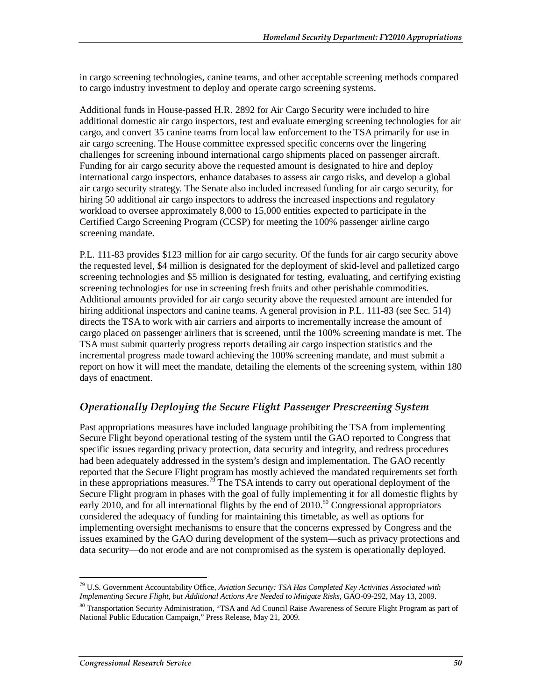in cargo screening technologies, canine teams, and other acceptable screening methods compared to cargo industry investment to deploy and operate cargo screening systems.

Additional funds in House-passed H.R. 2892 for Air Cargo Security were included to hire additional domestic air cargo inspectors, test and evaluate emerging screening technologies for air cargo, and convert 35 canine teams from local law enforcement to the TSA primarily for use in air cargo screening. The House committee expressed specific concerns over the lingering challenges for screening inbound international cargo shipments placed on passenger aircraft. Funding for air cargo security above the requested amount is designated to hire and deploy international cargo inspectors, enhance databases to assess air cargo risks, and develop a global air cargo security strategy. The Senate also included increased funding for air cargo security, for hiring 50 additional air cargo inspectors to address the increased inspections and regulatory workload to oversee approximately 8,000 to 15,000 entities expected to participate in the Certified Cargo Screening Program (CCSP) for meeting the 100% passenger airline cargo screening mandate.

P.L. 111-83 provides \$123 million for air cargo security. Of the funds for air cargo security above the requested level, \$4 million is designated for the deployment of skid-level and palletized cargo screening technologies and \$5 million is designated for testing, evaluating, and certifying existing screening technologies for use in screening fresh fruits and other perishable commodities. Additional amounts provided for air cargo security above the requested amount are intended for hiring additional inspectors and canine teams. A general provision in P.L. 111-83 (see Sec. 514) directs the TSA to work with air carriers and airports to incrementally increase the amount of cargo placed on passenger airliners that is screened, until the 100% screening mandate is met. The TSA must submit quarterly progress reports detailing air cargo inspection statistics and the incremental progress made toward achieving the 100% screening mandate, and must submit a report on how it will meet the mandate, detailing the elements of the screening system, within 180 days of enactment.

# *Operationally Deploying the Secure Flight Passenger Prescreening System*

Past appropriations measures have included language prohibiting the TSA from implementing Secure Flight beyond operational testing of the system until the GAO reported to Congress that specific issues regarding privacy protection, data security and integrity, and redress procedures had been adequately addressed in the system's design and implementation. The GAO recently reported that the Secure Flight program has mostly achieved the mandated requirements set forth in these appropriations measures.<sup>79</sup> The TSA intends to carry out operational deployment of the Secure Flight program in phases with the goal of fully implementing it for all domestic flights by early 2010, and for all international flights by the end of  $2010$ .<sup>80</sup> Congressional appropriators considered the adequacy of funding for maintaining this timetable, as well as options for implementing oversight mechanisms to ensure that the concerns expressed by Congress and the issues examined by the GAO during development of the system—such as privacy protections and data security—do not erode and are not compromised as the system is operationally deployed.

<sup>-</sup>79 U.S. Government Accountability Office, *Aviation Security: TSA Has Completed Key Activities Associated with Implementing Secure Flight, but Additional Actions Are Needed to Mitigate Risks*, GAO-09-292, May 13, 2009.

<sup>&</sup>lt;sup>80</sup> Transportation Security Administration, "TSA and Ad Council Raise Awareness of Secure Flight Program as part of National Public Education Campaign," Press Release, May 21, 2009.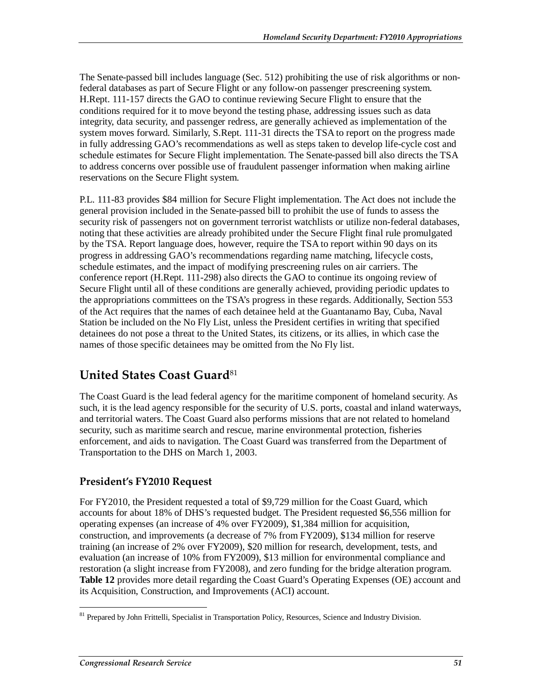The Senate-passed bill includes language (Sec. 512) prohibiting the use of risk algorithms or nonfederal databases as part of Secure Flight or any follow-on passenger prescreening system. H.Rept. 111-157 directs the GAO to continue reviewing Secure Flight to ensure that the conditions required for it to move beyond the testing phase, addressing issues such as data integrity, data security, and passenger redress, are generally achieved as implementation of the system moves forward. Similarly, S.Rept. 111-31 directs the TSA to report on the progress made in fully addressing GAO's recommendations as well as steps taken to develop life-cycle cost and schedule estimates for Secure Flight implementation. The Senate-passed bill also directs the TSA to address concerns over possible use of fraudulent passenger information when making airline reservations on the Secure Flight system.

P.L. 111-83 provides \$84 million for Secure Flight implementation. The Act does not include the general provision included in the Senate-passed bill to prohibit the use of funds to assess the security risk of passengers not on government terrorist watchlists or utilize non-federal databases, noting that these activities are already prohibited under the Secure Flight final rule promulgated by the TSA. Report language does, however, require the TSA to report within 90 days on its progress in addressing GAO's recommendations regarding name matching, lifecycle costs, schedule estimates, and the impact of modifying prescreening rules on air carriers. The conference report (H.Rept. 111-298) also directs the GAO to continue its ongoing review of Secure Flight until all of these conditions are generally achieved, providing periodic updates to the appropriations committees on the TSA's progress in these regards. Additionally, Section 553 of the Act requires that the names of each detainee held at the Guantanamo Bay, Cuba, Naval Station be included on the No Fly List, unless the President certifies in writing that specified detainees do not pose a threat to the United States, its citizens, or its allies, in which case the names of those specific detainees may be omitted from the No Fly list.

# **United States Coast Guard**<sup>81</sup>

The Coast Guard is the lead federal agency for the maritime component of homeland security. As such, it is the lead agency responsible for the security of U.S. ports, coastal and inland waterways, and territorial waters. The Coast Guard also performs missions that are not related to homeland security, such as maritime search and rescue, marine environmental protection, fisheries enforcement, and aids to navigation. The Coast Guard was transferred from the Department of Transportation to the DHS on March 1, 2003.

# **President's FY2010 Request**

For FY2010, the President requested a total of \$9,729 million for the Coast Guard, which accounts for about 18% of DHS's requested budget. The President requested \$6,556 million for operating expenses (an increase of 4% over FY2009), \$1,384 million for acquisition, construction, and improvements (a decrease of 7% from FY2009), \$134 million for reserve training (an increase of 2% over FY2009), \$20 million for research, development, tests, and evaluation (an increase of 10% from FY2009), \$13 million for environmental compliance and restoration (a slight increase from FY2008), and zero funding for the bridge alteration program. **Table 12** provides more detail regarding the Coast Guard's Operating Expenses (OE) account and its Acquisition, Construction, and Improvements (ACI) account.

<sup>-</sup><sup>81</sup> Prepared by John Frittelli, Specialist in Transportation Policy, Resources, Science and Industry Division.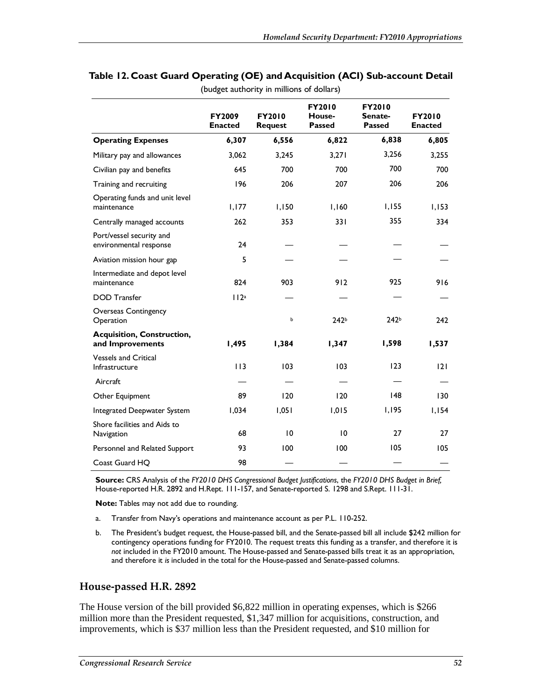|                                                       | FY2010<br><b>FY2010</b><br>FY2009<br><b>FY2010</b><br>House-<br>Senate-<br><b>Passed</b><br><b>Passed</b><br><b>Enacted</b><br><b>Request</b> |       |                  | <b>FY2010</b><br><b>Enacted</b> |       |
|-------------------------------------------------------|-----------------------------------------------------------------------------------------------------------------------------------------------|-------|------------------|---------------------------------|-------|
| <b>Operating Expenses</b>                             | 6,307                                                                                                                                         | 6,556 | 6,822            | 6,838                           | 6,805 |
| Military pay and allowances                           | 3,062                                                                                                                                         | 3,245 | 3,271            | 3,256                           | 3,255 |
| Civilian pay and benefits                             | 645                                                                                                                                           | 700   | 700              | 700                             | 700   |
| Training and recruiting                               | 196                                                                                                                                           | 206   | 207              | 206                             | 206   |
| Operating funds and unit level<br>maintenance         | 1,177                                                                                                                                         | 1,150 | 1,160            | 1,155                           | 1,153 |
| Centrally managed accounts                            | 262                                                                                                                                           | 353   | 331              | 355                             | 334   |
| Port/vessel security and<br>environmental response    | 24                                                                                                                                            |       |                  |                                 |       |
| Aviation mission hour gap                             | 5                                                                                                                                             |       |                  |                                 |       |
| Intermediate and depot level<br>maintenance           | 824                                                                                                                                           | 903   | 912              | 925                             | 916   |
| <b>DOD</b> Transfer                                   | 112a                                                                                                                                          |       |                  |                                 |       |
| <b>Overseas Contingency</b><br>Operation              |                                                                                                                                               | Ь     | 242 <sub>b</sub> | 242b                            | 242   |
| <b>Acquisition, Construction,</b><br>and Improvements | 1,495                                                                                                                                         | 1,384 | 1,347            | 1,598                           | 1,537 |
| <b>Vessels and Critical</b><br>Infrastructure         | 113                                                                                                                                           | 103   | 103              | 123                             | 2     |
| Aircraft                                              |                                                                                                                                               |       |                  |                                 |       |
| Other Equipment                                       | 89                                                                                                                                            | 120   | 120              | 148                             | 130   |
| Integrated Deepwater System                           | 1,034                                                                                                                                         | 1,051 | 1,015            | 1,195                           | 1,154 |
| Shore facilities and Aids to<br>Navigation            | 68                                                                                                                                            | 10    | 10               | 27                              | 27    |
| Personnel and Related Support                         | 93                                                                                                                                            | 100   | 100              | 105                             | 105   |
| Coast Guard HO                                        | 98                                                                                                                                            |       |                  |                                 |       |

#### **Table 12. Coast Guard Operating (OE) and Acquisition (ACI) Sub-account Detail**  (budget authority in millions of dollars)

**Source:** CRS Analysis of the *FY2010 DHS Congressional Budget Justifications*, the *FY2010 DHS Budget in Brief,* House-reported H.R. 2892 and H.Rept. 111-157, and Senate-reported S. 1298 and S.Rept. 111-31.

**Note:** Tables may not add due to rounding.

- a. Transfer from Navy's operations and maintenance account as per P.L. 110-252.
- b. The President's budget request, the House-passed bill, and the Senate-passed bill all include \$242 million for contingency operations funding for FY2010. The request treats this funding as a transfer, and therefore it is *not* included in the FY2010 amount. The House-passed and Senate-passed bills treat it as an appropriation, and therefore it *is* included in the total for the House-passed and Senate-passed columns.

#### **House-passed H.R. 2892**

The House version of the bill provided \$6,822 million in operating expenses, which is \$266 million more than the President requested, \$1,347 million for acquisitions, construction, and improvements, which is \$37 million less than the President requested, and \$10 million for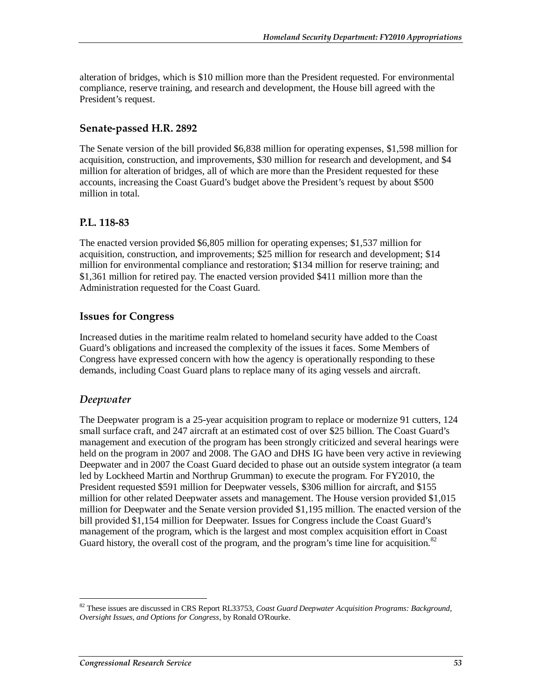alteration of bridges, which is \$10 million more than the President requested. For environmental compliance, reserve training, and research and development, the House bill agreed with the President's request.

# **Senate-passed H.R. 2892**

The Senate version of the bill provided \$6,838 million for operating expenses, \$1,598 million for acquisition, construction, and improvements, \$30 million for research and development, and \$4 million for alteration of bridges, all of which are more than the President requested for these accounts, increasing the Coast Guard's budget above the President's request by about \$500 million in total.

#### **P.L. 118-83**

The enacted version provided \$6,805 million for operating expenses; \$1,537 million for acquisition, construction, and improvements; \$25 million for research and development; \$14 million for environmental compliance and restoration; \$134 million for reserve training; and \$1,361 million for retired pay. The enacted version provided \$411 million more than the Administration requested for the Coast Guard.

### **Issues for Congress**

Increased duties in the maritime realm related to homeland security have added to the Coast Guard's obligations and increased the complexity of the issues it faces. Some Members of Congress have expressed concern with how the agency is operationally responding to these demands, including Coast Guard plans to replace many of its aging vessels and aircraft.

# *Deepwater*

-

The Deepwater program is a 25-year acquisition program to replace or modernize 91 cutters, 124 small surface craft, and 247 aircraft at an estimated cost of over \$25 billion. The Coast Guard's management and execution of the program has been strongly criticized and several hearings were held on the program in 2007 and 2008. The GAO and DHS IG have been very active in reviewing Deepwater and in 2007 the Coast Guard decided to phase out an outside system integrator (a team led by Lockheed Martin and Northrup Grumman) to execute the program. For FY2010, the President requested \$591 million for Deepwater vessels, \$306 million for aircraft, and \$155 million for other related Deepwater assets and management. The House version provided \$1,015 million for Deepwater and the Senate version provided \$1,195 million. The enacted version of the bill provided \$1,154 million for Deepwater. Issues for Congress include the Coast Guard's management of the program, which is the largest and most complex acquisition effort in Coast Guard history, the overall cost of the program, and the program's time line for acquisition.<sup>82</sup>

<sup>82</sup> These issues are discussed in CRS Report RL33753, *Coast Guard Deepwater Acquisition Programs: Background, Oversight Issues, and Options for Congress*, by Ronald O'Rourke.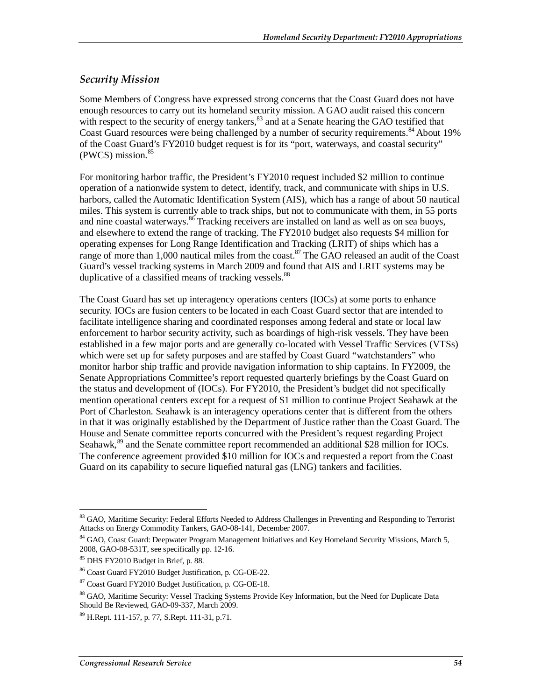# *Security Mission*

Some Members of Congress have expressed strong concerns that the Coast Guard does not have enough resources to carry out its homeland security mission. A GAO audit raised this concern with respect to the security of energy tankers,<sup>83</sup> and at a Senate hearing the GAO testified that Coast Guard resources were being challenged by a number of security requirements.<sup>84</sup> About 19% of the Coast Guard's FY2010 budget request is for its "port, waterways, and coastal security"  $(PWCS)$  mission.  $85$ 

For monitoring harbor traffic, the President's FY2010 request included \$2 million to continue operation of a nationwide system to detect, identify, track, and communicate with ships in U.S. harbors, called the Automatic Identification System (AIS), which has a range of about 50 nautical miles. This system is currently able to track ships, but not to communicate with them, in 55 ports and nine coastal waterways.  $86$  Tracking receivers are installed on land as well as on sea buoys, and elsewhere to extend the range of tracking. The FY2010 budget also requests \$4 million for operating expenses for Long Range Identification and Tracking (LRIT) of ships which has a range of more than  $1,000$  nautical miles from the coast.<sup>87</sup> The GAO released an audit of the Coast Guard's vessel tracking systems in March 2009 and found that AIS and LRIT systems may be duplicative of a classified means of tracking vessels.<sup>88</sup>

The Coast Guard has set up interagency operations centers (IOCs) at some ports to enhance security. IOCs are fusion centers to be located in each Coast Guard sector that are intended to facilitate intelligence sharing and coordinated responses among federal and state or local law enforcement to harbor security activity, such as boardings of high-risk vessels. They have been established in a few major ports and are generally co-located with Vessel Traffic Services (VTSs) which were set up for safety purposes and are staffed by Coast Guard "watchstanders" who monitor harbor ship traffic and provide navigation information to ship captains. In FY2009, the Senate Appropriations Committee's report requested quarterly briefings by the Coast Guard on the status and development of (IOCs). For FY2010, the President's budget did not specifically mention operational centers except for a request of \$1 million to continue Project Seahawk at the Port of Charleston. Seahawk is an interagency operations center that is different from the others in that it was originally established by the Department of Justice rather than the Coast Guard. The House and Senate committee reports concurred with the President's request regarding Project Seahawk,<sup>89</sup> and the Senate committee report recommended an additional \$28 million for IOCs. The conference agreement provided \$10 million for IOCs and requested a report from the Coast Guard on its capability to secure liquefied natural gas (LNG) tankers and facilities.

<sup>&</sup>lt;u>.</u> <sup>83</sup> GAO, Maritime Security: Federal Efforts Needed to Address Challenges in Preventing and Responding to Terrorist Attacks on Energy Commodity Tankers*,* GAO-08-141, December 2007.

<sup>84</sup> GAO, Coast Guard: Deepwater Program Management Initiatives and Key Homeland Security Missions*,* March 5, 2008, GAO-08-531T, see specifically pp. 12-16.

<sup>85</sup> DHS FY2010 Budget in Brief, p. 88.

<sup>86</sup> Coast Guard FY2010 Budget Justification, p. CG-OE-22.

<sup>87</sup> Coast Guard FY2010 Budget Justification, p. CG-OE-18.

<sup>&</sup>lt;sup>88</sup> GAO, Maritime Security: Vessel Tracking Systems Provide Key Information, but the Need for Duplicate Data Should Be Reviewed, GAO-09-337, March 2009.

<sup>89</sup> H.Rept. 111-157, p. 77, S.Rept. 111-31, p.71.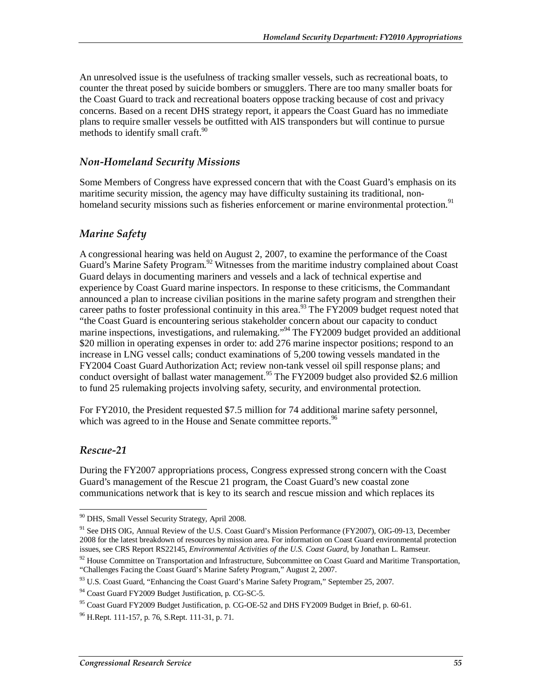An unresolved issue is the usefulness of tracking smaller vessels, such as recreational boats, to counter the threat posed by suicide bombers or smugglers. There are too many smaller boats for the Coast Guard to track and recreational boaters oppose tracking because of cost and privacy concerns. Based on a recent DHS strategy report, it appears the Coast Guard has no immediate plans to require smaller vessels be outfitted with AIS transponders but will continue to pursue methods to identify small craft.  $90^\circ$ 

### *Non-Homeland Security Missions*

Some Members of Congress have expressed concern that with the Coast Guard's emphasis on its maritime security mission, the agency may have difficulty sustaining its traditional, nonhomeland security missions such as fisheries enforcement or marine environmental protection.<sup>91</sup>

# *Marine Safety*

A congressional hearing was held on August 2, 2007, to examine the performance of the Coast Guard's Marine Safety Program.<sup>92</sup> Witnesses from the maritime industry complained about Coast Guard delays in documenting mariners and vessels and a lack of technical expertise and experience by Coast Guard marine inspectors. In response to these criticisms, the Commandant announced a plan to increase civilian positions in the marine safety program and strengthen their career paths to foster professional continuity in this area.<sup>93</sup> The FY2009 budget request noted that "the Coast Guard is encountering serious stakeholder concern about our capacity to conduct marine inspections, investigations, and rulemaking."<sup>94</sup> The FY2009 budget provided an additional \$20 million in operating expenses in order to: add 276 marine inspector positions; respond to an increase in LNG vessel calls; conduct examinations of 5,200 towing vessels mandated in the FY2004 Coast Guard Authorization Act; review non-tank vessel oil spill response plans; and conduct oversight of ballast water management.<sup>95</sup> The FY2009 budget also provided \$2.6 million to fund 25 rulemaking projects involving safety, security, and environmental protection.

For FY2010, the President requested \$7.5 million for 74 additional marine safety personnel, which was agreed to in the House and Senate committee reports.<sup>96</sup>

# *Rescue-21*

<u>.</u>

During the FY2007 appropriations process, Congress expressed strong concern with the Coast Guard's management of the Rescue 21 program, the Coast Guard's new coastal zone communications network that is key to its search and rescue mission and which replaces its

<sup>90</sup> DHS, Small Vessel Security Strategy*,* April 2008.

<sup>&</sup>lt;sup>91</sup> See DHS OIG, Annual Review of the U.S. Coast Guard's Mission Performance (FY2007), OIG-09-13, December 2008 for the latest breakdown of resources by mission area. For information on Coast Guard environmental protection issues, see CRS Report RS22145, *Environmental Activities of the U.S. Coast Guard*, by Jonathan L. Ramseur.

 $92$  House Committee on Transportation and Infrastructure, Subcommittee on Coast Guard and Maritime Transportation, "Challenges Facing the Coast Guard's Marine Safety Program," August 2, 2007.

<sup>93</sup> U.S. Coast Guard, "Enhancing the Coast Guard's Marine Safety Program," September 25, 2007.

<sup>&</sup>lt;sup>94</sup> Coast Guard FY2009 Budget Justification, p. CG-SC-5.

<sup>95</sup> Coast Guard FY2009 Budget Justification, p. CG-OE-52 and DHS FY2009 Budget in Brief*,* p. 60-61.

 $96$  H.Rept. 111-157, p. 76, S.Rept. 111-31, p. 71.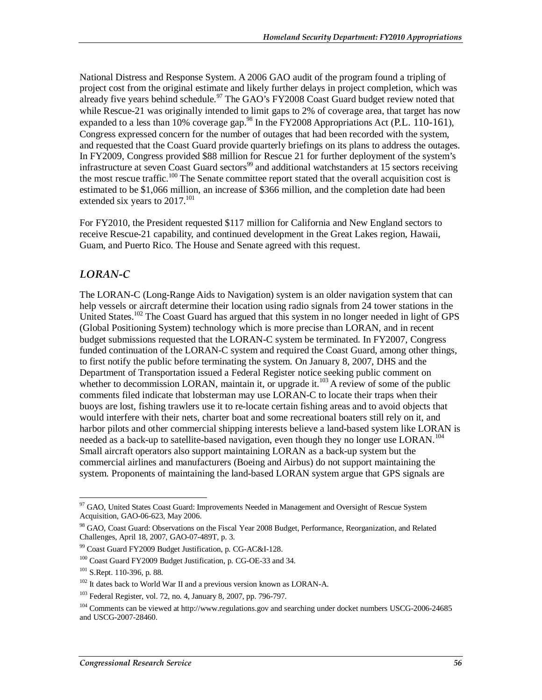National Distress and Response System. A 2006 GAO audit of the program found a tripling of project cost from the original estimate and likely further delays in project completion, which was already five years behind schedule.<sup>97</sup> The GAO's FY2008 Coast Guard budget review noted that while Rescue-21 was originally intended to limit gaps to 2% of coverage area, that target has now expanded to a less than 10% coverage gap.<sup>98</sup> In the FY2008 Appropriations Act (P.L. 110-161), Congress expressed concern for the number of outages that had been recorded with the system, and requested that the Coast Guard provide quarterly briefings on its plans to address the outages. In FY2009, Congress provided \$88 million for Rescue 21 for further deployment of the system's infrastructure at seven Coast Guard sectors<sup>99</sup> and additional watchstanders at 15 sectors receiving the most rescue traffic.<sup>100</sup> The Senate committee report stated that the overall acquisition cost is estimated to be \$1,066 million, an increase of \$366 million, and the completion date had been extended six years to  $2017$ .<sup>101</sup>

For FY2010, the President requested \$117 million for California and New England sectors to receive Rescue-21 capability, and continued development in the Great Lakes region, Hawaii, Guam, and Puerto Rico. The House and Senate agreed with this request.

# *LORAN-C*

The LORAN-C (Long-Range Aids to Navigation) system is an older navigation system that can help vessels or aircraft determine their location using radio signals from 24 tower stations in the United States.<sup>102</sup> The Coast Guard has argued that this system in no longer needed in light of GPS (Global Positioning System) technology which is more precise than LORAN, and in recent budget submissions requested that the LORAN-C system be terminated. In FY2007, Congress funded continuation of the LORAN-C system and required the Coast Guard, among other things, to first notify the public before terminating the system. On January 8, 2007, DHS and the Department of Transportation issued a Federal Register notice seeking public comment on whether to decommission LORAN, maintain it, or upgrade it.<sup>103</sup> A review of some of the public comments filed indicate that lobsterman may use LORAN-C to locate their traps when their buoys are lost, fishing trawlers use it to re-locate certain fishing areas and to avoid objects that would interfere with their nets, charter boat and some recreational boaters still rely on it, and harbor pilots and other commercial shipping interests believe a land-based system like LORAN is needed as a back-up to satellite-based navigation, even though they no longer use LORAN.<sup>104</sup> Small aircraft operators also support maintaining LORAN as a back-up system but the commercial airlines and manufacturers (Boeing and Airbus) do not support maintaining the system. Proponents of maintaining the land-based LORAN system argue that GPS signals are

<sup>-</sup><sup>97</sup> GAO, United States Coast Guard: Improvements Needed in Management and Oversight of Rescue System Acquisition, GAO-06-623, May 2006.

<sup>&</sup>lt;sup>98</sup> GAO, Coast Guard: Observations on the Fiscal Year 2008 Budget, Performance, Reorganization, and Related Challenges*,* April 18, 2007, GAO-07-489T, p. 3.

<sup>99</sup> Coast Guard FY2009 Budget Justification, p. CG-AC&I-128.

<sup>100</sup> Coast Guard FY2009 Budget Justification, p. CG-OE-33 and 34.

 $101$  S.Rept. 110-396, p. 88.

<sup>&</sup>lt;sup>102</sup> It dates back to World War II and a previous version known as LORAN-A.

<sup>103</sup> Federal Register, vol. 72, no. 4, January 8, 2007, pp. 796-797.

<sup>&</sup>lt;sup>104</sup> Comments can be viewed at http://www.regulations.gov and searching under docket numbers USCG-2006-24685 and USCG-2007-28460.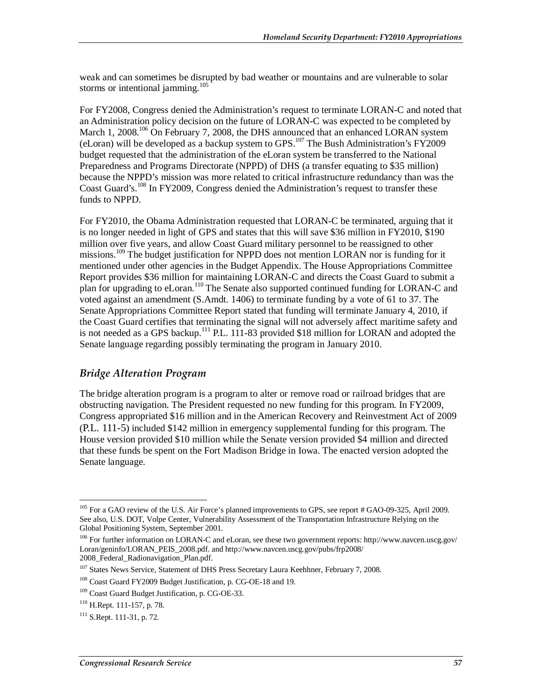weak and can sometimes be disrupted by bad weather or mountains and are vulnerable to solar storms or intentional jamming.<sup>105</sup>

For FY2008, Congress denied the Administration's request to terminate LORAN-C and noted that an Administration policy decision on the future of LORAN-C was expected to be completed by March 1, 2008.<sup>106</sup> On February 7, 2008, the DHS announced that an enhanced LORAN system (eLoran) will be developed as a backup system to GPS.<sup>107</sup> The Bush Administration's FY2009 budget requested that the administration of the eLoran system be transferred to the National Preparedness and Programs Directorate (NPPD) of DHS (a transfer equating to \$35 million) because the NPPD's mission was more related to critical infrastructure redundancy than was the Coast Guard's.<sup>108</sup> In FY2009, Congress denied the Administration's request to transfer these funds to NPPD.

For FY2010, the Obama Administration requested that LORAN-C be terminated, arguing that it is no longer needed in light of GPS and states that this will save \$36 million in FY2010, \$190 million over five years, and allow Coast Guard military personnel to be reassigned to other missions.<sup>109</sup> The budget justification for NPPD does not mention LORAN nor is funding for it mentioned under other agencies in the Budget Appendix. The House Appropriations Committee Report provides \$36 million for maintaining LORAN-C and directs the Coast Guard to submit a plan for upgrading to eLoran.<sup>110</sup> The Senate also supported continued funding for LORAN-C and voted against an amendment (S.Amdt. 1406) to terminate funding by a vote of 61 to 37. The Senate Appropriations Committee Report stated that funding will terminate January 4, 2010, if the Coast Guard certifies that terminating the signal will not adversely affect maritime safety and is not needed as a GPS backup.<sup>111</sup> P.L. 111-83 provided \$18 million for LORAN and adopted the Senate language regarding possibly terminating the program in January 2010.

# *Bridge Alteration Program*

The bridge alteration program is a program to alter or remove road or railroad bridges that are obstructing navigation. The President requested no new funding for this program. In FY2009, Congress appropriated \$16 million and in the American Recovery and Reinvestment Act of 2009 (P.L. 111-5) included \$142 million in emergency supplemental funding for this program. The House version provided \$10 million while the Senate version provided \$4 million and directed that these funds be spent on the Fort Madison Bridge in Iowa. The enacted version adopted the Senate language.

<sup>-</sup><sup>105</sup> For a GAO review of the U.S. Air Force's planned improvements to GPS, see report # GAO-09-325, April 2009. See also, U.S. DOT, Volpe Center, Vulnerability Assessment of the Transportation Infrastructure Relying on the Global Positioning System, September 2001.

<sup>106</sup> For further information on LORAN-C and eLoran, see these two government reports: http://www.navcen.uscg.gov/ Loran/geninfo/LORAN\_PEIS\_2008.pdf. and http://www.navcen.uscg.gov/pubs/frp2008/ 2008\_Federal\_Radionavigation\_Plan.pdf.

<sup>&</sup>lt;sup>107</sup> States News Service, Statement of DHS Press Secretary Laura Keehhner, February 7, 2008.

<sup>108</sup> Coast Guard FY2009 Budget Justification, p. CG-OE-18 and 19.

<sup>109</sup> Coast Guard Budget Justification, p. CG-OE-33.

<sup>110</sup> H.Rept. 111-157, p. 78.

 $111$  S.Rept. 111-31, p. 72.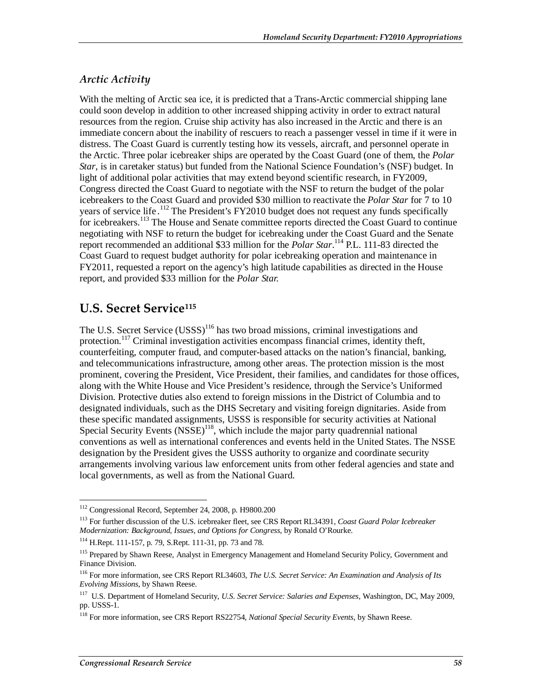# *Arctic Activity*

With the melting of Arctic sea ice, it is predicted that a Trans-Arctic commercial shipping lane could soon develop in addition to other increased shipping activity in order to extract natural resources from the region. Cruise ship activity has also increased in the Arctic and there is an immediate concern about the inability of rescuers to reach a passenger vessel in time if it were in distress. The Coast Guard is currently testing how its vessels, aircraft, and personnel operate in the Arctic. Three polar icebreaker ships are operated by the Coast Guard (one of them, the *Polar Star*, is in caretaker status) but funded from the National Science Foundation's (NSF) budget. In light of additional polar activities that may extend beyond scientific research, in FY2009, Congress directed the Coast Guard to negotiate with the NSF to return the budget of the polar icebreakers to the Coast Guard and provided \$30 million to reactivate the *Polar Star* for 7 to 10 years of service life.<sup>112</sup> The President's FY2010 budget does not request any funds specifically for icebreakers.<sup>113</sup> The House and Senate committee reports directed the Coast Guard to continue negotiating with NSF to return the budget for icebreaking under the Coast Guard and the Senate report recommended an additional \$33 million for the *Polar Star*. 114 P.L. 111-83 directed the Coast Guard to request budget authority for polar icebreaking operation and maintenance in FY2011, requested a report on the agency's high latitude capabilities as directed in the House report, and provided \$33 million for the *Polar Star.*

# **U.S. Secret Service115**

The U.S. Secret Service (USSS)<sup>116</sup> has two broad missions, criminal investigations and protection.<sup>117</sup> Criminal investigation activities encompass financial crimes, identity theft, counterfeiting, computer fraud, and computer-based attacks on the nation's financial, banking, and telecommunications infrastructure, among other areas. The protection mission is the most prominent, covering the President, Vice President, their families, and candidates for those offices, along with the White House and Vice President's residence, through the Service's Uniformed Division. Protective duties also extend to foreign missions in the District of Columbia and to designated individuals, such as the DHS Secretary and visiting foreign dignitaries. Aside from these specific mandated assignments, USSS is responsible for security activities at National Special Security Events  $(NSSE)^{118}$ , which include the major party quadrennial national conventions as well as international conferences and events held in the United States. The NSSE designation by the President gives the USSS authority to organize and coordinate security arrangements involving various law enforcement units from other federal agencies and state and local governments, as well as from the National Guard.

<sup>-</sup>112 Congressional Record, September 24, 2008, p. H9800.200

<sup>113</sup> For further discussion of the U.S. icebreaker fleet, see CRS Report RL34391, *Coast Guard Polar Icebreaker Modernization: Background, Issues, and Options for Congress*, by Ronald O'Rourke.

<sup>114</sup> H.Rept. 111-157, p. 79, S.Rept. 111-31, pp. 73 and 78.

<sup>&</sup>lt;sup>115</sup> Prepared by Shawn Reese, Analyst in Emergency Management and Homeland Security Policy, Government and Finance Division.

<sup>116</sup> For more information, see CRS Report RL34603, *The U.S. Secret Service: An Examination and Analysis of Its Evolving Missions*, by Shawn Reese.

<sup>117</sup> U.S. Department of Homeland Security, *U.S. Secret Service: Salaries and Expenses*, Washington, DC, May 2009, pp. USSS-1.

<sup>118</sup> For more information, see CRS Report RS22754, *National Special Security Events*, by Shawn Reese.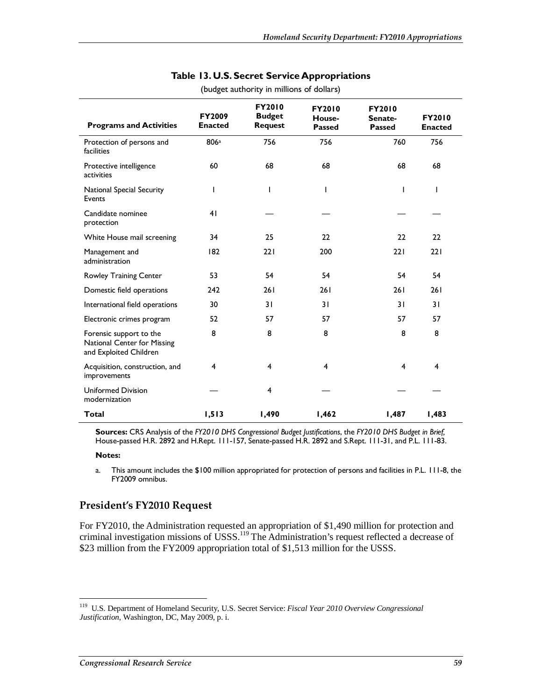| <b>Programs and Activities</b>                                                   | <b>FY2009</b><br><b>Enacted</b> | FY2010<br><b>Budget</b><br><b>Request</b> | <b>FY2010</b><br>House-<br><b>Passed</b> | <b>FY2010</b><br>Senate-<br><b>Passed</b> | <b>FY2010</b><br><b>Enacted</b> |
|----------------------------------------------------------------------------------|---------------------------------|-------------------------------------------|------------------------------------------|-------------------------------------------|---------------------------------|
| Protection of persons and<br>facilities                                          | 806a                            | 756                                       | 756                                      | 760                                       | 756                             |
| Protective intelligence<br>activities                                            | 60                              | 68                                        | 68                                       | 68                                        | 68                              |
| National Special Security<br>Events                                              | I                               | ı                                         | $\mathbf{I}$                             | $\mathbf{I}$                              | $\mathbf{I}$                    |
| Candidate nominee<br>protection                                                  | 41                              |                                           |                                          |                                           |                                 |
| White House mail screening                                                       | 34                              | 25                                        | 22                                       | 22                                        | 22                              |
| Management and<br>administration                                                 | 182                             | 221                                       | 200                                      | 221                                       | 221                             |
| Rowley Training Center                                                           | 53                              | 54                                        | 54                                       | 54                                        | 54                              |
| Domestic field operations                                                        | 242                             | 261                                       | 261                                      | 261                                       | 261                             |
| International field operations                                                   | 30                              | 31                                        | 31                                       | 31                                        | 31                              |
| Electronic crimes program                                                        | 52                              | 57                                        | 57                                       | 57                                        | 57                              |
| Forensic support to the<br>National Center for Missing<br>and Exploited Children | 8                               | 8                                         | 8                                        | 8                                         | 8                               |
| Acquisition, construction, and<br>improvements                                   | 4                               | $\overline{\mathbf{4}}$                   | $\overline{4}$                           | 4                                         | 4                               |
| <b>Uniformed Division</b><br>modernization                                       |                                 | 4                                         |                                          |                                           |                                 |
| <b>Total</b>                                                                     | 1,513                           | 1,490                                     | 1,462                                    | 1,487                                     | 1,483                           |

#### **Table 13. U.S. Secret Service Appropriations**  (budget authority in millions of dollars)

**Sources:** CRS Analysis of the *FY2010 DHS Congressional Budget Justifications*, the *FY2010 DHS Budget in Brief,* House-passed H.R. 2892 and H.Rept. 111-157, Senate-passed H.R. 2892 and S.Rept. 111-31, and P.L. 111-83.

#### **Notes:**

-

a. This amount includes the \$100 million appropriated for protection of persons and facilities in P.L. 111-8, the FY2009 omnibus.

# **President's FY2010 Request**

For FY2010, the Administration requested an appropriation of \$1,490 million for protection and criminal investigation missions of USSS.<sup>119</sup> The Administration's request reflected a decrease of \$23 million from the FY2009 appropriation total of \$1,513 million for the USSS.

<sup>119</sup> U.S. Department of Homeland Security, U.S. Secret Service: *Fiscal Year 2010 Overview Congressional Justification*, Washington, DC, May 2009, p. i.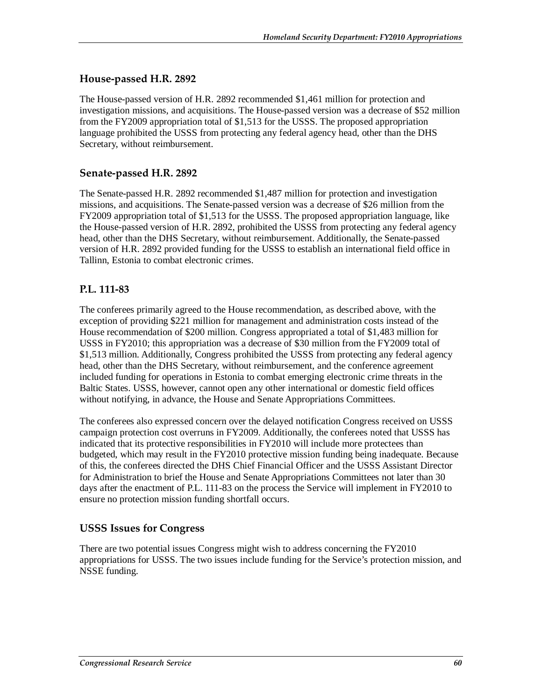# **House-passed H.R. 2892**

The House-passed version of H.R. 2892 recommended \$1,461 million for protection and investigation missions, and acquisitions. The House-passed version was a decrease of \$52 million from the FY2009 appropriation total of \$1,513 for the USSS. The proposed appropriation language prohibited the USSS from protecting any federal agency head, other than the DHS Secretary, without reimbursement.

### **Senate-passed H.R. 2892**

The Senate-passed H.R. 2892 recommended \$1,487 million for protection and investigation missions, and acquisitions. The Senate-passed version was a decrease of \$26 million from the FY2009 appropriation total of \$1,513 for the USSS. The proposed appropriation language, like the House-passed version of H.R. 2892, prohibited the USSS from protecting any federal agency head, other than the DHS Secretary, without reimbursement. Additionally, the Senate-passed version of H.R. 2892 provided funding for the USSS to establish an international field office in Tallinn, Estonia to combat electronic crimes.

# **P.L. 111-83**

The conferees primarily agreed to the House recommendation, as described above, with the exception of providing \$221 million for management and administration costs instead of the House recommendation of \$200 million. Congress appropriated a total of \$1,483 million for USSS in FY2010; this appropriation was a decrease of \$30 million from the FY2009 total of \$1,513 million. Additionally, Congress prohibited the USSS from protecting any federal agency head, other than the DHS Secretary, without reimbursement, and the conference agreement included funding for operations in Estonia to combat emerging electronic crime threats in the Baltic States. USSS, however, cannot open any other international or domestic field offices without notifying, in advance, the House and Senate Appropriations Committees.

The conferees also expressed concern over the delayed notification Congress received on USSS campaign protection cost overruns in FY2009. Additionally, the conferees noted that USSS has indicated that its protective responsibilities in FY2010 will include more protectees than budgeted, which may result in the FY2010 protective mission funding being inadequate. Because of this, the conferees directed the DHS Chief Financial Officer and the USSS Assistant Director for Administration to brief the House and Senate Appropriations Committees not later than 30 days after the enactment of P.L. 111-83 on the process the Service will implement in FY2010 to ensure no protection mission funding shortfall occurs.

#### **USSS Issues for Congress**

There are two potential issues Congress might wish to address concerning the FY2010 appropriations for USSS. The two issues include funding for the Service's protection mission, and NSSE funding.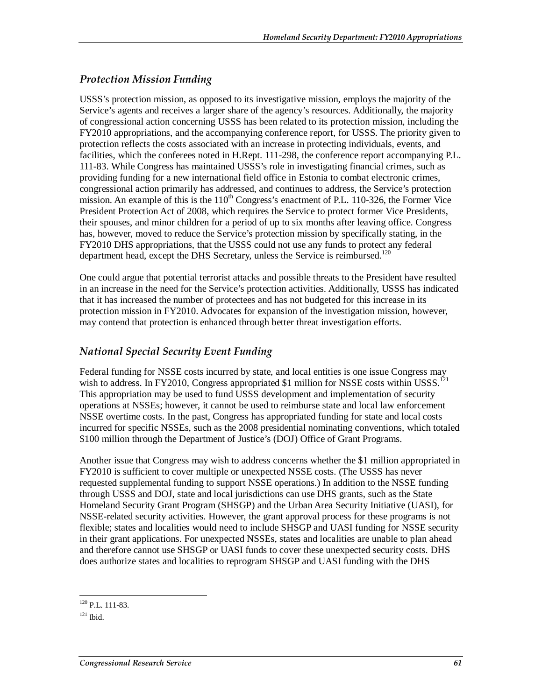# *Protection Mission Funding*

USSS's protection mission, as opposed to its investigative mission, employs the majority of the Service's agents and receives a larger share of the agency's resources. Additionally, the majority of congressional action concerning USSS has been related to its protection mission, including the FY2010 appropriations, and the accompanying conference report, for USSS. The priority given to protection reflects the costs associated with an increase in protecting individuals, events, and facilities, which the conferees noted in H.Rept. 111-298, the conference report accompanying P.L. 111-83. While Congress has maintained USSS's role in investigating financial crimes, such as providing funding for a new international field office in Estonia to combat electronic crimes, congressional action primarily has addressed, and continues to address, the Service's protection mission. An example of this is the  $110<sup>th</sup>$  Congress's enactment of P.L. 110-326, the Former Vice President Protection Act of 2008, which requires the Service to protect former Vice Presidents, their spouses, and minor children for a period of up to six months after leaving office. Congress has, however, moved to reduce the Service's protection mission by specifically stating, in the FY2010 DHS appropriations, that the USSS could not use any funds to protect any federal department head, except the DHS Secretary, unless the Service is reimbursed.<sup>120</sup>

One could argue that potential terrorist attacks and possible threats to the President have resulted in an increase in the need for the Service's protection activities. Additionally, USSS has indicated that it has increased the number of protectees and has not budgeted for this increase in its protection mission in FY2010. Advocates for expansion of the investigation mission, however, may contend that protection is enhanced through better threat investigation efforts.

# *National Special Security Event Funding*

Federal funding for NSSE costs incurred by state, and local entities is one issue Congress may wish to address. In FY2010, Congress appropriated \$1 million for NSSE costs within USSS.<sup>121</sup> This appropriation may be used to fund USSS development and implementation of security operations at NSSEs; however, it cannot be used to reimburse state and local law enforcement NSSE overtime costs. In the past, Congress has appropriated funding for state and local costs incurred for specific NSSEs, such as the 2008 presidential nominating conventions, which totaled \$100 million through the Department of Justice's (DOJ) Office of Grant Programs.

Another issue that Congress may wish to address concerns whether the \$1 million appropriated in FY2010 is sufficient to cover multiple or unexpected NSSE costs. (The USSS has never requested supplemental funding to support NSSE operations.) In addition to the NSSE funding through USSS and DOJ, state and local jurisdictions can use DHS grants, such as the State Homeland Security Grant Program (SHSGP) and the Urban Area Security Initiative (UASI), for NSSE-related security activities. However, the grant approval process for these programs is not flexible; states and localities would need to include SHSGP and UASI funding for NSSE security in their grant applications. For unexpected NSSEs, states and localities are unable to plan ahead and therefore cannot use SHSGP or UASI funds to cover these unexpected security costs. DHS does authorize states and localities to reprogram SHSGP and UASI funding with the DHS

 $\frac{1}{1}$  $120$  P.L. 111-83.

 $121$  Ibid.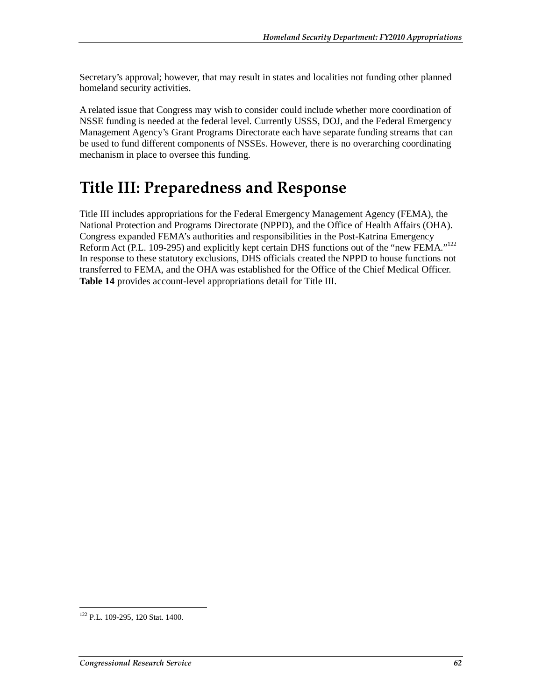Secretary's approval; however, that may result in states and localities not funding other planned homeland security activities.

A related issue that Congress may wish to consider could include whether more coordination of NSSE funding is needed at the federal level. Currently USSS, DOJ, and the Federal Emergency Management Agency's Grant Programs Directorate each have separate funding streams that can be used to fund different components of NSSEs. However, there is no overarching coordinating mechanism in place to oversee this funding.

# **Title III: Preparedness and Response**

Title III includes appropriations for the Federal Emergency Management Agency (FEMA), the National Protection and Programs Directorate (NPPD), and the Office of Health Affairs (OHA). Congress expanded FEMA's authorities and responsibilities in the Post-Katrina Emergency Reform Act (P.L. 109-295) and explicitly kept certain DHS functions out of the "new FEMA."<sup>122</sup> In response to these statutory exclusions, DHS officials created the NPPD to house functions not transferred to FEMA, and the OHA was established for the Office of the Chief Medical Officer. **Table 14** provides account-level appropriations detail for Title III.

<sup>-</sup><sup>122</sup> P.L. 109-295, 120 Stat. 1400.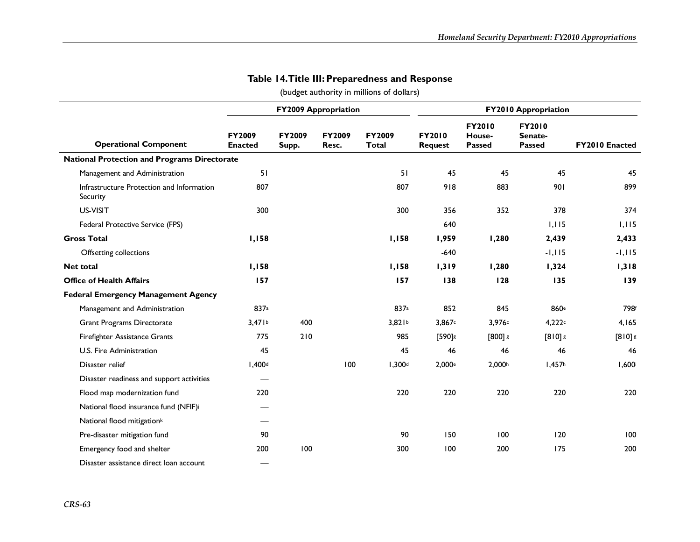|                                                       |                                 |                 | <b>FY2009 Appropriation</b> |                        |                          | <b>FY2010 Appropriation</b>              |                                           |                |
|-------------------------------------------------------|---------------------------------|-----------------|-----------------------------|------------------------|--------------------------|------------------------------------------|-------------------------------------------|----------------|
| <b>Operational Component</b>                          | <b>FY2009</b><br><b>Enacted</b> | FY2009<br>Supp. | FY2009<br>Resc.             | FY2009<br><b>Total</b> | FY2010<br><b>Request</b> | <b>FY2010</b><br>House-<br><b>Passed</b> | <b>FY2010</b><br>Senate-<br><b>Passed</b> | FY2010 Enacted |
| <b>National Protection and Programs Directorate</b>   |                                 |                 |                             |                        |                          |                                          |                                           |                |
| Management and Administration                         | 51                              |                 |                             | 51                     | 45                       | 45                                       | 45                                        | 45             |
| Infrastructure Protection and Information<br>Security | 807                             |                 |                             | 807                    | 918                      | 883                                      | 901                                       | 899            |
| US-VISIT                                              | 300                             |                 |                             | 300                    | 356                      | 352                                      | 378                                       | 374            |
| Federal Protective Service (FPS)                      |                                 |                 |                             |                        | 640                      |                                          | 1,115                                     | 1,115          |
| <b>Gross Total</b>                                    | 1,158                           |                 |                             | 1,158                  | 1,959                    | 1,280                                    | 2,439                                     | 2,433          |
| Offsetting collections                                |                                 |                 |                             |                        | $-640$                   |                                          | $-1,115$                                  | $-1, 115$      |
| <b>Net total</b>                                      | 1,158                           |                 |                             | 1,158                  | 1,319                    | 1,280                                    | 1,324                                     | 1,318          |
| <b>Office of Health Affairs</b>                       | 157                             |                 |                             | 157                    | 138                      | 128                                      | 135                                       | 139            |
| <b>Federal Emergency Management Agency</b>            |                                 |                 |                             |                        |                          |                                          |                                           |                |
| Management and Administration                         | 837a                            |                 |                             | 837a                   | 852                      | 845                                      | 860 <sup>e</sup>                          | 798f           |
| <b>Grant Programs Directorate</b>                     | 3,471 <sup>b</sup>              | 400             |                             | 3,821 <sup>b</sup>     | 3,867c                   | 3,976c                                   | 4,222c                                    | 4,165          |
| Firefighter Assistance Grants                         | 775                             | 210             |                             | 985                    | $[590]$ s                | $[800]$ $\epsilon$                       | $[810]$ g                                 | $[810]$ $s$    |
| U.S. Fire Administration                              | 45                              |                 |                             | 45                     | 46                       | 46                                       | 46                                        | 46             |
| Disaster relief                                       | 1,400 <sup>d</sup>              |                 | 100                         | 1,300 <sup>d</sup>     | 2,000 <sup>e</sup>       | 2,000h                                   | I,457 <sup>h</sup>                        | $1,600$ i      |
| Disaster readiness and support activities             |                                 |                 |                             |                        |                          |                                          |                                           |                |
| Flood map modernization fund                          | 220                             |                 |                             | 220                    | 220                      | 220                                      | 220                                       | 220            |
| National flood insurance fund (NFIF)i                 |                                 |                 |                             |                        |                          |                                          |                                           |                |
| National flood mitigation <sup>k</sup>                |                                 |                 |                             |                        |                          |                                          |                                           |                |
| Pre-disaster mitigation fund                          | 90                              |                 |                             | 90                     | 150                      | 100                                      | 120                                       | 100            |
| Emergency food and shelter                            | 200                             | 100             |                             | 300                    | 100                      | 200                                      | 175                                       | 200            |
| Disaster assistance direct loan account               |                                 |                 |                             |                        |                          |                                          |                                           |                |

### **Table 14. Title III: Preparedness and Response**

(budget authority in millions of dollars)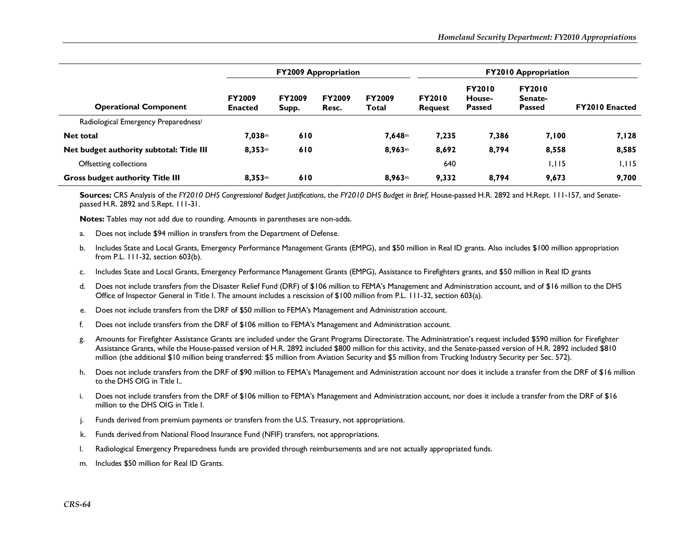|                                                  | <b>FY2009 Appropriation</b>     |                        |                        |                        | <b>FY2010 Appropriation</b>     |                                          |                                           |                       |
|--------------------------------------------------|---------------------------------|------------------------|------------------------|------------------------|---------------------------------|------------------------------------------|-------------------------------------------|-----------------------|
| <b>Operational Component</b>                     | <b>FY2009</b><br><b>Enacted</b> | <b>FY2009</b><br>Supp. | <b>FY2009</b><br>Resc. | <b>FY2009</b><br>Total | <b>FY2010</b><br><b>Request</b> | <b>FY2010</b><br>House-<br><b>Passed</b> | <b>FY2010</b><br>Senate-<br><b>Passed</b> | <b>FY2010 Enacted</b> |
| Radiological Emergency Preparedness <sup>1</sup> |                                 |                        |                        |                        |                                 |                                          |                                           |                       |
| <b>Net total</b>                                 | 7,038m                          | 610                    |                        | 7,648m                 | 7,235                           | 7,386                                    | 7,100                                     | 7,128                 |
| Net budget authority subtotal: Title III         | 8,353m                          | 610                    |                        | 8,963m                 | 8,692                           | 8,794                                    | 8,558                                     | 8,585                 |
| Offsetting collections                           |                                 |                        |                        |                        | 640                             |                                          | 1.115                                     | I, I I 5              |
| <b>Gross budget authority Title III</b>          | 8,353 <sup>m</sup>              | 610                    |                        | 8.963m                 | 9,332                           | 8.794                                    | 9,673                                     | 9,700                 |

**Sources:** CRS Analysis of the *FY2010 DHS Congressional Budget Justifications*, the *FY2010 DHS Budget in Brief,* House-passed H.R. 2892 and H.Rept. 111-157, and Senatepassed H.R. 2892 and S.Rept. 111-31.

**Notes:** Tables may not add due to rounding. Amounts in parentheses are non-adds.

- a.Does not include \$94 million in transfers from the Department of Defense.
- b. Includes State and Local Grants, Emergency Performance Management Grants (EMPG), and \$50 million in Real ID grants. Also includes \$100 million appropriation from P.L. 111-32, section 603(b).
- c. Includes State and Local Grants, Emergency Performance Management Grants (EMPG), Assistance to Firefighters grants, and \$50 million in Real ID grants
- d. Does not include transfers *from* the Disaster Relief Fund (DRF) of \$106 million to FEMA's Management and Administration account, and of \$16 million to the DHS Office of Inspector General in Title I. The amount includes a rescission of \$100 million from P.L. 111-32, section 603(a).
- e. Does not include transfers from the DRF of \$50 million to FEMA's Management and Administration account.
- f.Does not include transfers from the DRF of \$106 million to FEMA's Management and Administration account.
- g. Amounts for Firefighter Assistance Grants are included under the Grant Programs Directorate. The Administration's request included \$590 million for Firefighter Assistance Grants, while the House-passed version of H.R. 2892 included \$800 million for this activity, and the Senate-passed version of H.R. 2892 included \$810 million (the additional \$10 million being transferred: \$5 million from Aviation Security and \$5 million from Trucking Industry Security per Sec. 572).
- h. Does not include transfers from the DRF of \$90 million to FEMA's Management and Administration account nor does it include a transfer from the DRF of \$16 million to the DHS OIG in Title I..
- i.Does not include transfers from the DRF of \$106 million to FEMA's Management and Administration account, nor does it include a transfer from the DRF of \$16 million to the DHS OIG in Title I.
- j. Funds derived from premium payments or transfers from the U.S. Treasury, not appropriations.
- k.Funds derived from National Flood Insurance Fund (NFIF) transfers, not appropriations.
- l.Radiological Emergency Preparedness funds are provided through reimbursements and are not actually appropriated funds.
- m.Includes \$50 million for Real ID Grants.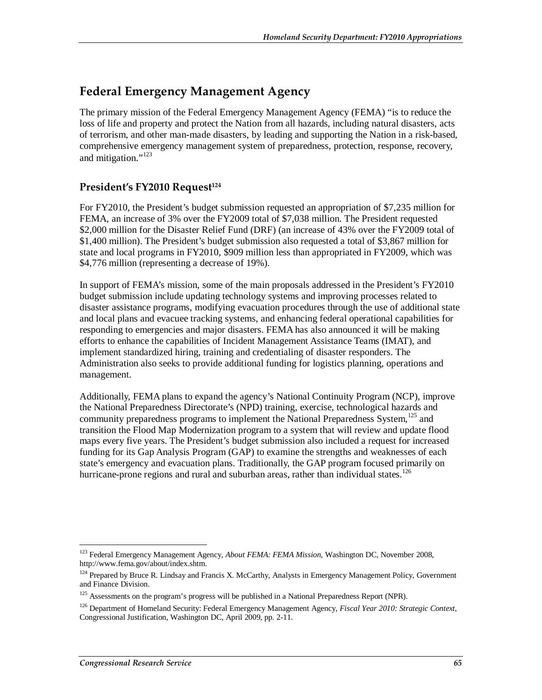# **Federal Emergency Management Agency**

The primary mission of the Federal Emergency Management Agency (FEMA) "is to reduce the loss of life and property and protect the Nation from all hazards, including natural disasters, acts of terrorism, and other man-made disasters, by leading and supporting the Nation in a risk-based, comprehensive emergency management system of preparedness, protection, response, recovery, and mitigation."123

# President's FY2010 Request<sup>124</sup>

For FY2010, the President's budget submission requested an appropriation of \$7,235 million for FEMA, an increase of 3% over the FY2009 total of \$7,038 million. The President requested \$2,000 million for the Disaster Relief Fund (DRF) (an increase of 43% over the FY2009 total of \$1,400 million). The President's budget submission also requested a total of \$3,867 million for state and local programs in FY2010, \$909 million less than appropriated in FY2009, which was \$4,776 million (representing a decrease of 19%).

In support of FEMA's mission, some of the main proposals addressed in the President's FY2010 budget submission include updating technology systems and improving processes related to disaster assistance programs, modifying evacuation procedures through the use of additional state and local plans and evacuee tracking systems, and enhancing federal operational capabilities for responding to emergencies and major disasters. FEMA has also announced it will be making efforts to enhance the capabilities of Incident Management Assistance Teams (IMAT), and implement standardized hiring, training and credentialing of disaster responders. The Administration also seeks to provide additional funding for logistics planning, operations and management.

Additionally, FEMA plans to expand the agency's National Continuity Program (NCP), improve the National Preparedness Directorate's (NPD) training, exercise, technological hazards and community preparedness programs to implement the National Preparedness System,<sup>125</sup> and transition the Flood Map Modernization program to a system that will review and update flood maps every five years. The President's budget submission also included a request for increased funding for its Gap Analysis Program (GAP) to examine the strengths and weaknesses of each state's emergency and evacuation plans. Traditionally, the GAP program focused primarily on hurricane-prone regions and rural and suburban areas, rather than individual states.<sup>126</sup>

<sup>&</sup>lt;u>.</u> 123 Federal Emergency Management Agency, *About FEMA: FEMA Mission*, Washington DC, November 2008, http://www.fema.gov/about/index.shtm.

<sup>&</sup>lt;sup>124</sup> Prepared by Bruce R. Lindsay and Francis X. McCarthy, Analysts in Emergency Management Policy, Government and Finance Division.

<sup>&</sup>lt;sup>125</sup> Assessments on the program's progress will be published in a National Preparedness Report (NPR).

<sup>126</sup> Department of Homeland Security: Federal Emergency Management Agency, *Fiscal Year 2010: Strategic Context*, Congressional Justification, Washington DC, April 2009, pp. 2-11.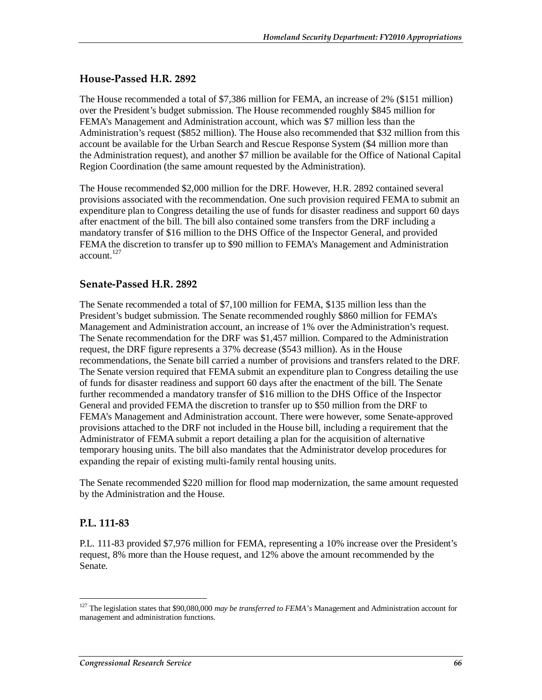# **House-Passed H.R. 2892**

The House recommended a total of \$7,386 million for FEMA, an increase of 2% (\$151 million) over the President's budget submission. The House recommended roughly \$845 million for FEMA's Management and Administration account, which was \$7 million less than the Administration's request (\$852 million). The House also recommended that \$32 million from this account be available for the Urban Search and Rescue Response System (\$4 million more than the Administration request), and another \$7 million be available for the Office of National Capital Region Coordination (the same amount requested by the Administration).

The House recommended \$2,000 million for the DRF. However, H.R. 2892 contained several provisions associated with the recommendation. One such provision required FEMA to submit an expenditure plan to Congress detailing the use of funds for disaster readiness and support 60 days after enactment of the bill. The bill also contained some transfers from the DRF including a mandatory transfer of \$16 million to the DHS Office of the Inspector General, and provided FEMA the discretion to transfer up to \$90 million to FEMA's Management and Administration account.<sup>127</sup>

# **Senate-Passed H.R. 2892**

The Senate recommended a total of \$7,100 million for FEMA, \$135 million less than the President's budget submission. The Senate recommended roughly \$860 million for FEMA's Management and Administration account, an increase of 1% over the Administration's request. The Senate recommendation for the DRF was \$1,457 million. Compared to the Administration request, the DRF figure represents a 37% decrease (\$543 million). As in the House recommendations, the Senate bill carried a number of provisions and transfers related to the DRF. The Senate version required that FEMA submit an expenditure plan to Congress detailing the use of funds for disaster readiness and support 60 days after the enactment of the bill. The Senate further recommended a mandatory transfer of \$16 million to the DHS Office of the Inspector General and provided FEMA the discretion to transfer up to \$50 million from the DRF to FEMA's Management and Administration account. There were however, some Senate-approved provisions attached to the DRF not included in the House bill, including a requirement that the Administrator of FEMA submit a report detailing a plan for the acquisition of alternative temporary housing units. The bill also mandates that the Administrator develop procedures for expanding the repair of existing multi-family rental housing units.

The Senate recommended \$220 million for flood map modernization, the same amount requested by the Administration and the House.

# **P.L. 111-83**

-

P.L. 111-83 provided \$7,976 million for FEMA, representing a 10% increase over the President's request, 8% more than the House request, and 12% above the amount recommended by the Senate.

<sup>&</sup>lt;sup>127</sup> The legislation states that \$90,080,000 *may be transferred to FEMA's* Management and Administration account for management and administration functions.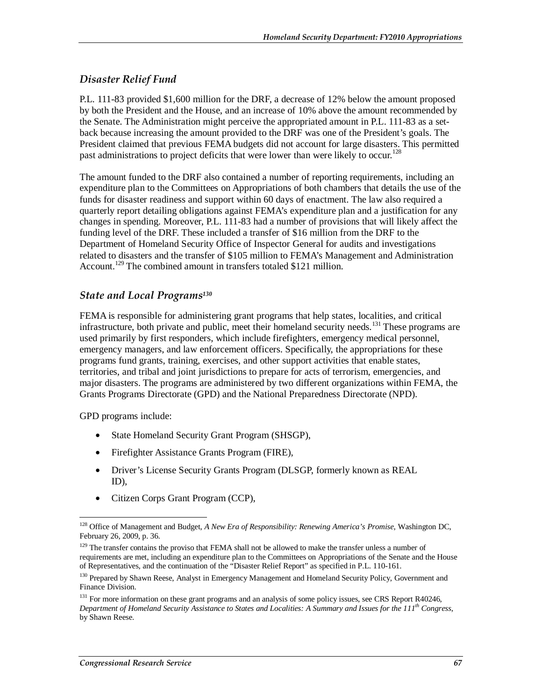### *Disaster Relief Fund*

P.L. 111-83 provided \$1,600 million for the DRF, a decrease of 12% below the amount proposed by both the President and the House, and an increase of 10% above the amount recommended by the Senate. The Administration might perceive the appropriated amount in P.L. 111-83 as a setback because increasing the amount provided to the DRF was one of the President's goals. The President claimed that previous FEMA budgets did not account for large disasters. This permitted past administrations to project deficits that were lower than were likely to occur.<sup>128</sup>

The amount funded to the DRF also contained a number of reporting requirements, including an expenditure plan to the Committees on Appropriations of both chambers that details the use of the funds for disaster readiness and support within 60 days of enactment. The law also required a quarterly report detailing obligations against FEMA's expenditure plan and a justification for any changes in spending. Moreover, P.L. 111-83 had a number of provisions that will likely affect the funding level of the DRF. These included a transfer of \$16 million from the DRF to the Department of Homeland Security Office of Inspector General for audits and investigations related to disasters and the transfer of \$105 million to FEMA's Management and Administration Account.<sup>129</sup> The combined amount in transfers totaled \$121 million.

### *State and Local Programs130*

FEMA is responsible for administering grant programs that help states, localities, and critical infrastructure, both private and public, meet their homeland security needs.<sup>131</sup> These programs are used primarily by first responders, which include firefighters, emergency medical personnel, emergency managers, and law enforcement officers. Specifically, the appropriations for these programs fund grants, training, exercises, and other support activities that enable states, territories, and tribal and joint jurisdictions to prepare for acts of terrorism, emergencies, and major disasters. The programs are administered by two different organizations within FEMA, the Grants Programs Directorate (GPD) and the National Preparedness Directorate (NPD).

GPD programs include:

- State Homeland Security Grant Program (SHSGP),
- Firefighter Assistance Grants Program (FIRE),
- Driver's License Security Grants Program (DLSGP, formerly known as REAL ID),
- Citizen Corps Grant Program (CCP),

<sup>-</sup>128 Office of Management and Budget, *A New Era of Responsibility: Renewing America's Promise*, Washington DC, February 26, 2009, p. 36.

<sup>&</sup>lt;sup>129</sup> The transfer contains the proviso that FEMA shall not be allowed to make the transfer unless a number of requirements are met, including an expenditure plan to the Committees on Appropriations of the Senate and the House of Representatives, and the continuation of the "Disaster Relief Report" as specified in P.L. 110-161.

<sup>&</sup>lt;sup>130</sup> Prepared by Shawn Reese, Analyst in Emergency Management and Homeland Security Policy, Government and Finance Division.

<sup>&</sup>lt;sup>131</sup> For more information on these grant programs and an analysis of some policy issues, see CRS Report R40246, *Department of Homeland Security Assistance to States and Localities: A Summary and Issues for the 111th Congress*, by Shawn Reese.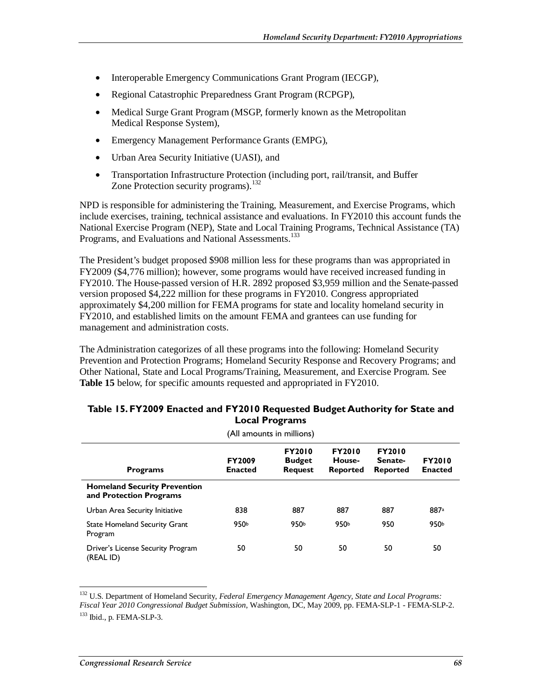- Interoperable Emergency Communications Grant Program (IECGP),
- Regional Catastrophic Preparedness Grant Program (RCPGP),
- Medical Surge Grant Program (MSGP, formerly known as the Metropolitan Medical Response System),
- Emergency Management Performance Grants (EMPG),
- Urban Area Security Initiative (UASI), and
- Transportation Infrastructure Protection (including port, rail/transit, and Buffer Zone Protection security programs).<sup>132</sup>

NPD is responsible for administering the Training, Measurement, and Exercise Programs, which include exercises, training, technical assistance and evaluations. In FY2010 this account funds the National Exercise Program (NEP), State and Local Training Programs, Technical Assistance (TA) Programs, and Evaluations and National Assessments.<sup>133</sup>

The President's budget proposed \$908 million less for these programs than was appropriated in FY2009 (\$4,776 million); however, some programs would have received increased funding in FY2010. The House-passed version of H.R. 2892 proposed \$3,959 million and the Senate-passed version proposed \$4,222 million for these programs in FY2010. Congress appropriated approximately \$4,200 million for FEMA programs for state and locality homeland security in FY2010, and established limits on the amount FEMA and grantees can use funding for management and administration costs.

The Administration categorizes of all these programs into the following: Homeland Security Prevention and Protection Programs; Homeland Security Response and Recovery Programs; and Other National, State and Local Programs/Training, Measurement, and Exercise Program. See **Table 15** below, for specific amounts requested and appropriated in FY2010.

|                                                                | (All amounts in millions)       |                                                  |                                            |                                             |                                 |  |  |  |
|----------------------------------------------------------------|---------------------------------|--------------------------------------------------|--------------------------------------------|---------------------------------------------|---------------------------------|--|--|--|
| <b>Programs</b>                                                | <b>FY2009</b><br><b>Enacted</b> | <b>FY2010</b><br><b>Budget</b><br><b>Request</b> | <b>FY2010</b><br>House-<br><b>Reported</b> | <b>FY2010</b><br>Senate-<br><b>Reported</b> | <b>FY2010</b><br><b>Enacted</b> |  |  |  |
| <b>Homeland Security Prevention</b><br>and Protection Programs |                                 |                                                  |                                            |                                             |                                 |  |  |  |
| Urban Area Security Initiative                                 | 838                             | 887                                              | 887                                        | 887                                         | 887a                            |  |  |  |
| <b>State Homeland Security Grant</b><br>Program                | 950b                            | 950b                                             | 950b                                       | 950                                         | 950b                            |  |  |  |
| Driver's License Security Program<br>(REAL ID)                 | 50                              | 50                                               | 50                                         | 50                                          | 50                              |  |  |  |

#### **Table 15. FY2009 Enacted and FY2010 Requested Budget Authority for State and Local Programs**

<sup>-</sup>132 U.S. Department of Homeland Security, *Federal Emergency Management Agency, State and Local Programs: Fiscal Year 2010 Congressional Budget Submission*, Washington, DC, May 2009, pp. FEMA-SLP-1 - FEMA-SLP-2. 133 Ibid., p. FEMA-SLP-3.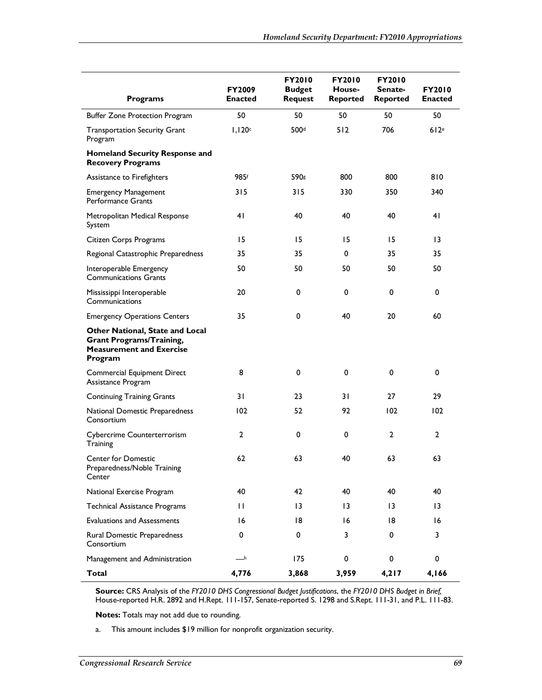| <b>Programs</b>                                                                                                         | <b>FY2009</b><br><b>Enacted</b> | <b>FY2010</b><br><b>Budget</b><br><b>Request</b> | <b>FY2010</b><br>House-<br><b>Reported</b> | <b>FY2010</b><br>Senate-<br><b>Reported</b> | <b>FY2010</b><br><b>Enacted</b> |
|-------------------------------------------------------------------------------------------------------------------------|---------------------------------|--------------------------------------------------|--------------------------------------------|---------------------------------------------|---------------------------------|
| <b>Buffer Zone Protection Program</b>                                                                                   | 50                              | 50                                               | 50                                         | 50                                          | 50                              |
| <b>Transportation Security Grant</b><br>Program                                                                         | 1,120c                          | 500 <sup>d</sup>                                 | 512                                        | 706                                         | 612e                            |
| Homeland Security Response and<br><b>Recovery Programs</b>                                                              |                                 |                                                  |                                            |                                             |                                 |
| Assistance to Firefighters                                                                                              | 985f                            | 590s                                             | 800                                        | 800                                         | 810                             |
| <b>Emergency Management</b><br>Performance Grants                                                                       | 315                             | 315                                              | 330                                        | 350                                         | 340                             |
| Metropolitan Medical Response<br>System                                                                                 | 41                              | 40                                               | 40                                         | 40                                          | 41                              |
| Citizen Corps Programs                                                                                                  | 15                              | 15                                               | 15                                         | 15                                          | $\overline{13}$                 |
| Regional Catastrophic Preparedness                                                                                      | 35                              | 35                                               | 0                                          | 35                                          | 35                              |
| Interoperable Emergency<br><b>Communications Grants</b>                                                                 | 50                              | 50                                               | 50                                         | 50                                          | 50                              |
| Mississippi Interoperable<br>Communications                                                                             | 20                              | 0                                                | 0                                          | 0                                           | 0                               |
| <b>Emergency Operations Centers</b>                                                                                     | 35                              | 0                                                | 40                                         | 20                                          | 60                              |
| <b>Other National, State and Local</b><br><b>Grant Programs/Training,</b><br><b>Measurement and Exercise</b><br>Program |                                 |                                                  |                                            |                                             |                                 |
| Commercial Equipment Direct<br>Assistance Program                                                                       | 8                               | $\mathbf 0$                                      | 0                                          | $\mathbf 0$                                 | 0                               |
| <b>Continuing Training Grants</b>                                                                                       | 31                              | 23                                               | 31                                         | 27                                          | 29                              |
| National Domestic Preparedness<br>Consortium                                                                            | 102                             | 52                                               | 92                                         | 102                                         | 102                             |
| Cybercrime Counterterrorism<br>Training                                                                                 | 2                               | 0                                                | 0                                          | $\overline{2}$                              | 2                               |
| <b>Center for Domestic</b><br>Preparedness/Noble Training<br>Center                                                     | 62                              | 63                                               | 40                                         | 63                                          | 63                              |
| National Exercise Program                                                                                               | 40                              | 42                                               | 40                                         | 40                                          | 40                              |
| <b>Technical Assistance Programs</b>                                                                                    | $\mathbf{H}$                    | 3                                                | 13                                         | 13                                          | $\overline{13}$                 |
| <b>Evaluations and Assessments</b>                                                                                      | 16                              | 18                                               | 16                                         | 18                                          | 16                              |
| Rural Domestic Preparedness<br>Consortium                                                                               | 0                               | 0                                                | 3                                          | 0                                           | 3                               |
| Management and Administration                                                                                           | $-$ h                           | 175                                              | $\pmb{0}$                                  | 0                                           | 0                               |
| Total                                                                                                                   | 4,776                           | 3,868                                            | 3,959                                      | 4,217                                       | 4,166                           |

**Source:** CRS Analysis of the *FY2010 DHS Congressional Budget Justifications*, the *FY2010 DHS Budget in Brief,* House-reported H.R. 2892 and H.Rept. 111-157, Senate-reported S. 1298 and S.Rept. 111-31, and P.L. 111-83.

**Notes:** Totals may not add due to rounding.

a. This amount includes \$19 million for nonprofit organization security.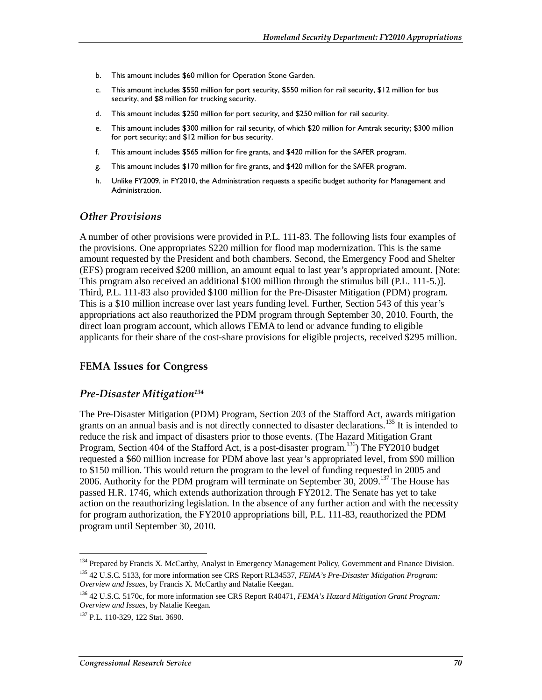- b. This amount includes \$60 million for Operation Stone Garden.
- c. This amount includes \$550 million for port security, \$550 million for rail security, \$12 million for bus security, and \$8 million for trucking security.
- d. This amount includes \$250 million for port security, and \$250 million for rail security.
- e. This amount includes \$300 million for rail security, of which \$20 million for Amtrak security; \$300 million for port security; and \$12 million for bus security.
- f. This amount includes \$565 million for fire grants, and \$420 million for the SAFER program.
- g. This amount includes \$170 million for fire grants, and \$420 million for the SAFER program.
- h. Unlike FY2009, in FY2010, the Administration requests a specific budget authority for Management and Administration.

### *Other Provisions*

A number of other provisions were provided in P.L. 111-83. The following lists four examples of the provisions. One appropriates \$220 million for flood map modernization. This is the same amount requested by the President and both chambers. Second, the Emergency Food and Shelter (EFS) program received \$200 million, an amount equal to last year's appropriated amount. [Note: This program also received an additional \$100 million through the stimulus bill (P.L. 111-5.)]. Third, P.L. 111-83 also provided \$100 million for the Pre-Disaster Mitigation (PDM) program. This is a \$10 million increase over last years funding level. Further, Section 543 of this year's appropriations act also reauthorized the PDM program through September 30, 2010. Fourth, the direct loan program account, which allows FEMA to lend or advance funding to eligible applicants for their share of the cost-share provisions for eligible projects, received \$295 million.

### **FEMA Issues for Congress**

### *Pre-Disaster Mitigation134*

The Pre-Disaster Mitigation (PDM) Program, Section 203 of the Stafford Act, awards mitigation grants on an annual basis and is not directly connected to disaster declarations.<sup>135</sup> It is intended to reduce the risk and impact of disasters prior to those events. (The Hazard Mitigation Grant Program, Section 404 of the Stafford Act, is a post-disaster program.<sup>136</sup>) The FY2010 budget requested a \$60 million increase for PDM above last year's appropriated level, from \$90 million to \$150 million. This would return the program to the level of funding requested in 2005 and 2006. Authority for the PDM program will terminate on September 30, 2009.<sup>137</sup> The House has passed H.R. 1746, which extends authorization through FY2012. The Senate has yet to take action on the reauthorizing legislation. In the absence of any further action and with the necessity for program authorization, the FY2010 appropriations bill, P.L. 111-83, reauthorized the PDM program until September 30, 2010.

-

<sup>&</sup>lt;sup>134</sup> Prepared by Francis X. McCarthy, Analyst in Emergency Management Policy, Government and Finance Division.

<sup>135 42</sup> U.S.C. 5133, for more information see CRS Report RL34537, *FEMA's Pre-Disaster Mitigation Program: Overview and Issues*, by Francis X. McCarthy and Natalie Keegan.

<sup>136 42</sup> U.S.C. 5170c, for more information see CRS Report R40471, *FEMA's Hazard Mitigation Grant Program: Overview and Issues*, by Natalie Keegan.

<sup>137</sup> P.L. 110-329, 122 Stat. 3690.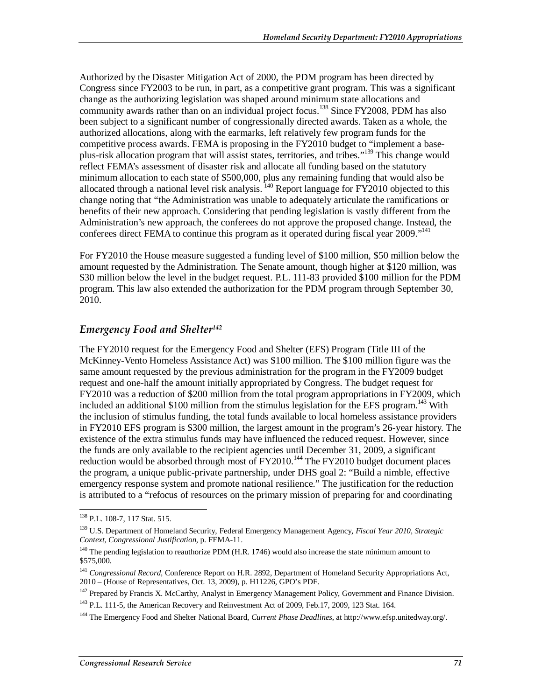Authorized by the Disaster Mitigation Act of 2000, the PDM program has been directed by Congress since FY2003 to be run, in part, as a competitive grant program. This was a significant change as the authorizing legislation was shaped around minimum state allocations and community awards rather than on an individual project focus.<sup>138</sup> Since FY2008, PDM has also been subject to a significant number of congressionally directed awards. Taken as a whole, the authorized allocations, along with the earmarks, left relatively few program funds for the competitive process awards. FEMA is proposing in the FY2010 budget to "implement a baseplus-risk allocation program that will assist states, territories, and tribes."139 This change would reflect FEMA's assessment of disaster risk and allocate all funding based on the statutory minimum allocation to each state of \$500,000, plus any remaining funding that would also be allocated through a national level risk analysis.  $^{140}$  Report language for FY2010 objected to this change noting that "the Administration was unable to adequately articulate the ramifications or benefits of their new approach. Considering that pending legislation is vastly different from the Administration's new approach, the conferees do not approve the proposed change. Instead, the conferees direct FEMA to continue this program as it operated during fiscal year 2009."<sup>141</sup>

For FY2010 the House measure suggested a funding level of \$100 million, \$50 million below the amount requested by the Administration. The Senate amount, though higher at \$120 million, was \$30 million below the level in the budget request. P.L. 111-83 provided \$100 million for the PDM program. This law also extended the authorization for the PDM program through September 30, 2010.

### *Emergency Food and Shelter142*

The FY2010 request for the Emergency Food and Shelter (EFS) Program (Title III of the McKinney-Vento Homeless Assistance Act) was \$100 million. The \$100 million figure was the same amount requested by the previous administration for the program in the FY2009 budget request and one-half the amount initially appropriated by Congress. The budget request for FY2010 was a reduction of \$200 million from the total program appropriations in FY2009, which included an additional \$100 million from the stimulus legislation for the EFS program.<sup>143</sup> With the inclusion of stimulus funding, the total funds available to local homeless assistance providers in FY2010 EFS program is \$300 million, the largest amount in the program's 26-year history. The existence of the extra stimulus funds may have influenced the reduced request. However, since the funds are only available to the recipient agencies until December 31, 2009, a significant reduction would be absorbed through most of  $FY2010$ .<sup>144</sup> The  $FY2010$  budget document places the program, a unique public-private partnership, under DHS goal 2: "Build a nimble, effective emergency response system and promote national resilience." The justification for the reduction is attributed to a "refocus of resources on the primary mission of preparing for and coordinating

<u>.</u>

<sup>138</sup> P.L. 108-7, 117 Stat. 515.

<sup>139</sup> U.S. Department of Homeland Security, Federal Emergency Management Agency, *Fiscal Year 2010, Strategic Context, Congressional Justification*, p. FEMA-11.

 $140$  The pending legislation to reauthorize PDM (H.R. 1746) would also increase the state minimum amount to \$575,000.

<sup>141</sup> *Congressional Record,* Conference Report on H.R. 2892, Department of Homeland Security Appropriations Act, 2010 – (House of Representatives, Oct. 13, 2009), p. H11226, GPO's PDF.

<sup>&</sup>lt;sup>142</sup> Prepared by Francis X. McCarthy, Analyst in Emergency Management Policy, Government and Finance Division.

<sup>&</sup>lt;sup>143</sup> P.L. 111-5, the American Recovery and Reinvestment Act of 2009, Feb.17, 2009, 123 Stat. 164.

<sup>144</sup> The Emergency Food and Shelter National Board, *Current Phase Deadlines*, at http://www.efsp.unitedway.org/.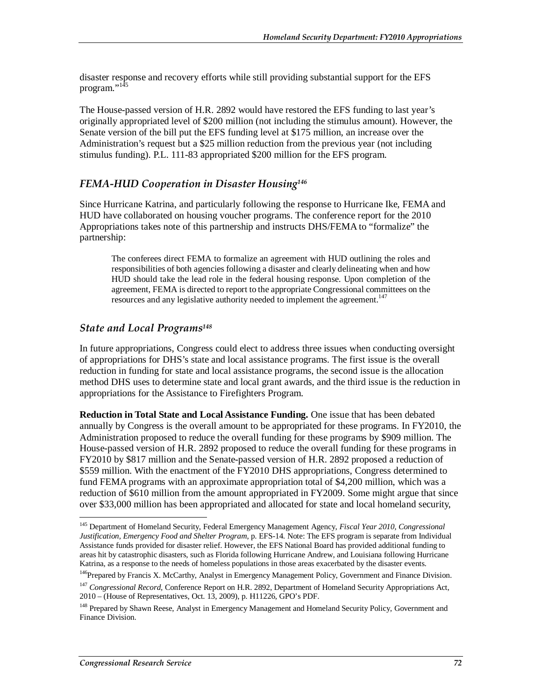disaster response and recovery efforts while still providing substantial support for the EFS program."<sup>145</sup>

The House-passed version of H.R. 2892 would have restored the EFS funding to last year's originally appropriated level of \$200 million (not including the stimulus amount). However, the Senate version of the bill put the EFS funding level at \$175 million, an increase over the Administration's request but a \$25 million reduction from the previous year (not including stimulus funding). P.L. 111-83 appropriated \$200 million for the EFS program.

### *FEMA-HUD Cooperation in Disaster Housing146*

Since Hurricane Katrina, and particularly following the response to Hurricane Ike, FEMA and HUD have collaborated on housing voucher programs. The conference report for the 2010 Appropriations takes note of this partnership and instructs DHS/FEMA to "formalize" the partnership:

The conferees direct FEMA to formalize an agreement with HUD outlining the roles and responsibilities of both agencies following a disaster and clearly delineating when and how HUD should take the lead role in the federal housing response. Upon completion of the agreement, FEMA is directed to report to the appropriate Congressional committees on the resources and any legislative authority needed to implement the agreement.<sup>147</sup>

### *State and Local Programs148*

In future appropriations, Congress could elect to address three issues when conducting oversight of appropriations for DHS's state and local assistance programs. The first issue is the overall reduction in funding for state and local assistance programs, the second issue is the allocation method DHS uses to determine state and local grant awards, and the third issue is the reduction in appropriations for the Assistance to Firefighters Program.

**Reduction in Total State and Local Assistance Funding.** One issue that has been debated annually by Congress is the overall amount to be appropriated for these programs. In FY2010, the Administration proposed to reduce the overall funding for these programs by \$909 million. The House-passed version of H.R. 2892 proposed to reduce the overall funding for these programs in FY2010 by \$817 million and the Senate-passed version of H.R. 2892 proposed a reduction of \$559 million. With the enactment of the FY2010 DHS appropriations, Congress determined to fund FEMA programs with an approximate appropriation total of \$4,200 million, which was a reduction of \$610 million from the amount appropriated in FY2009. Some might argue that since over \$33,000 million has been appropriated and allocated for state and local homeland security,

-

<sup>145</sup> Department of Homeland Security, Federal Emergency Management Agency, *Fiscal Year 2010, Congressional Justification, Emergency Food and Shelter Program*, p. EFS-14. Note: The EFS program is separate from Individual Assistance funds provided for disaster relief. However, the EFS National Board has provided additional funding to areas hit by catastrophic disasters, such as Florida following Hurricane Andrew, and Louisiana following Hurricane Katrina, as a response to the needs of homeless populations in those areas exacerbated by the disaster events.

<sup>&</sup>lt;sup>146</sup>Prepared by Francis X. McCarthy, Analyst in Emergency Management Policy, Government and Finance Division.

<sup>&</sup>lt;sup>147</sup> *Congressional Record, Conference Report on H.R. 2892, Department of Homeland Security Appropriations Act,* 2010 – (House of Representatives, Oct. 13, 2009), p. H11226, GPO's PDF.

<sup>&</sup>lt;sup>148</sup> Prepared by Shawn Reese, Analyst in Emergency Management and Homeland Security Policy, Government and Finance Division.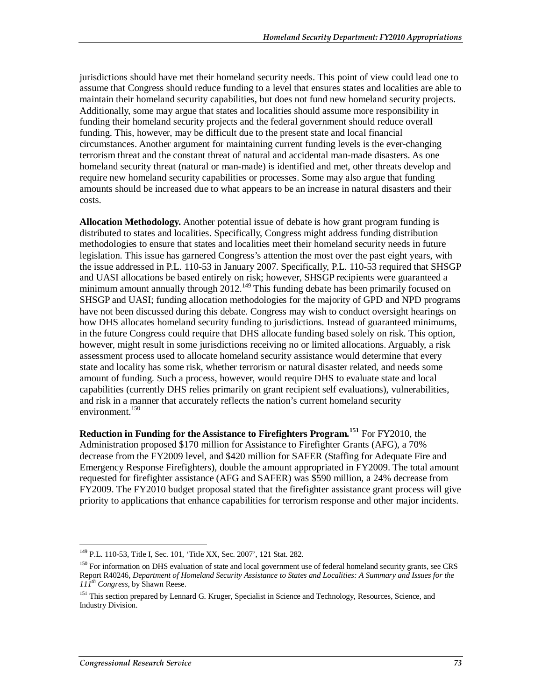jurisdictions should have met their homeland security needs. This point of view could lead one to assume that Congress should reduce funding to a level that ensures states and localities are able to maintain their homeland security capabilities, but does not fund new homeland security projects. Additionally, some may argue that states and localities should assume more responsibility in funding their homeland security projects and the federal government should reduce overall funding. This, however, may be difficult due to the present state and local financial circumstances. Another argument for maintaining current funding levels is the ever-changing terrorism threat and the constant threat of natural and accidental man-made disasters. As one homeland security threat (natural or man-made) is identified and met, other threats develop and require new homeland security capabilities or processes. Some may also argue that funding amounts should be increased due to what appears to be an increase in natural disasters and their costs.

**Allocation Methodology.** Another potential issue of debate is how grant program funding is distributed to states and localities. Specifically, Congress might address funding distribution methodologies to ensure that states and localities meet their homeland security needs in future legislation. This issue has garnered Congress's attention the most over the past eight years, with the issue addressed in P.L. 110-53 in January 2007. Specifically, P.L. 110-53 required that SHSGP and UASI allocations be based entirely on risk; however, SHSGP recipients were guaranteed a minimum amount annually through 2012.<sup>149</sup> This funding debate has been primarily focused on SHSGP and UASI; funding allocation methodologies for the majority of GPD and NPD programs have not been discussed during this debate. Congress may wish to conduct oversight hearings on how DHS allocates homeland security funding to jurisdictions. Instead of guaranteed minimums, in the future Congress could require that DHS allocate funding based solely on risk. This option, however, might result in some jurisdictions receiving no or limited allocations. Arguably, a risk assessment process used to allocate homeland security assistance would determine that every state and locality has some risk, whether terrorism or natural disaster related, and needs some amount of funding. Such a process, however, would require DHS to evaluate state and local capabilities (currently DHS relies primarily on grant recipient self evaluations), vulnerabilities, and risk in a manner that accurately reflects the nation's current homeland security environment.<sup>150</sup>

**Reduction in Funding for the Assistance to Firefighters Program.<sup>151</sup>** For FY2010, the Administration proposed \$170 million for Assistance to Firefighter Grants (AFG), a 70% decrease from the FY2009 level, and \$420 million for SAFER (Staffing for Adequate Fire and Emergency Response Firefighters), double the amount appropriated in FY2009. The total amount requested for firefighter assistance (AFG and SAFER) was \$590 million, a 24% decrease from FY2009. The FY2010 budget proposal stated that the firefighter assistance grant process will give priority to applications that enhance capabilities for terrorism response and other major incidents.

<sup>&</sup>lt;u>.</u> 149 P.L. 110-53, Title I, Sec. 101, 'Title XX, Sec. 2007', 121 Stat. 282.

<sup>&</sup>lt;sup>150</sup> For information on DHS evaluation of state and local government use of federal homeland security grants, see CRS Report R40246, *Department of Homeland Security Assistance to States and Localities: A Summary and Issues for the 111th Congress*, by Shawn Reese.

<sup>&</sup>lt;sup>151</sup> This section prepared by Lennard G. Kruger, Specialist in Science and Technology, Resources, Science, and Industry Division.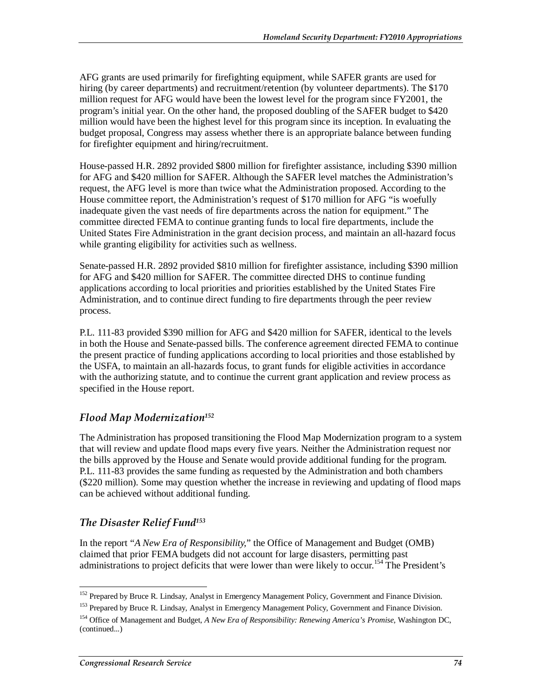AFG grants are used primarily for firefighting equipment, while SAFER grants are used for hiring (by career departments) and recruitment/retention (by volunteer departments). The \$170 million request for AFG would have been the lowest level for the program since FY2001, the program's initial year. On the other hand, the proposed doubling of the SAFER budget to \$420 million would have been the highest level for this program since its inception. In evaluating the budget proposal, Congress may assess whether there is an appropriate balance between funding for firefighter equipment and hiring/recruitment.

House-passed H.R. 2892 provided \$800 million for firefighter assistance, including \$390 million for AFG and \$420 million for SAFER. Although the SAFER level matches the Administration's request, the AFG level is more than twice what the Administration proposed. According to the House committee report, the Administration's request of \$170 million for AFG "is woefully inadequate given the vast needs of fire departments across the nation for equipment." The committee directed FEMA to continue granting funds to local fire departments, include the United States Fire Administration in the grant decision process, and maintain an all-hazard focus while granting eligibility for activities such as wellness.

Senate-passed H.R. 2892 provided \$810 million for firefighter assistance, including \$390 million for AFG and \$420 million for SAFER. The committee directed DHS to continue funding applications according to local priorities and priorities established by the United States Fire Administration, and to continue direct funding to fire departments through the peer review process.

P.L. 111-83 provided \$390 million for AFG and \$420 million for SAFER, identical to the levels in both the House and Senate-passed bills. The conference agreement directed FEMA to continue the present practice of funding applications according to local priorities and those established by the USFA, to maintain an all-hazards focus, to grant funds for eligible activities in accordance with the authorizing statute, and to continue the current grant application and review process as specified in the House report.

## *Flood Map Modernization152*

The Administration has proposed transitioning the Flood Map Modernization program to a system that will review and update flood maps every five years. Neither the Administration request nor the bills approved by the House and Senate would provide additional funding for the program. P.L. 111-83 provides the same funding as requested by the Administration and both chambers (\$220 million). Some may question whether the increase in reviewing and updating of flood maps can be achieved without additional funding.

## *The Disaster Relief Fund153*

In the report "*A New Era of Responsibility,*" the Office of Management and Budget (OMB) claimed that prior FEMA budgets did not account for large disasters, permitting past administrations to project deficits that were lower than were likely to occur.<sup>154</sup> The President's

<sup>-</sup><sup>152</sup> Prepared by Bruce R. Lindsay, Analyst in Emergency Management Policy, Government and Finance Division.

<sup>&</sup>lt;sup>153</sup> Prepared by Bruce R. Lindsay, Analyst in Emergency Management Policy, Government and Finance Division.

<sup>154</sup> Office of Management and Budget, *A New Era of Responsibility: Renewing America's Promise*, Washington DC, (continued...)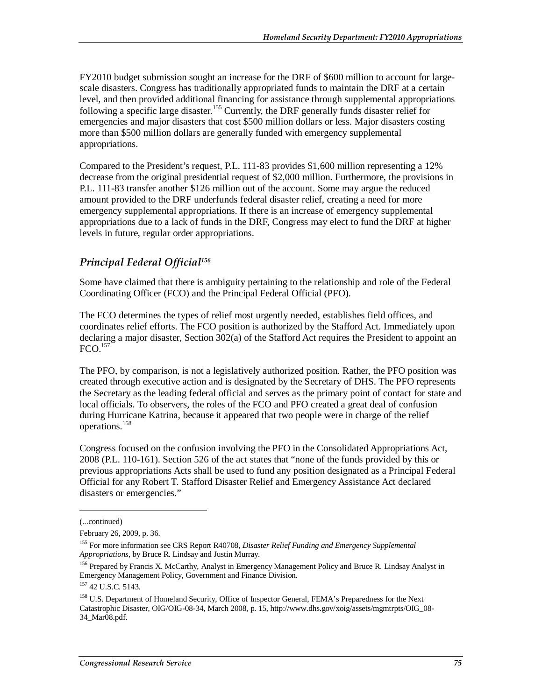FY2010 budget submission sought an increase for the DRF of \$600 million to account for largescale disasters. Congress has traditionally appropriated funds to maintain the DRF at a certain level, and then provided additional financing for assistance through supplemental appropriations following a specific large disaster.<sup>155</sup> Currently, the DRF generally funds disaster relief for emergencies and major disasters that cost \$500 million dollars or less. Major disasters costing more than \$500 million dollars are generally funded with emergency supplemental appropriations.

Compared to the President's request, P.L. 111-83 provides \$1,600 million representing a 12% decrease from the original presidential request of \$2,000 million. Furthermore, the provisions in P.L. 111-83 transfer another \$126 million out of the account. Some may argue the reduced amount provided to the DRF underfunds federal disaster relief, creating a need for more emergency supplemental appropriations. If there is an increase of emergency supplemental appropriations due to a lack of funds in the DRF, Congress may elect to fund the DRF at higher levels in future, regular order appropriations.

## *Principal Federal Official156*

Some have claimed that there is ambiguity pertaining to the relationship and role of the Federal Coordinating Officer (FCO) and the Principal Federal Official (PFO).

The FCO determines the types of relief most urgently needed, establishes field offices, and coordinates relief efforts. The FCO position is authorized by the Stafford Act. Immediately upon declaring a major disaster, Section 302(a) of the Stafford Act requires the President to appoint an  $FCO<sup>157</sup>$ 

The PFO, by comparison, is not a legislatively authorized position. Rather, the PFO position was created through executive action and is designated by the Secretary of DHS. The PFO represents the Secretary as the leading federal official and serves as the primary point of contact for state and local officials. To observers, the roles of the FCO and PFO created a great deal of confusion during Hurricane Katrina, because it appeared that two people were in charge of the relief operations.158

Congress focused on the confusion involving the PFO in the Consolidated Appropriations Act, 2008 (P.L. 110-161). Section 526 of the act states that "none of the funds provided by this or previous appropriations Acts shall be used to fund any position designated as a Principal Federal Official for any Robert T. Stafford Disaster Relief and Emergency Assistance Act declared disasters or emergencies."

1

<sup>(...</sup>continued)

February 26, 2009, p. 36.

<sup>155</sup> For more information see CRS Report R40708, *Disaster Relief Funding and Emergency Supplemental Appropriations*, by Bruce R. Lindsay and Justin Murray.

<sup>&</sup>lt;sup>156</sup> Prepared by Francis X. McCarthy, Analyst in Emergency Management Policy and Bruce R. Lindsay Analyst in Emergency Management Policy, Government and Finance Division.

<sup>&</sup>lt;sup>157</sup> 42 U.S.C. 5143.

<sup>&</sup>lt;sup>158</sup> U.S. Department of Homeland Security, Office of Inspector General, FEMA's Preparedness for the Next Catastrophic Disaster, OIG/OIG-08-34, March 2008, p. 15, http://www.dhs.gov/xoig/assets/mgmtrpts/OIG\_08- 34\_Mar08.pdf.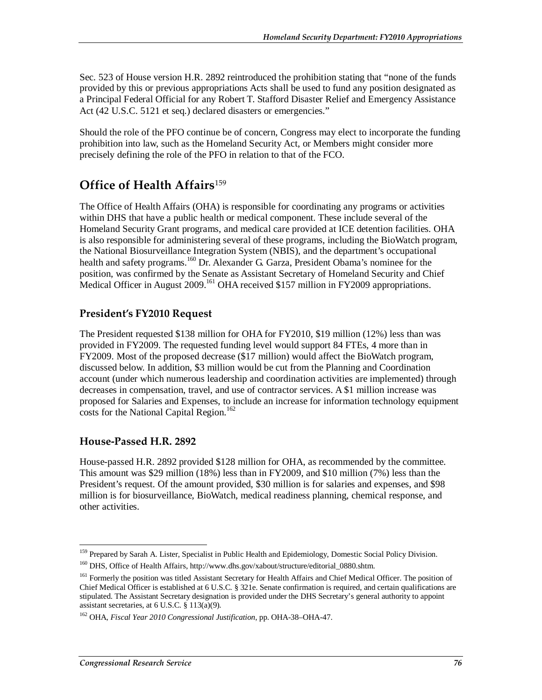Sec. 523 of House version H.R. 2892 reintroduced the prohibition stating that "none of the funds provided by this or previous appropriations Acts shall be used to fund any position designated as a Principal Federal Official for any Robert T. Stafford Disaster Relief and Emergency Assistance Act (42 U.S.C. 5121 et seq.) declared disasters or emergencies."

Should the role of the PFO continue be of concern, Congress may elect to incorporate the funding prohibition into law, such as the Homeland Security Act, or Members might consider more precisely defining the role of the PFO in relation to that of the FCO.

## **Office of Health Affairs**<sup>159</sup>

The Office of Health Affairs (OHA) is responsible for coordinating any programs or activities within DHS that have a public health or medical component. These include several of the Homeland Security Grant programs, and medical care provided at ICE detention facilities. OHA is also responsible for administering several of these programs, including the BioWatch program, the National Biosurveillance Integration System (NBIS), and the department's occupational health and safety programs.<sup>160</sup> Dr. Alexander G. Garza, President Obama's nominee for the position, was confirmed by the Senate as Assistant Secretary of Homeland Security and Chief Medical Officer in August 2009.<sup>161</sup> OHA received \$157 million in FY2009 appropriations.

## **President's FY2010 Request**

The President requested \$138 million for OHA for FY2010, \$19 million (12%) less than was provided in FY2009. The requested funding level would support 84 FTEs, 4 more than in FY2009. Most of the proposed decrease (\$17 million) would affect the BioWatch program, discussed below. In addition, \$3 million would be cut from the Planning and Coordination account (under which numerous leadership and coordination activities are implemented) through decreases in compensation, travel, and use of contractor services. A \$1 million increase was proposed for Salaries and Expenses, to include an increase for information technology equipment costs for the National Capital Region.<sup>162</sup>

### **House-Passed H.R. 2892**

House-passed H.R. 2892 provided \$128 million for OHA, as recommended by the committee. This amount was \$29 million (18%) less than in FY2009, and \$10 million (7%) less than the President's request. Of the amount provided, \$30 million is for salaries and expenses, and \$98 million is for biosurveillance, BioWatch, medical readiness planning, chemical response, and other activities.

<sup>&</sup>lt;u>.</u> <sup>159</sup> Prepared by Sarah A. Lister, Specialist in Public Health and Epidemiology, Domestic Social Policy Division.

<sup>&</sup>lt;sup>160</sup> DHS, Office of Health Affairs, http://www.dhs.gov/xabout/structure/editorial\_0880.shtm.

<sup>&</sup>lt;sup>161</sup> Formerly the position was titled Assistant Secretary for Health Affairs and Chief Medical Officer. The position of Chief Medical Officer is established at 6 U.S.C. § 321e. Senate confirmation is required, and certain qualifications are stipulated. The Assistant Secretary designation is provided under the DHS Secretary's general authority to appoint assistant secretaries, at 6 U.S.C. § 113(a)(9).

<sup>162</sup> OHA, *Fiscal Year 2010 Congressional Justification*, pp. OHA-38–OHA-47.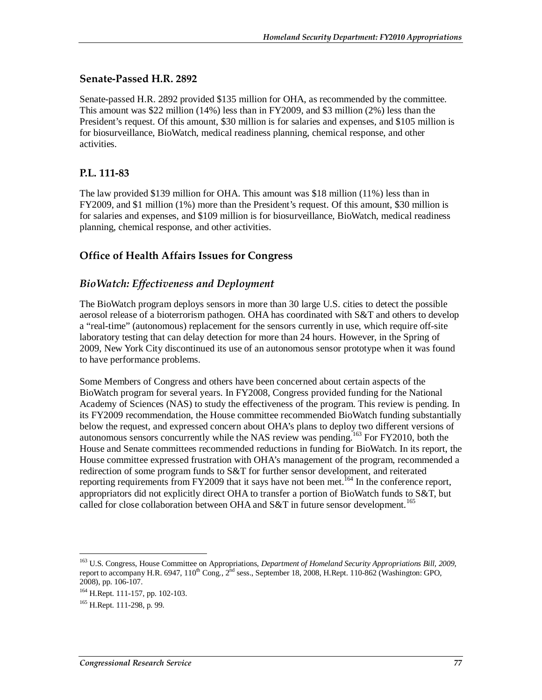### **Senate-Passed H.R. 2892**

Senate-passed H.R. 2892 provided \$135 million for OHA, as recommended by the committee. This amount was \$22 million (14%) less than in FY2009, and \$3 million (2%) less than the President's request. Of this amount, \$30 million is for salaries and expenses, and \$105 million is for biosurveillance, BioWatch, medical readiness planning, chemical response, and other activities.

### **P.L. 111-83**

The law provided \$139 million for OHA. This amount was \$18 million (11%) less than in FY2009, and \$1 million (1%) more than the President's request. Of this amount, \$30 million is for salaries and expenses, and \$109 million is for biosurveillance, BioWatch, medical readiness planning, chemical response, and other activities.

## **Office of Health Affairs Issues for Congress**

### *BioWatch: Effectiveness and Deployment*

The BioWatch program deploys sensors in more than 30 large U.S. cities to detect the possible aerosol release of a bioterrorism pathogen. OHA has coordinated with S&T and others to develop a "real-time" (autonomous) replacement for the sensors currently in use, which require off-site laboratory testing that can delay detection for more than 24 hours. However, in the Spring of 2009, New York City discontinued its use of an autonomous sensor prototype when it was found to have performance problems.

Some Members of Congress and others have been concerned about certain aspects of the BioWatch program for several years. In FY2008, Congress provided funding for the National Academy of Sciences (NAS) to study the effectiveness of the program. This review is pending. In its FY2009 recommendation, the House committee recommended BioWatch funding substantially below the request, and expressed concern about OHA's plans to deploy two different versions of autonomous sensors concurrently while the NAS review was pending.163 For FY2010, both the House and Senate committees recommended reductions in funding for BioWatch. In its report, the House committee expressed frustration with OHA's management of the program, recommended a redirection of some program funds to S&T for further sensor development, and reiterated reporting requirements from FY2009 that it says have not been met.<sup>164</sup> In the conference report, appropriators did not explicitly direct OHA to transfer a portion of BioWatch funds to S&T, but called for close collaboration between OHA and  $S&T$  in future sensor development.<sup>165</sup>

-

<sup>163</sup> U.S. Congress, House Committee on Appropriations, *Department of Homeland Security Appropriations Bill, 2009*, report to accompany H.R. 6947,  $110^{th}$  Cong.,  $2^{hd}$  sess., September 18, 2008, H.Rept. 110-862 (Washington: GPO, 2008), pp. 106-107.

<sup>164</sup> H.Rept. 111-157, pp. 102-103.

 $165$  H.Rept. 111-298, p. 99.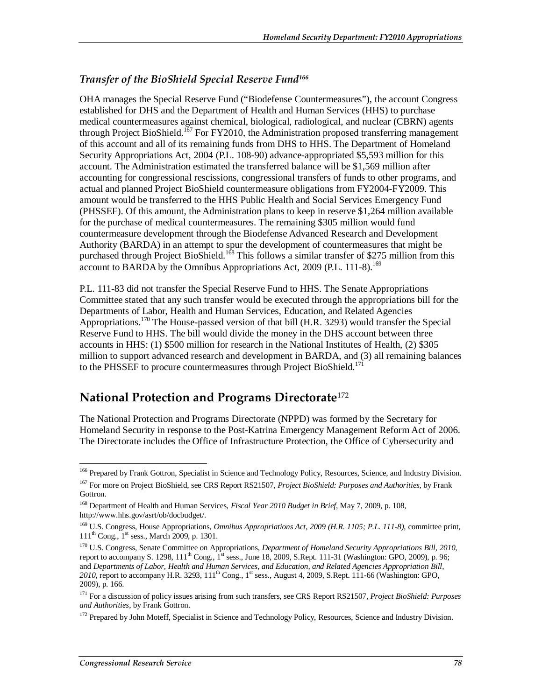### *Transfer of the BioShield Special Reserve Fund166*

OHA manages the Special Reserve Fund ("Biodefense Countermeasures"), the account Congress established for DHS and the Department of Health and Human Services (HHS) to purchase medical countermeasures against chemical, biological, radiological, and nuclear (CBRN) agents through Project BioShield.<sup>167</sup> For FY2010, the Administration proposed transferring management of this account and all of its remaining funds from DHS to HHS. The Department of Homeland Security Appropriations Act, 2004 (P.L. 108-90) advance-appropriated \$5,593 million for this account. The Administration estimated the transferred balance will be \$1,569 million after accounting for congressional rescissions, congressional transfers of funds to other programs, and actual and planned Project BioShield countermeasure obligations from FY2004-FY2009. This amount would be transferred to the HHS Public Health and Social Services Emergency Fund (PHSSEF). Of this amount, the Administration plans to keep in reserve \$1,264 million available for the purchase of medical countermeasures. The remaining \$305 million would fund countermeasure development through the Biodefense Advanced Research and Development Authority (BARDA) in an attempt to spur the development of countermeasures that might be purchased through Project BioShield.<sup>168</sup> This follows a similar transfer of \$275 million from this account to BARDA by the Omnibus Appropriations Act, 2009 (P.L. 111-8).<sup>169</sup>

P.L. 111-83 did not transfer the Special Reserve Fund to HHS. The Senate Appropriations Committee stated that any such transfer would be executed through the appropriations bill for the Departments of Labor, Health and Human Services, Education, and Related Agencies Appropriations.<sup>170</sup> The House-passed version of that bill (H.R. 3293) would transfer the Special Reserve Fund to HHS. The bill would divide the money in the DHS account between three accounts in HHS: (1) \$500 million for research in the National Institutes of Health, (2) \$305 million to support advanced research and development in BARDA, and (3) all remaining balances to the PHSSEF to procure countermeasures through Project BioShield.<sup>171</sup>

## **National Protection and Programs Directorate**<sup>172</sup>

The National Protection and Programs Directorate (NPPD) was formed by the Secretary for Homeland Security in response to the Post-Katrina Emergency Management Reform Act of 2006. The Directorate includes the Office of Infrastructure Protection, the Office of Cybersecurity and

<sup>-</sup><sup>166</sup> Prepared by Frank Gottron, Specialist in Science and Technology Policy, Resources, Science, and Industry Division.

<sup>167</sup> For more on Project BioShield, see CRS Report RS21507, *Project BioShield: Purposes and Authorities*, by Frank Gottron.

<sup>168</sup> Department of Health and Human Services, *Fiscal Year 2010 Budget in Brief*, May 7, 2009, p. 108, http://www.hhs.gov/asrt/ob/docbudget/.

<sup>169</sup> U.S. Congress, House Appropriations, *Omnibus Appropriations Act, 2009 (H.R. 1105; P.L. 111-8)*, committee print,  $111^{th}$  Cong.,  $1^{st}$  sess., March 2009, p. 1301.

<sup>170</sup> U.S. Congress, Senate Committee on Appropriations, *Department of Homeland Security Appropriations Bill, 2010*, report to accompany S. 1298, 111<sup>th</sup> Cong., 1<sup>st</sup> sess., June 18, 2009, S.Rept. 111-31 (Washington: GPO, 2009), p. 96; and *Departments of Labor, Health and Human Services, and Education, and Related Agencies Appropriation Bill,*   $2010$ , report to accompany H.R. 3293,  $111^{\text{th}}$  Cong.,  $1^{\text{st}}$  sess., August 4, 2009, S.Rept. 111-66 (Washington: GPO, 2009), p. 166.

<sup>171</sup> For a discussion of policy issues arising from such transfers, see CRS Report RS21507, *Project BioShield: Purposes and Authorities*, by Frank Gottron.

<sup>&</sup>lt;sup>172</sup> Prepared by John Moteff, Specialist in Science and Technology Policy, Resources, Science and Industry Division.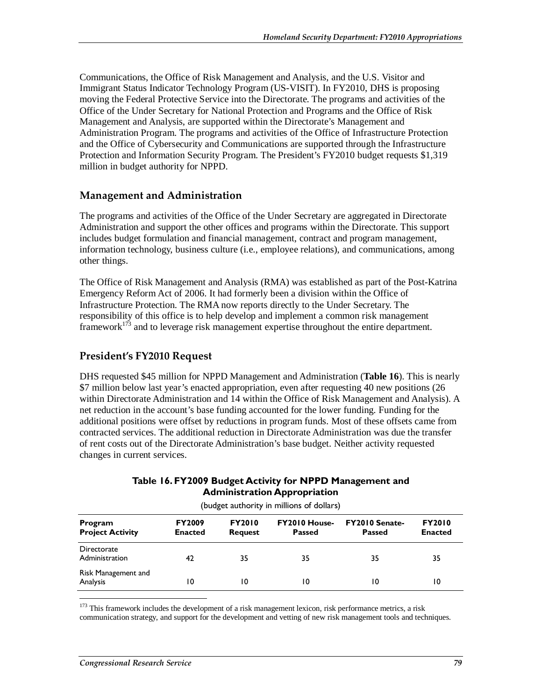Communications, the Office of Risk Management and Analysis, and the U.S. Visitor and Immigrant Status Indicator Technology Program (US-VISIT). In FY2010, DHS is proposing moving the Federal Protective Service into the Directorate. The programs and activities of the Office of the Under Secretary for National Protection and Programs and the Office of Risk Management and Analysis, are supported within the Directorate's Management and Administration Program. The programs and activities of the Office of Infrastructure Protection and the Office of Cybersecurity and Communications are supported through the Infrastructure Protection and Information Security Program. The President's FY2010 budget requests \$1,319 million in budget authority for NPPD.

### **Management and Administration**

The programs and activities of the Office of the Under Secretary are aggregated in Directorate Administration and support the other offices and programs within the Directorate. This support includes budget formulation and financial management, contract and program management, information technology, business culture (i.e., employee relations), and communications, among other things.

The Office of Risk Management and Analysis (RMA) was established as part of the Post-Katrina Emergency Reform Act of 2006. It had formerly been a division within the Office of Infrastructure Protection. The RMA now reports directly to the Under Secretary. The responsibility of this office is to help develop and implement a common risk management framework $1^{73}$  and to leverage risk management expertise throughout the entire department.

### **President's FY2010 Request**

DHS requested \$45 million for NPPD Management and Administration (**Table 16**). This is nearly \$7 million below last year's enacted appropriation, even after requesting 40 new positions (26 within Directorate Administration and 14 within the Office of Risk Management and Analysis). A net reduction in the account's base funding accounted for the lower funding. Funding for the additional positions were offset by reductions in program funds. Most of these offsets came from contracted services. The additional reduction in Directorate Administration was due the transfer of rent costs out of the Directorate Administration's base budget. Neither activity requested changes in current services.

### **Table 16. FY2009 Budget Activity for NPPD Management and Administration Appropriation**

| Program<br><b>Project Activity</b> | <b>FY2009</b><br><b>Enacted</b> | <b>FY2010</b><br><b>Request</b> | <b>FY2010 House-</b><br><b>Passed</b> | <b>FY2010 Senate-</b><br><b>Passed</b> | <b>FY2010</b><br><b>Enacted</b> |
|------------------------------------|---------------------------------|---------------------------------|---------------------------------------|----------------------------------------|---------------------------------|
| Directorate<br>Administration      | 42                              | 35                              | 35                                    | 35                                     | 35                              |
| Risk Management and<br>Analysis    | 10                              | 10                              | 10                                    | 10                                     | 10                              |

(budget authority in millions of dollars)

-<sup>173</sup> This framework includes the development of a risk management lexicon, risk performance metrics, a risk communication strategy, and support for the development and vetting of new risk management tools and techniques.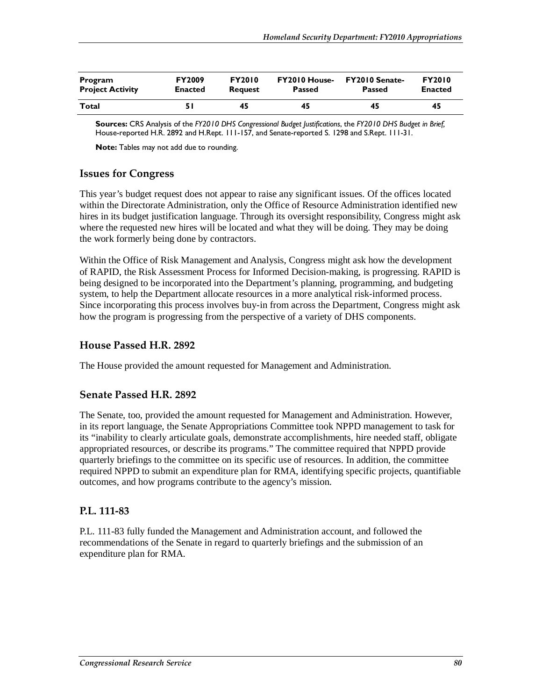| Program                 | <b>FY2009</b>  | <b>FY2010</b>  | <b>FY2010 House-</b> | <b>FY2010 Senate-</b> | <b>FY2010</b>  |
|-------------------------|----------------|----------------|----------------------|-----------------------|----------------|
| <b>Project Activity</b> | <b>Enacted</b> | <b>Request</b> | <b>Passed</b>        | Passed                | <b>Enacted</b> |
| Total                   |                | 45             | 45                   | 45                    | 45             |

**Sources:** CRS Analysis of the *FY2010 DHS Congressional Budget Justifications*, the *FY2010 DHS Budget in Brief,* House-reported H.R. 2892 and H.Rept. 111-157, and Senate-reported S. 1298 and S.Rept. 111-31.

**Note:** Tables may not add due to rounding.

### **Issues for Congress**

This year's budget request does not appear to raise any significant issues. Of the offices located within the Directorate Administration, only the Office of Resource Administration identified new hires in its budget justification language. Through its oversight responsibility, Congress might ask where the requested new hires will be located and what they will be doing. They may be doing the work formerly being done by contractors.

Within the Office of Risk Management and Analysis, Congress might ask how the development of RAPID, the Risk Assessment Process for Informed Decision-making, is progressing. RAPID is being designed to be incorporated into the Department's planning, programming, and budgeting system, to help the Department allocate resources in a more analytical risk-informed process. Since incorporating this process involves buy-in from across the Department, Congress might ask how the program is progressing from the perspective of a variety of DHS components.

### **House Passed H.R. 2892**

The House provided the amount requested for Management and Administration.

### **Senate Passed H.R. 2892**

The Senate, too, provided the amount requested for Management and Administration. However, in its report language, the Senate Appropriations Committee took NPPD management to task for its "inability to clearly articulate goals, demonstrate accomplishments, hire needed staff, obligate appropriated resources, or describe its programs." The committee required that NPPD provide quarterly briefings to the committee on its specific use of resources. In addition, the committee required NPPD to submit an expenditure plan for RMA, identifying specific projects, quantifiable outcomes, and how programs contribute to the agency's mission.

### **P.L. 111-83**

P.L. 111-83 fully funded the Management and Administration account, and followed the recommendations of the Senate in regard to quarterly briefings and the submission of an expenditure plan for RMA.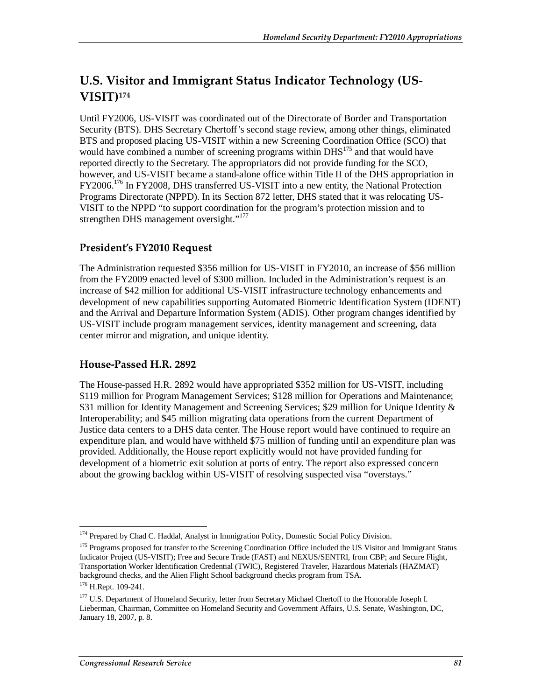# **U.S. Visitor and Immigrant Status Indicator Technology (US-VISIT)174**

Until FY2006, US-VISIT was coordinated out of the Directorate of Border and Transportation Security (BTS). DHS Secretary Chertoff's second stage review, among other things, eliminated BTS and proposed placing US-VISIT within a new Screening Coordination Office (SCO) that would have combined a number of screening programs within DHS<sup>175</sup> and that would have reported directly to the Secretary. The appropriators did not provide funding for the SCO, however, and US-VISIT became a stand-alone office within Title II of the DHS appropriation in FY2006.176 In FY2008, DHS transferred US-VISIT into a new entity, the National Protection Programs Directorate (NPPD). In its Section 872 letter, DHS stated that it was relocating US-VISIT to the NPPD "to support coordination for the program's protection mission and to strengthen DHS management oversight."<sup>177</sup>

## **President's FY2010 Request**

The Administration requested \$356 million for US-VISIT in FY2010, an increase of \$56 million from the FY2009 enacted level of \$300 million. Included in the Administration's request is an increase of \$42 million for additional US-VISIT infrastructure technology enhancements and development of new capabilities supporting Automated Biometric Identification System (IDENT) and the Arrival and Departure Information System (ADIS). Other program changes identified by US-VISIT include program management services, identity management and screening, data center mirror and migration, and unique identity.

## **House-Passed H.R. 2892**

The House-passed H.R. 2892 would have appropriated \$352 million for US-VISIT, including \$119 million for Program Management Services; \$128 million for Operations and Maintenance; \$31 million for Identity Management and Screening Services; \$29 million for Unique Identity & Interoperability; and \$45 million migrating data operations from the current Department of Justice data centers to a DHS data center. The House report would have continued to require an expenditure plan, and would have withheld \$75 million of funding until an expenditure plan was provided. Additionally, the House report explicitly would not have provided funding for development of a biometric exit solution at ports of entry. The report also expressed concern about the growing backlog within US-VISIT of resolving suspected visa "overstays."

<sup>-</sup><sup>174</sup> Prepared by Chad C. Haddal, Analyst in Immigration Policy, Domestic Social Policy Division.

<sup>&</sup>lt;sup>175</sup> Programs proposed for transfer to the Screening Coordination Office included the US Visitor and Immigrant Status Indicator Project (US-VISIT); Free and Secure Trade (FAST) and NEXUS/SENTRI, from CBP; and Secure Flight, Transportation Worker Identification Credential (TWIC), Registered Traveler, Hazardous Materials (HAZMAT) background checks, and the Alien Flight School background checks program from TSA.

<sup>176</sup> H.Rept. 109-241.

<sup>&</sup>lt;sup>177</sup> U.S. Department of Homeland Security, letter from Secretary Michael Chertoff to the Honorable Joseph I. Lieberman, Chairman, Committee on Homeland Security and Government Affairs, U.S. Senate, Washington, DC, January 18, 2007, p. 8.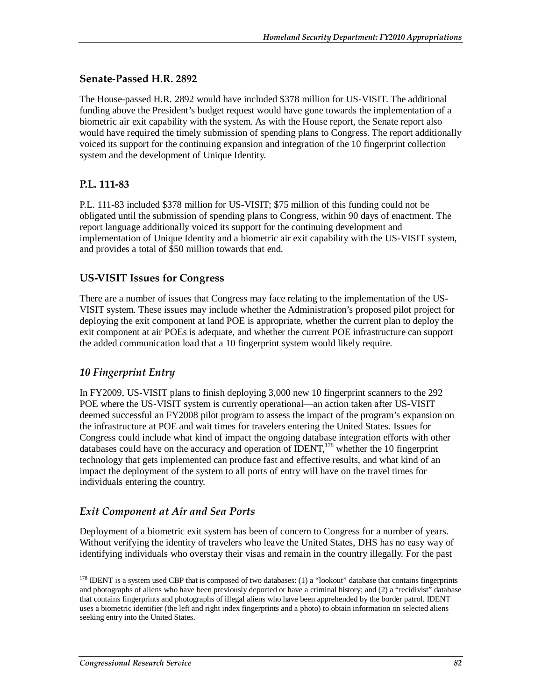### **Senate-Passed H.R. 2892**

The House-passed H.R. 2892 would have included \$378 million for US-VISIT. The additional funding above the President's budget request would have gone towards the implementation of a biometric air exit capability with the system. As with the House report, the Senate report also would have required the timely submission of spending plans to Congress. The report additionally voiced its support for the continuing expansion and integration of the 10 fingerprint collection system and the development of Unique Identity.

### **P.L. 111-83**

P.L. 111-83 included \$378 million for US-VISIT; \$75 million of this funding could not be obligated until the submission of spending plans to Congress, within 90 days of enactment. The report language additionally voiced its support for the continuing development and implementation of Unique Identity and a biometric air exit capability with the US-VISIT system, and provides a total of \$50 million towards that end.

### **US-VISIT Issues for Congress**

There are a number of issues that Congress may face relating to the implementation of the US-VISIT system. These issues may include whether the Administration's proposed pilot project for deploying the exit component at land POE is appropriate, whether the current plan to deploy the exit component at air POEs is adequate, and whether the current POE infrastructure can support the added communication load that a 10 fingerprint system would likely require.

### *10 Fingerprint Entry*

In FY2009, US-VISIT plans to finish deploying 3,000 new 10 fingerprint scanners to the 292 POE where the US-VISIT system is currently operational—an action taken after US-VISIT deemed successful an FY2008 pilot program to assess the impact of the program's expansion on the infrastructure at POE and wait times for travelers entering the United States. Issues for Congress could include what kind of impact the ongoing database integration efforts with other databases could have on the accuracy and operation of  $\text{IDENT}$ <sup>178</sup> whether the 10 fingerprint technology that gets implemented can produce fast and effective results, and what kind of an impact the deployment of the system to all ports of entry will have on the travel times for individuals entering the country.

### *Exit Component at Air and Sea Ports*

Deployment of a biometric exit system has been of concern to Congress for a number of years. Without verifying the identity of travelers who leave the United States, DHS has no easy way of identifying individuals who overstay their visas and remain in the country illegally. For the past

<sup>-</sup> $178$  IDENT is a system used CBP that is composed of two databases: (1) a "lookout" database that contains fingerprints and photographs of aliens who have been previously deported or have a criminal history; and (2) a "recidivist" database that contains fingerprints and photographs of illegal aliens who have been apprehended by the border patrol. IDENT uses a biometric identifier (the left and right index fingerprints and a photo) to obtain information on selected aliens seeking entry into the United States.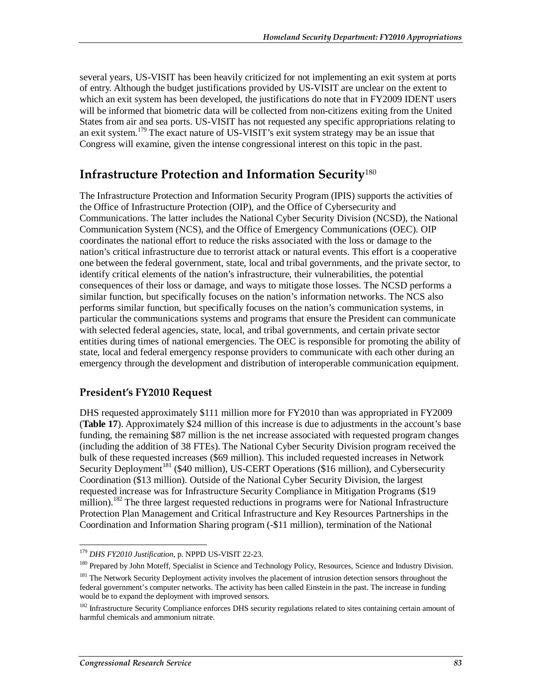several years, US-VISIT has been heavily criticized for not implementing an exit system at ports of entry. Although the budget justifications provided by US-VISIT are unclear on the extent to which an exit system has been developed, the justifications do note that in FY2009 IDENT users will be informed that biometric data will be collected from non-citizens exiting from the United States from air and sea ports. US-VISIT has not requested any specific appropriations relating to an exit system.179 The exact nature of US-VISIT's exit system strategy may be an issue that Congress will examine, given the intense congressional interest on this topic in the past.

# **Infrastructure Protection and Information Security**<sup>180</sup>

The Infrastructure Protection and Information Security Program (IPIS) supports the activities of the Office of Infrastructure Protection (OIP), and the Office of Cybersecurity and Communications. The latter includes the National Cyber Security Division (NCSD), the National Communication System (NCS), and the Office of Emergency Communications (OEC). OIP coordinates the national effort to reduce the risks associated with the loss or damage to the nation's critical infrastructure due to terrorist attack or natural events. This effort is a cooperative one between the federal government, state, local and tribal governments, and the private sector, to identify critical elements of the nation's infrastructure, their vulnerabilities, the potential consequences of their loss or damage, and ways to mitigate those losses. The NCSD performs a similar function, but specifically focuses on the nation's information networks. The NCS also performs similar function, but specifically focuses on the nation's communication systems, in particular the communications systems and programs that ensure the President can communicate with selected federal agencies, state, local, and tribal governments, and certain private sector entities during times of national emergencies. The OEC is responsible for promoting the ability of state, local and federal emergency response providers to communicate with each other during an emergency through the development and distribution of interoperable communication equipment.

## **President's FY2010 Request**

DHS requested approximately \$111 million more for FY2010 than was appropriated in FY2009 (**Table 17**). Approximately \$24 million of this increase is due to adjustments in the account's base funding, the remaining \$87 million is the net increase associated with requested program changes (including the addition of 38 FTEs). The National Cyber Security Division program received the bulk of these requested increases (\$69 million). This included requested increases in Network Security Deployment<sup>181</sup> (\$40 million), US-CERT Operations (\$16 million), and Cybersecurity Coordination (\$13 million). Outside of the National Cyber Security Division, the largest requested increase was for Infrastructure Security Compliance in Mitigation Programs (\$19 million).<sup>182</sup> The three largest requested reductions in programs were for National Infrastructure Protection Plan Management and Critical Infrastructure and Key Resources Partnerships in the Coordination and Information Sharing program (-\$11 million), termination of the National

<sup>&</sup>lt;sup>179</sup> DHS FY2010 Justification, p. NPPD US-VISIT 22-23.

<sup>&</sup>lt;sup>180</sup> Prepared by John Moteff, Specialist in Science and Technology Policy, Resources, Science and Industry Division.

<sup>&</sup>lt;sup>181</sup> The Network Security Deployment activity involves the placement of intrusion detection sensors throughout the federal government's computer networks. The activity has been called Einstein in the past. The increase in funding would be to expand the deployment with improved sensors.

<sup>&</sup>lt;sup>182</sup> Infrastructure Security Compliance enforces DHS security regulations related to sites containing certain amount of harmful chemicals and ammonium nitrate.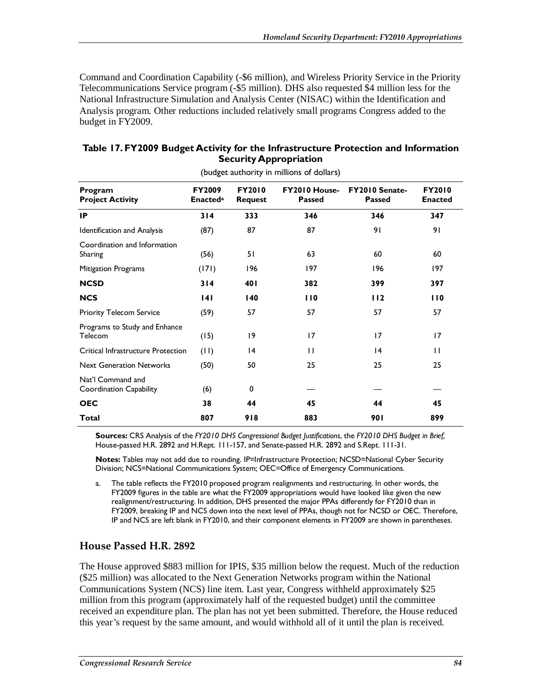Command and Coordination Capability (-\$6 million), and Wireless Priority Service in the Priority Telecommunications Service program (-\$5 million). DHS also requested \$4 million less for the National Infrastructure Simulation and Analysis Center (NISAC) within the Identification and Analysis program. Other reductions included relatively small programs Congress added to the budget in FY2009.

| (budget authority in millions of dollars)    |                                  |                                 |                                       |                                        |                                 |  |  |  |  |
|----------------------------------------------|----------------------------------|---------------------------------|---------------------------------------|----------------------------------------|---------------------------------|--|--|--|--|
| Program<br><b>Project Activity</b>           | <b>FY2009</b><br><b>Enacteda</b> | <b>FY2010</b><br><b>Request</b> | <b>FY2010 House-</b><br><b>Passed</b> | <b>FY2010 Senate-</b><br><b>Passed</b> | <b>FY2010</b><br><b>Enacted</b> |  |  |  |  |
| <b>IP</b>                                    | 314                              | 333                             | 346                                   | 346                                    | 347                             |  |  |  |  |
| Identification and Analysis                  | (87)                             | 87                              | 87                                    | 91                                     | 91                              |  |  |  |  |
| Coordination and Information<br>Sharing      | (56)                             | 51                              | 63                                    | 60                                     | 60                              |  |  |  |  |
| <b>Mitigation Programs</b>                   | (171)                            | 196                             | 197                                   | 196                                    | 197                             |  |  |  |  |
| <b>NCSD</b>                                  | 314                              | 40 I                            | 382                                   | 399                                    | 397                             |  |  |  |  |
| <b>NCS</b>                                   | 4                                | 140                             | 110                                   | 112                                    | 110                             |  |  |  |  |
| <b>Priority Telecom Service</b>              | (59)                             | 57                              | 57                                    | 57                                     | 57                              |  |  |  |  |
| Programs to Study and Enhance<br>Telecom     | (15)                             | 19                              | 17                                    | 17                                     | 17                              |  |  |  |  |
| Critical Infrastructure Protection           | (11)                             | 4                               | $\mathbf{H}$                          | 4                                      | $\mathbf{1}$                    |  |  |  |  |
| <b>Next Generation Networks</b>              | (50)                             | 50                              | 25                                    | 25                                     | 25                              |  |  |  |  |
| Nat'l Command and<br>Coordination Capability | (6)                              | 0                               |                                       |                                        |                                 |  |  |  |  |
| <b>OEC</b>                                   | 38                               | 44                              | 45                                    | 44                                     | 45                              |  |  |  |  |
| Total                                        | 807                              | 918                             | 883                                   | 901                                    | 899                             |  |  |  |  |

### **Table 17. FY2009 Budget Activity for the Infrastructure Protection and Information Security Appropriation**

**Sources:** CRS Analysis of the *FY2010 DHS Congressional Budget Justifications*, the *FY2010 DHS Budget in Brief,* House-passed H.R. 2892 and H.Rept. 111-157, and Senate-passed H.R. 2892 and S.Rept. 111-31.

**Notes:** Tables may not add due to rounding. IP=Infrastructure Protection; NCSD=National Cyber Security Division; NCS=National Communications System; OEC=Office of Emergency Communications.

a. The table reflects the FY2010 proposed program realignments and restructuring. In other words, the FY2009 figures in the table are what the FY2009 appropriations would have looked like given the new realignment/restructuring. In addition, DHS presented the major PPAs differently for FY2010 than in FY2009, breaking IP and NCS down into the next level of PPAs, though not for NCSD or OEC. Therefore, IP and NCS are left blank in FY2010, and their component elements in FY2009 are shown in parentheses.

### **House Passed H.R. 2892**

The House approved \$883 million for IPIS, \$35 million below the request. Much of the reduction (\$25 million) was allocated to the Next Generation Networks program within the National Communications System (NCS) line item. Last year, Congress withheld approximately \$25 million from this program (approximately half of the requested budget) until the committee received an expenditure plan. The plan has not yet been submitted. Therefore, the House reduced this year's request by the same amount, and would withhold all of it until the plan is received.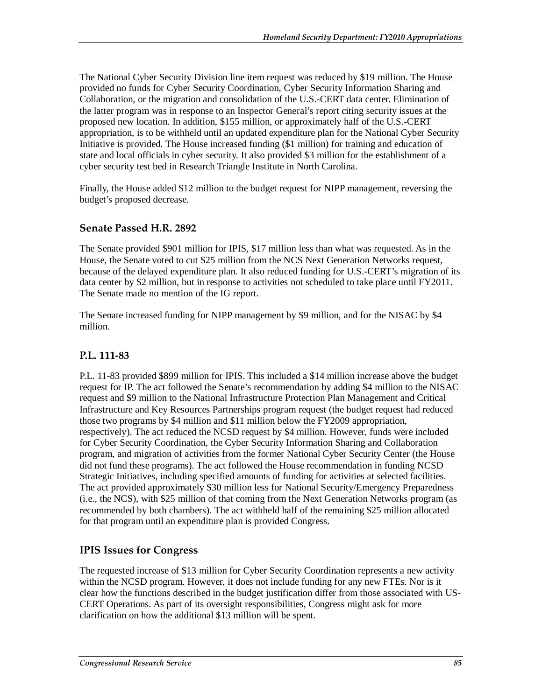The National Cyber Security Division line item request was reduced by \$19 million. The House provided no funds for Cyber Security Coordination, Cyber Security Information Sharing and Collaboration, or the migration and consolidation of the U.S.-CERT data center. Elimination of the latter program was in response to an Inspector General's report citing security issues at the proposed new location. In addition, \$155 million, or approximately half of the U.S.-CERT appropriation, is to be withheld until an updated expenditure plan for the National Cyber Security Initiative is provided. The House increased funding (\$1 million) for training and education of state and local officials in cyber security. It also provided \$3 million for the establishment of a cyber security test bed in Research Triangle Institute in North Carolina.

Finally, the House added \$12 million to the budget request for NIPP management, reversing the budget's proposed decrease.

### **Senate Passed H.R. 2892**

The Senate provided \$901 million for IPIS, \$17 million less than what was requested. As in the House, the Senate voted to cut \$25 million from the NCS Next Generation Networks request, because of the delayed expenditure plan. It also reduced funding for U.S.-CERT's migration of its data center by \$2 million, but in response to activities not scheduled to take place until FY2011. The Senate made no mention of the IG report.

The Senate increased funding for NIPP management by \$9 million, and for the NISAC by \$4 million.

### **P.L. 111-83**

P.L. 11-83 provided \$899 million for IPIS. This included a \$14 million increase above the budget request for IP. The act followed the Senate's recommendation by adding \$4 million to the NISAC request and \$9 million to the National Infrastructure Protection Plan Management and Critical Infrastructure and Key Resources Partnerships program request (the budget request had reduced those two programs by \$4 million and \$11 million below the FY2009 appropriation, respectively). The act reduced the NCSD request by \$4 million. However, funds were included for Cyber Security Coordination, the Cyber Security Information Sharing and Collaboration program, and migration of activities from the former National Cyber Security Center (the House did not fund these programs). The act followed the House recommendation in funding NCSD Strategic Initiatives, including specified amounts of funding for activities at selected facilities. The act provided approximately \$30 million less for National Security/Emergency Preparedness (i.e., the NCS), with \$25 million of that coming from the Next Generation Networks program (as recommended by both chambers). The act withheld half of the remaining \$25 million allocated for that program until an expenditure plan is provided Congress.

### **IPIS Issues for Congress**

The requested increase of \$13 million for Cyber Security Coordination represents a new activity within the NCSD program. However, it does not include funding for any new FTEs. Nor is it clear how the functions described in the budget justification differ from those associated with US-CERT Operations. As part of its oversight responsibilities, Congress might ask for more clarification on how the additional \$13 million will be spent.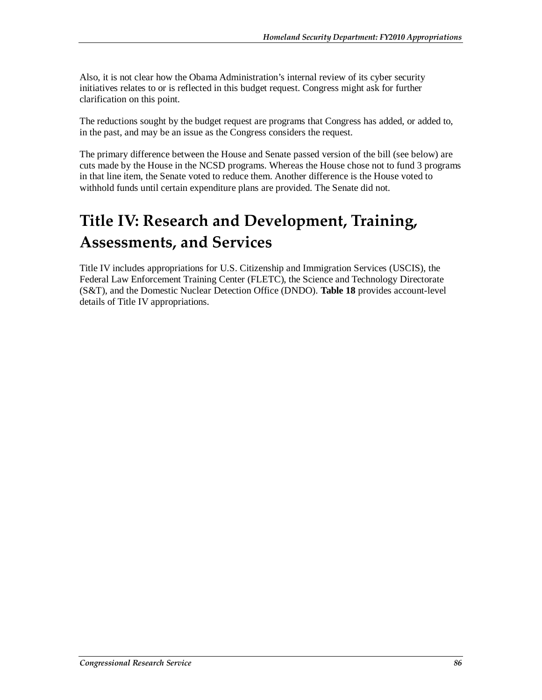Also, it is not clear how the Obama Administration's internal review of its cyber security initiatives relates to or is reflected in this budget request. Congress might ask for further clarification on this point.

The reductions sought by the budget request are programs that Congress has added, or added to, in the past, and may be an issue as the Congress considers the request.

The primary difference between the House and Senate passed version of the bill (see below) are cuts made by the House in the NCSD programs. Whereas the House chose not to fund 3 programs in that line item, the Senate voted to reduce them. Another difference is the House voted to withhold funds until certain expenditure plans are provided. The Senate did not.

# **Title IV: Research and Development, Training, Assessments, and Services**

Title IV includes appropriations for U.S. Citizenship and Immigration Services (USCIS), the Federal Law Enforcement Training Center (FLETC), the Science and Technology Directorate (S&T), and the Domestic Nuclear Detection Office (DNDO). **Table 18** provides account-level details of Title IV appropriations.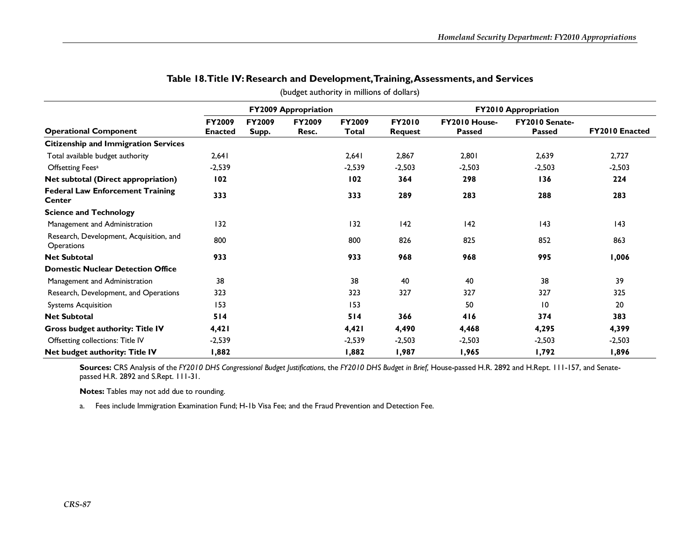|                                                       | <b>FY2009 Appropriation</b> |                        |                        |                 | <b>FY2010 Appropriation</b> |                                |                                        |                |
|-------------------------------------------------------|-----------------------------|------------------------|------------------------|-----------------|-----------------------------|--------------------------------|----------------------------------------|----------------|
| <b>Operational Component</b>                          | FY2009<br><b>Enacted</b>    | <b>FY2009</b><br>Supp. | <b>FY2009</b><br>Resc. | FY2009<br>Total | <b>FY2010</b><br>Request    | FY2010 House-<br><b>Passed</b> | <b>FY2010 Senate-</b><br><b>Passed</b> | FY2010 Enacted |
| <b>Citizenship and Immigration Services</b>           |                             |                        |                        |                 |                             |                                |                                        |                |
| Total available budget authority                      | 2,641                       |                        |                        | 2,641           | 2,867                       | 2,801                          | 2,639                                  | 2,727          |
| Offsetting Fees <sup>a</sup>                          | $-2,539$                    |                        |                        | -2,539          | $-2,503$                    | $-2,503$                       | $-2,503$                               | $-2,503$       |
| Net subtotal (Direct appropriation)                   | 102                         |                        |                        | 102             | 364                         | 298                            | 136                                    | 224            |
| <b>Federal Law Enforcement Training</b><br>Center     | 333                         |                        |                        | 333             | 289                         | 283                            | 288                                    | 283            |
| <b>Science and Technology</b>                         |                             |                        |                        |                 |                             |                                |                                        |                |
| Management and Administration                         | 132                         |                        |                        | 132             | 42                          | 142                            | 143                                    | 143            |
| Research, Development, Acquisition, and<br>Operations | 800                         |                        |                        | 800             | 826                         | 825                            | 852                                    | 863            |
| <b>Net Subtotal</b>                                   | 933                         |                        |                        | 933             | 968                         | 968                            | 995                                    | 1,006          |
| <b>Domestic Nuclear Detection Office</b>              |                             |                        |                        |                 |                             |                                |                                        |                |
| Management and Administration                         | 38                          |                        |                        | 38              | 40                          | 40                             | 38                                     | 39             |
| Research, Development, and Operations                 | 323                         |                        |                        | 323             | 327                         | 327                            | 327                                    | 325            |
| <b>Systems Acquisition</b>                            | 153                         |                        |                        | 153             |                             | 50                             | $\overline{10}$                        | 20             |
| <b>Net Subtotal</b>                                   | 514                         |                        |                        | 514             | 366                         | 416                            | 374                                    | 383            |
| <b>Gross budget authority: Title IV</b>               | 4,421                       |                        |                        | 4,421           | 4,490                       | 4,468                          | 4,295                                  | 4,399          |
| Offsetting collections: Title IV                      | $-2,539$                    |                        |                        | $-2,539$        | $-2,503$                    | $-2,503$                       | $-2,503$                               | $-2,503$       |
| Net budget authority: Title IV                        | 1,882                       |                        |                        | 1,882           | 1,987                       | 1,965                          | 1,792                                  | 1,896          |

### **Table 18. Title IV: Research and Development, Training, Assessments, and Services**

(budget authority in millions of dollars)

**Sources:** CRS Analysis of the *FY2010 DHS Congressional Budget Justifications*, the *FY2010 DHS Budget in Brief,* House-passed H.R. 2892 and H.Rept. 111-157, and Senatepassed H.R. 2892 and S.Rept. 111-31.

**Notes:** Tables may not add due to rounding.

a. Fees include Immigration Examination Fund; H-1b Visa Fee; and the Fraud Prevention and Detection Fee.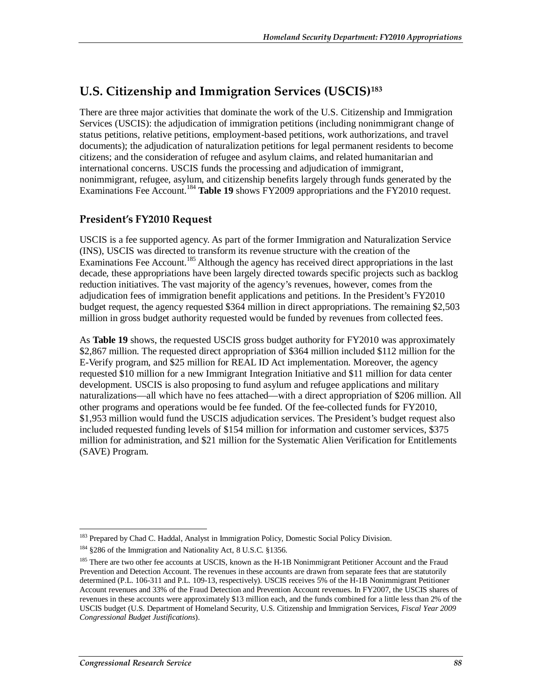# **U.S. Citizenship and Immigration Services (USCIS)183**

There are three major activities that dominate the work of the U.S. Citizenship and Immigration Services (USCIS): the adjudication of immigration petitions (including nonimmigrant change of status petitions, relative petitions, employment-based petitions, work authorizations, and travel documents); the adjudication of naturalization petitions for legal permanent residents to become citizens; and the consideration of refugee and asylum claims, and related humanitarian and international concerns. USCIS funds the processing and adjudication of immigrant, nonimmigrant, refugee, asylum, and citizenship benefits largely through funds generated by the Examinations Fee Account.<sup>184</sup> Table 19 shows FY2009 appropriations and the FY2010 request.

## **President's FY2010 Request**

USCIS is a fee supported agency. As part of the former Immigration and Naturalization Service (INS), USCIS was directed to transform its revenue structure with the creation of the Examinations Fee Account.<sup>185</sup> Although the agency has received direct appropriations in the last decade, these appropriations have been largely directed towards specific projects such as backlog reduction initiatives. The vast majority of the agency's revenues, however, comes from the adjudication fees of immigration benefit applications and petitions. In the President's FY2010 budget request, the agency requested \$364 million in direct appropriations. The remaining \$2,503 million in gross budget authority requested would be funded by revenues from collected fees.

As **Table 19** shows, the requested USCIS gross budget authority for FY2010 was approximately \$2,867 million. The requested direct appropriation of \$364 million included \$112 million for the E-Verify program, and \$25 million for REAL ID Act implementation. Moreover, the agency requested \$10 million for a new Immigrant Integration Initiative and \$11 million for data center development. USCIS is also proposing to fund asylum and refugee applications and military naturalizations—all which have no fees attached—with a direct appropriation of \$206 million. All other programs and operations would be fee funded. Of the fee-collected funds for FY2010, \$1,953 million would fund the USCIS adjudication services. The President's budget request also included requested funding levels of \$154 million for information and customer services, \$375 million for administration, and \$21 million for the Systematic Alien Verification for Entitlements (SAVE) Program.

<sup>-</sup><sup>183</sup> Prepared by Chad C. Haddal, Analyst in Immigration Policy, Domestic Social Policy Division.

<sup>&</sup>lt;sup>184</sup> §286 of the Immigration and Nationality Act, 8 U.S.C. §1356.

<sup>&</sup>lt;sup>185</sup> There are two other fee accounts at USCIS, known as the H-1B Nonimmigrant Petitioner Account and the Fraud Prevention and Detection Account. The revenues in these accounts are drawn from separate fees that are statutorily determined (P.L. 106-311 and P.L. 109-13, respectively). USCIS receives 5% of the H-1B Nonimmigrant Petitioner Account revenues and 33% of the Fraud Detection and Prevention Account revenues. In FY2007, the USCIS shares of revenues in these accounts were approximately \$13 million each, and the funds combined for a little less than 2% of the USCIS budget (U.S. Department of Homeland Security, U.S. Citizenship and Immigration Services, *Fiscal Year 2009 Congressional Budget Justifications*).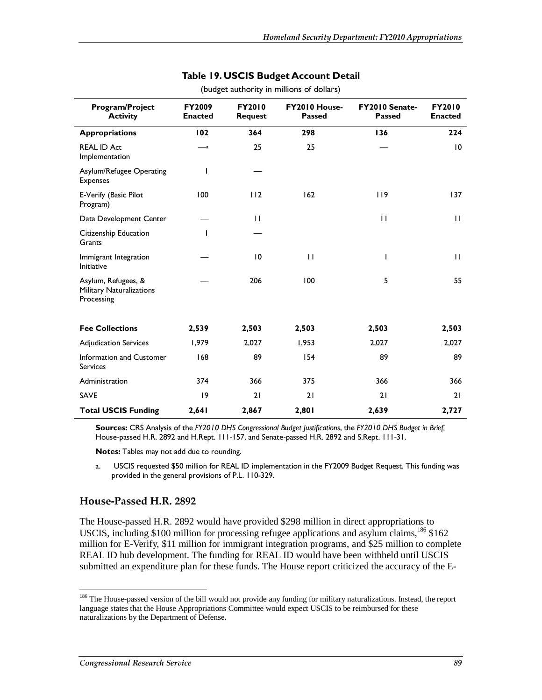| Program/Project<br><b>Activity</b>                                   | <b>FY2009</b><br><b>Enacted</b> | <b>FY2010</b><br><b>Request</b> | FY2010 House-<br>Passed | <b>FY2010 Senate-</b><br><b>Passed</b> | <b>FY2010</b><br><b>Enacted</b> |
|----------------------------------------------------------------------|---------------------------------|---------------------------------|-------------------------|----------------------------------------|---------------------------------|
| <b>Appropriations</b>                                                | 102                             | 364                             | 298                     | 136                                    | 224                             |
| <b>REAL ID Act</b><br>Implementation                                 | $\overline{\phantom{a}}$        | 25                              | 25                      |                                        | 10                              |
| Asylum/Refugee Operating<br><b>Expenses</b>                          |                                 |                                 |                         |                                        |                                 |
| E-Verify (Basic Pilot<br>Program)                                    | 100                             | 112                             | 162                     | 119                                    | 137                             |
| Data Development Center                                              |                                 | $\mathbf{H}$                    |                         | $\mathbf{H}$                           | $\mathbf{H}$                    |
| Citizenship Education<br>Grants                                      | ı                               |                                 |                         |                                        |                                 |
| Immigrant Integration<br>Initiative                                  |                                 | $\overline{10}$                 | $\mathbf{H}$            | I                                      | $\mathbf{H}$                    |
| Asylum, Refugees, &<br><b>Military Naturalizations</b><br>Processing |                                 | 206                             | 100                     | 5                                      | 55                              |
| <b>Fee Collections</b>                                               | 2,539                           | 2,503                           | 2,503                   | 2,503                                  | 2,503                           |
| <b>Adjudication Services</b>                                         | 1,979                           | 2,027                           | 1,953                   | 2,027                                  | 2,027                           |
| Information and Customer<br><b>Services</b>                          | 168                             | 89                              | 154                     | 89                                     | 89                              |
| Administration                                                       | 374                             | 366                             | 375                     | 366                                    | 366                             |
| <b>SAVE</b>                                                          | 9                               | 21                              | 21                      | 21                                     | 21                              |
| <b>Total USCIS Funding</b>                                           | 2,641                           | 2,867                           | 2,801                   | 2,639                                  | 2,727                           |

### **Table 19. USCIS Budget Account Detail**  (budget authority in millions of dollars)

**Sources:** CRS Analysis of the *FY2010 DHS Congressional Budget Justifications*, the *FY2010 DHS Budget in Brief,* House-passed H.R. 2892 and H.Rept. 111-157, and Senate-passed H.R. 2892 and S.Rept. 111-31.

**Notes:** Tables may not add due to rounding.

a. USCIS requested \$50 million for REAL ID implementation in the FY2009 Budget Request. This funding was provided in the general provisions of P.L. 110-329.

### **House-Passed H.R. 2892**

The House-passed H.R. 2892 would have provided \$298 million in direct appropriations to USCIS, including \$100 million for processing refugee applications and asylum claims, $186$  \$162 million for E-Verify, \$11 million for immigrant integration programs, and \$25 million to complete REAL ID hub development. The funding for REAL ID would have been withheld until USCIS submitted an expenditure plan for these funds. The House report criticized the accuracy of the E-

-

<sup>&</sup>lt;sup>186</sup> The House-passed version of the bill would not provide any funding for military naturalizations. Instead, the report language states that the House Appropriations Committee would expect USCIS to be reimbursed for these naturalizations by the Department of Defense.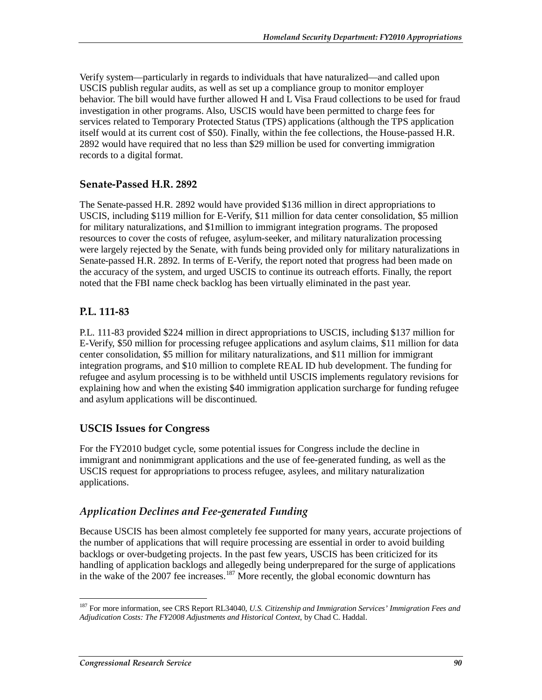Verify system—particularly in regards to individuals that have naturalized—and called upon USCIS publish regular audits, as well as set up a compliance group to monitor employer behavior. The bill would have further allowed H and L Visa Fraud collections to be used for fraud investigation in other programs. Also, USCIS would have been permitted to charge fees for services related to Temporary Protected Status (TPS) applications (although the TPS application itself would at its current cost of \$50). Finally, within the fee collections, the House-passed H.R. 2892 would have required that no less than \$29 million be used for converting immigration records to a digital format.

### **Senate-Passed H.R. 2892**

The Senate-passed H.R. 2892 would have provided \$136 million in direct appropriations to USCIS, including \$119 million for E-Verify, \$11 million for data center consolidation, \$5 million for military naturalizations, and \$1million to immigrant integration programs. The proposed resources to cover the costs of refugee, asylum-seeker, and military naturalization processing were largely rejected by the Senate, with funds being provided only for military naturalizations in Senate-passed H.R. 2892. In terms of E-Verify, the report noted that progress had been made on the accuracy of the system, and urged USCIS to continue its outreach efforts. Finally, the report noted that the FBI name check backlog has been virtually eliminated in the past year.

### **P.L. 111-83**

P.L. 111-83 provided \$224 million in direct appropriations to USCIS, including \$137 million for E-Verify, \$50 million for processing refugee applications and asylum claims, \$11 million for data center consolidation, \$5 million for military naturalizations, and \$11 million for immigrant integration programs, and \$10 million to complete REAL ID hub development. The funding for refugee and asylum processing is to be withheld until USCIS implements regulatory revisions for explaining how and when the existing \$40 immigration application surcharge for funding refugee and asylum applications will be discontinued.

### **USCIS Issues for Congress**

For the FY2010 budget cycle, some potential issues for Congress include the decline in immigrant and nonimmigrant applications and the use of fee-generated funding, as well as the USCIS request for appropriations to process refugee, asylees, and military naturalization applications.

### *Application Declines and Fee-generated Funding*

Because USCIS has been almost completely fee supported for many years, accurate projections of the number of applications that will require processing are essential in order to avoid building backlogs or over-budgeting projects. In the past few years, USCIS has been criticized for its handling of application backlogs and allegedly being underprepared for the surge of applications in the wake of the 2007 fee increases.<sup>187</sup> More recently, the global economic downturn has

-

<sup>187</sup> For more information, see CRS Report RL34040, *U.S. Citizenship and Immigration Services' Immigration Fees and Adjudication Costs: The FY2008 Adjustments and Historical Context*, by Chad C. Haddal.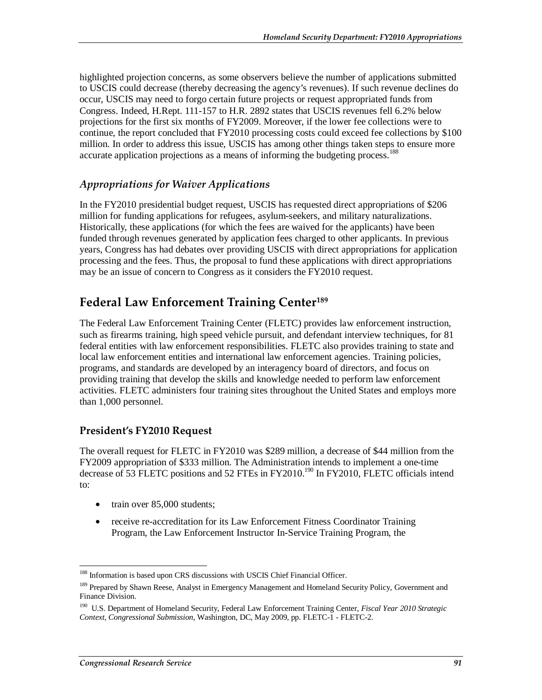highlighted projection concerns, as some observers believe the number of applications submitted to USCIS could decrease (thereby decreasing the agency's revenues). If such revenue declines do occur, USCIS may need to forgo certain future projects or request appropriated funds from Congress. Indeed, H.Rept. 111-157 to H.R. 2892 states that USCIS revenues fell 6.2% below projections for the first six months of FY2009. Moreover, if the lower fee collections were to continue, the report concluded that FY2010 processing costs could exceed fee collections by \$100 million. In order to address this issue, USCIS has among other things taken steps to ensure more accurate application projections as a means of informing the budgeting process.<sup>188</sup>

### *Appropriations for Waiver Applications*

In the FY2010 presidential budget request, USCIS has requested direct appropriations of \$206 million for funding applications for refugees, asylum-seekers, and military naturalizations. Historically, these applications (for which the fees are waived for the applicants) have been funded through revenues generated by application fees charged to other applicants. In previous years, Congress has had debates over providing USCIS with direct appropriations for application processing and the fees. Thus, the proposal to fund these applications with direct appropriations may be an issue of concern to Congress as it considers the FY2010 request.

## **Federal Law Enforcement Training Center189**

The Federal Law Enforcement Training Center (FLETC) provides law enforcement instruction, such as firearms training, high speed vehicle pursuit, and defendant interview techniques, for 81 federal entities with law enforcement responsibilities. FLETC also provides training to state and local law enforcement entities and international law enforcement agencies. Training policies, programs, and standards are developed by an interagency board of directors, and focus on providing training that develop the skills and knowledge needed to perform law enforcement activities. FLETC administers four training sites throughout the United States and employs more than 1,000 personnel.

### **President's FY2010 Request**

The overall request for FLETC in FY2010 was \$289 million, a decrease of \$44 million from the FY2009 appropriation of \$333 million. The Administration intends to implement a one-time decrease of 53 FLETC positions and 52 FTEs in FY2010.<sup>190</sup> In FY2010, FLETC officials intend to:

- train over 85,000 students;
- receive re-accreditation for its Law Enforcement Fitness Coordinator Training Program, the Law Enforcement Instructor In-Service Training Program, the

 $\frac{1}{1}$ 

<sup>&</sup>lt;sup>188</sup> Information is based upon CRS discussions with USCIS Chief Financial Officer.

<sup>&</sup>lt;sup>189</sup> Prepared by Shawn Reese, Analyst in Emergency Management and Homeland Security Policy, Government and Finance Division.

<sup>190</sup> U.S. Department of Homeland Security, Federal Law Enforcement Training Center, *Fiscal Year 2010 Strategic Context, Congressional Submission*, Washington, DC, May 2009, pp. FLETC-1 - FLETC-2.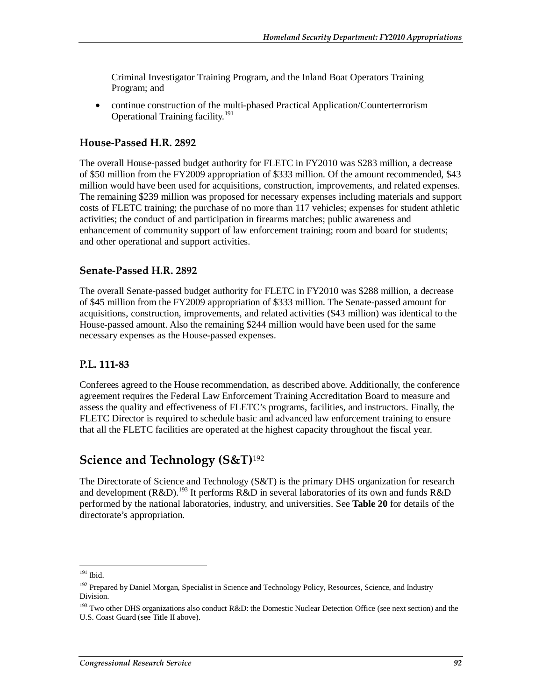Criminal Investigator Training Program, and the Inland Boat Operators Training Program; and

• continue construction of the multi-phased Practical Application/Counterterrorism Operational Training facility.<sup>191</sup>

### **House-Passed H.R. 2892**

The overall House-passed budget authority for FLETC in FY2010 was \$283 million, a decrease of \$50 million from the FY2009 appropriation of \$333 million. Of the amount recommended, \$43 million would have been used for acquisitions, construction, improvements, and related expenses. The remaining \$239 million was proposed for necessary expenses including materials and support costs of FLETC training; the purchase of no more than 117 vehicles; expenses for student athletic activities; the conduct of and participation in firearms matches; public awareness and enhancement of community support of law enforcement training; room and board for students; and other operational and support activities.

### **Senate-Passed H.R. 2892**

The overall Senate-passed budget authority for FLETC in FY2010 was \$288 million, a decrease of \$45 million from the FY2009 appropriation of \$333 million. The Senate-passed amount for acquisitions, construction, improvements, and related activities (\$43 million) was identical to the House-passed amount. Also the remaining \$244 million would have been used for the same necessary expenses as the House-passed expenses.

### **P.L. 111-83**

Conferees agreed to the House recommendation, as described above. Additionally, the conference agreement requires the Federal Law Enforcement Training Accreditation Board to measure and assess the quality and effectiveness of FLETC's programs, facilities, and instructors. Finally, the FLETC Director is required to schedule basic and advanced law enforcement training to ensure that all the FLETC facilities are operated at the highest capacity throughout the fiscal year.

## **Science and Technology (S&T)**<sup>192</sup>

The Directorate of Science and Technology (S&T) is the primary DHS organization for research and development (R&D).<sup>193</sup> It performs R&D in several laboratories of its own and funds R&D performed by the national laboratories, industry, and universities. See **Table 20** for details of the directorate's appropriation.

 $\frac{1}{1}$ 191 Ibid.

<sup>&</sup>lt;sup>192</sup> Prepared by Daniel Morgan, Specialist in Science and Technology Policy, Resources, Science, and Industry Division.

<sup>&</sup>lt;sup>193</sup> Two other DHS organizations also conduct R&D: the Domestic Nuclear Detection Office (see next section) and the U.S. Coast Guard (see Title II above).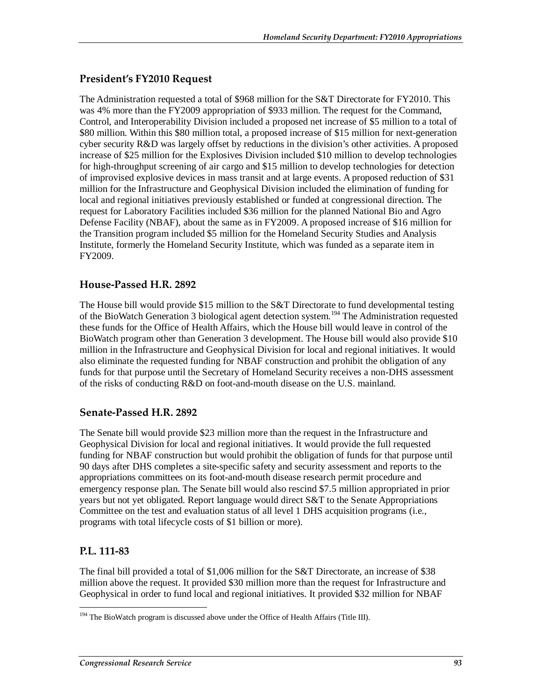## **President's FY2010 Request**

The Administration requested a total of \$968 million for the S&T Directorate for FY2010. This was 4% more than the FY2009 appropriation of \$933 million. The request for the Command, Control, and Interoperability Division included a proposed net increase of \$5 million to a total of \$80 million. Within this \$80 million total, a proposed increase of \$15 million for next-generation cyber security R&D was largely offset by reductions in the division's other activities. A proposed increase of \$25 million for the Explosives Division included \$10 million to develop technologies for high-throughput screening of air cargo and \$15 million to develop technologies for detection of improvised explosive devices in mass transit and at large events. A proposed reduction of \$31 million for the Infrastructure and Geophysical Division included the elimination of funding for local and regional initiatives previously established or funded at congressional direction. The request for Laboratory Facilities included \$36 million for the planned National Bio and Agro Defense Facility (NBAF), about the same as in FY2009. A proposed increase of \$16 million for the Transition program included \$5 million for the Homeland Security Studies and Analysis Institute, formerly the Homeland Security Institute, which was funded as a separate item in FY2009.

### **House-Passed H.R. 2892**

The House bill would provide \$15 million to the S&T Directorate to fund developmental testing of the BioWatch Generation 3 biological agent detection system.<sup>194</sup> The Administration requested these funds for the Office of Health Affairs, which the House bill would leave in control of the BioWatch program other than Generation 3 development. The House bill would also provide \$10 million in the Infrastructure and Geophysical Division for local and regional initiatives. It would also eliminate the requested funding for NBAF construction and prohibit the obligation of any funds for that purpose until the Secretary of Homeland Security receives a non-DHS assessment of the risks of conducting R&D on foot-and-mouth disease on the U.S. mainland.

### **Senate-Passed H.R. 2892**

The Senate bill would provide \$23 million more than the request in the Infrastructure and Geophysical Division for local and regional initiatives. It would provide the full requested funding for NBAF construction but would prohibit the obligation of funds for that purpose until 90 days after DHS completes a site-specific safety and security assessment and reports to the appropriations committees on its foot-and-mouth disease research permit procedure and emergency response plan. The Senate bill would also rescind \$7.5 million appropriated in prior years but not yet obligated. Report language would direct S&T to the Senate Appropriations Committee on the test and evaluation status of all level 1 DHS acquisition programs (i.e., programs with total lifecycle costs of \$1 billion or more).

## **P.L. 111-83**

The final bill provided a total of \$1,006 million for the S&T Directorate, an increase of \$38 million above the request. It provided \$30 million more than the request for Infrastructure and Geophysical in order to fund local and regional initiatives. It provided \$32 million for NBAF

<sup>-</sup><sup>194</sup> The BioWatch program is discussed above under the Office of Health Affairs (Title III).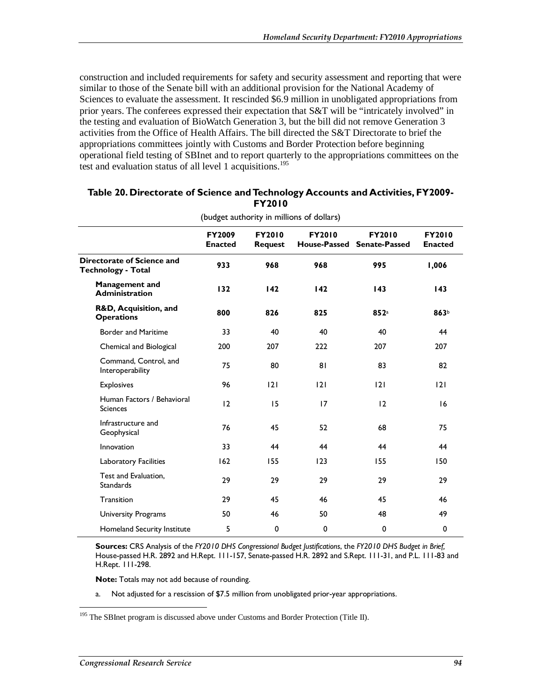construction and included requirements for safety and security assessment and reporting that were similar to those of the Senate bill with an additional provision for the National Academy of Sciences to evaluate the assessment. It rescinded \$6.9 million in unobligated appropriations from prior years. The conferees expressed their expectation that S&T will be "intricately involved" in the testing and evaluation of BioWatch Generation 3, but the bill did not remove Generation 3 activities from the Office of Health Affairs. The bill directed the S&T Directorate to brief the appropriations committees jointly with Customs and Border Protection before beginning operational field testing of SBInet and to report quarterly to the appropriations committees on the test and evaluation status of all level 1 acquisitions.<sup>195</sup>

|                                                         | FY2009<br><b>Enacted</b> | <b>FY2010</b><br><b>Request</b> | <b>FY2010</b> | <b>FY2010</b><br>House-Passed Senate-Passed | <b>FY2010</b><br><b>Enacted</b> |
|---------------------------------------------------------|--------------------------|---------------------------------|---------------|---------------------------------------------|---------------------------------|
| Directorate of Science and<br><b>Technology - Total</b> | 933                      | 968                             | 968           | 995                                         | 1,006                           |
| <b>Management and</b><br><b>Administration</b>          | 132                      | 142                             | 142           | 143                                         | 143                             |
| R&D, Acquisition, and<br><b>Operations</b>              | 800                      | 826                             | 825           | 852a                                        | 863b                            |
| <b>Border and Maritime</b>                              | 33                       | 40                              | 40            | 40                                          | 44                              |
| Chemical and Biological                                 | 200                      | 207                             | 222           | 207                                         | 207                             |
| Command, Control, and<br>Interoperability               | 75                       | 80                              | 81            | 83                                          | 82                              |
| <b>Explosives</b>                                       | 96                       | 2                               | 2             | 2                                           | 2                               |
| Human Factors / Behavioral<br><b>Sciences</b>           | 12                       | 15                              | 17            | 12                                          | 16                              |
| Infrastructure and<br>Geophysical                       | 76                       | 45                              | 52            | 68                                          | 75                              |
| Innovation                                              | 33                       | 44                              | 44            | 44                                          | 44                              |
| Laboratory Facilities                                   | 162                      | 155                             | 123           | 155                                         | 150                             |
| Test and Evaluation,<br><b>Standards</b>                | 29                       | 29                              | 29            | 29                                          | 29                              |
| Transition                                              | 29                       | 45                              | 46            | 45                                          | 46                              |
| University Programs                                     | 50                       | 46                              | 50            | 48                                          | 49                              |
| Homeland Security Institute                             | 5                        | 0                               | 0             | 0                                           | 0                               |

#### **Table 20. Directorate of Science and Technology Accounts and Activities, FY2009- FY2010**  (budget authority in millions of dollars)

**Sources:** CRS Analysis of the *FY2010 DHS Congressional Budget Justifications*, the *FY2010 DHS Budget in Brief,* House-passed H.R. 2892 and H.Rept. 111-157, Senate-passed H.R. 2892 and S.Rept. 111-31, and P.L. 111-83 and H.Rept. 111-298.

**Note:** Totals may not add because of rounding.

a. Not adjusted for a rescission of \$7.5 million from unobligated prior-year appropriations.

-<sup>195</sup> The SBInet program is discussed above under Customs and Border Protection (Title II).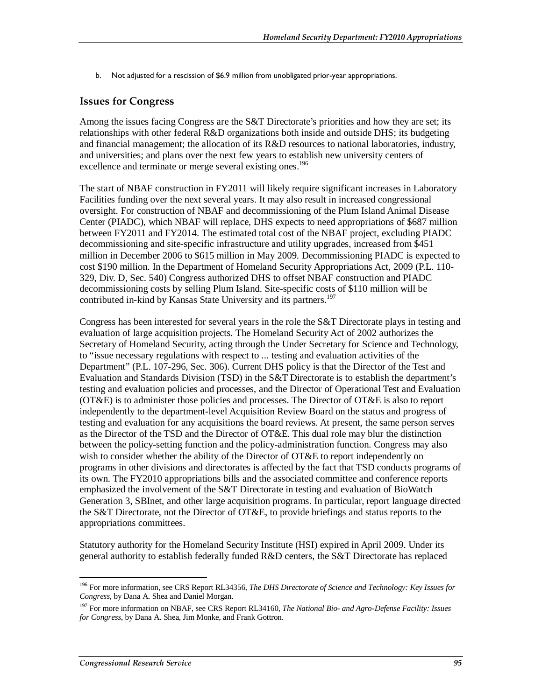b. Not adjusted for a rescission of \$6.9 million from unobligated prior-year appropriations.

### **Issues for Congress**

Among the issues facing Congress are the S&T Directorate's priorities and how they are set; its relationships with other federal R&D organizations both inside and outside DHS; its budgeting and financial management; the allocation of its R&D resources to national laboratories, industry, and universities; and plans over the next few years to establish new university centers of excellence and terminate or merge several existing ones.<sup>196</sup>

The start of NBAF construction in FY2011 will likely require significant increases in Laboratory Facilities funding over the next several years. It may also result in increased congressional oversight. For construction of NBAF and decommissioning of the Plum Island Animal Disease Center (PIADC), which NBAF will replace, DHS expects to need appropriations of \$687 million between FY2011 and FY2014. The estimated total cost of the NBAF project, excluding PIADC decommissioning and site-specific infrastructure and utility upgrades, increased from \$451 million in December 2006 to \$615 million in May 2009. Decommissioning PIADC is expected to cost \$190 million. In the Department of Homeland Security Appropriations Act, 2009 (P.L. 110- 329, Div. D, Sec. 540) Congress authorized DHS to offset NBAF construction and PIADC decommissioning costs by selling Plum Island. Site-specific costs of \$110 million will be contributed in-kind by Kansas State University and its partners.<sup>197</sup>

Congress has been interested for several years in the role the S&T Directorate plays in testing and evaluation of large acquisition projects. The Homeland Security Act of 2002 authorizes the Secretary of Homeland Security, acting through the Under Secretary for Science and Technology, to "issue necessary regulations with respect to ... testing and evaluation activities of the Department" (P.L. 107-296, Sec. 306). Current DHS policy is that the Director of the Test and Evaluation and Standards Division (TSD) in the S&T Directorate is to establish the department's testing and evaluation policies and processes, and the Director of Operational Test and Evaluation (OT&E) is to administer those policies and processes. The Director of OT&E is also to report independently to the department-level Acquisition Review Board on the status and progress of testing and evaluation for any acquisitions the board reviews. At present, the same person serves as the Director of the TSD and the Director of OT&E. This dual role may blur the distinction between the policy-setting function and the policy-administration function. Congress may also wish to consider whether the ability of the Director of OT&E to report independently on programs in other divisions and directorates is affected by the fact that TSD conducts programs of its own. The FY2010 appropriations bills and the associated committee and conference reports emphasized the involvement of the S&T Directorate in testing and evaluation of BioWatch Generation 3, SBInet, and other large acquisition programs. In particular, report language directed the S&T Directorate, not the Director of OT&E, to provide briefings and status reports to the appropriations committees.

Statutory authority for the Homeland Security Institute (HSI) expired in April 2009. Under its general authority to establish federally funded R&D centers, the S&T Directorate has replaced

<sup>-</sup>196 For more information, see CRS Report RL34356, *The DHS Directorate of Science and Technology: Key Issues for Congress*, by Dana A. Shea and Daniel Morgan.

<sup>197</sup> For more information on NBAF, see CRS Report RL34160, *The National Bio- and Agro-Defense Facility: Issues for Congress*, by Dana A. Shea, Jim Monke, and Frank Gottron.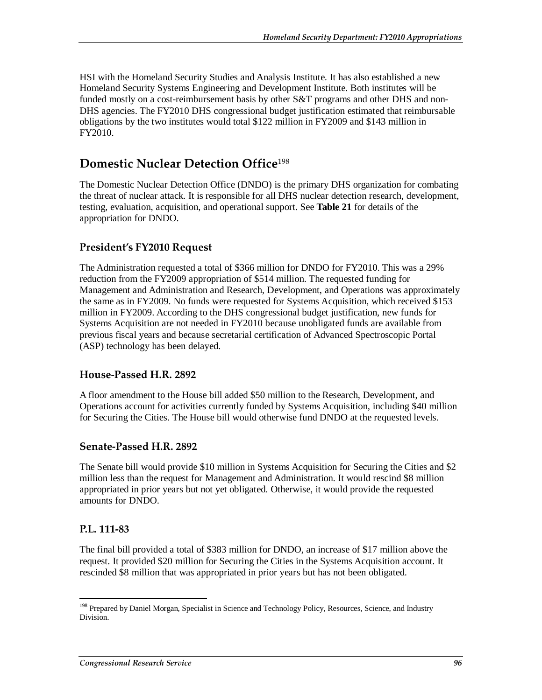HSI with the Homeland Security Studies and Analysis Institute. It has also established a new Homeland Security Systems Engineering and Development Institute. Both institutes will be funded mostly on a cost-reimbursement basis by other S&T programs and other DHS and non-DHS agencies. The FY2010 DHS congressional budget justification estimated that reimbursable obligations by the two institutes would total \$122 million in FY2009 and \$143 million in FY2010.

# **Domestic Nuclear Detection Office**<sup>198</sup>

The Domestic Nuclear Detection Office (DNDO) is the primary DHS organization for combating the threat of nuclear attack. It is responsible for all DHS nuclear detection research, development, testing, evaluation, acquisition, and operational support. See **Table 21** for details of the appropriation for DNDO.

## **President's FY2010 Request**

The Administration requested a total of \$366 million for DNDO for FY2010. This was a 29% reduction from the FY2009 appropriation of \$514 million. The requested funding for Management and Administration and Research, Development, and Operations was approximately the same as in FY2009. No funds were requested for Systems Acquisition, which received \$153 million in FY2009. According to the DHS congressional budget justification, new funds for Systems Acquisition are not needed in FY2010 because unobligated funds are available from previous fiscal years and because secretarial certification of Advanced Spectroscopic Portal (ASP) technology has been delayed.

### **House-Passed H.R. 2892**

A floor amendment to the House bill added \$50 million to the Research, Development, and Operations account for activities currently funded by Systems Acquisition, including \$40 million for Securing the Cities. The House bill would otherwise fund DNDO at the requested levels.

### **Senate-Passed H.R. 2892**

The Senate bill would provide \$10 million in Systems Acquisition for Securing the Cities and \$2 million less than the request for Management and Administration. It would rescind \$8 million appropriated in prior years but not yet obligated. Otherwise, it would provide the requested amounts for DNDO.

### **P.L. 111-83**

-

The final bill provided a total of \$383 million for DNDO, an increase of \$17 million above the request. It provided \$20 million for Securing the Cities in the Systems Acquisition account. It rescinded \$8 million that was appropriated in prior years but has not been obligated.

<sup>&</sup>lt;sup>198</sup> Prepared by Daniel Morgan, Specialist in Science and Technology Policy, Resources, Science, and Industry Division.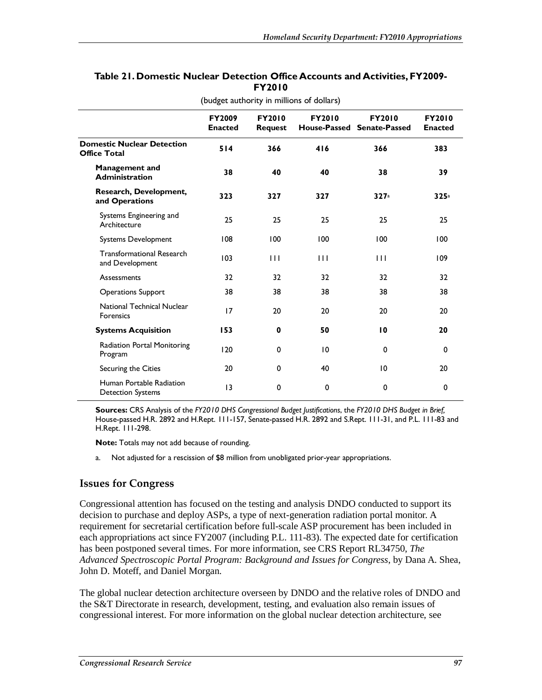|                                                          | <b>FY2009</b><br><b>Enacted</b> | <b>FY2010</b><br><b>Request</b> | <b>FY2010</b> | <b>FY2010</b><br>House-Passed Senate-Passed | <b>FY2010</b><br><b>Enacted</b> |
|----------------------------------------------------------|---------------------------------|---------------------------------|---------------|---------------------------------------------|---------------------------------|
| <b>Domestic Nuclear Detection</b><br><b>Office Total</b> | 514                             | 366                             | 416           | 366                                         | 383                             |
| <b>Management and</b><br><b>Administration</b>           | 38                              | 40                              | 40            | 38                                          | 39                              |
| Research, Development,<br>and Operations                 | 323                             | 327                             | 327           | 327a                                        | 325a                            |
| Systems Engineering and<br>Architecture                  | 25                              | 25                              | 25            | 25                                          | 25                              |
| Systems Development                                      | 108                             | 100                             | 100           | 100                                         | 100                             |
| <b>Transformational Research</b><br>and Development      | 103                             | $\mathbf{H}$                    | $\mathbf{H}$  | $\mathbf{H}$                                | 109                             |
| Assessments                                              | 32                              | 32                              | 32            | 32                                          | 32                              |
| <b>Operations Support</b>                                | 38                              | 38                              | 38            | 38                                          | 38                              |
| National Technical Nuclear<br>Forensics                  | 17                              | 20                              | 20            | 20                                          | 20                              |
| <b>Systems Acquisition</b>                               | 153                             | $\bf{0}$                        | 50            | 10                                          | 20                              |
| Radiation Portal Monitoring<br>Program                   | 120                             | 0                               | 10            | $\mathbf 0$                                 | $\mathbf 0$                     |
| Securing the Cities                                      | 20                              | 0                               | 40            | 10                                          | 20                              |
| Human Portable Radiation<br><b>Detection Systems</b>     | 13                              | 0                               | 0             | 0                                           | 0                               |

### **Table 21. Domestic Nuclear Detection Office Accounts and Activities, FY2009- FY2010**

(budget authority in millions of dollars)

**Sources:** CRS Analysis of the *FY2010 DHS Congressional Budget Justifications*, the *FY2010 DHS Budget in Brief,* House-passed H.R. 2892 and H.Rept. 111-157, Senate-passed H.R. 2892 and S.Rept. 111-31, and P.L. 111-83 and H.Rept. 111-298.

**Note:** Totals may not add because of rounding.

a. Not adjusted for a rescission of \$8 million from unobligated prior-year appropriations.

### **Issues for Congress**

Congressional attention has focused on the testing and analysis DNDO conducted to support its decision to purchase and deploy ASPs, a type of next-generation radiation portal monitor. A requirement for secretarial certification before full-scale ASP procurement has been included in each appropriations act since FY2007 (including P.L. 111-83). The expected date for certification has been postponed several times. For more information, see CRS Report RL34750, *The Advanced Spectroscopic Portal Program: Background and Issues for Congress*, by Dana A. Shea, John D. Moteff, and Daniel Morgan.

The global nuclear detection architecture overseen by DNDO and the relative roles of DNDO and the S&T Directorate in research, development, testing, and evaluation also remain issues of congressional interest. For more information on the global nuclear detection architecture, see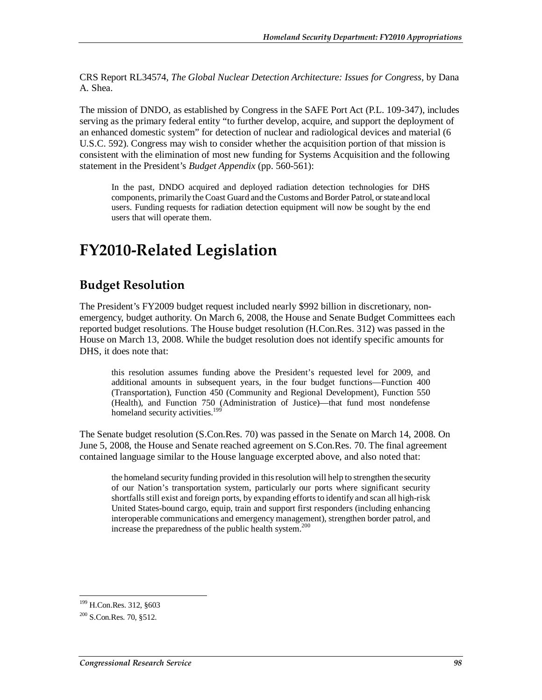CRS Report RL34574, *The Global Nuclear Detection Architecture: Issues for Congress*, by Dana A. Shea.

The mission of DNDO, as established by Congress in the SAFE Port Act (P.L. 109-347), includes serving as the primary federal entity "to further develop, acquire, and support the deployment of an enhanced domestic system" for detection of nuclear and radiological devices and material (6 U.S.C. 592). Congress may wish to consider whether the acquisition portion of that mission is consistent with the elimination of most new funding for Systems Acquisition and the following statement in the President's *Budget Appendix* (pp. 560-561):

In the past, DNDO acquired and deployed radiation detection technologies for DHS components, primarily the Coast Guard and the Customs and Border Patrol, or state and local users. Funding requests for radiation detection equipment will now be sought by the end users that will operate them.

# **FY2010-Related Legislation**

## **Budget Resolution**

The President's FY2009 budget request included nearly \$992 billion in discretionary, nonemergency, budget authority. On March 6, 2008, the House and Senate Budget Committees each reported budget resolutions. The House budget resolution (H.Con.Res. 312) was passed in the House on March 13, 2008. While the budget resolution does not identify specific amounts for DHS, it does note that:

this resolution assumes funding above the President's requested level for 2009, and additional amounts in subsequent years, in the four budget functions—Function 400 (Transportation), Function 450 (Community and Regional Development), Function 550 (Health), and Function 750 (Administration of Justice)—that fund most nondefense homeland security activities.<sup>199</sup>

The Senate budget resolution (S.Con.Res. 70) was passed in the Senate on March 14, 2008. On June 5, 2008, the House and Senate reached agreement on S.Con.Res. 70. The final agreement contained language similar to the House language excerpted above, and also noted that:

the homeland security funding provided in this resolution will help to strengthen the security of our Nation's transportation system, particularly our ports where significant security shortfalls still exist and foreign ports, by expanding efforts to identify and scan all high-risk United States-bound cargo, equip, train and support first responders (including enhancing interoperable communications and emergency management), strengthen border patrol, and increase the preparedness of the public health system.<sup>200</sup>

 $\frac{1}{1}$ <sup>199</sup> H.Con.Res. 312, §603

<sup>&</sup>lt;sup>200</sup> S.Con.Res. 70, §512.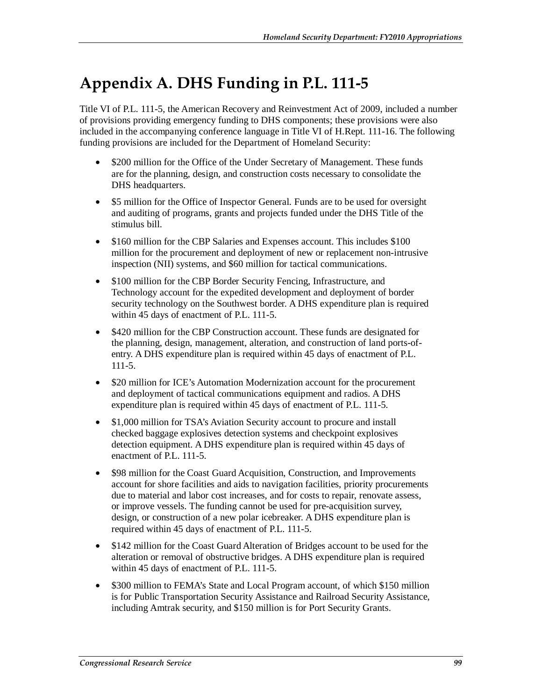# **Appendix A. DHS Funding in P.L. 111-5**

Title VI of P.L. 111-5, the American Recovery and Reinvestment Act of 2009, included a number of provisions providing emergency funding to DHS components; these provisions were also included in the accompanying conference language in Title VI of H.Rept. 111-16. The following funding provisions are included for the Department of Homeland Security:

- \$200 million for the Office of the Under Secretary of Management. These funds are for the planning, design, and construction costs necessary to consolidate the DHS headquarters.
- \$5 million for the Office of Inspector General. Funds are to be used for oversight and auditing of programs, grants and projects funded under the DHS Title of the stimulus bill.
- \$160 million for the CBP Salaries and Expenses account. This includes \$100 million for the procurement and deployment of new or replacement non-intrusive inspection (NII) systems, and \$60 million for tactical communications.
- \$100 million for the CBP Border Security Fencing, Infrastructure, and Technology account for the expedited development and deployment of border security technology on the Southwest border. A DHS expenditure plan is required within 45 days of enactment of P.L. 111-5.
- \$420 million for the CBP Construction account. These funds are designated for the planning, design, management, alteration, and construction of land ports-ofentry. A DHS expenditure plan is required within 45 days of enactment of P.L. 111-5.
- \$20 million for ICE's Automation Modernization account for the procurement and deployment of tactical communications equipment and radios. A DHS expenditure plan is required within 45 days of enactment of P.L. 111-5.
- \$1,000 million for TSA's Aviation Security account to procure and install checked baggage explosives detection systems and checkpoint explosives detection equipment. A DHS expenditure plan is required within 45 days of enactment of P.L. 111-5.
- \$98 million for the Coast Guard Acquisition, Construction, and Improvements account for shore facilities and aids to navigation facilities, priority procurements due to material and labor cost increases, and for costs to repair, renovate assess, or improve vessels. The funding cannot be used for pre-acquisition survey, design, or construction of a new polar icebreaker. A DHS expenditure plan is required within 45 days of enactment of P.L. 111-5.
- \$142 million for the Coast Guard Alteration of Bridges account to be used for the alteration or removal of obstructive bridges. A DHS expenditure plan is required within 45 days of enactment of P.L. 111-5.
- \$300 million to FEMA's State and Local Program account, of which \$150 million is for Public Transportation Security Assistance and Railroad Security Assistance, including Amtrak security, and \$150 million is for Port Security Grants.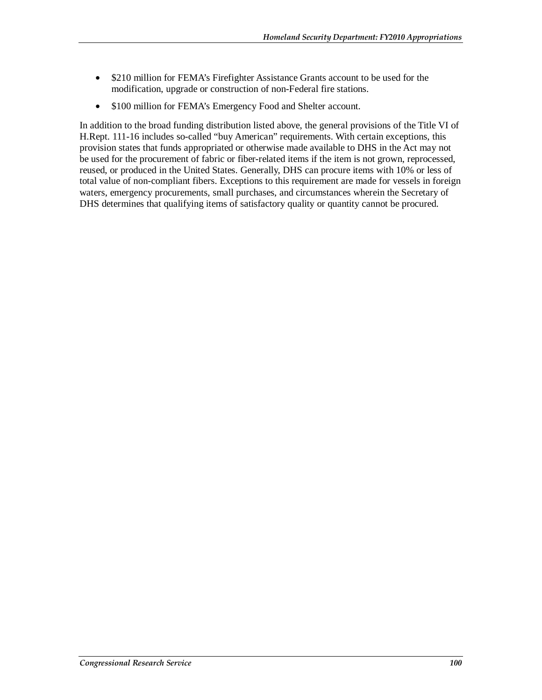- \$210 million for FEMA's Firefighter Assistance Grants account to be used for the modification, upgrade or construction of non-Federal fire stations.
- \$100 million for FEMA's Emergency Food and Shelter account.

In addition to the broad funding distribution listed above, the general provisions of the Title VI of H.Rept. 111-16 includes so-called "buy American" requirements. With certain exceptions, this provision states that funds appropriated or otherwise made available to DHS in the Act may not be used for the procurement of fabric or fiber-related items if the item is not grown, reprocessed, reused, or produced in the United States. Generally, DHS can procure items with 10% or less of total value of non-compliant fibers. Exceptions to this requirement are made for vessels in foreign waters, emergency procurements, small purchases, and circumstances wherein the Secretary of DHS determines that qualifying items of satisfactory quality or quantity cannot be procured.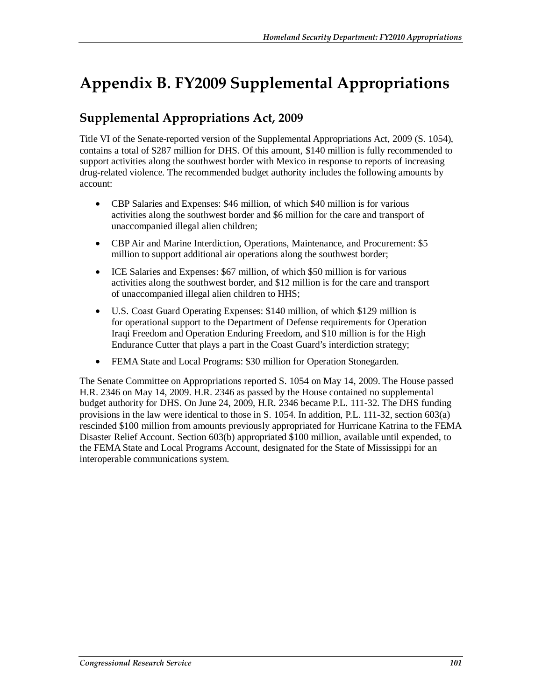# **Appendix B. FY2009 Supplemental Appropriations**

# **Supplemental Appropriations Act, 2009**

Title VI of the Senate-reported version of the Supplemental Appropriations Act, 2009 (S. 1054), contains a total of \$287 million for DHS. Of this amount, \$140 million is fully recommended to support activities along the southwest border with Mexico in response to reports of increasing drug-related violence. The recommended budget authority includes the following amounts by account:

- CBP Salaries and Expenses: \$46 million, of which \$40 million is for various activities along the southwest border and \$6 million for the care and transport of unaccompanied illegal alien children;
- CBP Air and Marine Interdiction, Operations, Maintenance, and Procurement: \$5 million to support additional air operations along the southwest border;
- ICE Salaries and Expenses: \$67 million, of which \$50 million is for various activities along the southwest border, and \$12 million is for the care and transport of unaccompanied illegal alien children to HHS;
- U.S. Coast Guard Operating Expenses: \$140 million, of which \$129 million is for operational support to the Department of Defense requirements for Operation Iraqi Freedom and Operation Enduring Freedom, and \$10 million is for the High Endurance Cutter that plays a part in the Coast Guard's interdiction strategy;
- FEMA State and Local Programs: \$30 million for Operation Stonegarden.

The Senate Committee on Appropriations reported S. 1054 on May 14, 2009. The House passed H.R. 2346 on May 14, 2009. H.R. 2346 as passed by the House contained no supplemental budget authority for DHS. On June 24, 2009, H.R. 2346 became P.L. 111-32. The DHS funding provisions in the law were identical to those in S. 1054. In addition, P.L. 111-32, section 603(a) rescinded \$100 million from amounts previously appropriated for Hurricane Katrina to the FEMA Disaster Relief Account. Section 603(b) appropriated \$100 million, available until expended, to the FEMA State and Local Programs Account, designated for the State of Mississippi for an interoperable communications system.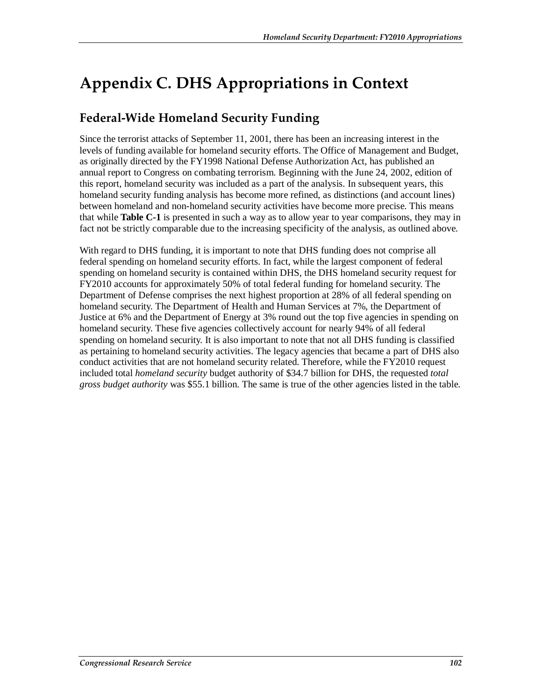# **Appendix C. DHS Appropriations in Context**

# **Federal-Wide Homeland Security Funding**

Since the terrorist attacks of September 11, 2001, there has been an increasing interest in the levels of funding available for homeland security efforts. The Office of Management and Budget, as originally directed by the FY1998 National Defense Authorization Act, has published an annual report to Congress on combating terrorism. Beginning with the June 24, 2002, edition of this report, homeland security was included as a part of the analysis. In subsequent years, this homeland security funding analysis has become more refined, as distinctions (and account lines) between homeland and non-homeland security activities have become more precise. This means that while **Table C-1** is presented in such a way as to allow year to year comparisons, they may in fact not be strictly comparable due to the increasing specificity of the analysis, as outlined above.

With regard to DHS funding, it is important to note that DHS funding does not comprise all federal spending on homeland security efforts. In fact, while the largest component of federal spending on homeland security is contained within DHS, the DHS homeland security request for FY2010 accounts for approximately 50% of total federal funding for homeland security. The Department of Defense comprises the next highest proportion at 28% of all federal spending on homeland security. The Department of Health and Human Services at 7%, the Department of Justice at 6% and the Department of Energy at 3% round out the top five agencies in spending on homeland security. These five agencies collectively account for nearly 94% of all federal spending on homeland security. It is also important to note that not all DHS funding is classified as pertaining to homeland security activities. The legacy agencies that became a part of DHS also conduct activities that are not homeland security related. Therefore, while the FY2010 request included total *homeland security* budget authority of \$34.7 billion for DHS, the requested *total gross budget authority* was \$55.1 billion. The same is true of the other agencies listed in the table.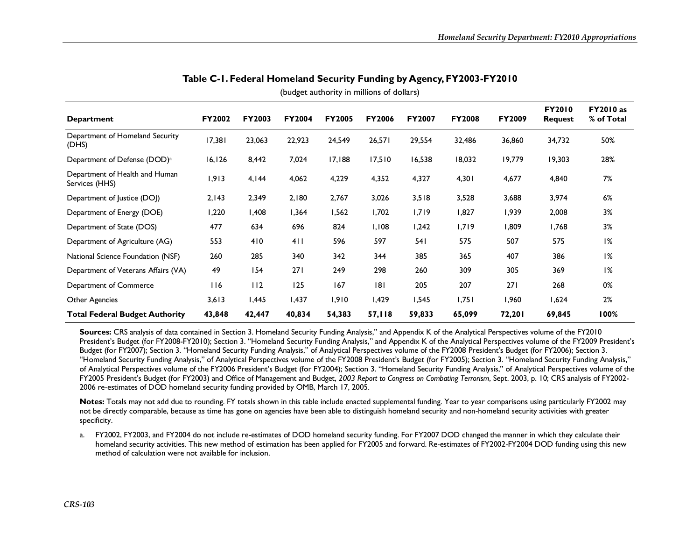| <b>Department</b>                                | <b>FY2002</b> | <b>FY2003</b> | <b>FY2004</b> | <b>FY2005</b> | <b>FY2006</b> | <b>FY2007</b> | <b>FY2008</b> | <b>FY2009</b> | <b>FY2010</b><br><b>Request</b> | <b>FY2010</b> as<br>% of Total |
|--------------------------------------------------|---------------|---------------|---------------|---------------|---------------|---------------|---------------|---------------|---------------------------------|--------------------------------|
| Department of Homeland Security<br>(DHS)         | 17,381        | 23,063        | 22,923        | 24,549        | 26,571        | 29,554        | 32,486        | 36,860        | 34,732                          | 50%                            |
| Department of Defense (DOD) <sup>a</sup>         | 16, 126       | 8,442         | 7,024         | 17,188        | 17,510        | 16,538        | 18,032        | 19,779        | 19,303                          | 28%                            |
| Department of Health and Human<br>Services (HHS) | 1,913         | 4,144         | 4,062         | 4,229         | 4,352         | 4,327         | 4,301         | 4,677         | 4,840                           | 7%                             |
| Department of Justice (DOJ)                      | 2,143         | 2,349         | 2,180         | 2,767         | 3,026         | 3,518         | 3,528         | 3,688         | 3,974                           | 6%                             |
| Department of Energy (DOE)                       | 1,220         | 1,408         | 1,364         | 1,562         | 1,702         | 1,719         | 1,827         | 1,939         | 2,008                           | 3%                             |
| Department of State (DOS)                        | 477           | 634           | 696           | 824           | 1,108         | 1,242         | 1,719         | 1,809         | 1,768                           | 3%                             |
| Department of Agriculture (AG)                   | 553           | 410           | 411           | 596           | 597           | 541           | 575           | 507           | 575                             | 1%                             |
| National Science Foundation (NSF)                | 260           | 285           | 340           | 342           | 344           | 385           | 365           | 407           | 386                             | 1%                             |
| Department of Veterans Affairs (VA)              | 49            | 154           | 271           | 249           | 298           | 260           | 309           | 305           | 369                             | 1%                             |
| Department of Commerce                           | 116           | 112           | 125           | 167           | 8             | 205           | 207           | 271           | 268                             | 0%                             |
| Other Agencies                                   | 3,613         | 1,445         | 1,437         | 1,910         | 1,429         | 1,545         | 1,751         | 1,960         | 1,624                           | 2%                             |
| <b>Total Federal Budget Authority</b>            | 43,848        | 42,447        | 40,834        | 54,383        | 57,118        | 59,833        | 65,099        | 72,201        | 69,845                          | 100%                           |

**Table C-1. Federal Homeland Security Funding by Agency, FY2003-FY2010** 

(budget authority in millions of dollars)

**Sources:** CRS analysis of data contained in Section 3. Homeland Security Funding Analysis," and Appendix K of the Analytical Perspectives volume of the FY2010 President's Budget (for FY2008-FY2010); Section 3. "Homeland Security Funding Analysis," and Appendix K of the Analytical Perspectives volume of the FY2009 President's Budget (for FY2007); Section 3. "Homeland Security Funding Analysis," of Analytical Perspectives volume of the FY2008 President's Budget (for FY2006); Section 3. "Homeland Security Funding Analysis," of Analytical Perspectives volume of the FY2008 President's Budget (for FY2005); Section 3. "Homeland Security Funding Analysis," of Analytical Perspectives volume of the FY2006 President's Budget (for FY2004); Section 3. "Homeland Security Funding Analysis," of Analytical Perspectives volume of the FY2005 President's Budget (for FY2003) and Office of Management and Budget, *2003 Report to Congress on Combating Terrorism*, Sept. 2003, p. 10; CRS analysis of FY2002- 2006 re-estimates of DOD homeland security funding provided by OMB, March 17, 2005.

**Notes:** Totals may not add due to rounding. FY totals shown in this table include enacted supplemental funding. Year to year comparisons using particularly FY2002 may not be directly comparable, because as time has gone on agencies have been able to distinguish homeland security and non-homeland security activities with greater specificity.

a. FY2002, FY2003, and FY2004 do not include re-estimates of DOD homeland security funding. For FY2007 DOD changed the manner in which they calculate their homeland security activities. This new method of estimation has been applied for FY2005 and forward. Re-estimates of FY2002-FY2004 DOD funding using this new method of calculation were not available for inclusion.